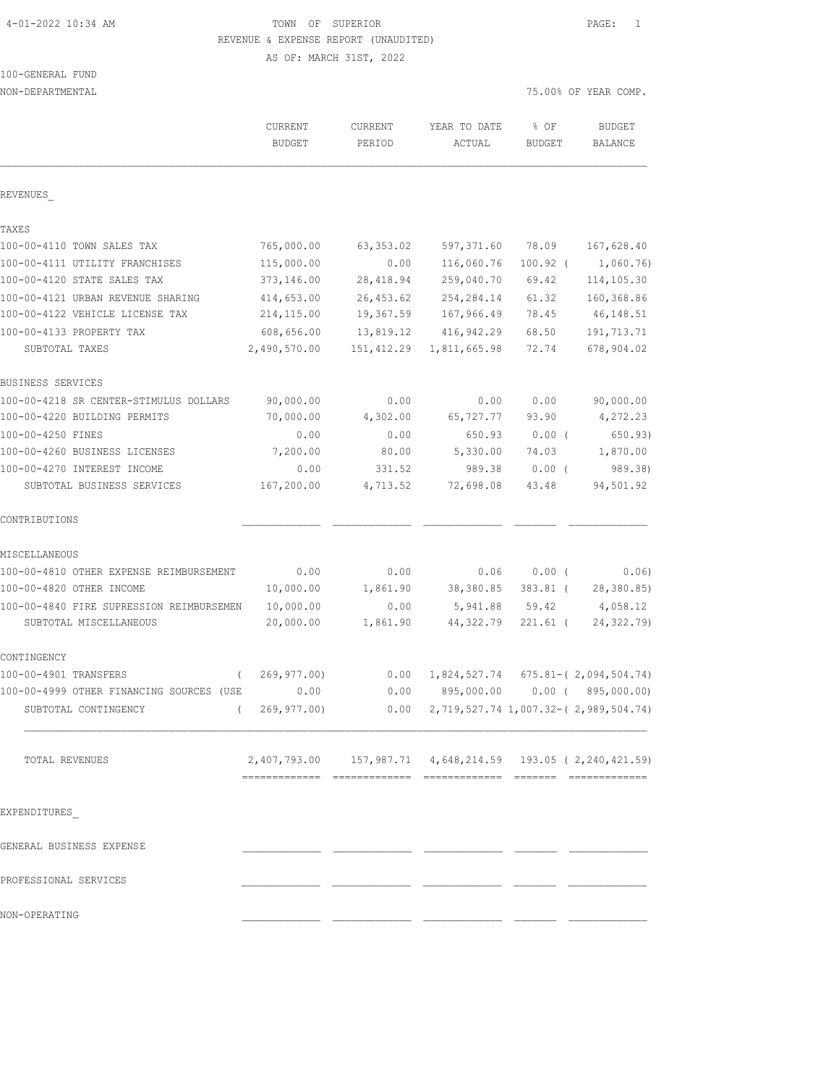# 4-01-2022 10:34 AM TOWN OF SUPERIOR PAGE: 1 REVENUE & EXPENSE REPORT (UNAUDITED)

AS OF: MARCH 31ST, 2022

# 100-GENERAL FUND

| NON-DEPARTMENTAL                         |                                                                 |                |              |               | 75.00% OF YEAR COMP.                      |
|------------------------------------------|-----------------------------------------------------------------|----------------|--------------|---------------|-------------------------------------------|
|                                          | <b>CURRENT</b>                                                  | <b>CURRENT</b> | YEAR TO DATE | % OF          | <b>BUDGET</b>                             |
|                                          | <b>BUDGET</b>                                                   | PERIOD         | ACTUAL       | <b>BUDGET</b> | BALANCE                                   |
| REVENUES                                 |                                                                 |                |              |               |                                           |
| TAXES                                    |                                                                 |                |              |               |                                           |
| 100-00-4110 TOWN SALES TAX               | 765,000.00                                                      | 63, 353.02     | 597,371.60   | 78.09         | 167,628.40                                |
| 100-00-4111 UTILITY FRANCHISES           | 115,000.00                                                      | 0.00           | 116,060.76   | $100.92$ (    | 1,060.76                                  |
| 100-00-4120 STATE SALES TAX              | 373,146.00                                                      | 28, 418.94     | 259,040.70   | 69.42         | 114, 105.30                               |
| 100-00-4121 URBAN REVENUE SHARING        | 414,653.00                                                      | 26, 453.62     | 254, 284.14  | 61.32         | 160,368.86                                |
| 100-00-4122 VEHICLE LICENSE TAX          | 214, 115.00                                                     | 19,367.59      | 167,966.49   | 78.45         | 46, 148.51                                |
| 100-00-4133 PROPERTY TAX                 | 608,656.00                                                      | 13,819.12      | 416, 942.29  | 68.50         | 191,713.71                                |
| SUBTOTAL TAXES                           | 2,490,570.00                                                    | 151,412.29     | 1,811,665.98 | 72.74         | 678,904.02                                |
| BUSINESS SERVICES                        |                                                                 |                |              |               |                                           |
| 100-00-4218 SR CENTER-STIMULUS DOLLARS   | 90,000.00                                                       | 0.00           | 0.00         | 0.00          | 90,000.00                                 |
| 100-00-4220 BUILDING PERMITS             | 70,000.00                                                       | 4,302.00       | 65,727.77    | 93.90         | 4,272.23                                  |
| 100-00-4250 FINES                        | 0.00                                                            | 0.00           | 650.93       | $0.00$ (      | 650.93)                                   |
| 100-00-4260 BUSINESS LICENSES            | 7,200.00                                                        | 80.00          | 5,330.00     | 74.03         | 1,870.00                                  |
| 100-00-4270 INTEREST INCOME              | 0.00                                                            | 331.52         | 989.38       | $0.00$ (      | 989.38)                                   |
| SUBTOTAL BUSINESS SERVICES               | 167,200.00                                                      | 4,713.52       | 72,698.08    | 43.48         | 94,501.92                                 |
| CONTRIBUTIONS                            |                                                                 |                |              |               |                                           |
| MISCELLANEOUS                            |                                                                 |                |              |               |                                           |
| 100-00-4810 OTHER EXPENSE REIMBURSEMENT  | 0.00                                                            | 0.00           | 0.06         | $0.00$ (      | 0.06)                                     |
| 100-00-4820 OTHER INCOME                 | 10,000.00                                                       | 1,861.90       | 38,380.85    | $383.81$ (    | 28,380.85)                                |
| 100-00-4840 FIRE SUPRESSION REIMBURSEMEN | 10,000.00                                                       | 0.00           | 5,941.88     | 59.42         | 4,058.12                                  |
| SUBTOTAL MISCELLANEOUS                   | 20,000.00                                                       | 1,861.90       | 44,322.79    | $221.61$ (    | 24, 322.79)                               |
| CONTINGENCY                              |                                                                 |                |              |               |                                           |
| 100-00-4901 TRANSFERS<br>$\left($        | 269,977.00)                                                     | 0.00           | 1,824,527.74 |               | $675.81 - (2,094,504.74)$                 |
| 100-00-4999 OTHER FINANCING SOURCES (USE | 0.00                                                            | 0.00           | 895,000.00   |               | $0.00$ ( $895,000.00$ )                   |
| SUBTOTAL CONTINGENCY                     | 269,977.00)                                                     | 0.00           |              |               | 2, 719, 527.74 1, 007.32-(2, 989, 504.74) |
| TOTAL REVENUES                           | 2,407,793.00  157,987.71  4,648,214.59  193.05  ( 2,240,421.59) |                |              |               |                                           |
|                                          |                                                                 |                |              |               |                                           |
| EXPENDITURES                             |                                                                 |                |              |               |                                           |
| GENERAL BUSINESS EXPENSE                 |                                                                 |                |              |               |                                           |
| PROFESSIONAL SERVICES                    |                                                                 |                |              |               |                                           |
| NON-OPERATING                            |                                                                 |                |              |               |                                           |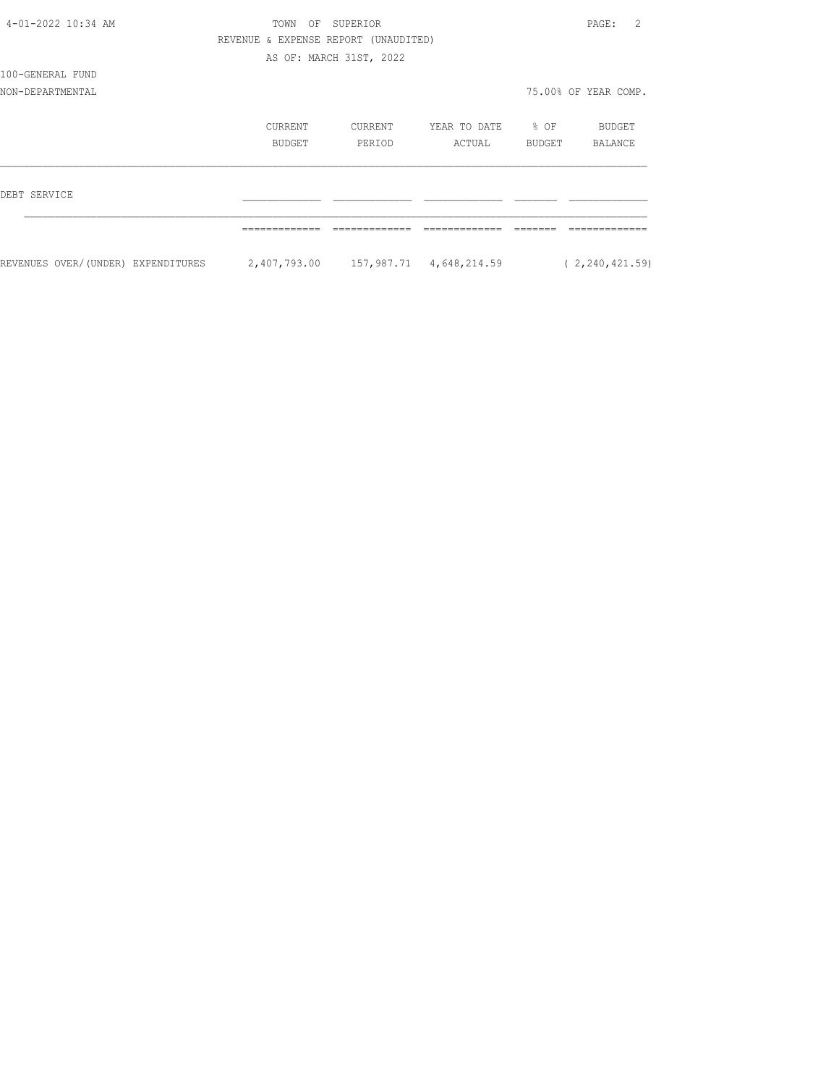| 4-01-2022 10:34 AM                 | TOWN<br>OF                           | SUPERIOR                |              |                  | 2<br>PAGE:           |
|------------------------------------|--------------------------------------|-------------------------|--------------|------------------|----------------------|
|                                    | REVENUE & EXPENSE REPORT (UNAUDITED) |                         |              |                  |                      |
|                                    |                                      | AS OF: MARCH 31ST, 2022 |              |                  |                      |
| 100-GENERAL FUND                   |                                      |                         |              |                  |                      |
| NON-DEPARTMENTAL                   |                                      |                         |              |                  | 75.00% OF YEAR COMP. |
|                                    | CURRENT                              | CURRENT                 | YEAR TO DATE | $\frac{1}{2}$ OF | BUDGET               |
|                                    | BUDGET                               | PERIOD                  | ACTUAL       | BUDGET           | BALANCE              |
| DEBT SERVICE                       |                                      |                         |              |                  |                      |
|                                    |                                      |                         |              |                  |                      |
| REVENUES OVER/(UNDER) EXPENDITURES | 2,407,793.00 157,987.71 4,648,214.59 |                         |              |                  | (2, 240, 421.59)     |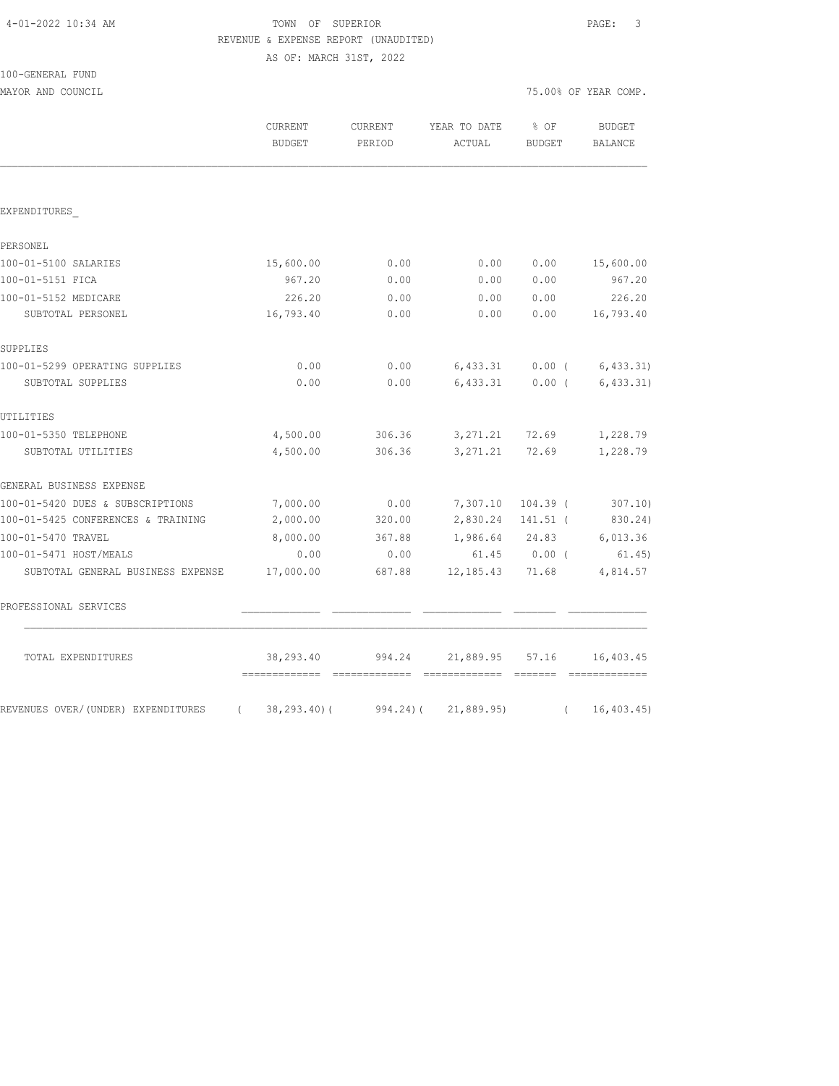| 4-01-2022 10:34 AM |  |  |
|--------------------|--|--|
|--------------------|--|--|

# TOWN OF SUPERIOR **Example 20:34** PAGE: 3 REVENUE & EXPENSE REPORT (UNAUDITED)

AS OF: MARCH 31ST, 2022

| 100-GENERAL FUND |  |
|------------------|--|
|                  |  |

MAYOR AND COUNCIL COUNCIL COUNCIL COMP.

|                                                  | <b>CURRENT</b><br><b>BUDGET</b> | <b>CURRENT</b><br>PERIOD | YEAR TO DATE<br>ACTUAL | % OF<br><b>BUDGET</b> | <b>BUDGET</b><br>BALANCE |
|--------------------------------------------------|---------------------------------|--------------------------|------------------------|-----------------------|--------------------------|
|                                                  |                                 |                          |                        |                       |                          |
| EXPENDITURES                                     |                                 |                          |                        |                       |                          |
| PERSONEL                                         |                                 |                          |                        |                       |                          |
| 100-01-5100 SALARIES                             | 15,600.00                       | 0.00                     | 0.00                   | 0.00                  | 15,600.00                |
| 100-01-5151 FICA                                 | 967.20                          | 0.00                     | 0.00                   | 0.00                  | 967.20                   |
| 100-01-5152 MEDICARE                             | 226.20                          | 0.00                     | 0.00                   | 0.00                  | 226.20                   |
| SUBTOTAL PERSONEL                                | 16,793.40                       | 0.00                     | 0.00                   | 0.00                  | 16,793.40                |
| SUPPLIES                                         |                                 |                          |                        |                       |                          |
| 100-01-5299 OPERATING SUPPLIES                   | 0.00                            | 0.00                     | 6,433.31               | $0.00$ (              | 6,433.31)                |
| SUBTOTAL SUPPLIES                                | 0.00                            | 0.00                     | 6,433.31               | $0.00$ (              | 6, 433.31)               |
| UTILITIES                                        |                                 |                          |                        |                       |                          |
| 100-01-5350 TELEPHONE                            | 4,500.00                        | 306.36                   | 3, 271.21              | 72.69                 | 1,228.79                 |
| SUBTOTAL UTILITIES                               | 4,500.00                        | 306.36                   | 3, 271.21              | 72.69                 | 1,228.79                 |
| GENERAL BUSINESS EXPENSE                         |                                 |                          |                        |                       |                          |
| 100-01-5420 DUES & SUBSCRIPTIONS                 | 7,000.00                        | 0.00                     | 7,307.10               | $104.39$ (            | 307.10)                  |
| 100-01-5425 CONFERENCES & TRAINING               | 2,000.00                        | 320.00                   | 2,830.24 141.51 (      |                       | 830.24)                  |
| 100-01-5470 TRAVEL                               | 8,000.00                        | 367.88                   | 1,986.64 24.83         |                       | 6,013.36                 |
| 100-01-5471 HOST/MEALS                           | 0.00                            | 0.00                     |                        | 61.45 0.00 (          | 61.45)                   |
| SUBTOTAL GENERAL BUSINESS EXPENSE                | 17,000.00                       | 687.88                   | 12,185.43              | 71.68                 | 4,814.57                 |
| PROFESSIONAL SERVICES                            |                                 |                          |                        |                       |                          |
| TOTAL EXPENDITURES                               | 38,293.40<br>=============      | 994.24                   | 21,889.95              | 57.16                 | 16,403.45                |
| REVENUES OVER/(UNDER) EXPENDITURES<br>$\sqrt{2}$ | 38,293.40) (                    | $994, 24)$ (             | 21,889.95)             | $\left($              | 16, 403.45               |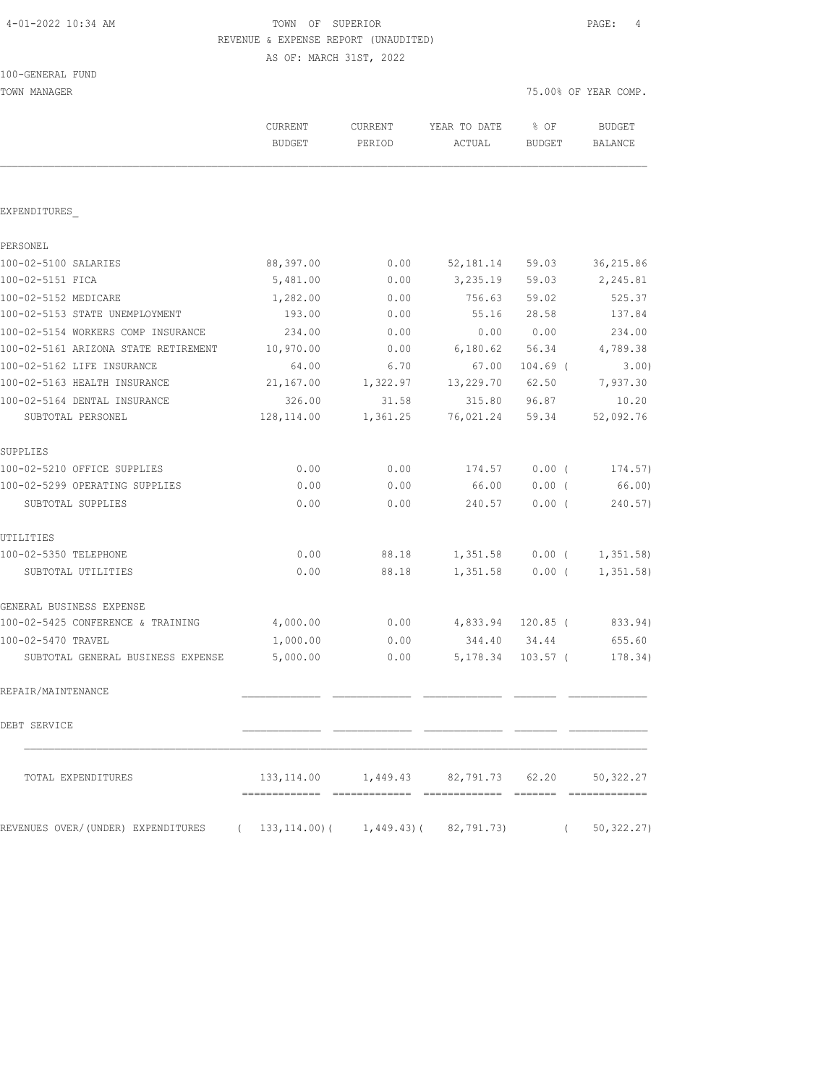| 4-01-2022 10:34 AM |  |  |
|--------------------|--|--|
|--------------------|--|--|

# TOWN OF SUPERIOR **Example 20:34** PAGE: 4 REVENUE & EXPENSE REPORT (UNAUDITED)

| 100-GENERAL FUND |
|------------------|
|------------------|

| TOWN MANAGER                         |                          |                       |                        |                       | 75.00% OF YEAR COMP.     |  |
|--------------------------------------|--------------------------|-----------------------|------------------------|-----------------------|--------------------------|--|
|                                      | CURRENT<br><b>BUDGET</b> | CURRENT<br>PERIOD     | YEAR TO DATE<br>ACTUAL | % OF<br><b>BUDGET</b> | <b>BUDGET</b><br>BALANCE |  |
|                                      |                          |                       |                        |                       |                          |  |
| EXPENDITURES                         |                          |                       |                        |                       |                          |  |
| PERSONEL                             |                          |                       |                        |                       |                          |  |
| 100-02-5100 SALARIES                 | 88,397.00                | 0.00                  | 52,181.14              | 59.03                 | 36, 215.86               |  |
| 100-02-5151 FICA                     | 5,481.00                 | 0.00                  | 3,235.19               | 59.03                 | 2,245.81                 |  |
| 100-02-5152 MEDICARE                 | 1,282.00                 | 0.00                  | 756.63                 | 59.02                 | 525.37                   |  |
| 100-02-5153 STATE UNEMPLOYMENT       | 193.00                   | 0.00                  | 55.16                  | 28.58                 | 137.84                   |  |
| 100-02-5154 WORKERS COMP INSURANCE   | 234.00                   | 0.00                  | 0.00                   | 0.00                  | 234.00                   |  |
| 100-02-5161 ARIZONA STATE RETIREMENT | 10,970.00                | 0.00                  | 6,180.62               | 56.34                 | 4,789.38                 |  |
| 100-02-5162 LIFE INSURANCE           | 64.00                    | 6.70                  | 67.00                  | $104.69$ (            | 3.00)                    |  |
| 100-02-5163 HEALTH INSURANCE         | 21,167.00                | 1,322.97              | 13,229.70              | 62.50                 | 7,937.30                 |  |
| 100-02-5164 DENTAL INSURANCE         | 326.00                   | 31.58                 | 315.80                 | 96.87                 | 10.20                    |  |
| SUBTOTAL PERSONEL                    | 128, 114.00              | 1,361.25              | 76,021.24              | 59.34                 | 52,092.76                |  |
| SUPPLIES                             |                          |                       |                        |                       |                          |  |
| 100-02-5210 OFFICE SUPPLIES          | 0.00                     | 0.00                  | 174.57                 | 0.00(                 | 174.57)                  |  |
| 100-02-5299 OPERATING SUPPLIES       | 0.00                     | 0.00                  | 66.00                  | $0.00$ (              | 66.00)                   |  |
| SUBTOTAL SUPPLIES                    | 0.00                     | 0.00                  | 240.57                 | 0.00(                 | 240.57)                  |  |
| UTILITIES                            |                          |                       |                        |                       |                          |  |
| 100-02-5350 TELEPHONE                | 0.00                     | 88.18                 | 1,351.58               | $0.00$ (              | 1,351.58                 |  |
| SUBTOTAL UTILITIES                   | 0.00                     | 88.18                 | 1,351.58               | $0.00$ (              | 1,351.58                 |  |
| GENERAL BUSINESS EXPENSE             |                          |                       |                        |                       |                          |  |
| 100-02-5425 CONFERENCE & TRAINING    | 4,000.00                 | 0.00                  |                        | 4,833.94 120.85 (     | 833.94)                  |  |
| 100-02-5470 TRAVEL                   | 1,000.00                 | 0.00                  | 344.40 34.44           |                       | 655.60                   |  |
| SUBTOTAL GENERAL BUSINESS EXPENSE    | 5,000.00                 | 0.00                  | 5,178.34               | $103.57$ (            | 178.34)                  |  |
| REPAIR/MAINTENANCE                   |                          |                       |                        |                       |                          |  |
| DEBT SERVICE                         |                          |                       |                        |                       |                          |  |
| TOTAL EXPENDITURES                   |                          | 133, 114.00 1, 449.43 | 82,791.73              | 62.20                 | 50, 322.27               |  |
| REVENUES OVER/(UNDER) EXPENDITURES   | 133,114.00)(<br>$\left($ | 1,449.43)(            | 82,791.73)             | $\left($              | 50, 322.27)              |  |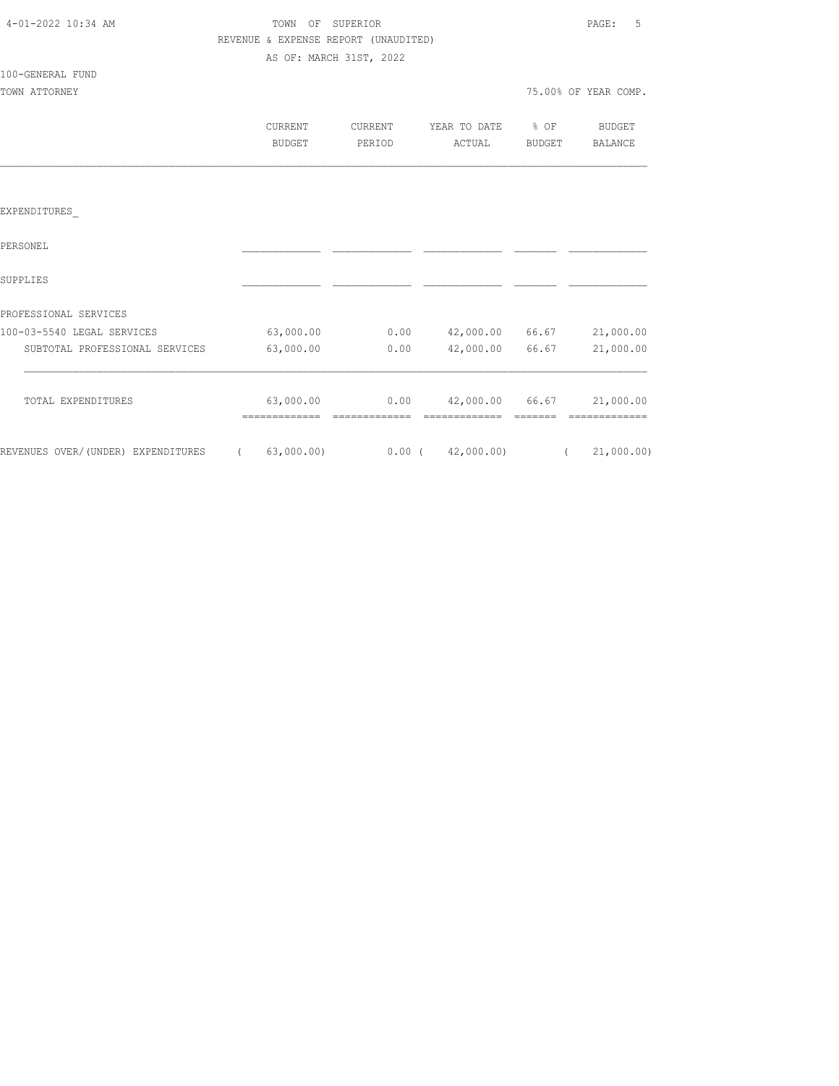| 4-01-2022 10:34 AM |  |
|--------------------|--|
|                    |  |

### TOWN OF SUPERIOR **Example 20:34 AM TOWN OF SUPERIOR**  REVENUE & EXPENSE REPORT (UNAUDITED) AS OF: MARCH 31ST, 2022

# 100-GENERAL FUND

| TOWN ATTORNEY |         |         |                   |        | 75.00% OF YEAR COMP. |
|---------------|---------|---------|-------------------|--------|----------------------|
|               | CURRENT | CURRENT | YEAR TO DATE % OF |        | BUDGET               |
|               | BUDGET  | PERIOD  | ACTUAL            | BUDGET | BALANCE              |

### EXPENDITURES\_

| PERSONEL                           |            |          |            |       |            |
|------------------------------------|------------|----------|------------|-------|------------|
| SUPPLIES                           |            |          |            |       |            |
| PROFESSIONAL SERVICES              |            |          |            |       |            |
| 100-03-5540 LEGAL SERVICES         | 63,000.00  | 0.00     | 42,000.00  | 66.67 | 21,000.00  |
| SUBTOTAL PROFESSIONAL SERVICES     | 63,000.00  | 0.00     | 42,000.00  | 66.67 | 21,000.00  |
| TOTAL EXPENDITURES                 | 63,000.00  | 0.00     | 42,000.00  | 66.67 | 21,000.00  |
| REVENUES OVER/(UNDER) EXPENDITURES | 63,000.00) | $0.00$ ( | 42,000.00) |       | 21,000.00) |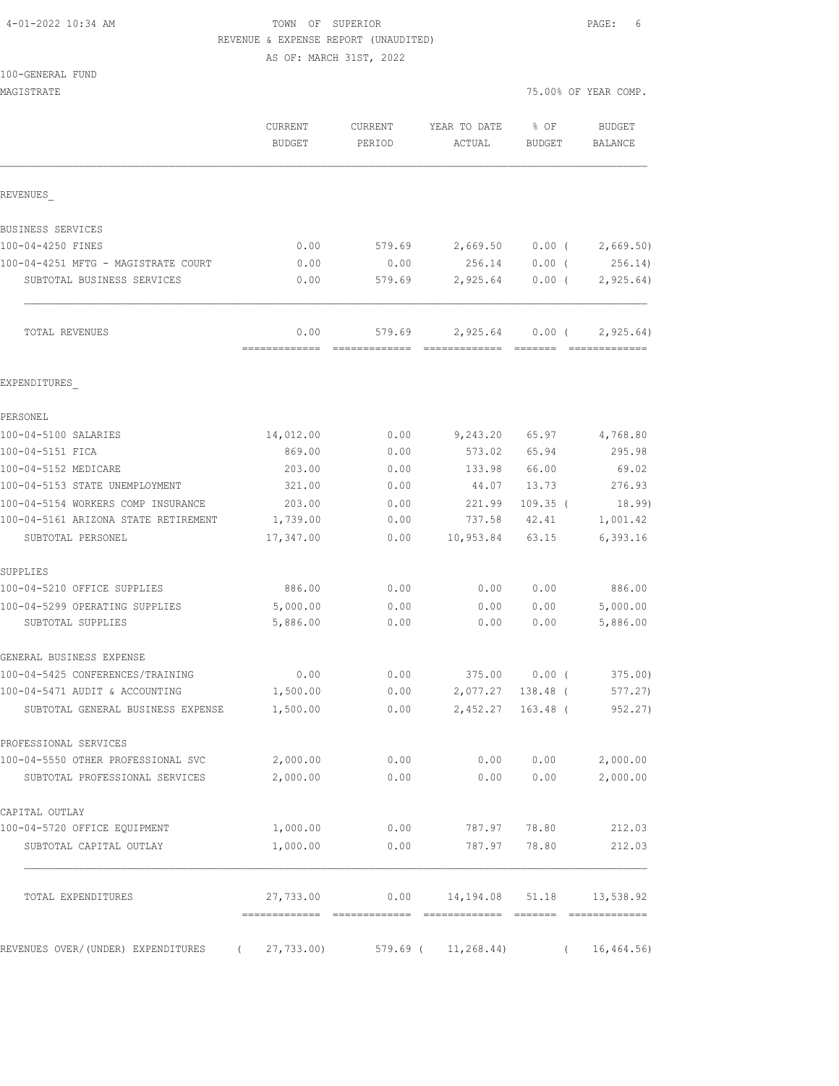| 4-01-2022 10:34 AM |  |  |
|--------------------|--|--|
|--------------------|--|--|

### TOWN OF SUPERIOR **PAGE:** 6 REVENUE & EXPENSE REPORT (UNAUDITED)

|  | 100-GENERAL FUND |  |
|--|------------------|--|
|  |                  |  |

| MAGISTRATE                                          |                          |                   |                        |                | 75.00% OF YEAR COMP.   |
|-----------------------------------------------------|--------------------------|-------------------|------------------------|----------------|------------------------|
|                                                     | CURRENT<br><b>BUDGET</b> | CURRENT<br>PERIOD | YEAR TO DATE<br>ACTUAL | % OF<br>BUDGET | BUDGET<br>BALANCE      |
| REVENUES                                            |                          |                   |                        |                |                        |
| BUSINESS SERVICES                                   |                          |                   |                        |                |                        |
| 100-04-4250 FINES                                   | 0.00                     | 579.69            | 2,669.50               |                | $0.00$ ( 2,669.50)     |
| 100-04-4251 MFTG - MAGISTRATE COURT                 | 0.00                     | 0.00              | 256.14                 | $0.00$ (       | 256.14)                |
| SUBTOTAL BUSINESS SERVICES                          | 0.00                     | 579.69            | 2,925.64               | $0.00$ (       | 2,925.64)              |
| TOTAL REVENUES                                      | 0.00                     | 579.69            | 2,925.64 0.00 (        |                | 2, 925.64)             |
| EXPENDITURES                                        |                          |                   |                        |                |                        |
| PERSONEL                                            |                          |                   |                        |                |                        |
| 100-04-5100 SALARIES                                | 14,012.00                | 0.00              | 9,243.20               | 65.97          | 4,768.80               |
| 100-04-5151 FICA                                    | 869.00                   | 0.00              | 573.02                 | 65.94          | 295.98                 |
| 100-04-5152 MEDICARE                                | 203.00                   | 0.00              | 133.98                 | 66.00          | 69.02                  |
| 100-04-5153 STATE UNEMPLOYMENT                      | 321.00                   | 0.00              | 44.07                  | 13.73          | 276.93                 |
| 100-04-5154 WORKERS COMP INSURANCE                  | 203.00                   | 0.00              | 221.99                 | $109.35$ (     | 18.99)                 |
| 100-04-5161 ARIZONA STATE RETIREMENT                | 1,739.00                 | 0.00              | 737.58                 | 42.41          | 1,001.42               |
| SUBTOTAL PERSONEL                                   | 17,347.00                | 0.00              | 10,953.84              | 63.15          | 6,393.16               |
| SUPPLIES                                            |                          |                   |                        |                |                        |
| 100-04-5210 OFFICE SUPPLIES                         | 886.00                   | 0.00              | 0.00                   | 0.00           | 886.00                 |
| 100-04-5299 OPERATING SUPPLIES<br>SUBTOTAL SUPPLIES | 5,000.00<br>5,886.00     | 0.00<br>0.00      | 0.00<br>0.00           | 0.00<br>0.00   | 5,000.00<br>5,886.00   |
| GENERAL BUSINESS EXPENSE                            |                          |                   |                        |                |                        |
| 100-04-5425 CONFERENCES/TRAINING                    | 0.00                     | 0.00              | 375.00                 | $0.00$ (       | 375.00                 |
| 100-04-5471 AUDIT & ACCOUNTING                      | 1,500.00                 | 0.00              | 2,077.27               | 138.48 (       | 577.27)                |
| SUBTOTAL GENERAL BUSINESS EXPENSE                   | 1,500.00                 | 0.00              | 2,452.27 163.48 (      |                | 952.27)                |
| PROFESSIONAL SERVICES                               |                          |                   |                        |                |                        |
| 100-04-5550 OTHER PROFESSIONAL SVC                  | 2,000.00                 | 0.00              | 0.00                   | 0.00           | 2,000.00               |
| SUBTOTAL PROFESSIONAL SERVICES                      | 2,000.00                 | 0.00              | 0.00                   | 0.00           | 2,000.00               |
| CAPITAL OUTLAY                                      |                          |                   |                        |                |                        |
| 100-04-5720 OFFICE EQUIPMENT                        | 1,000.00                 | 0.00              |                        | 787.97 78.80   | 212.03                 |
| SUBTOTAL CAPITAL OUTLAY                             | 1,000.00                 | 0.00              | 787.97                 | 78.80          | 212.03                 |
| TOTAL EXPENDITURES                                  | 27,733.00                |                   | $0.00$ 14, 194.08      | 51.18          | 13,538.92              |
| REVENUES OVER/(UNDER) EXPENDITURES                  | 27,733.00)               |                   | 579.69 ( 11,268.44)    |                | 16, 464.56<br>$\left($ |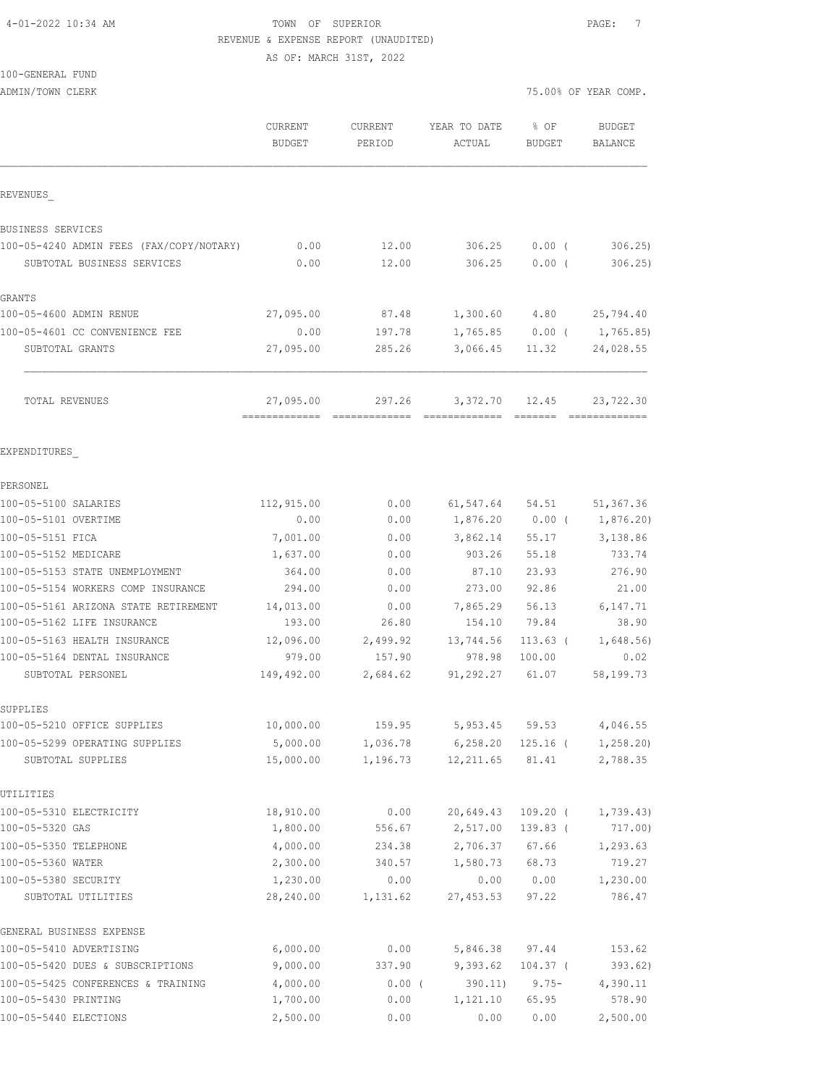#### 4-01-2022 10:34 AM TOWN OF SUPERIOR PAGE: 7 REVENUE & EXPENSE REPORT (UNAUDITED) AS OF: MARCH 31ST, 2022

# 100-GENERAL FUND

ADMIN/TOWN CLERK COMP.

|                                            | CURRENT<br><b>BUDGET</b> | <b>CURRENT</b><br>PERIOD | YEAR TO DATE<br>ACTUAL | % OF<br><b>BUDGET</b> | <b>BUDGET</b><br>BALANCE |
|--------------------------------------------|--------------------------|--------------------------|------------------------|-----------------------|--------------------------|
| REVENUES                                   |                          |                          |                        |                       |                          |
| BUSINESS SERVICES                          |                          |                          |                        |                       |                          |
| 100-05-4240 ADMIN FEES (FAX/COPY/NOTARY)   | 0.00                     | 12.00                    | 306.25                 | $0.00$ (              | 306.25                   |
| SUBTOTAL BUSINESS SERVICES                 | 0.00                     | 12.00                    | 306.25                 | $0.00$ (              | 306.25                   |
| GRANTS                                     |                          |                          |                        |                       |                          |
| 100-05-4600 ADMIN RENUE                    | 27,095.00                | 87.48                    | 1,300.60               | 4.80                  | 25,794.40                |
| 100-05-4601 CC CONVENIENCE FEE             | 0.00                     | 197.78                   | 1,765.85               | $0.00$ (              | 1,765.85)                |
| SUBTOTAL GRANTS                            | 27,095.00                | 285.26                   | 3,066.45               | 11.32                 | 24,028.55                |
| TOTAL REVENUES                             | 27,095.00                | 297.26                   | 3,372.70 12.45         |                       | 23,722.30                |
| EXPENDITURES                               |                          |                          |                        |                       |                          |
| PERSONEL                                   |                          |                          |                        |                       |                          |
| 100-05-5100 SALARIES                       | 112,915.00               | 0.00                     | 61,547.64              | 54.51                 | 51,367.36                |
| 100-05-5101 OVERTIME                       | 0.00                     | 0.00                     | 1,876.20               | $0.00$ (              | 1,876.20)                |
| 100-05-5151 FICA                           | 7,001.00                 | 0.00                     | 3,862.14               | 55.17                 | 3,138.86                 |
| 100-05-5152 MEDICARE                       | 1,637.00                 | 0.00                     | 903.26                 | 55.18                 | 733.74                   |
| 100-05-5153 STATE UNEMPLOYMENT             | 364.00                   | 0.00                     | 87.10                  | 23.93                 | 276.90                   |
| 100-05-5154 WORKERS COMP INSURANCE         | 294.00                   | 0.00                     | 273.00                 | 92.86                 | 21.00                    |
| 100-05-5161 ARIZONA STATE RETIREMENT       | 14,013.00                | 0.00                     | 7,865.29               | 56.13                 | 6,147.71                 |
| 100-05-5162 LIFE INSURANCE                 | 193.00                   | 26.80                    | 154.10                 | 79.84                 | 38.90                    |
| 100-05-5163 HEALTH INSURANCE               | 12,096.00                | 2,499.92                 | 13,744.56              | $113.63$ (            | 1,648.56                 |
| 100-05-5164 DENTAL INSURANCE               | 979.00                   | 157.90                   | 978.98                 | 100.00                | 0.02                     |
| SUBTOTAL PERSONEL                          | 149,492.00               | 2,684.62                 | 91,292.27              | 61.07                 | 58,199.73                |
| SUPPLIES                                   |                          |                          |                        |                       |                          |
| 100-05-5210 OFFICE SUPPLIES                | 10,000.00                | 159.95                   | 5,953.45               | 59.53                 | 4,046.55                 |
| 100-05-5299 OPERATING SUPPLIES             | 5,000.00                 | 1,036.78                 | 6, 258.20              | $125.16$ (            | 1,258.20                 |
| SUBTOTAL SUPPLIES                          | 15,000.00                | 1,196.73                 | 12, 211.65             | 81.41                 | 2,788.35                 |
| UTILITIES                                  |                          |                          |                        |                       |                          |
| 100-05-5310 ELECTRICITY                    | 18,910.00                | 0.00                     | 20,649.43              | $109.20$ (            | 1,739.43                 |
| 100-05-5320 GAS                            | 1,800.00                 | 556.67                   | 2,517.00               | 139.83 (              | 717.00)                  |
| 100-05-5350 TELEPHONE                      | 4,000.00                 | 234.38                   | 2,706.37               | 67.66                 | 1,293.63                 |
| 100-05-5360 WATER                          | 2,300.00                 | 340.57                   | 1,580.73               | 68.73                 | 719.27                   |
| 100-05-5380 SECURITY<br>SUBTOTAL UTILITIES | 1,230.00<br>28,240.00    | 0.00<br>1,131.62         | 0.00<br>27,453.53      | 0.00<br>97.22         | 1,230.00<br>786.47       |
| GENERAL BUSINESS EXPENSE                   |                          |                          |                        |                       |                          |
| 100-05-5410 ADVERTISING                    | 6,000.00                 | 0.00                     | 5,846.38               | 97.44                 | 153.62                   |
| 100-05-5420 DUES & SUBSCRIPTIONS           | 9,000.00                 | 337.90                   | 9,393.62               | $104.37$ (            | 393.62)                  |
| 100-05-5425 CONFERENCES & TRAINING         | 4,000.00                 | $0.00$ (                 | 390.11)                | $9.75 -$              | 4,390.11                 |
| 100-05-5430 PRINTING                       | 1,700.00                 | 0.00                     | 1,121.10               | 65.95                 | 578.90                   |

100-05-5440 ELECTIONS 2,500.00 0.00 0.00 0.00 2,500.00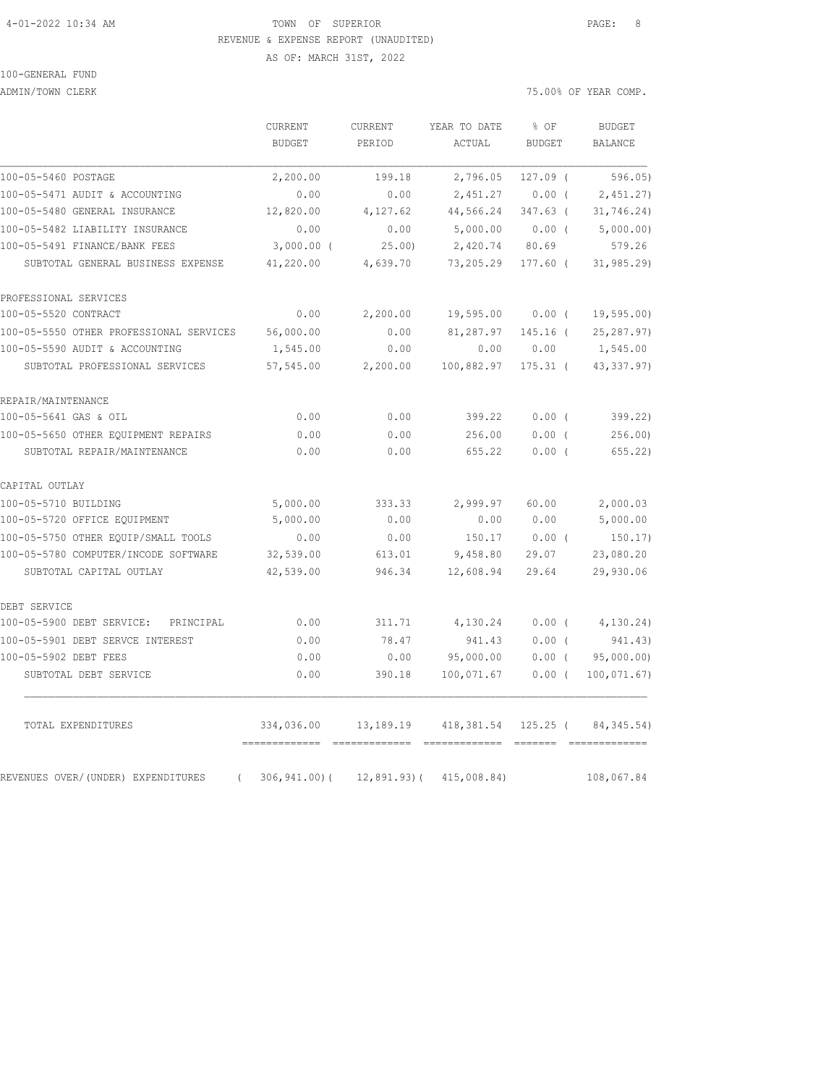#### 4-01-2022 10:34 AM TOWN OF SUPERIOR PAGE: 8 REVENUE & EXPENSE REPORT (UNAUDITED)

AS OF: MARCH 31ST, 2022

### 100-GENERAL FUND

ADMIN/TOWN CLERK **ADMINITION CLERK 2008** 

|                                                | CURRENT         | <b>CURRENT</b> | YEAR TO DATE                  | % OF       | <b>BUDGET</b>  |
|------------------------------------------------|-----------------|----------------|-------------------------------|------------|----------------|
|                                                | <b>BUDGET</b>   | PERIOD         | ACTUAL                        | BUDGET     | <b>BALANCE</b> |
| 100-05-5460 POSTAGE                            | 2,200.00        | 199.18         | 2,796.05                      | $127.09$ ( | 596.05)        |
| 100-05-5471 AUDIT & ACCOUNTING                 | 0.00            | 0.00           | 2,451.27                      | $0.00$ (   | 2,451.27       |
| 100-05-5480 GENERAL INSURANCE                  | 12,820.00       | 4,127.62       | 44,566.24                     | $347.63$ ( | 31, 746.24)    |
| 100-05-5482 LIABILITY INSURANCE                | 0.00            | 0.00           | 5,000.00                      | $0.00$ (   | 5,000.00)      |
| 100-05-5491 FINANCE/BANK FEES                  | $3,000.00$ (    | 25.00)         | 2,420.74                      | 80.69      | 579.26         |
| SUBTOTAL GENERAL BUSINESS EXPENSE              | 41,220.00       | 4,639.70       | 73,205.29                     | 177.60 (   | 31,985.29)     |
| PROFESSIONAL SERVICES                          |                 |                |                               |            |                |
| 100-05-5520 CONTRACT                           | 0.00            | 2,200.00       | 19,595.00                     | $0.00$ (   | 19, 595.00     |
| 100-05-5550 OTHER PROFESSIONAL SERVICES        | 56,000.00       | 0.00           | 81,287.97                     | $145.16$ ( | 25, 287.97)    |
| 100-05-5590 AUDIT & ACCOUNTING                 | 1,545.00        | 0.00           | 0.00                          | 0.00       | 1,545.00       |
| SUBTOTAL PROFESSIONAL SERVICES                 | 57, 545.00      | 2,200.00       | 100,882.97                    | $175.31$ ( | 43, 337.97)    |
| REPAIR/MAINTENANCE                             |                 |                |                               |            |                |
| 100-05-5641 GAS & OIL                          | 0.00            | 0.00           | 399.22                        | $0.00$ (   | 399.22)        |
| 100-05-5650 OTHER EQUIPMENT REPAIRS            | 0.00            | 0.00           | 256.00                        | $0.00$ (   | 256.00         |
| SUBTOTAL REPAIR/MAINTENANCE                    | 0.00            | 0.00           | 655.22                        | 0.00(      | 655.22         |
| CAPITAL OUTLAY                                 |                 |                |                               |            |                |
| 100-05-5710 BUILDING                           | 5,000.00        | 333.33         | 2,999.97                      | 60.00      | 2,000.03       |
| 100-05-5720 OFFICE EQUIPMENT                   | 5,000.00        | 0.00           | 0.00                          | 0.00       | 5,000.00       |
| 100-05-5750 OTHER EOUIP/SMALL TOOLS            | 0.00            | 0.00           | 150.17                        | $0.00$ (   | 150.17)        |
| 100-05-5780 COMPUTER/INCODE SOFTWARE           | 32,539.00       | 613.01         | 9,458.80                      | 29.07      | 23,080.20      |
| SUBTOTAL CAPITAL OUTLAY                        | 42,539.00       | 946.34         | 12,608.94                     | 29.64      | 29,930.06      |
| DEBT SERVICE                                   |                 |                |                               |            |                |
| 100-05-5900 DEBT SERVICE: PRINCIPAL            | 0.00            | 311.71         | 4,130.24                      | $0.00$ (   | 4,130.24)      |
| 100-05-5901 DEBT SERVCE INTEREST               | 0.00            | 78.47          | 941.43                        | $0.00$ (   | 941.43)        |
| 100-05-5902 DEBT FEES                          | 0.00            | 0.00           | 95,000.00                     | $0.00$ (   | 95,000.00)     |
| SUBTOTAL DEBT SERVICE                          | 0.00            | 390.18         | 100,071.67                    | $0.00$ (   | 100, 071.67)   |
| TOTAL EXPENDITURES                             | 334,036.00      |                | 13,189.19 418,381.54 125.25 ( |            | 84, 345.54)    |
|                                                |                 |                |                               |            |                |
| REVENUES OVER/(UNDER) EXPENDITURES<br>$\left($ | $306, 941.00$ ( | 12,891.93)(    | 415,008.84)                   |            | 108,067.84     |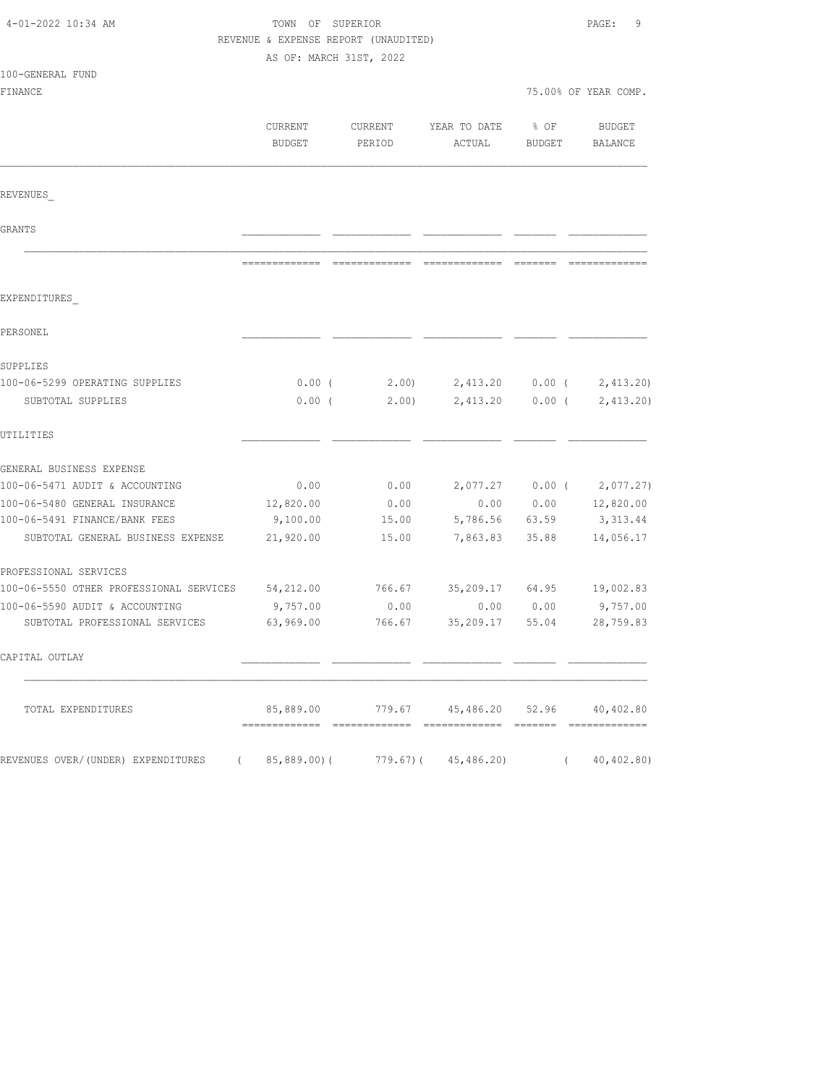| 4-01-2022 10:34 AM                                | TOWN OF SUPERIOR<br>REVENUE & EXPENSE REPORT (UNAUDITED) |                   |                                       |                  | PAGE:<br>9                  |  |
|---------------------------------------------------|----------------------------------------------------------|-------------------|---------------------------------------|------------------|-----------------------------|--|
|                                                   | AS OF: MARCH 31ST, 2022                                  |                   |                                       |                  |                             |  |
| 100-GENERAL FUND<br>FINANCE                       |                                                          |                   |                                       |                  | 75.00% OF YEAR COMP.        |  |
|                                                   |                                                          |                   |                                       |                  |                             |  |
|                                                   | CURRENT<br><b>BUDGET</b>                                 | CURRENT<br>PERIOD | YEAR TO DATE<br>ACTUAL                | $8$ OF<br>BUDGET | BUDGET<br>BALANCE           |  |
| REVENUES                                          |                                                          |                   |                                       |                  |                             |  |
| GRANTS                                            |                                                          |                   |                                       |                  |                             |  |
|                                                   |                                                          |                   |                                       |                  |                             |  |
| EXPENDITURES                                      |                                                          |                   |                                       |                  |                             |  |
| PERSONEL                                          |                                                          |                   |                                       |                  |                             |  |
| SUPPLIES                                          |                                                          |                   |                                       |                  |                             |  |
| 100-06-5299 OPERATING SUPPLIES                    | $0.00$ (                                                 |                   | $2.00$ $2,413.20$ $0.00$ $(2,413.20)$ |                  |                             |  |
| SUBTOTAL SUPPLIES                                 | $0.00$ (                                                 | 2.00)             | 2,413.20                              | $0.00$ (         | 2,413.20                    |  |
| UTILITIES                                         |                                                          |                   |                                       |                  |                             |  |
| GENERAL BUSINESS EXPENSE                          |                                                          |                   |                                       |                  |                             |  |
| 100-06-5471 AUDIT & ACCOUNTING                    | 0.00                                                     | 0.00              |                                       |                  | $2,077.27$ 0.00 ( 2,077.27) |  |
| 100-06-5480 GENERAL INSURANCE                     | 12,820.00                                                | 0.00              | 0.00                                  |                  | $0.00$ $12,820.00$          |  |
| 100-06-5491 FINANCE/BANK FEES                     | 9,100.00                                                 | 15.00             | 5,786.56 63.59                        |                  | 3,313.44                    |  |
| SUBTOTAL GENERAL BUSINESS EXPENSE                 | 21,920.00                                                | 15.00             | 7,863.83                              | 35.88            | 14,056.17                   |  |
| PROFESSIONAL SERVICES                             |                                                          |                   |                                       |                  |                             |  |
| 100-06-5550 OTHER PROFESSIONAL SERVICES 54,212.00 |                                                          | 766.67            | 35,209.17 64.95 19,002.83             |                  |                             |  |
| 100-06-5590 AUDIT & ACCOUNTING                    | 9,757.00                                                 | 0.00              | 0.00                                  | 0.00             | 9,757.00                    |  |
| SUBTOTAL PROFESSIONAL SERVICES                    | 63,969.00                                                | 766.67            | 35,209.17                             | 55.04            | 28,759.83                   |  |
| CAPITAL OUTLAY                                    |                                                          |                   |                                       |                  |                             |  |
| TOTAL EXPENDITURES                                | 85,889.00                                                |                   | 779.67 45,486.20 52.96 40,402.80      |                  |                             |  |
| REVENUES OVER/(UNDER) EXPENDITURES (              |                                                          |                   | 85,889.00) (779.67) (45,486.20)       |                  | (40, 402.80)                |  |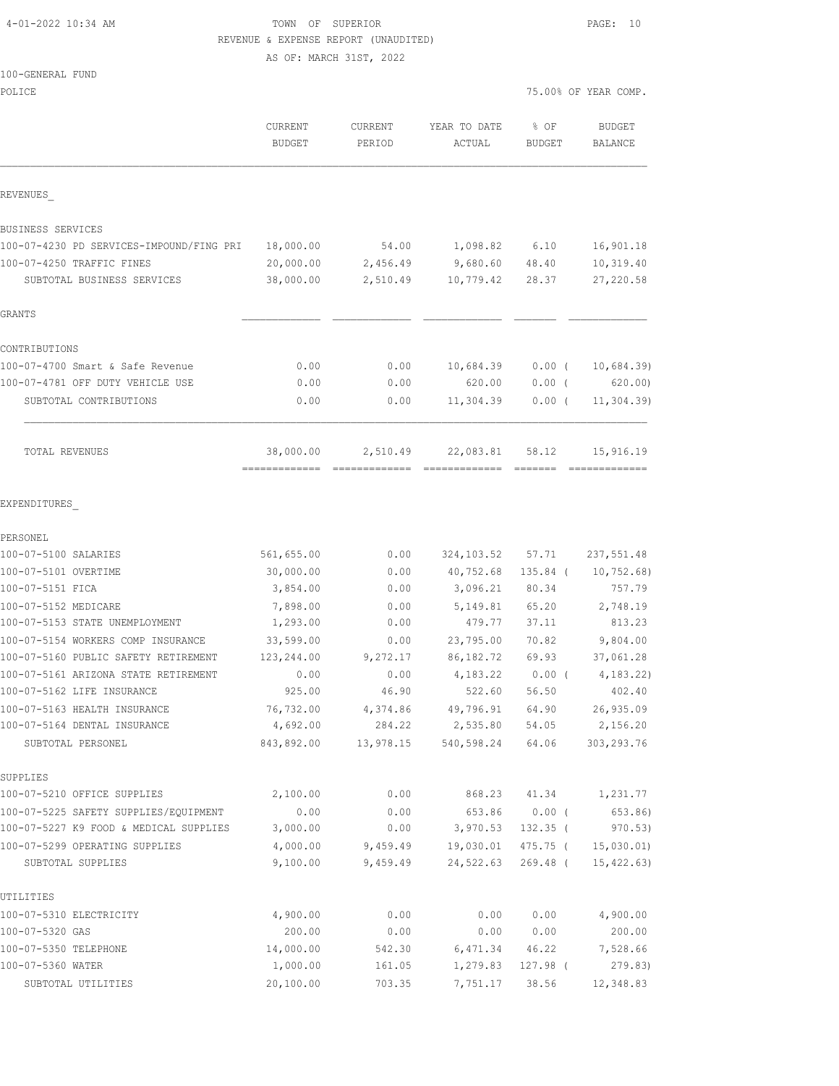#### 4-01-2022 10:34 AM TOWN OF SUPERIOR PAGE: 10 REVENUE & EXPENSE REPORT (UNAUDITED)

|  | 100-GENERAL FUND |  |
|--|------------------|--|
|  |                  |  |

|                                                                    | CURRENT<br><b>BUDGET</b> | CURRENT<br>PERIOD | YEAR TO DATE<br>ACTUAL                | % OF<br><b>BUDGET</b> | <b>BUDGET</b><br><b>BALANCE</b> |
|--------------------------------------------------------------------|--------------------------|-------------------|---------------------------------------|-----------------------|---------------------------------|
| REVENUES                                                           |                          |                   |                                       |                       |                                 |
| BUSINESS SERVICES                                                  |                          |                   |                                       |                       |                                 |
| 100-07-4230 PD SERVICES-IMPOUND/FING PRI 18,000.00                 |                          | 54.00             | 1,098.82 6.10                         |                       | 16,901.18                       |
| 100-07-4250 TRAFFIC FINES                                          | 20,000.00                | 2,456.49          | 9,680.60 48.40                        |                       | 10,319.40                       |
| SUBTOTAL BUSINESS SERVICES                                         | 38,000.00                | 2,510.49          | 10,779.42                             | 28.37                 | 27,220.58                       |
| <b>GRANTS</b>                                                      |                          |                   |                                       |                       |                                 |
| CONTRIBUTIONS                                                      |                          |                   |                                       |                       |                                 |
| 100-07-4700 Smart & Safe Revenue                                   | 0.00                     | 0.00              | 10,684.39                             | $0.00$ (              | 10,684.39                       |
| 100-07-4781 OFF DUTY VEHICLE USE                                   | 0.00                     | 0.00              | 620.00                                | $0.00$ (              | 620.00                          |
| SUBTOTAL CONTRIBUTIONS                                             | 0.00                     | 0.00              | 11,304.39                             | $0.00$ (              | 11, 304.39                      |
| TOTAL REVENUES                                                     | 38,000.00                | 2,510.49          | 22,083.81                             | 58.12                 | 15,916.19                       |
| EXPENDITURES                                                       |                          |                   |                                       |                       |                                 |
| PERSONEL                                                           |                          |                   |                                       |                       |                                 |
| 100-07-5100 SALARIES                                               | 561,655.00               | 0.00              | 324,103.52 57.71                      |                       | 237,551.48                      |
| 100-07-5101 OVERTIME                                               | 30,000.00                | 0.00              | 40,752.68                             | 135.84 (              | 10, 752.68)                     |
| 100-07-5151 FICA                                                   | 3,854.00                 | 0.00              | 3,096.21                              | 80.34                 | 757.79                          |
| 100-07-5152 MEDICARE                                               | 7,898.00                 | 0.00              | 5,149.81                              | 65.20                 | 2,748.19                        |
| 100-07-5153 STATE UNEMPLOYMENT                                     | 1,293.00                 | 0.00              | 479.77                                | 37.11                 | 813.23                          |
| 100-07-5154 WORKERS COMP INSURANCE                                 | 33,599.00                | 0.00              | 23,795.00                             | 70.82                 | 9,804.00                        |
| 100-07-5160 PUBLIC SAFETY RETIREMENT                               | 123,244.00               | 9,272.17          | 86,182.72                             | 69.93                 | 37,061.28                       |
| 100-07-5161 ARIZONA STATE RETIREMENT<br>100-07-5162 LIFE INSURANCE | 0.00<br>925.00           | 0.00              | 4,183.22<br>522.60                    | $0.00$ (<br>56.50     | 4,183.22)<br>402.40             |
| 100-07-5163 HEALTH INSURANCE                                       | 76,732.00                | 46.90<br>4,374.86 | 49,796.91                             | 64.90                 | 26,935.09                       |
| 100-07-5164 DENTAL INSURANCE                                       | 4,692.00                 | 284.22            | 2,535.80                              | 54.05                 | 2,156.20                        |
| SUBTOTAL PERSONEL                                                  |                          |                   | 843,892.00 13,978.15 540,598.24 64.06 |                       | 303, 293.76                     |
| SUPPLIES                                                           |                          |                   |                                       |                       |                                 |
| 100-07-5210 OFFICE SUPPLIES                                        | 2,100.00                 | 0.00              |                                       | 868.23 41.34          | 1,231.77                        |
| 100-07-5225 SAFETY SUPPLIES/EQUIPMENT                              | 0.00                     | 0.00              | 653.86                                | $0.00$ (              | 653.86)                         |
| 100-07-5227 K9 FOOD & MEDICAL SUPPLIES                             | 3,000.00                 | 0.00              | 3,970.53                              | $132.35$ (            | 970.53)                         |
| 100-07-5299 OPERATING SUPPLIES                                     | 4,000.00                 |                   | 9,459.49 19,030.01                    | 475.75 (              | 15,030.01)                      |
| SUBTOTAL SUPPLIES                                                  | 9,100.00                 | 9,459.49          | 24,522.63                             | 269.48 (              | 15, 422.63)                     |
| UTILITIES                                                          |                          |                   |                                       |                       |                                 |
| 100-07-5310 ELECTRICITY                                            | 4,900.00                 | 0.00              | 0.00                                  | 0.00                  | 4,900.00                        |
| 100-07-5320 GAS                                                    | 200.00                   | 0.00              | 0.00                                  | 0.00                  | 200.00                          |
| 100-07-5350 TELEPHONE                                              | 14,000.00                | 542.30            | 6,471.34                              | 46.22                 | 7,528.66                        |
| 100-07-5360 WATER                                                  | 1,000.00                 | 161.05            | 1,279.83                              | 127.98 (              | 279.83)                         |
| SUBTOTAL UTILITIES                                                 | 20,100.00                | 703.35            | 7,751.17 38.56                        |                       | 12,348.83                       |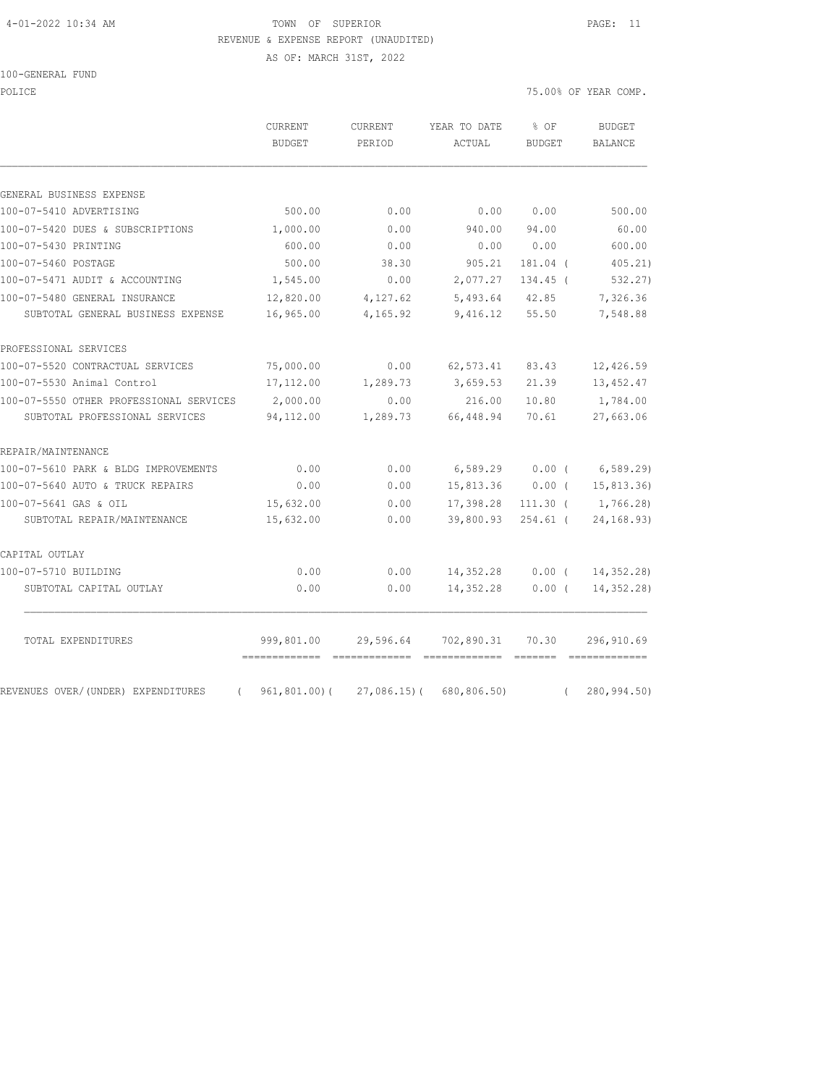### 4-01-2022 10:34 AM TOWN OF SUPERIOR PAGE: 11 REVENUE & EXPENSE REPORT (UNAUDITED)

AS OF: MARCH 31ST, 2022

| 100-GENERAL FUND |  |
|------------------|--|
|------------------|--|

POLICE 75.00% OF YEAR COMP.

|                                                | <b>CURRENT</b><br><b>BUDGET</b>              | <b>CURRENT</b><br>PERIOD | YEAR TO DATE<br>ACTUAL               | % OF<br><b>BUDGET</b> | <b>BUDGET</b><br>BALANCE |
|------------------------------------------------|----------------------------------------------|--------------------------|--------------------------------------|-----------------------|--------------------------|
| GENERAL BUSINESS EXPENSE                       |                                              |                          |                                      |                       |                          |
| 100-07-5410 ADVERTISING                        | 500.00                                       | 0.00                     | 0.00                                 | 0.00                  | 500.00                   |
| 100-07-5420 DUES & SUBSCRIPTIONS               | 1,000.00                                     | 0.00                     | 940.00                               | 94.00                 | 60.00                    |
| 100-07-5430 PRINTING                           | 600.00                                       | 0.00                     | 0.00                                 | 0.00                  | 600.00                   |
| 100-07-5460 POSTAGE                            | 500.00                                       | 38.30                    | 905.21                               | 181.04 (              | 405.21)                  |
| 100-07-5471 AUDIT & ACCOUNTING                 | 1,545.00                                     | 0.00                     | 2,077.27                             | $134.45$ (            | 532.27)                  |
| 100-07-5480 GENERAL INSURANCE                  | 12,820.00                                    | 4,127.62                 | 5,493.64                             | 42.85                 | 7,326.36                 |
| SUBTOTAL GENERAL BUSINESS EXPENSE              | 16,965.00                                    | 4,165.92                 | 9,416.12                             | 55.50                 | 7,548.88                 |
| PROFESSIONAL SERVICES                          |                                              |                          |                                      |                       |                          |
| 100-07-5520 CONTRACTUAL SERVICES               | 75,000.00                                    | 0.00                     | 62, 573.41                           | 83.43                 | 12,426.59                |
| 100-07-5530 Animal Control                     | 17,112.00                                    | 1,289.73                 | 3,659.53                             | 21.39                 | 13, 452.47               |
| 100-07-5550 OTHER PROFESSIONAL SERVICES        | 2,000.00                                     | 0.00                     | 216.00                               | 10.80                 | 1,784.00                 |
| SUBTOTAL PROFESSIONAL SERVICES                 | 94,112.00                                    | 1,289.73                 | 66,448.94                            | 70.61                 | 27,663.06                |
| REPAIR/MAINTENANCE                             |                                              |                          |                                      |                       |                          |
| 100-07-5610 PARK & BLDG IMPROVEMENTS           | 0.00                                         | 0.00                     | 6,589.29                             | 0.00(                 | 6, 589.29                |
| 100-07-5640 AUTO & TRUCK REPAIRS               | 0.00                                         | 0.00                     | 15,813.36                            | $0.00$ (              | 15,813.36)               |
| 100-07-5641 GAS & OIL                          | 15,632.00                                    | 0.00                     | 17,398.28                            | $111.30$ (            | 1,766.28)                |
| SUBTOTAL REPAIR/MAINTENANCE                    | 15,632.00                                    | 0.00                     | 39,800.93                            | $254.61$ (            | 24, 168.93)              |
| CAPITAL OUTLAY                                 |                                              |                          |                                      |                       |                          |
| 100-07-5710 BUILDING                           | 0.00                                         | 0.00                     | 14,352.28                            | $0.00$ (              | 14, 352.28)              |
| SUBTOTAL CAPITAL OUTLAY                        | 0.00                                         | 0.00                     | 14,352.28                            | $0.00$ (              | 14, 352.28)              |
| TOTAL EXPENDITURES                             | 999,801.00<br>============================== | 29,596.64                | 702,890.31<br>============== ======= | 70.30                 | 296,910.69               |
| REVENUES OVER/(UNDER) EXPENDITURES<br>$\left($ | 961,801.00)(                                 |                          | $27,086.15$ (680,806.50)             | $\left($              | 280,994.50)              |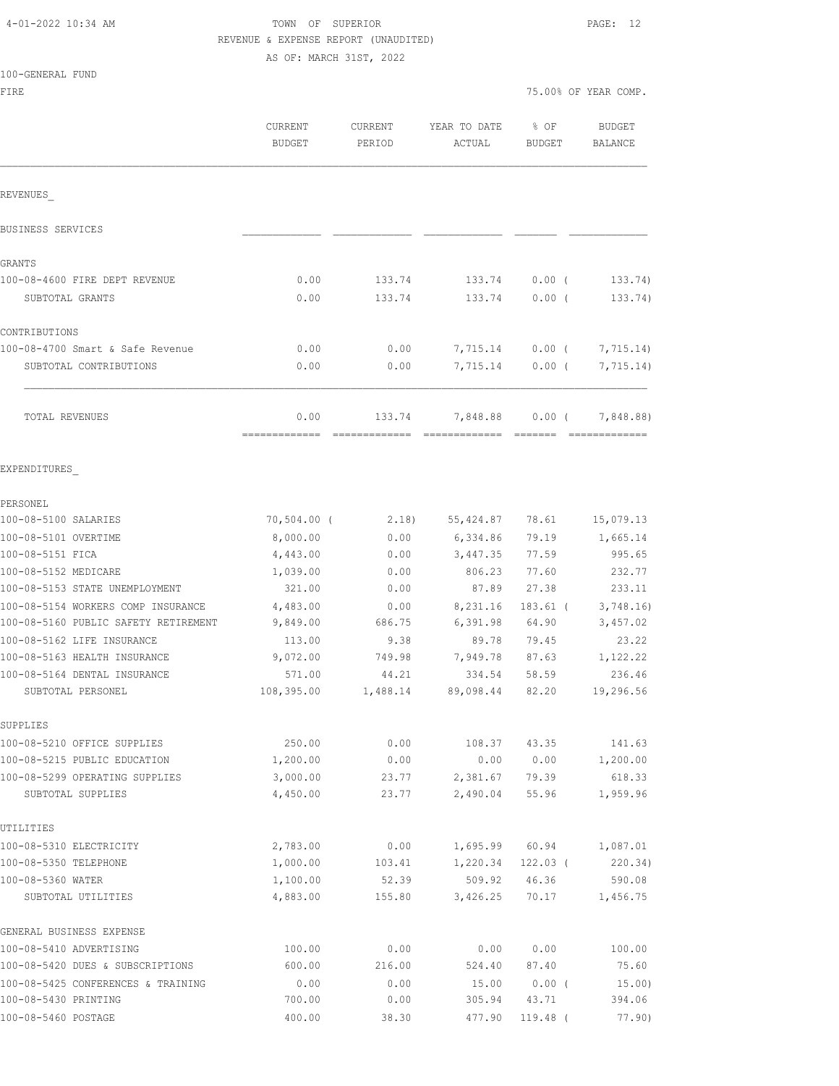| 4-01-2022 10:34 AM |  |  |
|--------------------|--|--|
|--------------------|--|--|

# TOWN OF SUPERIOR **PAGE:** 12 REVENUE & EXPENSE REPORT (UNAUDITED)

AS OF: MARCH 31ST, 2022

|  | 100-GENERAL FUND |  |
|--|------------------|--|
|  |                  |  |

FIRE 75.00% OF YEAR COMP.

|                                      | CURRENT<br><b>BUDGET</b> | CURRENT<br>PERIOD | YEAR TO DATE<br>ACTUAL | % OF<br><b>BUDGET</b> | <b>BUDGET</b><br>BALANCE                                                                                                                                                                                                                                                                                                                                                                                                                                                                            |
|--------------------------------------|--------------------------|-------------------|------------------------|-----------------------|-----------------------------------------------------------------------------------------------------------------------------------------------------------------------------------------------------------------------------------------------------------------------------------------------------------------------------------------------------------------------------------------------------------------------------------------------------------------------------------------------------|
| REVENUES                             |                          |                   |                        |                       |                                                                                                                                                                                                                                                                                                                                                                                                                                                                                                     |
| BUSINESS SERVICES                    |                          |                   |                        |                       |                                                                                                                                                                                                                                                                                                                                                                                                                                                                                                     |
| GRANTS                               |                          |                   |                        |                       |                                                                                                                                                                                                                                                                                                                                                                                                                                                                                                     |
| 100-08-4600 FIRE DEPT REVENUE        | 0.00                     | 133.74            | 133.74                 | $0.00$ (              | 133.74)                                                                                                                                                                                                                                                                                                                                                                                                                                                                                             |
| SUBTOTAL GRANTS                      | 0.00                     | 133.74            | 133.74                 | $0.00$ (              | 133.74)                                                                                                                                                                                                                                                                                                                                                                                                                                                                                             |
| CONTRIBUTIONS                        |                          |                   |                        |                       |                                                                                                                                                                                                                                                                                                                                                                                                                                                                                                     |
| 100-08-4700 Smart & Safe Revenue     | 0.00                     | 0.00              |                        | 7,715.14 0.00 (       | 7,715.14)                                                                                                                                                                                                                                                                                                                                                                                                                                                                                           |
| SUBTOTAL CONTRIBUTIONS               | 0.00                     | 0.00              | 7,715.14               | $0.00$ (              | 7,715.14)                                                                                                                                                                                                                                                                                                                                                                                                                                                                                           |
| TOTAL REVENUES                       | 0.00<br>=============    | 133.74            | 7,848.88               | $0.00$ (              | 7,848.88)<br>$\begin{array}{cccccccccc} \multicolumn{2}{c}{} & \multicolumn{2}{c}{} & \multicolumn{2}{c}{} & \multicolumn{2}{c}{} & \multicolumn{2}{c}{} & \multicolumn{2}{c}{} & \multicolumn{2}{c}{} & \multicolumn{2}{c}{} & \multicolumn{2}{c}{} & \multicolumn{2}{c}{} & \multicolumn{2}{c}{} & \multicolumn{2}{c}{} & \multicolumn{2}{c}{} & \multicolumn{2}{c}{} & \multicolumn{2}{c}{} & \multicolumn{2}{c}{} & \multicolumn{2}{c}{} & \multicolumn{2}{c}{} & \multicolumn{2}{c}{} & \mult$ |
| EXPENDITURES                         |                          |                   |                        |                       |                                                                                                                                                                                                                                                                                                                                                                                                                                                                                                     |
| PERSONEL.                            |                          |                   |                        |                       |                                                                                                                                                                                                                                                                                                                                                                                                                                                                                                     |
| 100-08-5100 SALARIES                 | $70,504.00$ (            | 2.18)             | 55,424.87 78.61        |                       | 15,079.13                                                                                                                                                                                                                                                                                                                                                                                                                                                                                           |
| 100-08-5101 OVERTIME                 | 8,000.00                 | 0.00              | 6,334.86               | 79.19                 | 1,665.14                                                                                                                                                                                                                                                                                                                                                                                                                                                                                            |
| 100-08-5151 FICA                     | 4,443.00                 | 0.00              | 3,447.35               | 77.59                 | 995.65                                                                                                                                                                                                                                                                                                                                                                                                                                                                                              |
| 100-08-5152 MEDICARE                 | 1,039.00                 | 0.00              | 806.23                 | 77.60                 | 232.77                                                                                                                                                                                                                                                                                                                                                                                                                                                                                              |
| 100-08-5153 STATE UNEMPLOYMENT       | 321.00                   | 0.00              | 87.89                  | 27.38                 | 233.11                                                                                                                                                                                                                                                                                                                                                                                                                                                                                              |
| 100-08-5154 WORKERS COMP INSURANCE   | 4,483.00                 | 0.00              | 8,231.16               | $183.61$ (            | 3,748.16                                                                                                                                                                                                                                                                                                                                                                                                                                                                                            |
| 100-08-5160 PUBLIC SAFETY RETIREMENT | 9,849.00                 | 686.75            | 6,391.98               | 64.90                 | 3,457.02                                                                                                                                                                                                                                                                                                                                                                                                                                                                                            |
| 100-08-5162 LIFE INSURANCE           | 113.00                   | 9.38              | 89.78                  | 79.45                 | 23.22                                                                                                                                                                                                                                                                                                                                                                                                                                                                                               |
| 100-08-5163 HEALTH INSURANCE         | 9,072.00                 | 749.98            | 7,949.78               | 87.63                 | 1,122.22                                                                                                                                                                                                                                                                                                                                                                                                                                                                                            |
| 100-08-5164 DENTAL INSURANCE         | 571.00                   | 44.21             | 334.54                 | 58.59                 | 236.46                                                                                                                                                                                                                                                                                                                                                                                                                                                                                              |
| SUBTOTAL PERSONEL                    | 108,395.00               | 1,488.14          | 89,098.44              | 82.20                 | 19,296.56                                                                                                                                                                                                                                                                                                                                                                                                                                                                                           |
| SUPPLIES                             |                          |                   |                        |                       |                                                                                                                                                                                                                                                                                                                                                                                                                                                                                                     |
| 100-08-5210 OFFICE SUPPLIES          | 250.00                   | 0.00              | 108.37                 | 43.35                 | 141.63                                                                                                                                                                                                                                                                                                                                                                                                                                                                                              |
| 100-08-5215 PUBLIC EDUCATION         | 1,200.00                 | 0.00              | 0.00                   | 0.00                  | 1,200.00                                                                                                                                                                                                                                                                                                                                                                                                                                                                                            |
| 100-08-5299 OPERATING SUPPLIES       | 3,000.00                 | 23.77             | 2,381.67               | 79.39                 | 618.33                                                                                                                                                                                                                                                                                                                                                                                                                                                                                              |
| SUBTOTAL SUPPLIES                    | 4,450.00                 | 23.77             | 2,490.04               | 55.96                 | 1,959.96                                                                                                                                                                                                                                                                                                                                                                                                                                                                                            |
| UTILITIES                            |                          |                   |                        |                       |                                                                                                                                                                                                                                                                                                                                                                                                                                                                                                     |
| 100-08-5310 ELECTRICITY              | 2,783.00                 | 0.00              | 1,695.99               | 60.94                 | 1,087.01                                                                                                                                                                                                                                                                                                                                                                                                                                                                                            |
| 100-08-5350 TELEPHONE                | 1,000.00                 | 103.41            | 1,220.34               | $122.03$ (            | 220.34)                                                                                                                                                                                                                                                                                                                                                                                                                                                                                             |
| 100-08-5360 WATER                    | 1,100.00<br>4,883.00     | 52.39             | 509.92                 | 46.36                 | 590.08                                                                                                                                                                                                                                                                                                                                                                                                                                                                                              |
| SUBTOTAL UTILITIES                   |                          | 155.80            | 3,426.25               | 70.17                 | 1,456.75                                                                                                                                                                                                                                                                                                                                                                                                                                                                                            |
| GENERAL BUSINESS EXPENSE             |                          |                   |                        |                       |                                                                                                                                                                                                                                                                                                                                                                                                                                                                                                     |
| 100-08-5410 ADVERTISING              | 100.00                   | 0.00              | 0.00                   | 0.00                  | 100.00                                                                                                                                                                                                                                                                                                                                                                                                                                                                                              |
| 100-08-5420 DUES & SUBSCRIPTIONS     | 600.00                   | 216.00            | 524.40                 | 87.40                 | 75.60                                                                                                                                                                                                                                                                                                                                                                                                                                                                                               |
| 100-08-5425 CONFERENCES & TRAINING   | 0.00                     | 0.00              | 15.00                  | $0.00$ (              | 15.00)                                                                                                                                                                                                                                                                                                                                                                                                                                                                                              |
| 100-08-5430 PRINTING                 | 700.00                   | 0.00              | 305.94                 | 43.71                 | 394.06                                                                                                                                                                                                                                                                                                                                                                                                                                                                                              |

100-08-5460 POSTAGE 6 100.00 400.00 38.30 477.90 119.48 ( 77.90)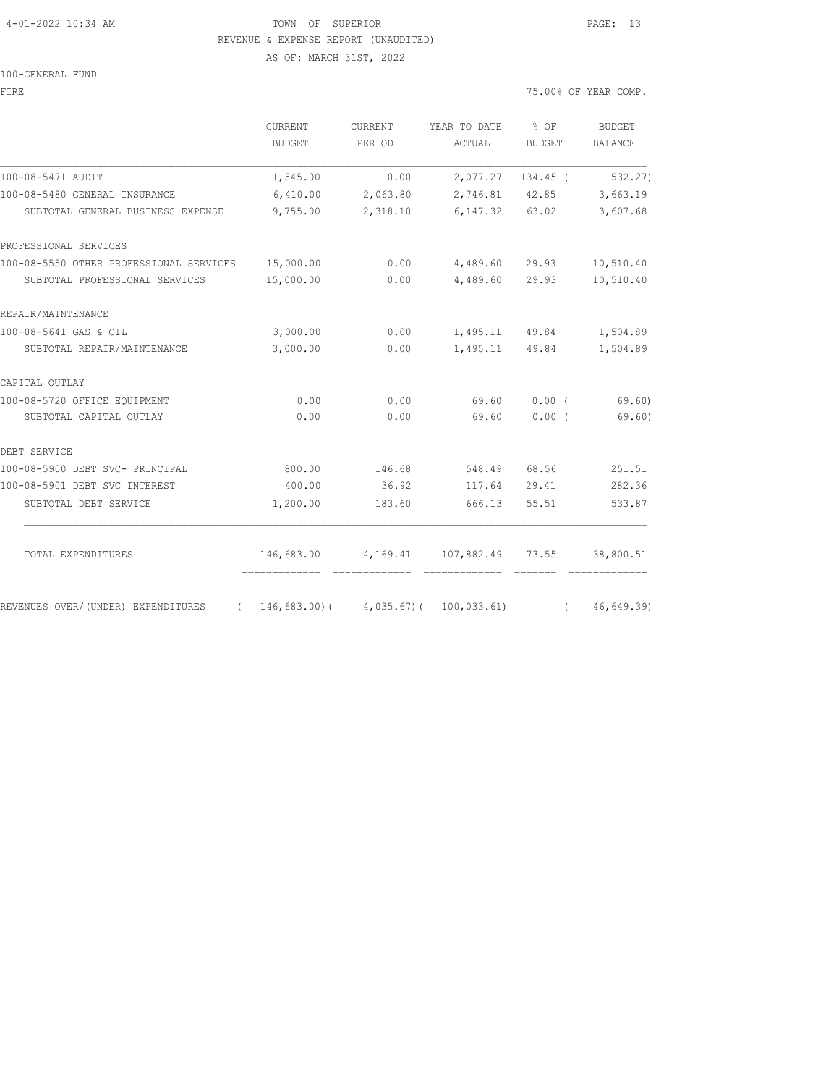### 4-01-2022 10:34 AM TOWN OF SUPERIOR PAGE: 13 REVENUE & EXPENSE REPORT (UNAUDITED) AS OF: MARCH 31ST, 2022

100-GENERAL FUND

FIRE 75.00% OF YEAR COMP.

|                                                   | CURRENT<br><b>BUDGET</b> | CURRENT<br>PERIOD | YEAR TO DATE<br>ACTUAL               | % OF<br>BUDGET          | BUDGET<br><b>BALANCE</b> |
|---------------------------------------------------|--------------------------|-------------------|--------------------------------------|-------------------------|--------------------------|
| 100-08-5471 AUDIT                                 | 1,545.00                 | 0.00              |                                      | 2,077.27 134.45 (       | 532.27)                  |
| 100-08-5480 GENERAL INSURANCE                     | 6,410.00                 | 2,063.80          |                                      | 2,746.81 42.85 3,663.19 |                          |
| SUBTOTAL GENERAL BUSINESS EXPENSE                 | 9,755.00                 | 2,318.10          |                                      | 6, 147.32 63.02         | 3,607.68                 |
| PROFESSIONAL SERVICES                             |                          |                   |                                      |                         |                          |
| 100-08-5550 OTHER PROFESSIONAL SERVICES 15,000.00 |                          | 0.00              |                                      | 4,489.60 29.93          | 10,510.40                |
| SUBTOTAL PROFESSIONAL SERVICES                    | 15,000.00                | 0.00              |                                      | 4,489.60 29.93          | 10,510.40                |
| REPAIR/MAINTENANCE                                |                          |                   |                                      |                         |                          |
| 100-08-5641 GAS & OIL                             | 3,000.00                 |                   | $0.00$ 1, 495.11 49.84               |                         | 1,504.89                 |
| SUBTOTAL REPAIR/MAINTENANCE                       | 3,000.00                 | 0.00              |                                      | 1,495.11 49.84          | 1,504.89                 |
| CAPITAL OUTLAY                                    |                          |                   |                                      |                         |                          |
| 100-08-5720 OFFICE EQUIPMENT                      | 0.00                     | 0.00              | 69.60                                | $0.00$ (                | 69.60                    |
| SUBTOTAL CAPITAL OUTLAY                           | 0.00                     | 0.00              | 69.60                                | 0.00(                   | 69.60)                   |
| DEBT SERVICE                                      |                          |                   |                                      |                         |                          |
| 100-08-5900 DEBT SVC- PRINCIPAL                   | 800.00                   | 146.68            | 548.49                               | 68.56                   | 251.51                   |
| 100-08-5901 DEBT SVC INTEREST                     | 400.00                   | 36.92             | 117.64                               | 29.41                   | 282.36                   |
| SUBTOTAL DEBT SERVICE                             | 1,200.00                 | 183.60            | 666.13                               | 55.51                   | 533.87                   |
|                                                   |                          |                   | 146,683.00 4,169.41 107,882.49 73.55 |                         | 38,800.51                |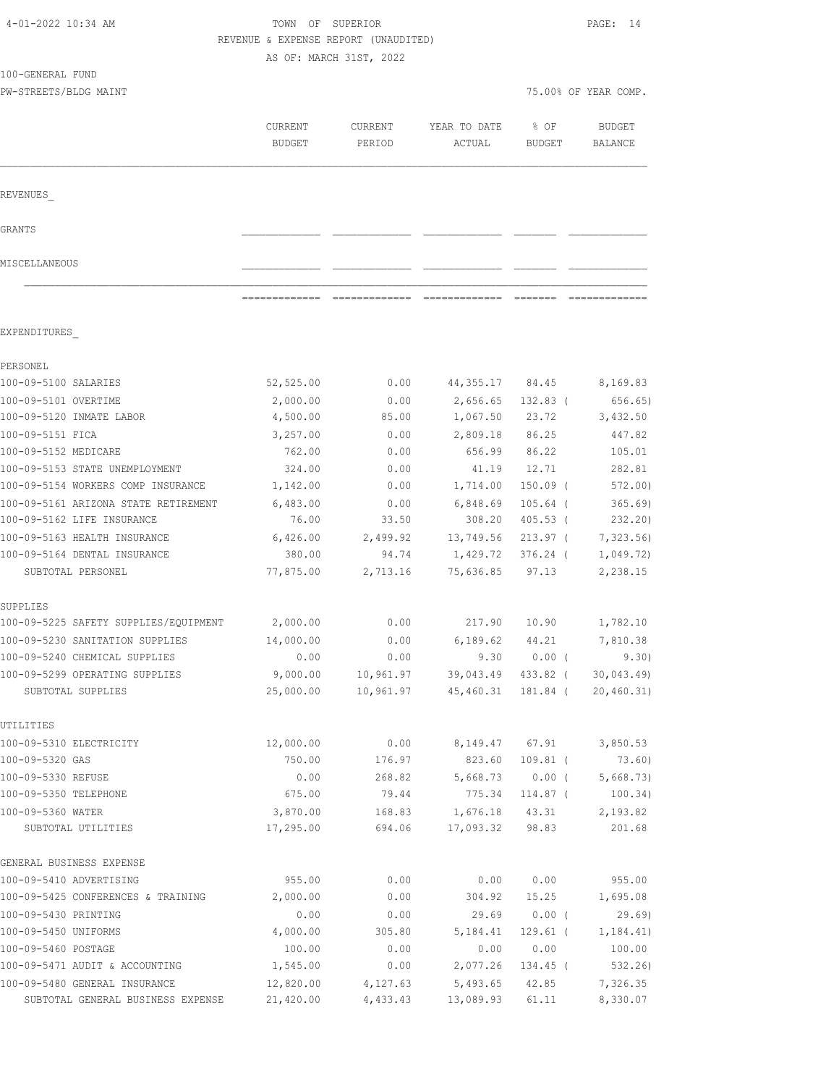| 4-01-2022 10:34 AM                                           |                       | TOWN OF SUPERIOR<br>REVENUE & EXPENSE REPORT (UNAUDITED)<br>AS OF: MARCH 31ST, 2022 |                              |                   |                          |  |
|--------------------------------------------------------------|-----------------------|-------------------------------------------------------------------------------------|------------------------------|-------------------|--------------------------|--|
| 100-GENERAL FUND                                             |                       |                                                                                     |                              |                   |                          |  |
| PW-STREETS/BLDG MAINT                                        |                       |                                                                                     |                              |                   | 75.00% OF YEAR COMP.     |  |
|                                                              | CURRENT<br>BUDGET     | CURRENT<br>PERIOD                                                                   | YEAR TO DATE<br>ACTUAL       | % OF<br>BUDGET    | <b>BUDGET</b><br>BALANCE |  |
| REVENUES                                                     |                       |                                                                                     |                              |                   |                          |  |
| GRANTS                                                       |                       |                                                                                     |                              |                   |                          |  |
| MISCELLANEOUS                                                |                       |                                                                                     |                              |                   |                          |  |
|                                                              |                       |                                                                                     | -------------- ------------- |                   |                          |  |
| EXPENDITURES                                                 |                       |                                                                                     |                              |                   |                          |  |
| PERSONEL                                                     |                       |                                                                                     |                              |                   |                          |  |
| 100-09-5100 SALARIES                                         | 52,525.00             | 0.00                                                                                | 44,355.17                    | 84.45             | 8,169.83                 |  |
| 100-09-5101 OVERTIME                                         | 2,000.00              | 0.00                                                                                | 2,656.65                     | $132.83$ (        | 656.65)                  |  |
| 100-09-5120 INMATE LABOR                                     | 4,500.00              | 85.00                                                                               | 1,067.50                     | 23.72             | 3,432.50                 |  |
| 100-09-5151 FICA                                             | 3,257.00              | 0.00                                                                                | 2,809.18                     | 86.25             | 447.82                   |  |
| 100-09-5152 MEDICARE                                         | 762.00                | 0.00                                                                                | 656.99                       | 86.22             | 105.01                   |  |
| 100-09-5153 STATE UNEMPLOYMENT                               | 324.00                | 0.00                                                                                | 41.19                        | 12.71             | 282.81                   |  |
| 100-09-5154 WORKERS COMP INSURANCE                           | 1,142.00              | 0.00                                                                                | 1,714.00                     | 150.09 (          | 572.00)                  |  |
| 100-09-5161 ARIZONA STATE RETIREMENT                         | 6,483.00              | 0.00                                                                                | 6,848.69                     | 105.64 (          | 365.69)                  |  |
| 100-09-5162 LIFE INSURANCE                                   | 76.00                 | 33.50                                                                               | 308.20                       | 405.53 (          | 232.20)                  |  |
| 100-09-5163 HEALTH INSURANCE<br>100-09-5164 DENTAL INSURANCE | 6,426.00<br>380.00    | 2,499.92                                                                            | 13,749.56                    | 213.97 (          | 7,323.56)                |  |
| SUBTOTAL PERSONEL                                            | 77,875.00             | 94.74<br>2,713.16                                                                   | 1,429.72<br>75,636.85        | 376.24 (<br>97.13 | 1,049.72)<br>2,238.15    |  |
| SUPPLIES                                                     |                       |                                                                                     |                              |                   |                          |  |
| 100-09-5225 SAFETY SUPPLIES/EQUIPMENT                        | 2,000.00              | 0.00                                                                                | 217.90                       | 10.90             | 1,782.10                 |  |
| 100-09-5230 SANITATION SUPPLIES                              | 14,000.00             | 0.00                                                                                | 6,189.62 44.21               |                   | 7,810.38                 |  |
| 100-09-5240 CHEMICAL SUPPLIES                                | 0.00                  | 0.00                                                                                |                              | $9.30 0.00$ (     | 9.30)                    |  |
| 100-09-5299 OPERATING SUPPLIES                               | 9,000.00              | 10,961.97                                                                           | 39,043.49                    | 433.82 (          | 30,043.49                |  |
| SUBTOTAL SUPPLIES                                            | 25,000.00             | 10,961.97                                                                           | 45,460.31                    | 181.84 (          | 20, 460.31)              |  |
| UTILITIES                                                    |                       |                                                                                     |                              |                   |                          |  |
| 100-09-5310 ELECTRICITY                                      | 12,000.00             | 0.00                                                                                | 8,149.47                     | 67.91             | 3,850.53                 |  |
| 100-09-5320 GAS                                              | 750.00                | 176.97                                                                              | 823.60                       | 109.81 (          | 73.60)                   |  |
| 100-09-5330 REFUSE                                           | 0.00                  | 268.82                                                                              | 5,668.73                     | $0.00$ (          | 5,668.73)                |  |
| 100-09-5350 TELEPHONE                                        | 675.00                | 79.44                                                                               | 775.34                       | $114.87$ (        | 100.34)                  |  |
| 100-09-5360 WATER<br>SUBTOTAL UTILITIES                      | 3,870.00<br>17,295.00 | 168.83<br>694.06                                                                    | 1,676.18<br>17,093.32        | 43.31<br>98.83    | 2,193.82<br>201.68       |  |
| GENERAL BUSINESS EXPENSE                                     |                       |                                                                                     |                              |                   |                          |  |
| 100-09-5410 ADVERTISING                                      | 955.00                | 0.00                                                                                | 0.00                         | 0.00              | 955.00                   |  |
| 100-09-5425 CONFERENCES & TRAINING                           | 2,000.00              | 0.00                                                                                | 304.92                       | 15.25             | 1,695.08                 |  |
| 100-09-5430 PRINTING                                         | 0.00                  | 0.00                                                                                | 29.69                        | $0.00$ (          | 29.69                    |  |
| 100-09-5450 UNIFORMS                                         | 4,000.00              | 305.80                                                                              | 5,184.41                     | $129.61$ (        | 1, 184.41)               |  |
| 100-09-5460 POSTAGE                                          | 100.00                | 0.00                                                                                | 0.00                         | 0.00              | 100.00                   |  |
| 100-09-5471 AUDIT & ACCOUNTING                               | 1,545.00              | 0.00                                                                                | 2,077.26                     | 134.45 (          | 532.26)                  |  |
| 100-09-5480 GENERAL INSURANCE                                | 12,820.00             | 4,127.63                                                                            | 5,493.65                     | 42.85             | 7,326.35                 |  |
| SUBTOTAL GENERAL BUSINESS EXPENSE                            | 21,420.00             | 4,433.43                                                                            | 13,089.93                    | 61.11             | 8,330.07                 |  |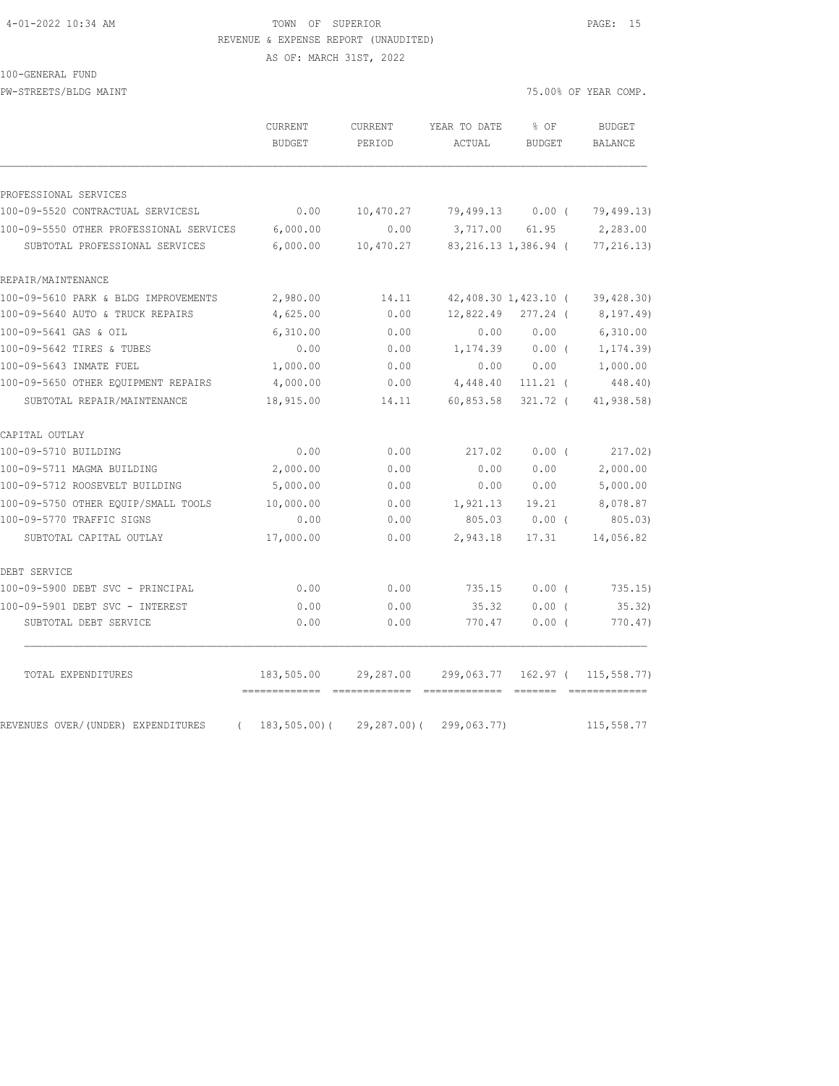### 4-01-2022 10:34 AM TOWN OF SUPERIOR PAGE: 15 REVENUE & EXPENSE REPORT (UNAUDITED)

AS OF: MARCH 31ST, 2022

100-GENERAL FUND

| PW-STREETS/BLDG MAINT                   |                                 |                          |                        |                       | 75.00% OF YEAR COMP.     |
|-----------------------------------------|---------------------------------|--------------------------|------------------------|-----------------------|--------------------------|
|                                         | <b>CURRENT</b><br><b>BUDGET</b> | <b>CURRENT</b><br>PERIOD | YEAR TO DATE<br>ACTUAL | % OF<br><b>BUDGET</b> | <b>BUDGET</b><br>BALANCE |
| PROFESSIONAL SERVICES                   |                                 |                          |                        |                       |                          |
| 100-09-5520 CONTRACTUAL SERVICESL       | 0.00                            | 10,470.27                |                        | 79,499.13 0.00 (      | 79,499.13)               |
| 100-09-5550 OTHER PROFESSIONAL SERVICES | 6,000.00                        | 0.00                     | 3,717.00 61.95         |                       | 2,283.00                 |
| SUBTOTAL PROFESSIONAL SERVICES          | 6,000.00                        | 10,470.27                |                        | 83,216.13 1,386.94 (  | 77,216.13)               |
| REPAIR/MAINTENANCE                      |                                 |                          |                        |                       |                          |
| 100-09-5610 PARK & BLDG IMPROVEMENTS    | 2,980.00                        | 14.11                    |                        | 42,408.30 1,423.10 (  | 39,428.30                |
| 100-09-5640 AUTO & TRUCK REPAIRS        | 4,625.00                        | 0.00                     | 12,822.49              | 277.24 (              | 8,197.49)                |
| 100-09-5641 GAS & OIL                   | 6,310.00                        | 0.00                     | 0.00                   | 0.00                  | 6,310.00                 |
| 100-09-5642 TIRES & TUBES               | 0.00                            | 0.00                     | 1,174.39               | $0.00$ (              | 1,174.39)                |
| 100-09-5643 INMATE FUEL                 | 1,000.00                        | 0.00                     | 0.00                   | 0.00                  | 1,000.00                 |
| 100-09-5650 OTHER EQUIPMENT REPAIRS     | 4,000.00                        | 0.00                     | 4,448.40               | $111.21$ (            | 448.40)                  |
| SUBTOTAL REPAIR/MAINTENANCE             | 18,915.00                       | 14.11                    | 60,853.58              | 321.72 (              | 41,938.58)               |
| CAPITAL OUTLAY                          |                                 |                          |                        |                       |                          |
| 100-09-5710 BUILDING                    | 0.00                            | 0.00                     | 217.02                 | $0.00$ (              | 217.02)                  |
| 100-09-5711 MAGMA BUILDING              | 2,000.00                        | 0.00                     | 0.00                   | 0.00                  | 2,000.00                 |
| 100-09-5712 ROOSEVELT BUILDING          | 5,000.00                        | 0.00                     | 0.00                   | 0.00                  | 5,000.00                 |
| 100-09-5750 OTHER EQUIP/SMALL TOOLS     | 10,000.00                       | 0.00                     | 1,921.13               | 19.21                 | 8,078.87                 |
| 100-09-5770 TRAFFIC SIGNS               | 0.00                            | 0.00                     | 805.03                 | $0.00$ (              | 805.03)                  |
| SUBTOTAL CAPITAL OUTLAY                 | 17,000.00                       | 0.00                     | 2,943.18               | 17.31                 | 14,056.82                |
| DEBT SERVICE                            |                                 |                          |                        |                       |                          |
| 100-09-5900 DEBT SVC - PRINCIPAL        | 0.00                            | 0.00                     | 735.15                 | 0.00(                 | 735.15)                  |
| 100-09-5901 DEBT SVC - INTEREST         | 0.00                            | 0.00                     | 35.32                  | $0.00$ (              | 35.32)                   |
| SUBTOTAL DEBT SERVICE                   | 0.00                            | 0.00                     | 770.47                 | $0.00$ (              | 770.47)                  |
| TOTAL EXPENDITURES                      | 183,505.00                      | 29,287.00                | 299,063.77             | 162.97 (              | 115, 558.77)             |
|                                         |                                 |                          |                        |                       | $200000000000000000$     |

REVENUES OVER/(UNDER) EXPENDITURES ( 183,505.00)( 29,287.00)( 299,063.77) 115,558.77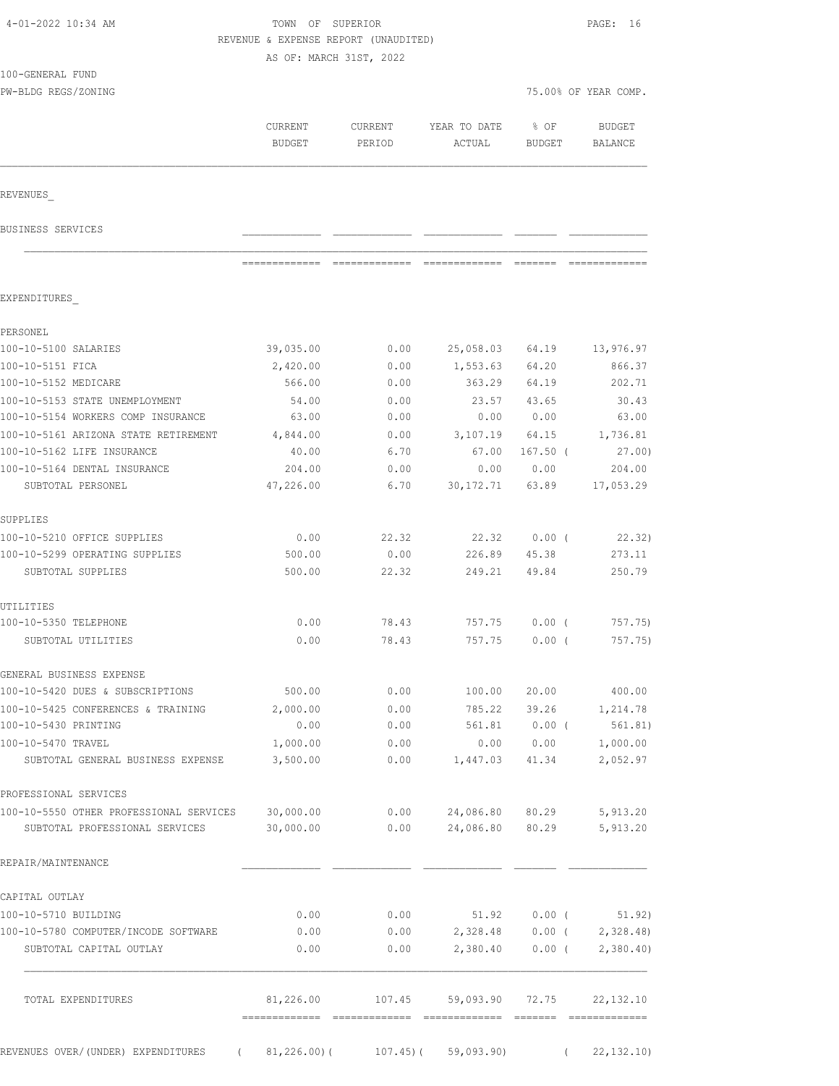| 4-01-2022 10:34 AM                                |                     | TOWN OF SUPERIOR<br>REVENUE & EXPENSE REPORT (UNAUDITED)<br>AS OF: MARCH 31ST, 2022 |                        |                  |                          |
|---------------------------------------------------|---------------------|-------------------------------------------------------------------------------------|------------------------|------------------|--------------------------|
| 100-GENERAL FUND<br>PW-BLDG REGS/ZONING           |                     |                                                                                     |                        |                  | 75.00% OF YEAR COMP.     |
|                                                   |                     |                                                                                     |                        |                  |                          |
|                                                   | CURRENT<br>BUDGET   | CURRENT<br>PERIOD                                                                   | YEAR TO DATE<br>ACTUAL | % OF<br>BUDGET   | <b>BUDGET</b><br>BALANCE |
| REVENUES                                          |                     |                                                                                     |                        |                  |                          |
| BUSINESS SERVICES                                 |                     |                                                                                     |                        |                  |                          |
|                                                   |                     |                                                                                     |                        |                  |                          |
| EXPENDITURES                                      |                     |                                                                                     |                        |                  |                          |
| PERSONEL                                          |                     |                                                                                     |                        |                  |                          |
| 100-10-5100 SALARIES                              | 39,035.00           | 0.00                                                                                | 25,058.03 64.19        |                  | 13,976.97                |
| 100-10-5151 FICA                                  | 2,420.00            | 0.00                                                                                | 1,553.63 64.20         |                  | 866.37                   |
| 100-10-5152 MEDICARE                              | 566.00              | 0.00                                                                                | 363.29 64.19           |                  | 202.71                   |
| 100-10-5153 STATE UNEMPLOYMENT                    | 54.00               | 0.00                                                                                | 23.57                  | 43.65            | 30.43                    |
| 100-10-5154 WORKERS COMP INSURANCE                | 63.00               | 0.00                                                                                | 0.00                   | 0.00             | 63.00                    |
| 100-10-5161 ARIZONA STATE RETIREMENT              | 4,844.00            | 0.00                                                                                | 3, 107.19 64.15        |                  | 1,736.81                 |
| 100-10-5162 LIFE INSURANCE                        | 40.00               | 6.70                                                                                | 67.00                  | $167.50$ (       | 27.00)                   |
| 100-10-5164 DENTAL INSURANCE<br>SUBTOTAL PERSONEL | 204.00<br>47,226.00 | 0.00<br>6.70                                                                        | 0.00<br>30, 172.71     | 0.00<br>63.89    | 204.00<br>17,053.29      |
| SUPPLIES                                          |                     |                                                                                     |                        |                  |                          |
| 100-10-5210 OFFICE SUPPLIES                       | 0.00                | 22.32                                                                               | 22.32                  | $0.00$ (         | 22.32)                   |
| 100-10-5299 OPERATING SUPPLIES                    | 500.00              | 0.00                                                                                | 226.89                 | 45.38            | 273.11                   |
| SUBTOTAL SUPPLIES                                 | 500.00              | 22.32                                                                               | 249.21                 | 49.84            | 250.79                   |
| UTILITIES                                         |                     |                                                                                     |                        |                  |                          |
| 100-10-5350 TELEPHONE                             | 0.00                | 78.43                                                                               | 757.75                 | $0.00$ (         | 757.75)                  |
| SUBTOTAL UTILITIES                                | 0.00                | 78.43                                                                               | 757.75                 | $0.00$ (         | 757.75)                  |
| GENERAL BUSINESS EXPENSE                          |                     |                                                                                     |                        |                  |                          |
| 100-10-5420 DUES & SUBSCRIPTIONS                  | 500.00              | 0.00                                                                                | 100.00                 | 20.00            | 400.00                   |
| 100-10-5425 CONFERENCES & TRAINING                | 2,000.00            | 0.00                                                                                | 785.22                 | 39.26            | 1,214.78                 |
| 100-10-5430 PRINTING<br>100-10-5470 TRAVEL        | 0.00<br>1,000.00    | 0.00<br>0.00                                                                        | 561.81<br>0.00         | $0.00$ (<br>0.00 | 561.81)<br>1,000.00      |
| SUBTOTAL GENERAL BUSINESS EXPENSE                 | 3,500.00            | 0.00                                                                                | 1,447.03               | 41.34            | 2,052.97                 |
| PROFESSIONAL SERVICES                             |                     |                                                                                     |                        |                  |                          |
| 100-10-5550 OTHER PROFESSIONAL SERVICES 30,000.00 |                     | 0.00                                                                                | 24,086.80 80.29        |                  | 5,913.20                 |
| SUBTOTAL PROFESSIONAL SERVICES                    | 30,000.00           | 0.00                                                                                | 24,086.80 80.29        |                  | 5,913.20                 |
| REPAIR/MAINTENANCE                                |                     |                                                                                     |                        |                  |                          |
| CAPITAL OUTLAY                                    |                     |                                                                                     |                        |                  |                          |
| 100-10-5710 BUILDING                              | 0.00                | 0.00                                                                                | 51.92                  | $0.00$ (         | 51.92)                   |
| 100-10-5780 COMPUTER/INCODE SOFTWARE              | 0.00                | 0.00                                                                                | 2,328.48               | $0.00$ (         | 2,328.48                 |
| SUBTOTAL CAPITAL OUTLAY                           | 0.00                | 0.00                                                                                | 2,380.40               | $0.00$ (         | 2,380.40                 |
| TOTAL EXPENDITURES                                | 81,226.00           | 107.45                                                                              | 59,093.90              | 72.75            | 22, 132.10               |
|                                                   |                     |                                                                                     |                        |                  |                          |
| REVENUES OVER/(UNDER) EXPENDITURES                | $(81, 226.00)$ (    | 107.45)(                                                                            | 59,093.90)             | $\sqrt{2}$       | 22, 132.10               |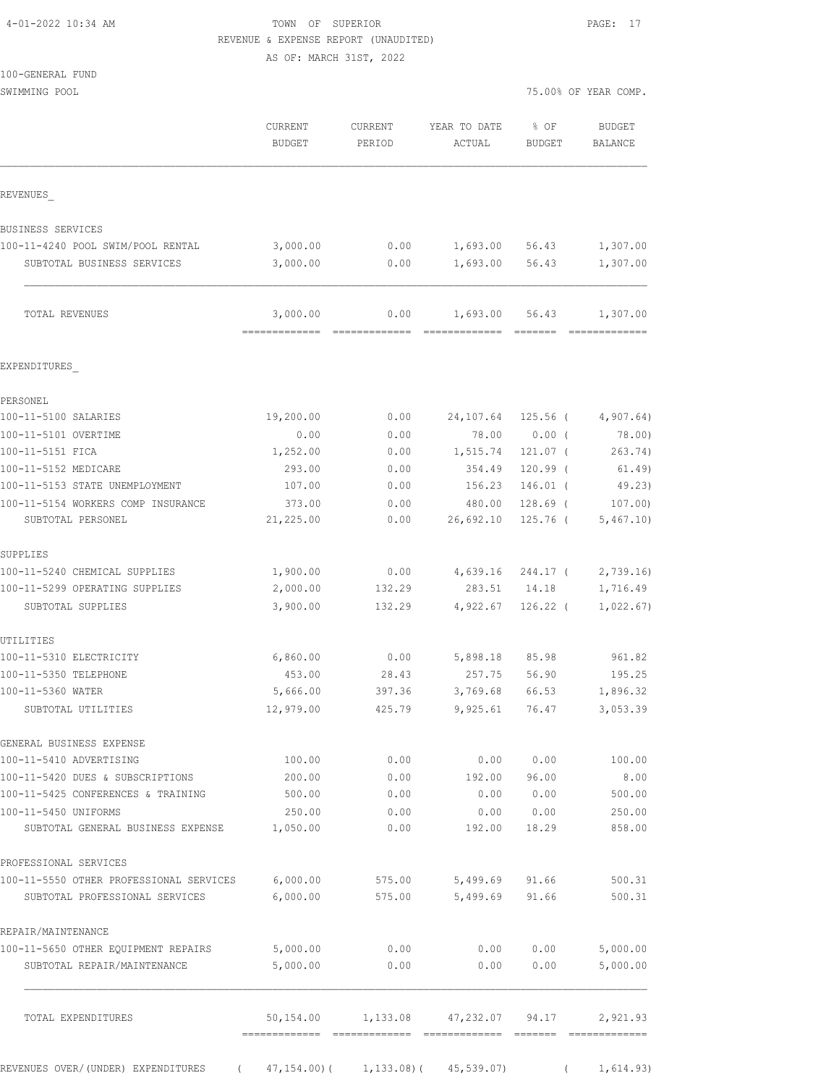|  |  |  | 4-01-2022 10:34 AM |  |
|--|--|--|--------------------|--|
|--|--|--|--------------------|--|

### TOWN OF SUPERIOR **PAGE:** 17 REVENUE & EXPENSE REPORT (UNAUDITED)

AS OF: MARCH 31ST, 2022

| 100-GENERAL FUND |  |
|------------------|--|
|                  |  |

SWIMMING POOL 75.00% OF YEAR COMP.

|                                                                    | CURRENT<br><b>BUDGET</b> | CURRENT<br>PERIOD | YEAR TO DATE<br>ACTUAL                          | % OF<br><b>BUDGET</b> | <b>BUDGET</b><br>BALANCE                                                                                                                                                                                                                                                                                                                                                                                                                                                                           |
|--------------------------------------------------------------------|--------------------------|-------------------|-------------------------------------------------|-----------------------|----------------------------------------------------------------------------------------------------------------------------------------------------------------------------------------------------------------------------------------------------------------------------------------------------------------------------------------------------------------------------------------------------------------------------------------------------------------------------------------------------|
| REVENUES                                                           |                          |                   |                                                 |                       |                                                                                                                                                                                                                                                                                                                                                                                                                                                                                                    |
| BUSINESS SERVICES                                                  |                          |                   |                                                 |                       |                                                                                                                                                                                                                                                                                                                                                                                                                                                                                                    |
| 100-11-4240 POOL SWIM/POOL RENTAL                                  | 3,000.00                 | 0.00              | 1,693.00                                        | 56.43                 | 1,307.00                                                                                                                                                                                                                                                                                                                                                                                                                                                                                           |
| SUBTOTAL BUSINESS SERVICES                                         | 3,000.00                 | 0.00              | 1,693.00                                        | 56.43                 | 1,307.00                                                                                                                                                                                                                                                                                                                                                                                                                                                                                           |
| TOTAL REVENUES                                                     | 3,000.00                 | 0.00              | 1,693.00                                        | 56.43                 | 1,307.00<br>$\begin{array}{cccccccccccccc} \multicolumn{2}{c}{} & \multicolumn{2}{c}{} & \multicolumn{2}{c}{} & \multicolumn{2}{c}{} & \multicolumn{2}{c}{} & \multicolumn{2}{c}{} & \multicolumn{2}{c}{} & \multicolumn{2}{c}{} & \multicolumn{2}{c}{} & \multicolumn{2}{c}{} & \multicolumn{2}{c}{} & \multicolumn{2}{c}{} & \multicolumn{2}{c}{} & \multicolumn{2}{c}{} & \multicolumn{2}{c}{} & \multicolumn{2}{c}{} & \multicolumn{2}{c}{} & \multicolumn{2}{c}{} & \multicolumn{2}{c}{} & \$ |
| EXPENDITURES                                                       |                          |                   |                                                 |                       |                                                                                                                                                                                                                                                                                                                                                                                                                                                                                                    |
| PERSONEL                                                           |                          |                   |                                                 |                       |                                                                                                                                                                                                                                                                                                                                                                                                                                                                                                    |
| 100-11-5100 SALARIES                                               | 19,200.00                | 0.00              | 24,107.64                                       | $125.56$ (            | 4,907.64)                                                                                                                                                                                                                                                                                                                                                                                                                                                                                          |
| 100-11-5101 OVERTIME                                               | 0.00                     | 0.00              | 78.00                                           | $0.00$ (              | 78.00)                                                                                                                                                                                                                                                                                                                                                                                                                                                                                             |
| 100-11-5151 FICA                                                   | 1,252.00                 | 0.00              | 1,515.74                                        | 121.07 (              | 263.74)                                                                                                                                                                                                                                                                                                                                                                                                                                                                                            |
| 100-11-5152 MEDICARE                                               | 293.00                   | 0.00              | 354.49                                          | $120.99$ (            | 61.49)                                                                                                                                                                                                                                                                                                                                                                                                                                                                                             |
| 100-11-5153 STATE UNEMPLOYMENT                                     | 107.00                   | 0.00              | 156.23                                          | 146.01 (              | 49.23)                                                                                                                                                                                                                                                                                                                                                                                                                                                                                             |
| 100-11-5154 WORKERS COMP INSURANCE                                 | 373.00                   | 0.00              | 480.00                                          | $128.69$ (            | 107.00                                                                                                                                                                                                                                                                                                                                                                                                                                                                                             |
| SUBTOTAL PERSONEL                                                  | 21,225.00                | 0.00              | 26,692.10                                       | $125.76$ (            | 5,467.10)                                                                                                                                                                                                                                                                                                                                                                                                                                                                                          |
| SUPPLIES                                                           |                          |                   |                                                 |                       |                                                                                                                                                                                                                                                                                                                                                                                                                                                                                                    |
| 100-11-5240 CHEMICAL SUPPLIES                                      | 1,900.00                 | 0.00              | 4,639.16                                        | 244.17 (              | 2,739.16                                                                                                                                                                                                                                                                                                                                                                                                                                                                                           |
| 100-11-5299 OPERATING SUPPLIES                                     | 2,000.00                 | 132.29            | 283.51                                          | 14.18                 | 1,716.49                                                                                                                                                                                                                                                                                                                                                                                                                                                                                           |
| SUBTOTAL SUPPLIES                                                  | 3,900.00                 | 132.29            | 4,922.67                                        | $126.22$ (            | 1,022.67)                                                                                                                                                                                                                                                                                                                                                                                                                                                                                          |
| UTILITIES                                                          |                          |                   |                                                 |                       |                                                                                                                                                                                                                                                                                                                                                                                                                                                                                                    |
| 100-11-5310 ELECTRICITY                                            | 6,860.00                 | 0.00              | 5,898.18                                        | 85.98                 | 961.82                                                                                                                                                                                                                                                                                                                                                                                                                                                                                             |
| 100-11-5350 TELEPHONE                                              | 453.00                   | 28.43             | 257.75                                          | 56.90                 | 195.25                                                                                                                                                                                                                                                                                                                                                                                                                                                                                             |
| 100-11-5360 WATER                                                  | 5,666.00                 | 397.36            | 3,769.68                                        | 66.53                 | 1,896.32                                                                                                                                                                                                                                                                                                                                                                                                                                                                                           |
| SUBTOTAL UTILITIES                                                 | 12,979.00                | 425.79            | 9,925.61                                        | 76.47                 | 3,053.39                                                                                                                                                                                                                                                                                                                                                                                                                                                                                           |
| GENERAL BUSINESS EXPENSE                                           |                          |                   |                                                 |                       |                                                                                                                                                                                                                                                                                                                                                                                                                                                                                                    |
| 100-11-5410 ADVERTISING                                            | 100.00                   | 0.00              | 0.00                                            | 0.00                  | 100.00                                                                                                                                                                                                                                                                                                                                                                                                                                                                                             |
| 100-11-5420 DUES & SUBSCRIPTIONS                                   | 200.00                   | 0.00              | 192.00                                          | 96.00                 | 8.00                                                                                                                                                                                                                                                                                                                                                                                                                                                                                               |
| 100-11-5425 CONFERENCES & TRAINING                                 | 500.00                   | 0.00              | 0.00                                            | 0.00                  | 500.00                                                                                                                                                                                                                                                                                                                                                                                                                                                                                             |
| 100-11-5450 UNIFORMS<br>SUBTOTAL GENERAL BUSINESS EXPENSE 1,050.00 | 250.00                   | 0.00<br>0.00      | 192.00                                          | 0.0000000<br>18.29    | 250.00<br>858.00                                                                                                                                                                                                                                                                                                                                                                                                                                                                                   |
| PROFESSIONAL SERVICES                                              |                          |                   |                                                 |                       |                                                                                                                                                                                                                                                                                                                                                                                                                                                                                                    |
| 100-11-5550 OTHER PROFESSIONAL SERVICES 6,000.00                   |                          | 575.00            |                                                 | 5,499.69 91.66        | 500.31                                                                                                                                                                                                                                                                                                                                                                                                                                                                                             |
| SUBTOTAL PROFESSIONAL SERVICES                                     | 6,000.00                 | 575.00            | 5,499.69                                        | 91.66                 | 500.31                                                                                                                                                                                                                                                                                                                                                                                                                                                                                             |
| REPAIR/MAINTENANCE                                                 |                          |                   |                                                 |                       |                                                                                                                                                                                                                                                                                                                                                                                                                                                                                                    |
| 100-11-5650 OTHER EQUIPMENT REPAIRS                                | 5,000.00                 | 0.00              |                                                 | 0.000000              | 5,000.00                                                                                                                                                                                                                                                                                                                                                                                                                                                                                           |
| SUBTOTAL REPAIR/MAINTENANCE                                        | 5,000.00                 | 0.00              | 0.00                                            | 0.00                  | 5,000.00                                                                                                                                                                                                                                                                                                                                                                                                                                                                                           |
| TOTAL EXPENDITURES                                                 |                          |                   | 50,154.00  1,133.08  47,232.07  94.17  2,921.93 |                       |                                                                                                                                                                                                                                                                                                                                                                                                                                                                                                    |
|                                                                    |                          |                   |                                                 |                       |                                                                                                                                                                                                                                                                                                                                                                                                                                                                                                    |

REVENUES OVER/(UNDER) EXPENDITURES ( 47,154.00)( 1,133.08)( 45,539.07) ( 1,614.93)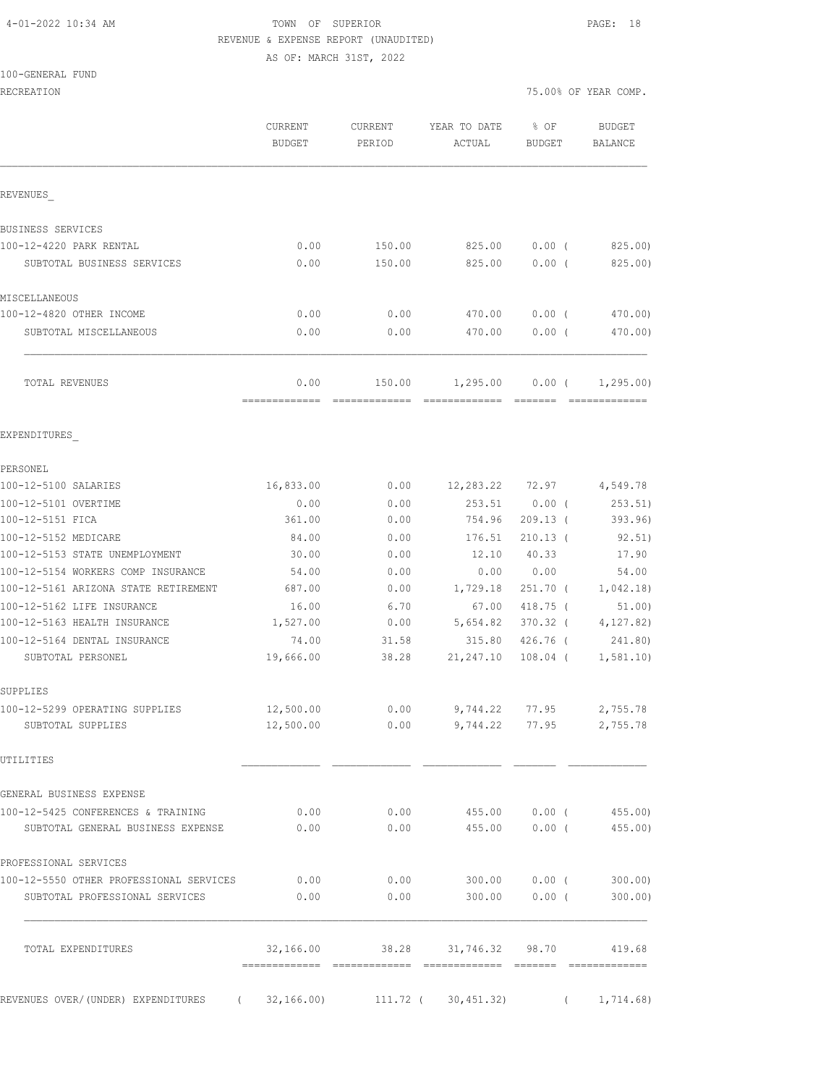### 4-01-2022 10:34 AM TOWN OF SUPERIOR PAGE: 18 REVENUE & EXPENSE REPORT (UNAUDITED)

|  | 100-GENERAL FUND |  |
|--|------------------|--|
|  |                  |  |

|                                                 |                                                   |                                                                                                  |                                                         | 75.00% OF YEAR COMP.                                                                                                                                                                                                                                                                                                                                                                                                                                                                                                                                                                                                                                                                                                                       |
|-------------------------------------------------|---------------------------------------------------|--------------------------------------------------------------------------------------------------|---------------------------------------------------------|--------------------------------------------------------------------------------------------------------------------------------------------------------------------------------------------------------------------------------------------------------------------------------------------------------------------------------------------------------------------------------------------------------------------------------------------------------------------------------------------------------------------------------------------------------------------------------------------------------------------------------------------------------------------------------------------------------------------------------------------|
| CURRENT<br>BUDGET                               | CURRENT<br>PERIOD                                 | YEAR TO DATE<br>ACTUAL                                                                           | % OF<br><b>BUDGET</b>                                   | <b>BUDGET</b><br>BALANCE                                                                                                                                                                                                                                                                                                                                                                                                                                                                                                                                                                                                                                                                                                                   |
|                                                 |                                                   |                                                                                                  |                                                         |                                                                                                                                                                                                                                                                                                                                                                                                                                                                                                                                                                                                                                                                                                                                            |
|                                                 |                                                   |                                                                                                  |                                                         |                                                                                                                                                                                                                                                                                                                                                                                                                                                                                                                                                                                                                                                                                                                                            |
| 0.00                                            | 150.00                                            | 825.00                                                                                           | $0.00$ (                                                | 825.00)                                                                                                                                                                                                                                                                                                                                                                                                                                                                                                                                                                                                                                                                                                                                    |
| 0.00                                            | 150.00                                            | 825.00                                                                                           | 0.00(                                                   | 825.00)                                                                                                                                                                                                                                                                                                                                                                                                                                                                                                                                                                                                                                                                                                                                    |
|                                                 |                                                   |                                                                                                  |                                                         |                                                                                                                                                                                                                                                                                                                                                                                                                                                                                                                                                                                                                                                                                                                                            |
| 0.00                                            | 0.00                                              | 470.00                                                                                           | $0.00$ (                                                | 470.00)                                                                                                                                                                                                                                                                                                                                                                                                                                                                                                                                                                                                                                                                                                                                    |
| 0.00                                            | 0.00                                              | 470.00                                                                                           | 0.00(                                                   | 470.00)                                                                                                                                                                                                                                                                                                                                                                                                                                                                                                                                                                                                                                                                                                                                    |
| 0.00<br>-------------                           | 150.00                                            | 1,295.00                                                                                         | $0.00$ (                                                | 1, 295.00<br>=============                                                                                                                                                                                                                                                                                                                                                                                                                                                                                                                                                                                                                                                                                                                 |
|                                                 |                                                   |                                                                                                  |                                                         |                                                                                                                                                                                                                                                                                                                                                                                                                                                                                                                                                                                                                                                                                                                                            |
|                                                 |                                                   |                                                                                                  |                                                         |                                                                                                                                                                                                                                                                                                                                                                                                                                                                                                                                                                                                                                                                                                                                            |
| 16,833.00                                       | 0.00                                              |                                                                                                  |                                                         | 4,549.78                                                                                                                                                                                                                                                                                                                                                                                                                                                                                                                                                                                                                                                                                                                                   |
| 0.00                                            | 0.00                                              | 253.51                                                                                           | $0.00$ (                                                | 253.51)                                                                                                                                                                                                                                                                                                                                                                                                                                                                                                                                                                                                                                                                                                                                    |
| 361.00                                          | 0.00                                              | 754.96                                                                                           | $209.13$ (                                              | 393.96)                                                                                                                                                                                                                                                                                                                                                                                                                                                                                                                                                                                                                                                                                                                                    |
| 84.00                                           | 0.00                                              | 176.51                                                                                           | $210.13$ (                                              | 92.51)                                                                                                                                                                                                                                                                                                                                                                                                                                                                                                                                                                                                                                                                                                                                     |
| 30.00                                           | 0.00                                              | 12.10                                                                                            | 40.33                                                   | 17.90                                                                                                                                                                                                                                                                                                                                                                                                                                                                                                                                                                                                                                                                                                                                      |
| 54.00                                           | 0.00                                              | 0.00                                                                                             | 0.00                                                    | 54.00                                                                                                                                                                                                                                                                                                                                                                                                                                                                                                                                                                                                                                                                                                                                      |
|                                                 |                                                   |                                                                                                  |                                                         | 1,042.18)                                                                                                                                                                                                                                                                                                                                                                                                                                                                                                                                                                                                                                                                                                                                  |
|                                                 |                                                   |                                                                                                  |                                                         | 51.00)                                                                                                                                                                                                                                                                                                                                                                                                                                                                                                                                                                                                                                                                                                                                     |
|                                                 |                                                   |                                                                                                  |                                                         | 4, 127.82)                                                                                                                                                                                                                                                                                                                                                                                                                                                                                                                                                                                                                                                                                                                                 |
| 19,666.00                                       | 38.28                                             | 21,247.10                                                                                        |                                                         | 241.80)<br>1,581.10)                                                                                                                                                                                                                                                                                                                                                                                                                                                                                                                                                                                                                                                                                                                       |
|                                                 |                                                   |                                                                                                  |                                                         |                                                                                                                                                                                                                                                                                                                                                                                                                                                                                                                                                                                                                                                                                                                                            |
|                                                 |                                                   |                                                                                                  |                                                         |                                                                                                                                                                                                                                                                                                                                                                                                                                                                                                                                                                                                                                                                                                                                            |
| 12,500.00                                       |                                                   |                                                                                                  |                                                         |                                                                                                                                                                                                                                                                                                                                                                                                                                                                                                                                                                                                                                                                                                                                            |
|                                                 |                                                   |                                                                                                  |                                                         |                                                                                                                                                                                                                                                                                                                                                                                                                                                                                                                                                                                                                                                                                                                                            |
|                                                 |                                                   |                                                                                                  |                                                         |                                                                                                                                                                                                                                                                                                                                                                                                                                                                                                                                                                                                                                                                                                                                            |
| 0.00                                            |                                                   |                                                                                                  |                                                         | 455.00)                                                                                                                                                                                                                                                                                                                                                                                                                                                                                                                                                                                                                                                                                                                                    |
| 0.00                                            |                                                   |                                                                                                  |                                                         | 455.00)                                                                                                                                                                                                                                                                                                                                                                                                                                                                                                                                                                                                                                                                                                                                    |
|                                                 |                                                   |                                                                                                  |                                                         |                                                                                                                                                                                                                                                                                                                                                                                                                                                                                                                                                                                                                                                                                                                                            |
| 100-12-5550 OTHER PROFESSIONAL SERVICES<br>0.00 |                                                   |                                                                                                  |                                                         |                                                                                                                                                                                                                                                                                                                                                                                                                                                                                                                                                                                                                                                                                                                                            |
| 0.00                                            |                                                   |                                                                                                  |                                                         |                                                                                                                                                                                                                                                                                                                                                                                                                                                                                                                                                                                                                                                                                                                                            |
| 32,166.00                                       |                                                   |                                                                                                  |                                                         | 419.68                                                                                                                                                                                                                                                                                                                                                                                                                                                                                                                                                                                                                                                                                                                                     |
|                                                 |                                                   |                                                                                                  |                                                         | (1, 714.68)                                                                                                                                                                                                                                                                                                                                                                                                                                                                                                                                                                                                                                                                                                                                |
|                                                 | 687.00<br>16.00<br>1,527.00<br>74.00<br>12,500.00 | =============<br>0.00<br>6.70<br>0.00<br>31.58<br>REVENUES OVER/(UNDER) EXPENDITURES (32,166.00) | 1,729.18<br>67.00<br>5,654.82<br>315.80<br>0.00<br>0.00 | $\begin{array}{cccccc} \texttt{m} & \texttt{m} & \texttt{m} & \texttt{m} & \texttt{m} & \texttt{m} & \texttt{m} & \texttt{m} & \texttt{m} & \texttt{m} & \texttt{m} & \texttt{m} & \texttt{m} & \texttt{m} & \texttt{m} & \texttt{m} & \texttt{m} & \texttt{m} & \texttt{m} & \texttt{m} & \texttt{m} & \texttt{m} & \texttt{m} & \texttt{m} & \texttt{m} & \texttt{m} & \texttt{m} & \texttt{m} & \texttt{m} & \texttt{m} & \text$<br>12,283.22 72.97<br>$251.70$ (<br>418.75 (<br>370.32 (<br>426.76 (<br>108.04 (<br>$0.00$ 9, 744.22 77.95 2, 755.78<br>$0.00$ 9,744.22 77.95 2,755.78<br>455.00 0.00 (<br>455.00 0.00 (<br>$0.00$ 300.00 0.00 (300.00)<br>$0.00$ 300.00 0.00 (300.00)<br>38.28 31,746.32 98.70<br>111.72 ( 30,451.32) |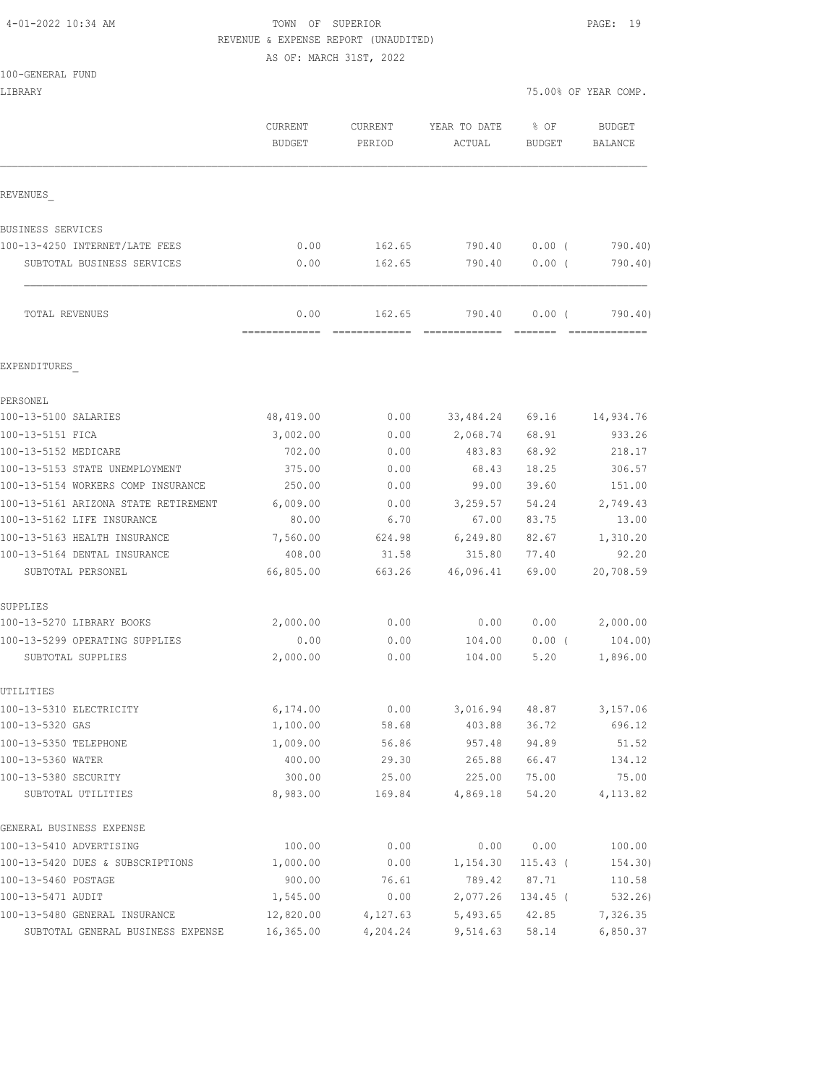### 4-01-2022 10:34 AM TOWN OF SUPERIOR PAGE: 19 REVENUE & EXPENSE REPORT (UNAUDITED)

| 100-GENERAL FUND                                    |                          |                   |                        |                  |                                 |
|-----------------------------------------------------|--------------------------|-------------------|------------------------|------------------|---------------------------------|
| LIBRARY                                             |                          |                   |                        |                  | 75.00% OF YEAR COMP.            |
|                                                     | CURRENT<br><b>BUDGET</b> | CURRENT<br>PERIOD | YEAR TO DATE<br>ACTUAL | % OF<br>BUDGET   | <b>BUDGET</b><br><b>BALANCE</b> |
| REVENUES                                            |                          |                   |                        |                  |                                 |
| BUSINESS SERVICES                                   |                          |                   |                        |                  |                                 |
| 100-13-4250 INTERNET/LATE FEES                      | 0.00                     | 162.65            | 790.40                 | $0.00$ (         | 790.40)                         |
| SUBTOTAL BUSINESS SERVICES                          | 0.00                     | 162.65            | 790.40                 | 0.00(            | 790.40)                         |
| TOTAL REVENUES                                      | 0.00                     | 162.65            | 790.40                 | $0.00$ (         | 790.40)                         |
| EXPENDITURES                                        |                          |                   |                        |                  |                                 |
| PERSONEL                                            |                          |                   |                        |                  |                                 |
| 100-13-5100 SALARIES                                | 48,419.00                | 0.00              | 33,484.24              | 69.16            | 14,934.76                       |
| 100-13-5151 FICA                                    | 3,002.00                 | 0.00              | 2,068.74               | 68.91            | 933.26                          |
| 100-13-5152 MEDICARE                                | 702.00                   | 0.00              | 483.83                 | 68.92            | 218.17                          |
| 100-13-5153 STATE UNEMPLOYMENT                      | 375.00                   | 0.00              | 68.43                  | 18.25            | 306.57                          |
| 100-13-5154 WORKERS COMP INSURANCE                  | 250.00                   | 0.00              | 99.00                  | 39.60            | 151.00                          |
| 100-13-5161 ARIZONA STATE RETIREMENT                | 6,009.00                 | 0.00              | 3,259.57               | 54.24            | 2,749.43                        |
| 100-13-5162 LIFE INSURANCE                          | 80.00                    | 6.70              | 67.00                  | 83.75            | 13.00                           |
| 100-13-5163 HEALTH INSURANCE                        | 7,560.00                 | 624.98            | 6,249.80               | 82.67            | 1,310.20                        |
| 100-13-5164 DENTAL INSURANCE                        | 408.00                   | 31.58             | 315.80                 | 77.40            | 92.20                           |
| SUBTOTAL PERSONEL                                   | 66,805.00                | 663.26            | 46,096.41              | 69.00            | 20,708.59                       |
| SUPPLIES                                            |                          |                   |                        |                  |                                 |
| 100-13-5270 LIBRARY BOOKS                           | 2,000.00                 | 0.00              | 0.00                   | 0.00             | 2,000.00                        |
| 100-13-5299 OPERATING SUPPLIES<br>SUBTOTAL SUPPLIES | 0.00<br>2,000.00         | 0.00<br>0.00      | 104.00<br>104.00       | $0.00$ (<br>5.20 | 104.00)<br>1,896.00             |
|                                                     |                          |                   |                        |                  |                                 |
| UTILITIES                                           |                          |                   |                        |                  |                                 |
| 100-13-5310 ELECTRICITY                             | 6,174.00<br>1,100.00     | 0.00              | 3,016.94<br>403.88     | 48.87            | 3,157.06                        |
| 100-13-5320 GAS<br>100-13-5350 TELEPHONE            |                          | 58.68<br>56.86    | 957.48                 | 36.72<br>94.89   | 696.12<br>51.52                 |
| 100-13-5360 WATER                                   | 1,009.00<br>400.00       | 29.30             | 265.88                 | 66.47            | 134.12                          |
| 100-13-5380 SECURITY                                | 300.00                   | 25.00             | 225.00                 | 75.00            | 75.00                           |
| SUBTOTAL UTILITIES                                  | 8,983.00                 | 169.84            | 4,869.18               | 54.20            | 4, 113.82                       |
| GENERAL BUSINESS EXPENSE                            |                          |                   |                        |                  |                                 |
| 100-13-5410 ADVERTISING                             | 100.00                   | 0.00              | 0.00                   | 0.00             | 100.00                          |
| 100-13-5420 DUES & SUBSCRIPTIONS                    | 1,000.00                 | 0.00              | 1,154.30               | $115.43$ (       | 154.30)                         |
| 100-13-5460 POSTAGE                                 | 900.00                   | 76.61             | 789.42                 | 87.71            | 110.58                          |
| 100-13-5471 AUDIT                                   | 1,545.00                 | 0.00              | 2,077.26               | 134.45 (         | 532.26)                         |
| 100-13-5480 GENERAL INSURANCE                       | 12,820.00                | 4,127.63          | 5,493.65               | 42.85            | 7,326.35                        |
| SUBTOTAL GENERAL BUSINESS EXPENSE                   | 16,365.00                | 4,204.24          | 9,514.63               | 58.14            | 6,850.37                        |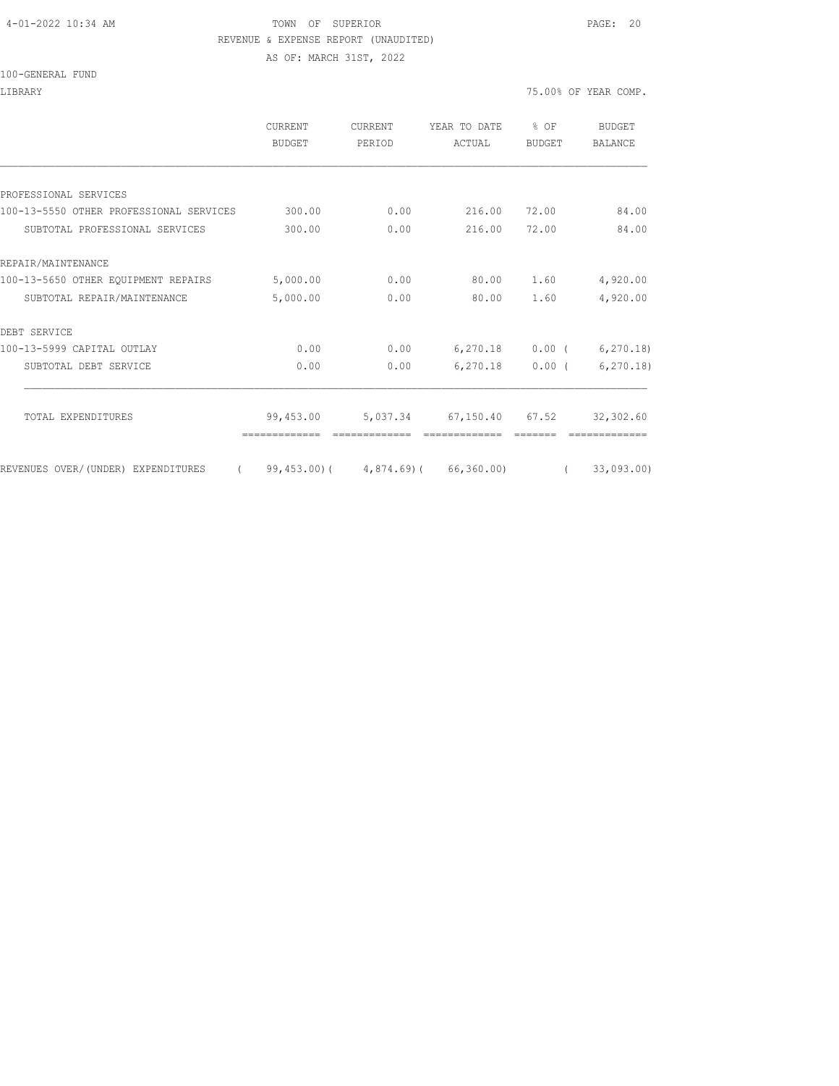#### 4-01-2022 10:34 AM TOWN OF SUPERIOR PAGE: 20 REVENUE & EXPENSE REPORT (UNAUDITED)

AS OF: MARCH 31ST, 2022

#### 100-GENERAL FUND

LIBRARY 75.00% OF YEAR COMP.

|                                                | <b>CURRENT</b><br>BUDGET | <b>CURRENT</b><br>PERIOD | YEAR TO DATE<br>ACTUAL                  | $8$ OF<br><b>BUDGET</b> | BUDGET<br><b>BALANCE</b> |
|------------------------------------------------|--------------------------|--------------------------|-----------------------------------------|-------------------------|--------------------------|
|                                                |                          |                          |                                         |                         |                          |
| PROFESSIONAL SERVICES                          |                          |                          |                                         |                         |                          |
| 100-13-5550 OTHER PROFESSIONAL SERVICES        | 300.00                   | 0.00                     | 216.00                                  | 72.00                   | 84.00                    |
| SUBTOTAL PROFESSIONAL SERVICES                 | 300.00                   | 0.00                     | 216.00                                  | 72.00                   | 84.00                    |
| REPAIR/MAINTENANCE                             |                          |                          |                                         |                         |                          |
| 100-13-5650 OTHER EQUIPMENT REPAIRS            | 5,000.00                 | 0.00                     | 80.00                                   | 1.60                    | 4,920.00                 |
| SUBTOTAL REPAIR/MAINTENANCE                    | 5,000.00                 | 0.00                     | 80.00                                   | 1.60                    | 4,920.00                 |
| DEBT SERVICE                                   |                          |                          |                                         |                         |                          |
| 100-13-5999 CAPITAL OUTLAY                     | 0.00                     | 0.00                     | 6,270.18                                | $0.00$ (                | 6, 270.18                |
| SUBTOTAL DEBT SERVICE                          | 0.00                     | 0.00                     | 6,270.18                                | $0.00$ (                | 6, 270.18                |
| TOTAL EXPENDITURES                             | 99,453.00                |                          | 5,037.34 67,150.40 67.52                |                         | 32,302.60                |
|                                                |                          |                          |                                         |                         |                          |
| REVENUES OVER/(UNDER) EXPENDITURES<br>$\left($ |                          |                          | $99,453.00$ ( $4,874.69$ ) ( 66,360.00) |                         | 33,093.00                |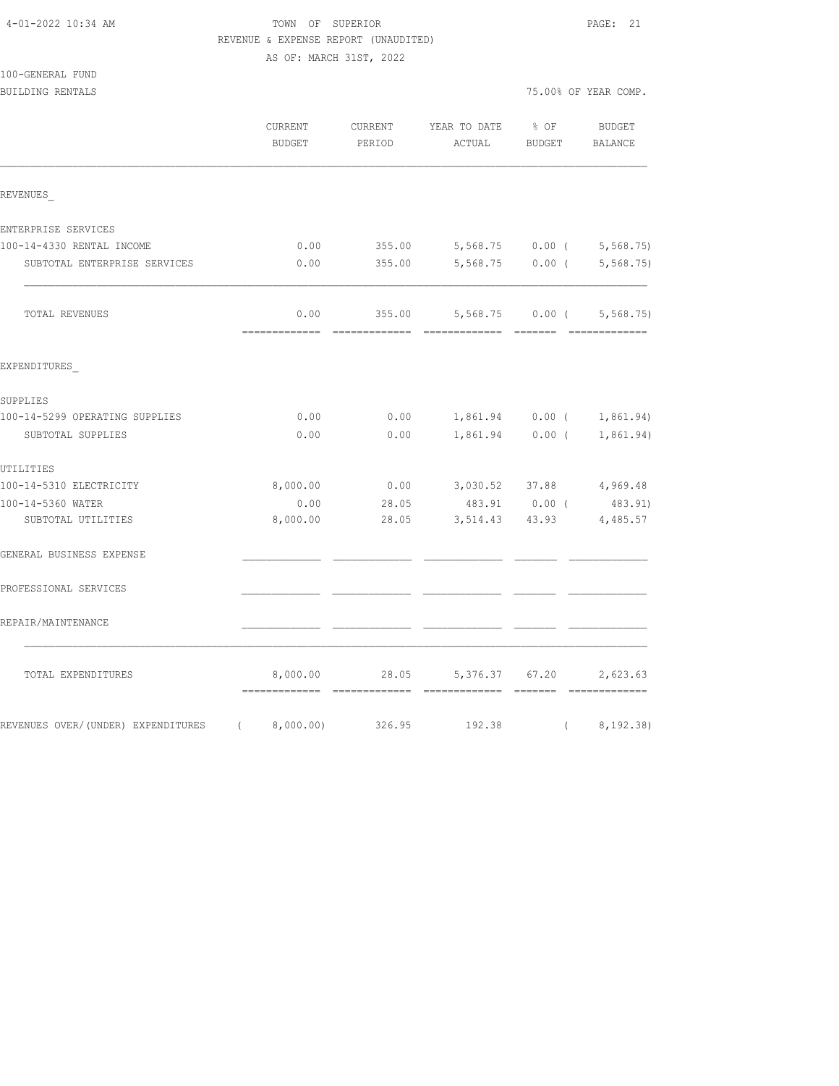# TOWN OF SUPERIOR **PAGE:** 21 REVENUE & EXPENSE REPORT (UNAUDITED)

| 100-GENERAL FUND |  |
|------------------|--|
|                  |  |

|                                                            | CURRENT<br><b>BUDGET</b> | CURRENT<br>PERIOD | YEAR TO DATE<br>ACTUAL | % OF<br><b>BUDGET</b>     | <b>BUDGET</b><br>BALANCE |
|------------------------------------------------------------|--------------------------|-------------------|------------------------|---------------------------|--------------------------|
| REVENUES                                                   |                          |                   |                        |                           |                          |
| ENTERPRISE SERVICES                                        |                          |                   |                        |                           |                          |
| 100-14-4330 RENTAL INCOME                                  | 0.00                     | 355.00            |                        | 5,568.75 0.00 (           | 5, 568.75                |
| SUBTOTAL ENTERPRISE SERVICES                               | 0.00                     | 355.00            | 5,568.75               | $0.00$ (                  | 5, 568, 75               |
| TOTAL REVENUES                                             | 0.00<br>=============    | 355.00            | 5,568.75<br>========   | $0.00$ (<br><b>BEEFEE</b> | 5,568.75<br>==========   |
| EXPENDITURES                                               |                          |                   |                        |                           |                          |
| SUPPLIES                                                   |                          |                   |                        |                           |                          |
| 100-14-5299 OPERATING SUPPLIES                             | 0.00                     | 0.00              | 1,861.94               | $0.00$ (                  | 1,861.94)                |
| SUBTOTAL SUPPLIES                                          | 0.00                     | 0.00              | 1,861.94               | $0.00$ (                  | 1,861.94)                |
| UTILITIES                                                  |                          |                   |                        |                           |                          |
| 100-14-5310 ELECTRICITY                                    | 8,000.00                 | 0.00              | 3,030.52 37.88         |                           | 4,969.48                 |
| 100-14-5360 WATER                                          | 0.00                     | 28.05             |                        | 483.91 0.00 (             | 483.91)                  |
| SUBTOTAL UTILITIES                                         | 8,000.00                 | 28.05             | $3,514.43$ 43.93       |                           | 4,485.57                 |
| GENERAL BUSINESS EXPENSE                                   |                          |                   |                        |                           |                          |
| PROFESSIONAL SERVICES                                      |                          |                   |                        |                           |                          |
| REPAIR/MAINTENANCE                                         |                          |                   |                        |                           |                          |
| TOTAL EXPENDITURES                                         | 8,000.00<br>----------   | 28.05             | 5,376.37               | 67.20                     | 2,623.63                 |
| REVENUES OVER/(UNDER) EXPENDITURES<br>$\sim$ $\sim$ $\sim$ | 8,000.00)                | 326.95            | 192.38                 | $\left($                  | 8,192.38)                |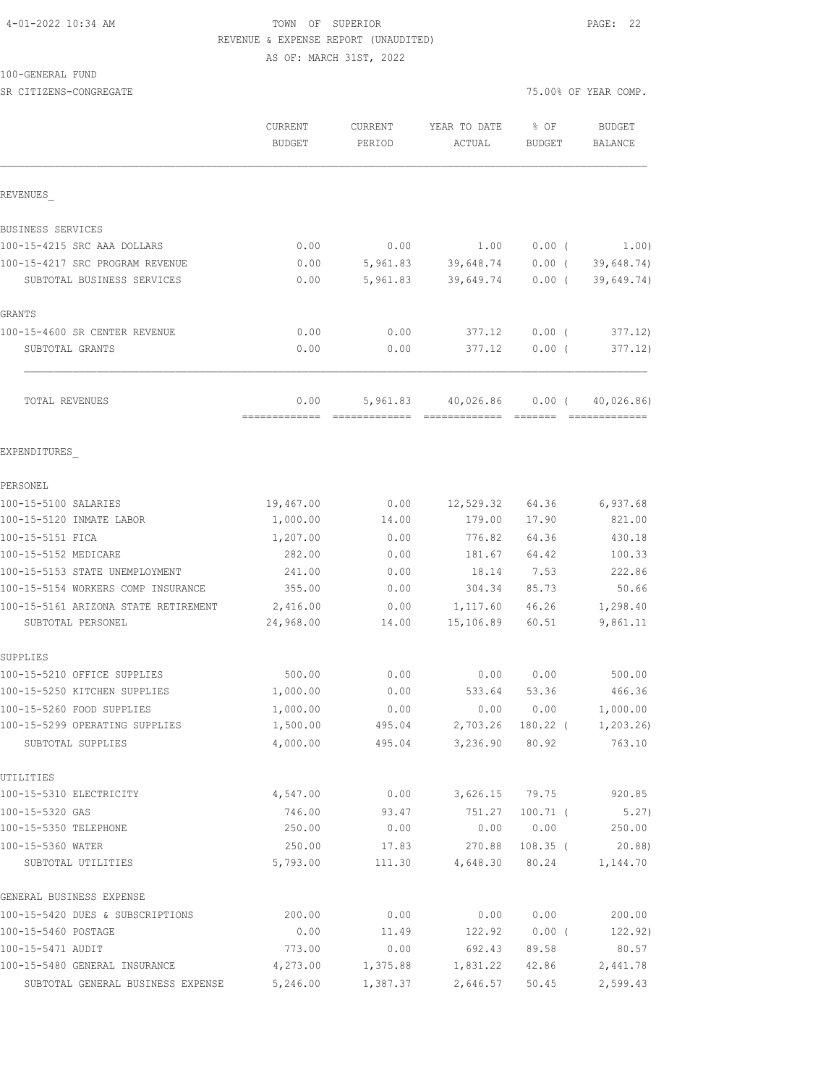### 4-01-2022 10:34 AM TOWN OF SUPERIOR PAGE: 22 REVENUE & EXPENSE REPORT (UNAUDITED)

AS OF: MARCH 31ST, 2022

#### 100-GENERAL FUND

| SR CITIZENS-CONGREGATE               |                          |                          |                        |                       | 75.00% OF YEAR COMP.     |
|--------------------------------------|--------------------------|--------------------------|------------------------|-----------------------|--------------------------|
|                                      | <b>CURRENT</b><br>BUDGET | <b>CURRENT</b><br>PERIOD | YEAR TO DATE<br>ACTUAL | % OF<br><b>BUDGET</b> | <b>BUDGET</b><br>BALANCE |
|                                      |                          |                          |                        |                       |                          |
| REVENUES                             |                          |                          |                        |                       |                          |
| BUSINESS SERVICES                    |                          |                          |                        |                       |                          |
| 100-15-4215 SRC AAA DOLLARS          | 0.00                     | 0.00                     | 1.00                   | $0.00$ (              | 1.00)                    |
| 100-15-4217 SRC PROGRAM REVENUE      | 0.00                     | 5,961.83                 | 39,648.74              | $0.00$ (              | 39,648.74)               |
| SUBTOTAL BUSINESS SERVICES           | 0.00                     | 5,961.83                 | 39,649.74              | $0.00$ (              | 39,649.74)               |
| GRANTS                               |                          |                          |                        |                       |                          |
| 100-15-4600 SR CENTER REVENUE        | 0.00                     | 0.00                     | 377.12                 | $0.00$ (              | 377.12)                  |
| SUBTOTAL GRANTS                      | 0.00                     | 0.00                     | 377.12                 | $0.00$ (              | 377.12)                  |
| TOTAL REVENUES                       | 0.00                     | 5,961.83                 | 40,026.86              | $0.00$ (              | 40,026.86)               |
|                                      | =============            |                          | -------------          | --------              | =============            |
| EXPENDITURES                         |                          |                          |                        |                       |                          |
| PERSONEL                             |                          |                          |                        |                       |                          |
| 100-15-5100 SALARIES                 | 19,467.00                | 0.00                     | 12,529.32              | 64.36                 | 6,937.68                 |
| 100-15-5120 INMATE LABOR             | 1,000.00                 | 14.00                    | 179.00                 | 17.90                 | 821.00                   |
| 100-15-5151 FICA                     | 1,207.00                 | 0.00                     | 776.82                 | 64.36                 | 430.18                   |
| 100-15-5152 MEDICARE                 | 282.00                   | 0.00                     | 181.67                 | 64.42                 | 100.33                   |
| 100-15-5153 STATE UNEMPLOYMENT       | 241.00                   | 0.00                     | 18.14                  | 7.53                  | 222.86                   |
| 100-15-5154 WORKERS COMP INSURANCE   | 355.00                   | 0.00                     | 304.34                 | 85.73                 | 50.66                    |
| 100-15-5161 ARIZONA STATE RETIREMENT | 2,416.00                 | 0.00                     | 1,117.60               | 46.26                 | 1,298.40                 |
| SUBTOTAL PERSONEL                    | 24,968.00                | 14.00                    | 15,106.89              | 60.51                 | 9,861.11                 |
| SUPPLIES                             |                          |                          |                        |                       |                          |
| 100-15-5210 OFFICE SUPPLIES          | 500.00                   | 0.00                     | 0.00                   | 0.00                  | 500.00                   |
| 100-15-5250 KITCHEN SUPPLIES         | 1,000.00                 | 0.00                     | 533.64                 | 53.36                 | 466.36                   |
| 100-15-5260 FOOD SUPPLIES            | 1,000.00                 | 0.00                     | 0.00                   | 0.00                  | 1,000.00                 |
| 100-15-5299 OPERATING SUPPLIES       | 1,500.00                 | 495.04                   | 2,703.26               | 180.22 (              | 1, 203.26                |
| SUBTOTAL SUPPLIES                    | 4,000.00                 | 495.04                   | 3,236.90               | 80.92                 | 763.10                   |
| UTILITIES                            |                          |                          |                        |                       |                          |
| 100-15-5310 ELECTRICITY              | 4,547.00                 | 0.00                     | 3,626.15               | 79.75                 | 920.85                   |
| 100-15-5320 GAS                      | 746.00                   | 93.47                    | 751.27                 | $100.71$ (            | 5.27)                    |
| 100-15-5350 TELEPHONE                | 250.00                   | 0.00                     | 0.00                   | 0.00                  | 250.00                   |
| 100-15-5360 WATER                    | 250.00                   | 17.83                    | 270.88                 | $108.35$ (            | 20.88)                   |
| SUBTOTAL UTILITIES                   | 5,793.00                 | 111.30                   | 4,648.30               | 80.24                 | 1,144.70                 |
| GENERAL BUSINESS EXPENSE             |                          |                          |                        |                       |                          |
| 100-15-5420 DUES & SUBSCRIPTIONS     | 200.00                   | 0.00                     | 0.00                   | 0.00                  | 200.00                   |
| 100-15-5460 POSTAGE                  | 0.00                     | 11.49                    | 122.92                 | $0.00$ (              | 122.92)                  |
| 100-15-5471 AUDIT                    | 773.00                   | 0.00                     | 692.43                 | 89.58                 | 80.57                    |
| 100-15-5480 GENERAL INSURANCE        | 4,273.00                 | 1,375.88                 | 1,831.22               | 42.86                 | 2,441.78                 |
| SUBTOTAL GENERAL BUSINESS EXPENSE    | 5,246.00                 | 1,387.37                 | 2,646.57               | 50.45                 | 2,599.43                 |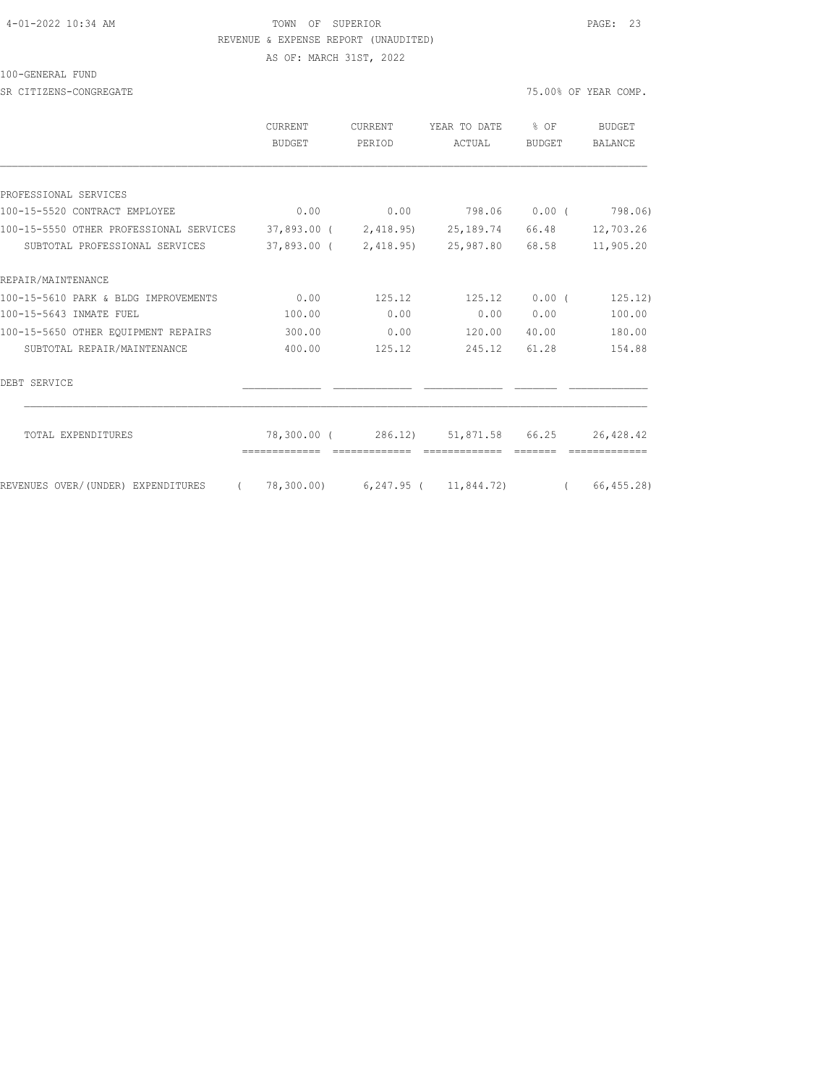#### 4-01-2022 10:34 AM TOWN OF SUPERIOR PAGE: 23 REVENUE & EXPENSE REPORT (UNAUDITED)

AS OF: MARCH 31ST, 2022

100-GENERAL FUND

SR CITIZENS-CONGREGATE SERVICES AND RESOLUTION OF THE SERVICES OF STRAINING OF YEAR COMP.

|                                                                                        | <b>CURRENT</b><br>BUDGET | <b>CURRENT</b><br>PERIOD | YEAR TO DATE<br>ACTUAL                        | $8$ OF<br><b>BUDGET</b> | BUDGET<br><b>BALANCE</b> |
|----------------------------------------------------------------------------------------|--------------------------|--------------------------|-----------------------------------------------|-------------------------|--------------------------|
|                                                                                        |                          |                          |                                               |                         |                          |
| PROFESSIONAL SERVICES                                                                  |                          |                          |                                               |                         |                          |
| 100-15-5520 CONTRACT EMPLOYEE                                                          | 0.00                     |                          | $0.00$ 798.06 0.00 ( 798.06)                  |                         |                          |
| 100-15-5550 OTHER PROFESSIONAL SERVICES 37,893.00 (2,418.95) 25,189.74 66.48 12,703.26 |                          |                          |                                               |                         |                          |
| SUBTOTAL PROFESSIONAL SERVICES                                                         |                          |                          | 37,893.00 ( 2,418.95) 25,987.80 68.58         |                         | 11,905.20                |
| REPAIR/MAINTENANCE                                                                     |                          |                          |                                               |                         |                          |
| 100-15-5610 PARK & BLDG IMPROVEMENTS                                                   | 0.00                     | 125.12                   | 125.12                                        | $0.00$ (                | 125.12)                  |
| 100-15-5643 INMATE FUEL                                                                | 100.00                   | 0.00                     | 0.00                                          | 0.00                    | 100.00                   |
| 100-15-5650 OTHER EQUIPMENT REPAIRS                                                    | 300.00                   | 0.00                     | 120.00                                        | 40.00                   | 180.00                   |
| SUBTOTAL REPAIR/MAINTENANCE                                                            | 400.00                   | 125.12                   | 245.12                                        | 61.28                   | 154.88                   |
| DEBT SERVICE                                                                           |                          |                          |                                               |                         |                          |
| TOTAL EXPENDITURES                                                                     |                          |                          | 78,300.00 (286.12) 51,871.58 66.25            |                         | 26,428.42                |
| REVENUES OVER/(UNDER) EXPENDITURES<br>$\sim$ $\sim$ $\sim$                             |                          |                          | 78,300.00) 6,247.95 ( 11,844.72) ( 66,455.28) |                         |                          |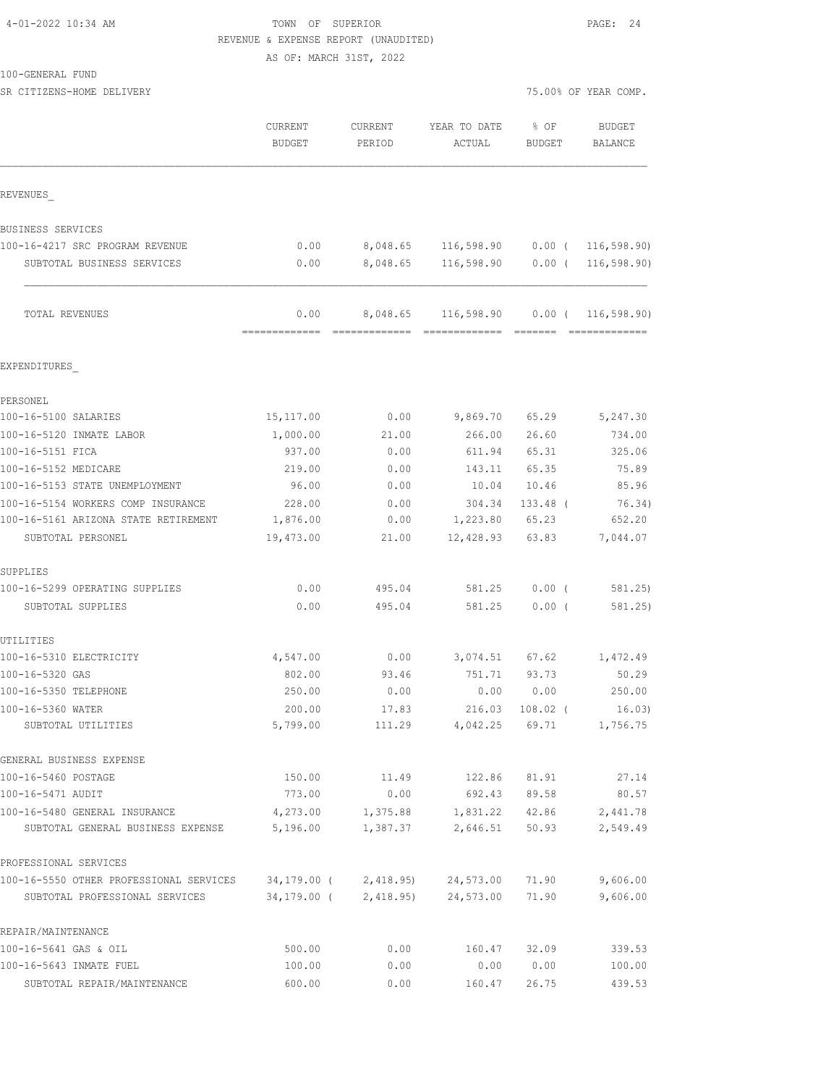### 4-01-2022 10:34 AM TOWN OF SUPERIOR PAGE: 24 REVENUE & EXPENSE REPORT (UNAUDITED)

AS OF: MARCH 31ST, 2022

| 100-GENERAL FUND |  |
|------------------|--|
|------------------|--|

| SR CITIZENS-HOME DELIVERY               |                                 |                          |                                        | 75.00% OF YEAR COMP.  |                          |  |
|-----------------------------------------|---------------------------------|--------------------------|----------------------------------------|-----------------------|--------------------------|--|
|                                         | <b>CURRENT</b><br>BUDGET        | <b>CURRENT</b><br>PERIOD | YEAR TO DATE<br>ACTUAL                 | % OF<br><b>BUDGET</b> | <b>BUDGET</b><br>BALANCE |  |
| REVENUES                                |                                 |                          |                                        |                       |                          |  |
| BUSINESS SERVICES                       |                                 |                          |                                        |                       |                          |  |
| 100-16-4217 SRC PROGRAM REVENUE         | 0.00                            |                          | 8,048.65 116,598.90 0.00 ( 116,598.90) |                       |                          |  |
| SUBTOTAL BUSINESS SERVICES              | 0.00                            | 8,048.65                 |                                        |                       |                          |  |
| TOTAL REVENUES                          | 0.00                            |                          | 8,048.65 116,598.90                    |                       | $0.00$ ( 116,598.90)     |  |
| EXPENDITURES                            |                                 |                          |                                        |                       |                          |  |
| PERSONEL                                |                                 |                          |                                        |                       |                          |  |
| 100-16-5100 SALARIES                    | 15, 117.00                      | 0.00                     | 9,869.70                               | 65.29                 | 5,247.30                 |  |
| 100-16-5120 INMATE LABOR                | 1,000.00                        | 21.00                    | 266.00                                 | 26.60                 | 734.00                   |  |
| 100-16-5151 FICA                        | 937.00                          | 0.00                     | 611.94                                 | 65.31                 | 325.06                   |  |
| 100-16-5152 MEDICARE                    | 219.00                          | 0.00                     | 143.11                                 | 65.35                 | 75.89                    |  |
| 100-16-5153 STATE UNEMPLOYMENT          | 96.00                           | 0.00                     | 10.04                                  | 10.46                 | 85.96                    |  |
| 100-16-5154 WORKERS COMP INSURANCE      | 228.00                          | 0.00                     | 304.34                                 | $133.48$ (            | 76.34)                   |  |
| 100-16-5161 ARIZONA STATE RETIREMENT    | 1,876.00                        | 0.00                     | 1,223.80                               | 65.23                 | 652.20                   |  |
| SUBTOTAL PERSONEL                       | 19,473.00                       | 21.00                    | 12,428.93                              | 63.83                 | 7,044.07                 |  |
| SUPPLIES                                |                                 |                          |                                        |                       |                          |  |
| 100-16-5299 OPERATING SUPPLIES          | 0.00                            | 495.04                   | 581.25                                 | $0.00$ (              | 581.25)                  |  |
| SUBTOTAL SUPPLIES                       | 0.00                            | 495.04                   | 581.25                                 | 0.00(                 | 581.25)                  |  |
| UTILITIES                               |                                 |                          |                                        |                       |                          |  |
| 100-16-5310 ELECTRICITY                 | 4,547.00                        | 0.00                     | 3,074.51                               | 67.62                 | 1,472.49                 |  |
| 100-16-5320 GAS                         | 802.00                          | 93.46                    | 751.71                                 | 93.73                 | 50.29                    |  |
| 100-16-5350 TELEPHONE                   | 250.00                          | 0.00                     | 0.00                                   | 0.00                  | 250.00                   |  |
| 100-16-5360 WATER                       | 200.00                          | 17.83                    | 216.03                                 | 108.02 (              | 16.03)                   |  |
| SUBTOTAL UTILITIES                      | 5,799.00                        | 111.29                   | 4,042.25                               | 69.71                 | 1,756.75                 |  |
| GENERAL BUSINESS EXPENSE                |                                 |                          |                                        |                       |                          |  |
| 100-16-5460 POSTAGE                     | 150.00                          | 11.49                    | 122.86                                 | 81.91                 | 27.14                    |  |
| 100-16-5471 AUDIT                       | 773.00                          | 0.00                     | 692.43                                 | 89.58                 | 80.57                    |  |
| 100-16-5480 GENERAL INSURANCE           | 4,273.00                        | 1,375.88                 | 1,831.22                               | 42.86                 | 2,441.78                 |  |
| SUBTOTAL GENERAL BUSINESS EXPENSE       | 5,196.00                        | 1,387.37                 | 2,646.51                               | 50.93                 | 2,549.49                 |  |
| PROFESSIONAL SERVICES                   |                                 |                          |                                        |                       |                          |  |
| 100-16-5550 OTHER PROFESSIONAL SERVICES | 34,179.00 ( 2,418.95) 24,573.00 |                          |                                        | 71.90                 | 9,606.00                 |  |
| SUBTOTAL PROFESSIONAL SERVICES          |                                 | 34,179.00 ( 2,418.95)    | 24,573.00                              | 71.90                 | 9,606.00                 |  |
| REPAIR/MAINTENANCE                      |                                 |                          |                                        |                       |                          |  |
| 100-16-5641 GAS & OIL                   | 500.00                          | 0.00                     | 160.47                                 | 32.09                 | 339.53                   |  |
| 100-16-5643 INMATE FUEL                 | 100.00                          | 0.00                     | 0.00                                   | 0.00                  | 100.00                   |  |

SUBTOTAL REPAIR/MAINTENANCE 600.00 0.00 160.47 26.75 439.53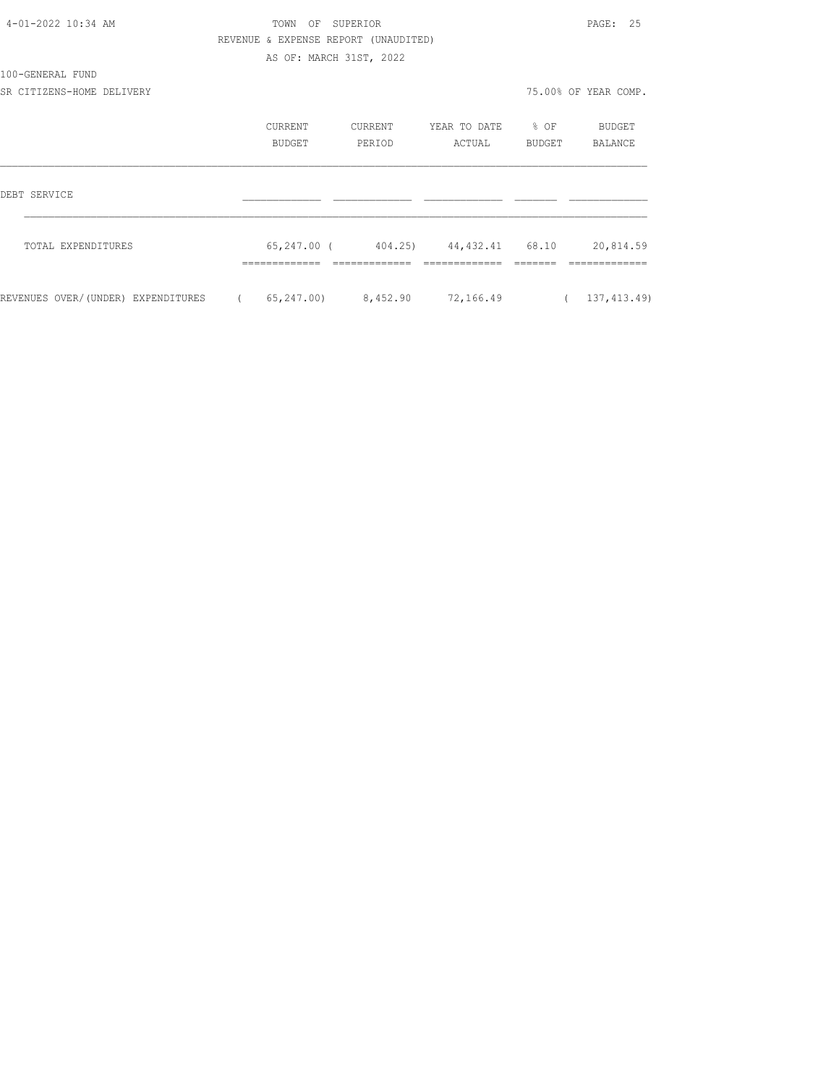| 4-01-2022 10:34 AM                 |            | TOWN OF SUPERIOR                     |         |                                                 |        | PAGE: 25             |
|------------------------------------|------------|--------------------------------------|---------|-------------------------------------------------|--------|----------------------|
|                                    |            | REVENUE & EXPENSE REPORT (UNAUDITED) |         |                                                 |        |                      |
|                                    |            | AS OF: MARCH 31ST, 2022              |         |                                                 |        |                      |
| 100-GENERAL FUND                   |            |                                      |         |                                                 |        |                      |
| SR CITIZENS-HOME DELIVERY          |            |                                      |         |                                                 |        | 75.00% OF YEAR COMP. |
|                                    |            | CURRENT                              | CURRENT | YEAR TO DATE 8 OF                               |        | BUDGET               |
|                                    |            | <b>BUDGET</b>                        | PERIOD  | ACTUAL                                          | BUDGET | BALANCE              |
| DEBT SERVICE                       |            |                                      |         |                                                 |        |                      |
| TOTAL EXPENDITURES                 |            |                                      |         | 65, 247.00 (404.25) 44, 432.41 68.10 20, 814.59 |        |                      |
|                                    |            |                                      |         |                                                 |        |                      |
| REVENUES OVER/(UNDER) EXPENDITURES | $\sqrt{2}$ | 65,247.00) 8,452.90                  |         | 72,166.49                                       |        | (137, 413.49)        |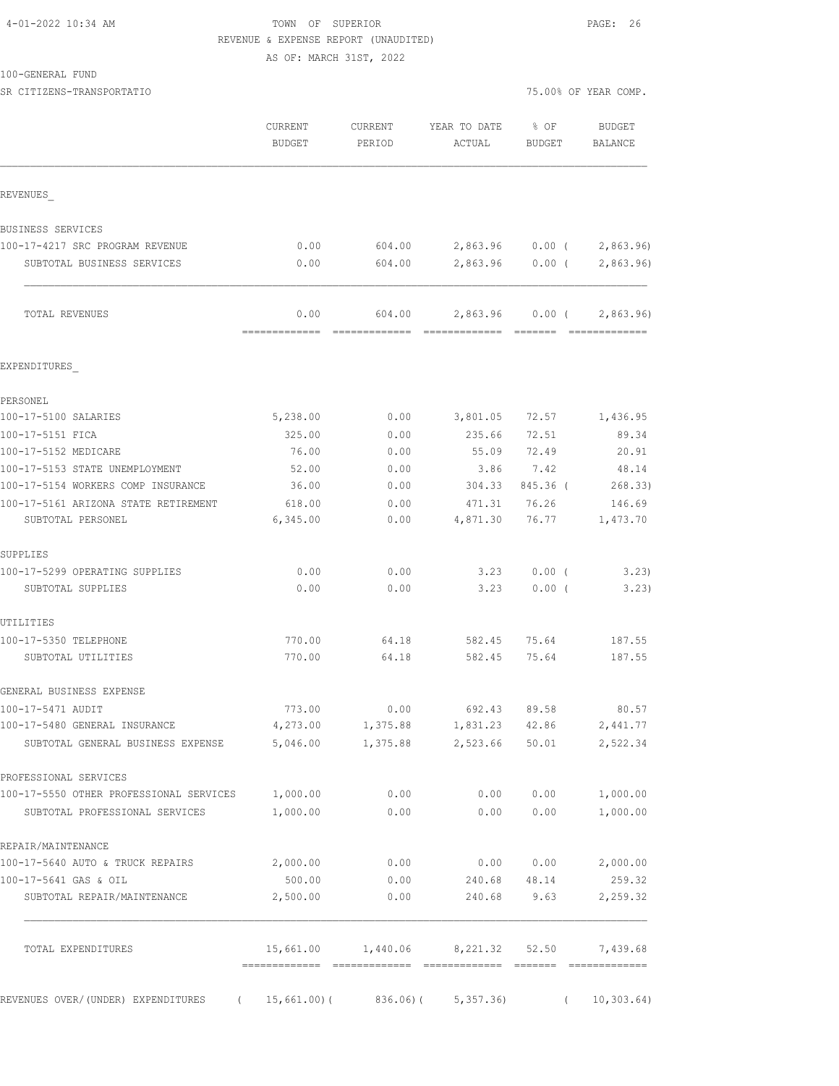| 4-01-2022 10:34 AM |  |  |
|--------------------|--|--|
|--------------------|--|--|

### TOWN OF SUPERIOR **Example 20:24** PAGE: 26 REVENUE & EXPENSE REPORT (UNAUDITED) AS OF: MARCH 31ST, 2022

100-GENERAL FUND

SR CITIZENS-TRANSPORTATIO **1999** CHAR COMP.

|                                                  | CURRENT<br>BUDGET | CURRENT<br>PERIOD | YEAR TO DATE<br>ACTUAL          | $8$ OF<br>BUDGET | BUDGET<br>BALANCE                           |
|--------------------------------------------------|-------------------|-------------------|---------------------------------|------------------|---------------------------------------------|
| REVENUES                                         |                   |                   |                                 |                  |                                             |
| BUSINESS SERVICES                                |                   |                   |                                 |                  |                                             |
| 100-17-4217 SRC PROGRAM REVENUE                  | 0.00              |                   | 604.00 2,863.96 0.00 (          |                  | 2,863.96)                                   |
| SUBTOTAL BUSINESS SERVICES                       | 0.00              | 604.00            | 2,863.96 0.00 (                 |                  | 2,863.96)                                   |
| TOTAL REVENUES                                   | 0.00              | 604.00            |                                 |                  | 2,863.96 0.00 ( 2,863.96)<br>-------------- |
| EXPENDITURES                                     |                   |                   |                                 |                  |                                             |
| PERSONEL                                         |                   |                   |                                 |                  |                                             |
| 100-17-5100 SALARIES                             | 5,238.00          | 0.00              | 3,801.05 72.57                  |                  | 1,436.95                                    |
| 100-17-5151 FICA                                 | 325.00            | 0.00              | 235.66                          | 72.51            | 89.34                                       |
| 100-17-5152 MEDICARE                             | 76.00             | 0.00              |                                 | 55.09 72.49      | 20.91                                       |
| 100-17-5153 STATE UNEMPLOYMENT                   | 52.00             | 0.00              | 3.86                            | 7.42             | 48.14                                       |
| 100-17-5154 WORKERS COMP INSURANCE               | 36.00             | 0.00              | 304.33                          | 845.36 (         | 268.33)                                     |
| 100-17-5161 ARIZONA STATE RETIREMENT             | 618.00            | 0.00              | 471.31 76.26                    |                  | 146.69                                      |
| SUBTOTAL PERSONEL                                | 6,345.00          | 0.00              | 4,871.30                        | 76.77            | 1,473.70                                    |
| SUPPLIES                                         |                   |                   |                                 |                  |                                             |
| 100-17-5299 OPERATING SUPPLIES                   | 0.00              | 0.00              | 3.23                            | $0.00$ (         | 3.23                                        |
| SUBTOTAL SUPPLIES                                | 0.00              | 0.00              | 3.23                            | $0.00$ (         | 3.23)                                       |
| UTILITIES                                        |                   |                   |                                 |                  |                                             |
| 100-17-5350 TELEPHONE                            | 770.00            | 64.18             |                                 | 582.45 75.64     | 187.55                                      |
| SUBTOTAL UTILITIES                               | 770.00            | 64.18             | 582.45 75.64                    |                  | 187.55                                      |
| GENERAL BUSINESS EXPENSE                         |                   |                   |                                 |                  |                                             |
| 100-17-5471 AUDIT                                | 773.00            | 0.00              | 692.43 89.58                    |                  | 80.57                                       |
| 100-17-5480 GENERAL INSURANCE                    | 4,273.00          | 1,375.88          | 1,831.23                        | 42.86            | 2,441.77                                    |
| SUBTOTAL GENERAL BUSINESS EXPENSE                | 5,046.00          | 1,375.88          | 2,523.66                        | 50.01            | 2,522.34                                    |
| PROFESSIONAL SERVICES                            |                   |                   |                                 |                  |                                             |
| 100-17-5550 OTHER PROFESSIONAL SERVICES 1,000.00 |                   | 0.00              | 0.00                            | 0.00             | 1,000.00                                    |
| SUBTOTAL PROFESSIONAL SERVICES                   | 1,000.00          | 0.00              | 0.00                            | 0.00             | 1,000.00                                    |
| REPAIR/MAINTENANCE                               |                   |                   |                                 |                  |                                             |
| 100-17-5640 AUTO & TRUCK REPAIRS                 | 2,000.00          | 0.00              |                                 | 0.00 0.00        | 2,000.00                                    |
| 100-17-5641 GAS & OIL                            | 500.00            | 0.00              | 240.68                          | 48.14            | 259.32                                      |
| SUBTOTAL REPAIR/MAINTENANCE                      | 2,500.00          | 0.00              | 240.68                          | 9.63             | 2,259.32                                    |
| TOTAL EXPENDITURES                               |                   |                   | 15,661.00   1,440.06   8,221.32 | 52.50            | 7,439.68                                    |

REVENUES OVER/(UNDER) EXPENDITURES ( 15,661.00)( 836.06)( 5,357.36) ( 10,303.64)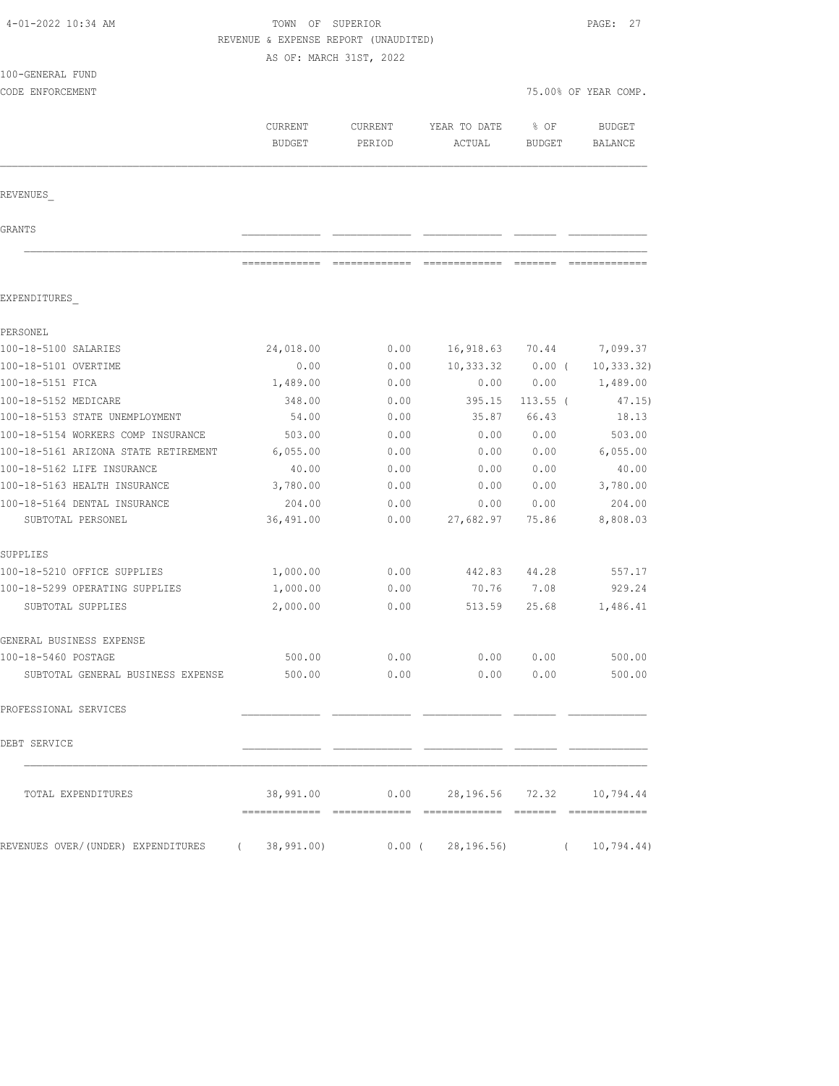| 4-01-2022 10:34 AM                                                       |               | TOWN OF SUPERIOR                                                                                                                                                                                                                                                                                                                                                                                                                                                                             |                                  |               |                      |  |
|--------------------------------------------------------------------------|---------------|----------------------------------------------------------------------------------------------------------------------------------------------------------------------------------------------------------------------------------------------------------------------------------------------------------------------------------------------------------------------------------------------------------------------------------------------------------------------------------------------|----------------------------------|---------------|----------------------|--|
|                                                                          |               | REVENUE & EXPENSE REPORT (UNAUDITED)                                                                                                                                                                                                                                                                                                                                                                                                                                                         |                                  |               |                      |  |
|                                                                          |               | AS OF: MARCH 31ST, 2022                                                                                                                                                                                                                                                                                                                                                                                                                                                                      |                                  |               |                      |  |
| 100-GENERAL FUND                                                         |               |                                                                                                                                                                                                                                                                                                                                                                                                                                                                                              |                                  |               |                      |  |
| CODE ENFORCEMENT                                                         |               |                                                                                                                                                                                                                                                                                                                                                                                                                                                                                              |                                  |               | 75.00% OF YEAR COMP. |  |
|                                                                          | CURRENT       | <b>CURRENT</b>                                                                                                                                                                                                                                                                                                                                                                                                                                                                               | YEAR TO DATE                     | % OF          | <b>BUDGET</b>        |  |
|                                                                          | <b>BUDGET</b> | PERIOD                                                                                                                                                                                                                                                                                                                                                                                                                                                                                       | ACTUAL                           | <b>BUDGET</b> | BALANCE              |  |
|                                                                          |               |                                                                                                                                                                                                                                                                                                                                                                                                                                                                                              |                                  |               |                      |  |
| REVENUES                                                                 |               |                                                                                                                                                                                                                                                                                                                                                                                                                                                                                              |                                  |               |                      |  |
|                                                                          |               |                                                                                                                                                                                                                                                                                                                                                                                                                                                                                              |                                  |               |                      |  |
| GRANTS                                                                   |               |                                                                                                                                                                                                                                                                                                                                                                                                                                                                                              |                                  |               |                      |  |
|                                                                          | ============= | $\begin{array}{c} \multicolumn{3}{c} {\textbf{1}} & \multicolumn{3}{c} {\textbf{2}} & \multicolumn{3}{c} {\textbf{3}} & \multicolumn{3}{c} {\textbf{4}} \\ \multicolumn{3}{c} {\textbf{5}} & \multicolumn{3}{c} {\textbf{6}} & \multicolumn{3}{c} {\textbf{7}} & \multicolumn{3}{c} {\textbf{8}} & \multicolumn{3}{c} {\textbf{9}} \\ \multicolumn{3}{c} {\textbf{1}} & \multicolumn{3}{c} {\textbf{1}} & \multicolumn{3}{c} {\textbf{1}} & \multicolumn{3}{c} {\textbf{1}} & \multicolumn{$ |                                  | --------      |                      |  |
| EXPENDITURES                                                             |               |                                                                                                                                                                                                                                                                                                                                                                                                                                                                                              |                                  |               |                      |  |
| PERSONEL                                                                 |               |                                                                                                                                                                                                                                                                                                                                                                                                                                                                                              |                                  |               |                      |  |
| 100-18-5100 SALARIES                                                     | 24,018.00     | 0.00                                                                                                                                                                                                                                                                                                                                                                                                                                                                                         | 16,918.63                        | 70.44         | 7,099.37             |  |
| 100-18-5101 OVERTIME                                                     | 0.00          | 0.00                                                                                                                                                                                                                                                                                                                                                                                                                                                                                         | 10,333.32                        | $0.00$ (      | 10, 333.32)          |  |
| 100-18-5151 FICA                                                         | 1,489.00      | 0.00                                                                                                                                                                                                                                                                                                                                                                                                                                                                                         | 0.00                             | 0.00          | 1,489.00             |  |
| 100-18-5152 MEDICARE                                                     | 348.00        | 0.00                                                                                                                                                                                                                                                                                                                                                                                                                                                                                         | 395.15                           | $113.55$ (    | 47.15)               |  |
| 100-18-5153 STATE UNEMPLOYMENT                                           | 54.00         | 0.00                                                                                                                                                                                                                                                                                                                                                                                                                                                                                         | 35.87                            | 66.43         | 18.13                |  |
| 100-18-5154 WORKERS COMP INSURANCE                                       | 503.00        | 0.00                                                                                                                                                                                                                                                                                                                                                                                                                                                                                         | 0.00                             | 0.00          | 503.00               |  |
| 100-18-5161 ARIZONA STATE RETIREMENT                                     | 6,055.00      | 0.00                                                                                                                                                                                                                                                                                                                                                                                                                                                                                         | 0.00                             | 0.00          | 6,055.00             |  |
| 100-18-5162 LIFE INSURANCE                                               | 40.00         | 0.00                                                                                                                                                                                                                                                                                                                                                                                                                                                                                         | 0.00                             | 0.00          | 40.00                |  |
| 100-18-5163 HEALTH INSURANCE                                             | 3,780.00      | 0.00                                                                                                                                                                                                                                                                                                                                                                                                                                                                                         | 0.00                             | 0.00          | 3,780.00             |  |
| 100-18-5164 DENTAL INSURANCE                                             | 204.00        | 0.00                                                                                                                                                                                                                                                                                                                                                                                                                                                                                         | 0.00                             | 0.00          | 204.00               |  |
| SUBTOTAL PERSONEL                                                        | 36,491.00     | 0.00                                                                                                                                                                                                                                                                                                                                                                                                                                                                                         | 27,682.97                        | 75.86         | 8,808.03             |  |
| SUPPLIES                                                                 |               |                                                                                                                                                                                                                                                                                                                                                                                                                                                                                              |                                  |               |                      |  |
| 100-18-5210 OFFICE SUPPLIES                                              | 1,000.00      | 0.00                                                                                                                                                                                                                                                                                                                                                                                                                                                                                         | 442.83                           | 44.28         | 557.17               |  |
| 100-18-5299 OPERATING SUPPLIES                                           | 1,000.00      | 0.00                                                                                                                                                                                                                                                                                                                                                                                                                                                                                         | 70.76                            | 7.08          | 929.24               |  |
| SUBTOTAL SUPPLIES                                                        | 2,000.00      | 0.00                                                                                                                                                                                                                                                                                                                                                                                                                                                                                         | 513.59                           | 25.68         | 1,486.41             |  |
| GENERAL BUSINESS EXPENSE                                                 |               |                                                                                                                                                                                                                                                                                                                                                                                                                                                                                              |                                  |               |                      |  |
| 100-18-5460 POSTAGE                                                      | 500.00        | 0.00                                                                                                                                                                                                                                                                                                                                                                                                                                                                                         | 0.00                             | 0.00          | 500.00               |  |
| SUBTOTAL GENERAL BUSINESS EXPENSE                                        | 500.00        | 0.00                                                                                                                                                                                                                                                                                                                                                                                                                                                                                         | 0.00                             | 0.00          | 500.00               |  |
| PROFESSIONAL SERVICES                                                    |               |                                                                                                                                                                                                                                                                                                                                                                                                                                                                                              |                                  |               |                      |  |
| DEBT SERVICE                                                             |               |                                                                                                                                                                                                                                                                                                                                                                                                                                                                                              |                                  |               |                      |  |
| TOTAL EXPENDITURES                                                       | 38,991.00     |                                                                                                                                                                                                                                                                                                                                                                                                                                                                                              | $0.00$ 28,196.56 72.32 10,794.44 |               |                      |  |
|                                                                          |               |                                                                                                                                                                                                                                                                                                                                                                                                                                                                                              |                                  |               |                      |  |
| REVENUES OVER/(UNDER) EXPENDITURES (  38,991.00)      0.00 (  28,196.56) |               |                                                                                                                                                                                                                                                                                                                                                                                                                                                                                              |                                  |               | (10, 794.44)         |  |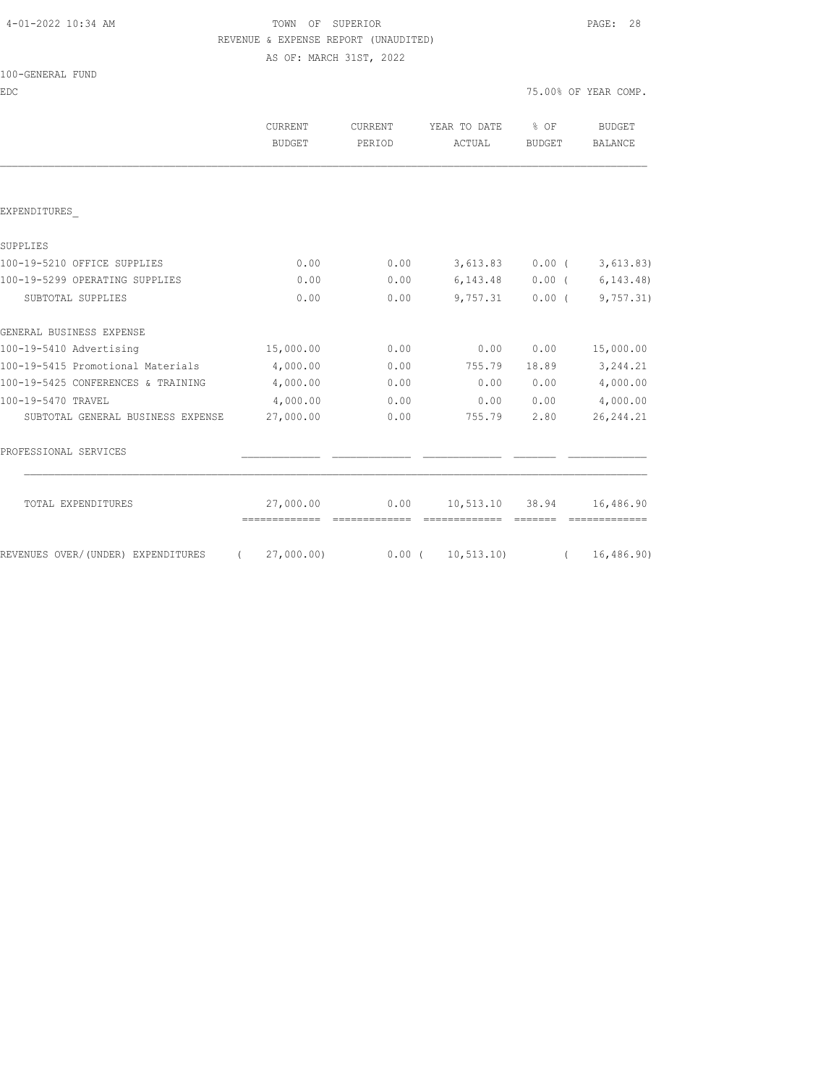# 4-01-2022 10:34 AM TOWN OF SUPERIOR PAGE: 28 REVENUE & EXPENSE REPORT (UNAUDITED)

AS OF: MARCH 31ST, 2022

|  | 100-GENERAL FUND |  |
|--|------------------|--|
|  |                  |  |

EDC 75.00% OF YEAR COMP.

|                                                | <b>CURRENT</b><br><b>BUDGET</b> | <b>CURRENT</b><br>PERIOD | YEAR TO DATE<br>ACTUAL | $\frac{1}{2}$ OF<br><b>BUDGET</b> | BUDGET<br><b>BALANCE</b>    |
|------------------------------------------------|---------------------------------|--------------------------|------------------------|-----------------------------------|-----------------------------|
|                                                |                                 |                          |                        |                                   |                             |
| EXPENDITURES                                   |                                 |                          |                        |                                   |                             |
| SUPPLIES                                       |                                 |                          |                        |                                   |                             |
| 100-19-5210 OFFICE SUPPLIES                    | 0.00                            | 0.00                     |                        |                                   | $3,613.83$ 0.00 ( 3,613.83) |
| 100-19-5299 OPERATING SUPPLIES                 | 0.00                            | 0.00                     | 6, 143. 48             |                                   | $0.00$ ( $6,143.48$ )       |
| SUBTOTAL SUPPLIES                              | 0.00                            | 0.00                     | 9,757.31               | $0.00$ (                          | 9,757.31)                   |
| GENERAL BUSINESS EXPENSE                       |                                 |                          |                        |                                   |                             |
| 100-19-5410 Advertising                        | 15,000.00                       | 0.00                     | 0.00                   | 0.00                              | 15,000.00                   |
| 100-19-5415 Promotional Materials              | 4,000.00                        | 0.00                     | 755.79                 | 18.89                             | 3,244.21                    |
| 100-19-5425 CONFERENCES & TRAINING             | 4,000.00                        | 0.00                     | 0.00                   | 0.00                              | 4,000.00                    |
| 100-19-5470 TRAVEL                             | 4,000.00                        | 0.00                     | 0.00                   | 0.00                              | 4,000.00                    |
| SUBTOTAL GENERAL BUSINESS EXPENSE              | 27,000.00                       | 0.00                     | 755.79                 | 2.80                              | 26, 244.21                  |
| PROFESSIONAL SERVICES                          |                                 |                          |                        |                                   |                             |
| TOTAL EXPENDITURES                             | 27,000.00<br>=============      | 0.00                     | 10,513.10 38.94        |                                   | 16,486.90                   |
| REVENUES OVER/(UNDER) EXPENDITURES<br>$\left($ | 27,000.00)                      |                          | $0.00$ ( $10,513.10$ ) | $\left($                          | 16,486.90)                  |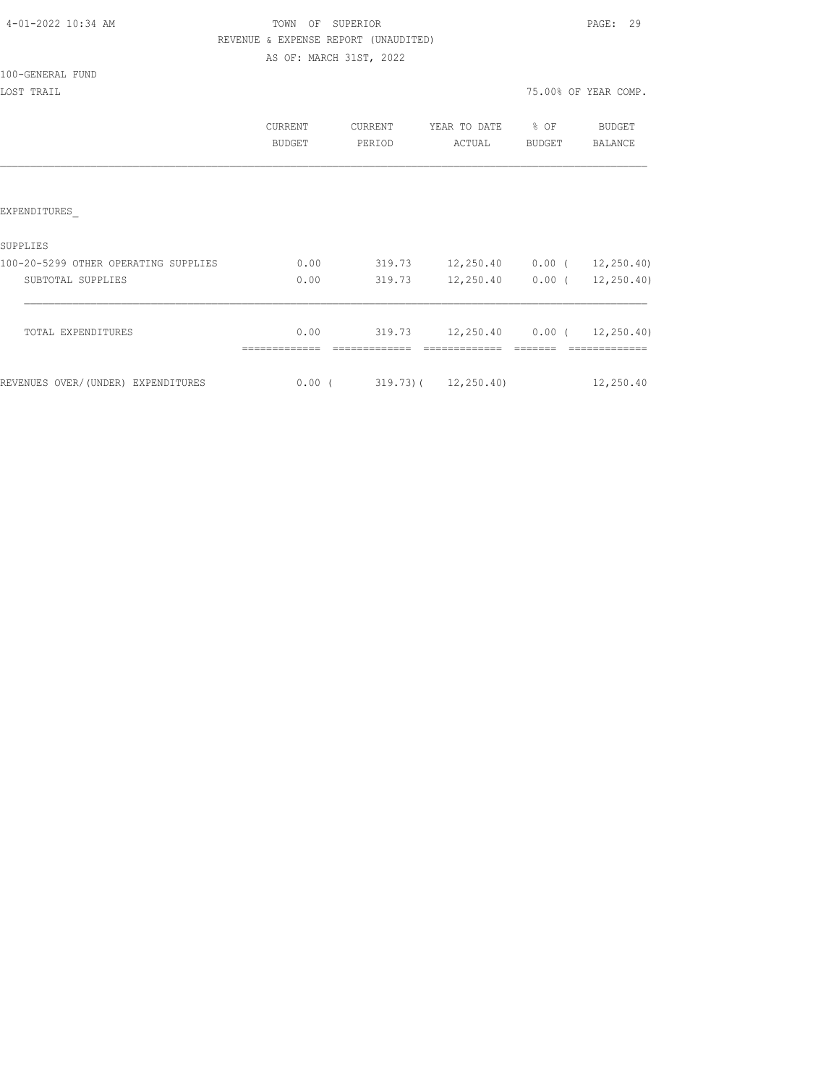|  |  |  | 4-01-2022 10:34 AM |  |
|--|--|--|--------------------|--|
|--|--|--|--------------------|--|

# TOWN OF SUPERIOR **PAGE:** 29 REVENUE & EXPENSE REPORT (UNAUDITED)

AS OF: MARCH 31ST, 2022

100-GENERAL FUND

|                                      | CURRENT<br><b>BUDGET</b> | <b>CURRENT</b><br>PERIOD | YEAR TO DATE<br>ACTUAL   | % OF<br><b>BUDGET</b> | <b>BUDGET</b><br>BALANCE |
|--------------------------------------|--------------------------|--------------------------|--------------------------|-----------------------|--------------------------|
|                                      |                          |                          |                          |                       |                          |
| EXPENDITURES                         |                          |                          |                          |                       |                          |
| SUPPLIES                             |                          |                          |                          |                       |                          |
| 100-20-5299 OTHER OPERATING SUPPLIES | 0.00                     | 319.73                   | 12,250.40                | $0.00$ (              | 12, 250.40               |
| SUBTOTAL SUPPLIES                    | 0.00                     | 319.73                   | 12,250.40                | $0.00$ (              | 12, 250.40               |
|                                      |                          |                          |                          |                       |                          |
| TOTAL EXPENDITURES                   | 0.00                     | 319.73                   | 12,250.40                |                       | 0.00(12,250.40)          |
| REVENUES OVER/(UNDER) EXPENDITURES   | $0.00$ (                 |                          | $319.73$ ( $12,250.40$ ) |                       | 12,250.40                |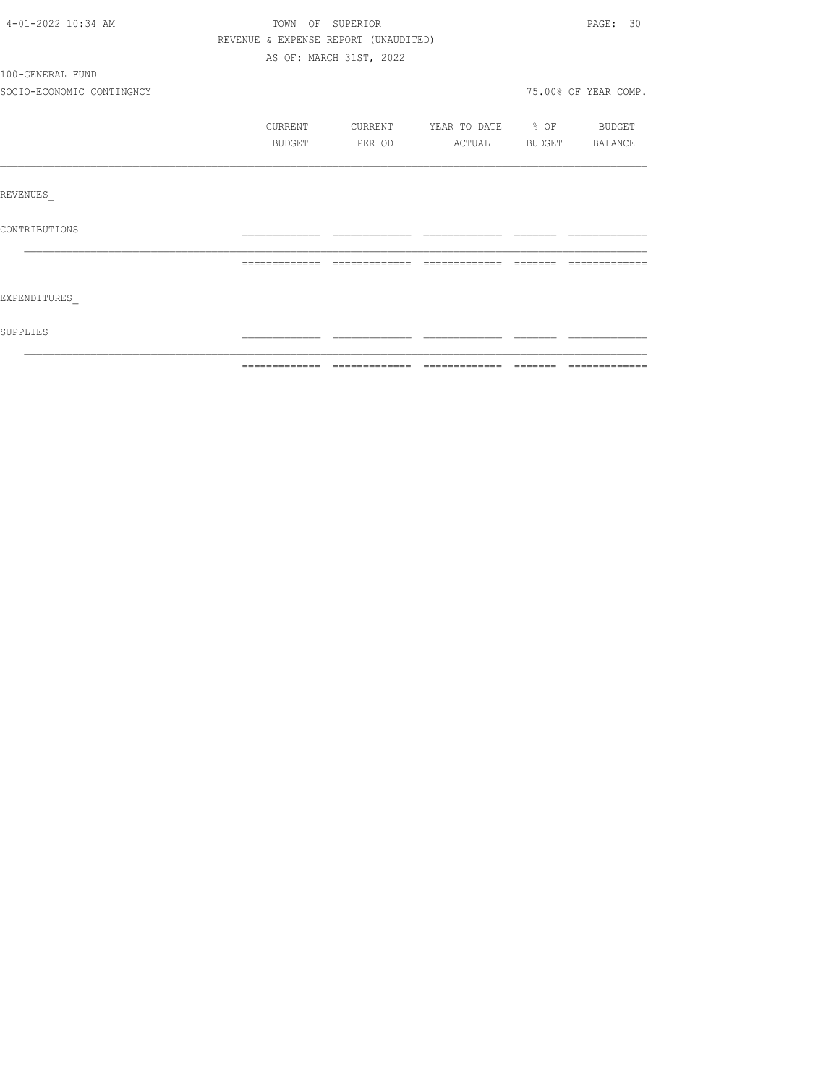| 4-01-2022 10:34 AM        |                | TOWN OF SUPERIOR                     |                          |          | PAGE: 30             |
|---------------------------|----------------|--------------------------------------|--------------------------|----------|----------------------|
|                           |                | REVENUE & EXPENSE REPORT (UNAUDITED) |                          |          |                      |
|                           |                | AS OF: MARCH 31ST, 2022              |                          |          |                      |
| 100-GENERAL FUND          |                |                                      |                          |          |                      |
| SOCIO-ECONOMIC CONTINGNCY |                |                                      |                          |          | 75.00% OF YEAR COMP. |
|                           | CURRENT        | CURRENT                              | YEAR TO DATE % OF BUDGET |          |                      |
|                           | BUDGET         | PERIOD                               | ACTUAL                   | BUDGET   | BALANCE              |
|                           |                |                                      |                          |          |                      |
| REVENUES                  |                |                                      |                          |          |                      |
| CONTRIBUTIONS             |                |                                      |                          |          |                      |
|                           | -------------- | -------------                        | -------------            | -------- |                      |
| EXPENDITURES              |                |                                      |                          |          |                      |
| SUPPLIES                  |                |                                      |                          |          |                      |
|                           |                |                                      |                          |          |                      |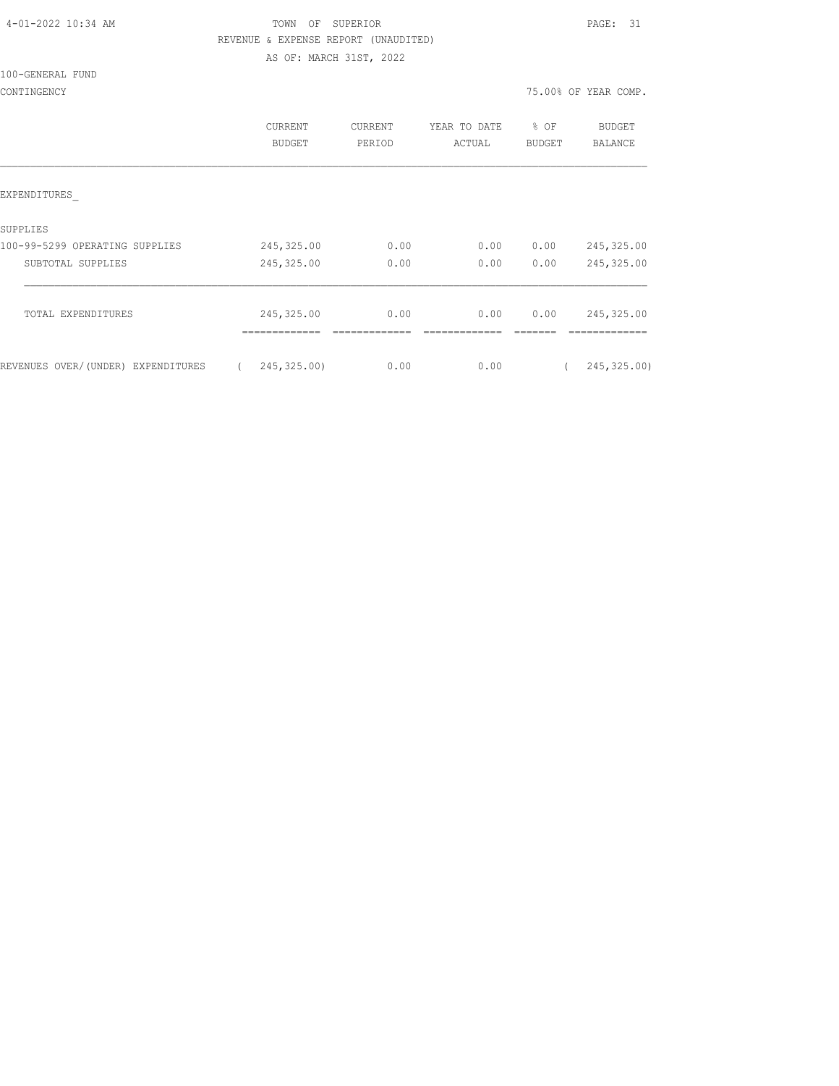| 4-01-2022 10:34 AM |  |
|--------------------|--|
|                    |  |

# TOWN OF SUPERIOR **PAGE:** 31 REVENUE & EXPENSE REPORT (UNAUDITED)

AS OF: MARCH 31ST, 2022

100-GENERAL FUND

|                                    | <b>CURRENT</b><br>BUDGET | CURRENT<br>PERIOD | YEAR TO DATE<br>ACTUAL | % OF<br><b>BUDGET</b> | <b>BUDGET</b><br>BALANCE |
|------------------------------------|--------------------------|-------------------|------------------------|-----------------------|--------------------------|
| EXPENDITURES                       |                          |                   |                        |                       |                          |
| SUPPLIES                           |                          |                   |                        |                       |                          |
| 100-99-5299 OPERATING SUPPLIES     | 245,325.00               | 0.00              | 0.00                   | 0.00                  | 245,325.00               |
| SUBTOTAL SUPPLIES                  | 245,325.00               | 0.00              | 0.00                   | 0.00                  | 245,325.00               |
| TOTAL EXPENDITURES                 | 245, 325.00              | 0.00              | 0.00                   | 0.00                  | 245,325.00               |
|                                    | -------------            |                   |                        |                       |                          |
| REVENUES OVER/(UNDER) EXPENDITURES | 245,325.00)              | 0.00              | 0.00                   |                       | 245, 325.00)             |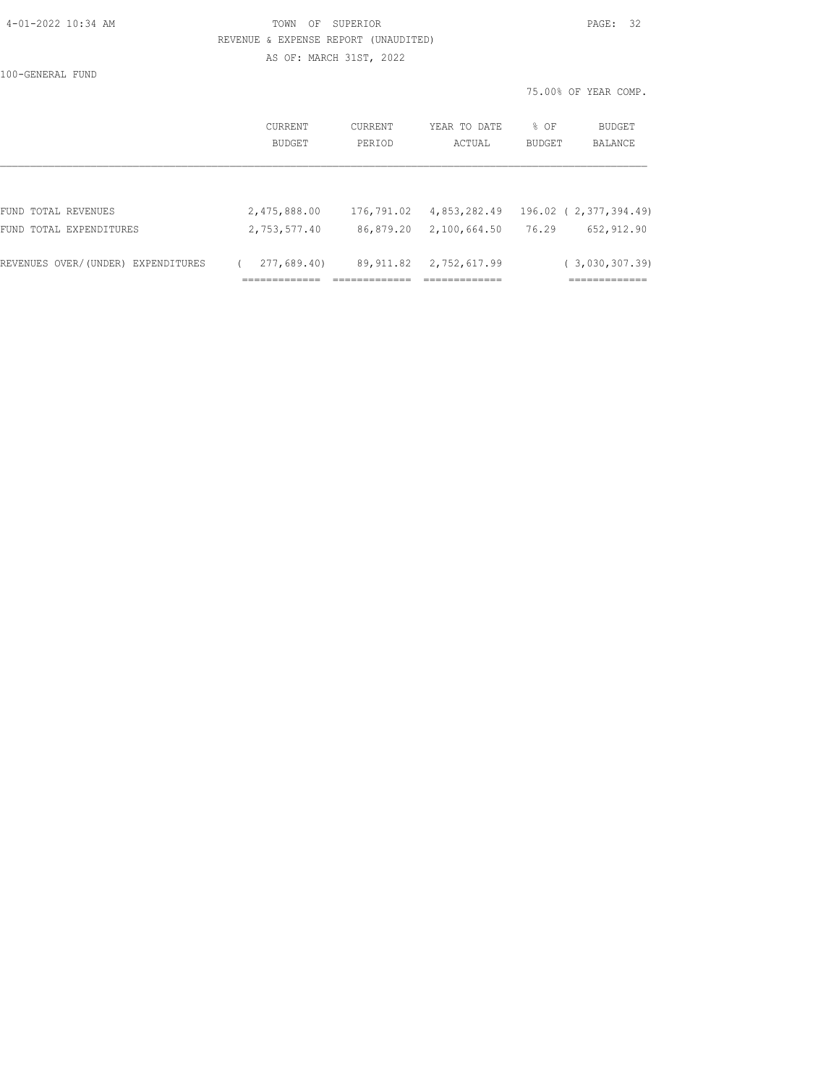|  | 4-01-2022 10:34 AM |  |
|--|--------------------|--|
|  |                    |  |

# TOWN OF SUPERIOR **PAGE:** 32 REVENUE & EXPENSE REPORT (UNAUDITED)

AS OF: MARCH 31ST, 2022

100-GENERAL FUND

|                                    |                          |                          |                        |                       | 75.00% OF YEAR COMP.   |
|------------------------------------|--------------------------|--------------------------|------------------------|-----------------------|------------------------|
|                                    | <b>CURRENT</b><br>BUDGET | <b>CURRENT</b><br>PERIOD | YEAR TO DATE<br>ACTUAL | % OF<br><b>BUDGET</b> | BUDGET<br>BALANCE      |
|                                    |                          |                          |                        |                       |                        |
| FUND TOTAL REVENUES                | 2,475,888.00             | 176,791.02               | 4,853,282.49           |                       | 196.02 ( 2,377,394.49) |
| FUND TOTAL EXPENDITURES            | 2,753,577.40             | 86,879.20                | 2,100,664.50           | 76.29                 | 652,912.90             |
| REVENUES OVER/(UNDER) EXPENDITURES | 277,689.40)              | 89,911.82                | 2,752,617.99           |                       | (3,030,307.39)         |
|                                    | ===========              |                          | .============          |                       | ,------------          |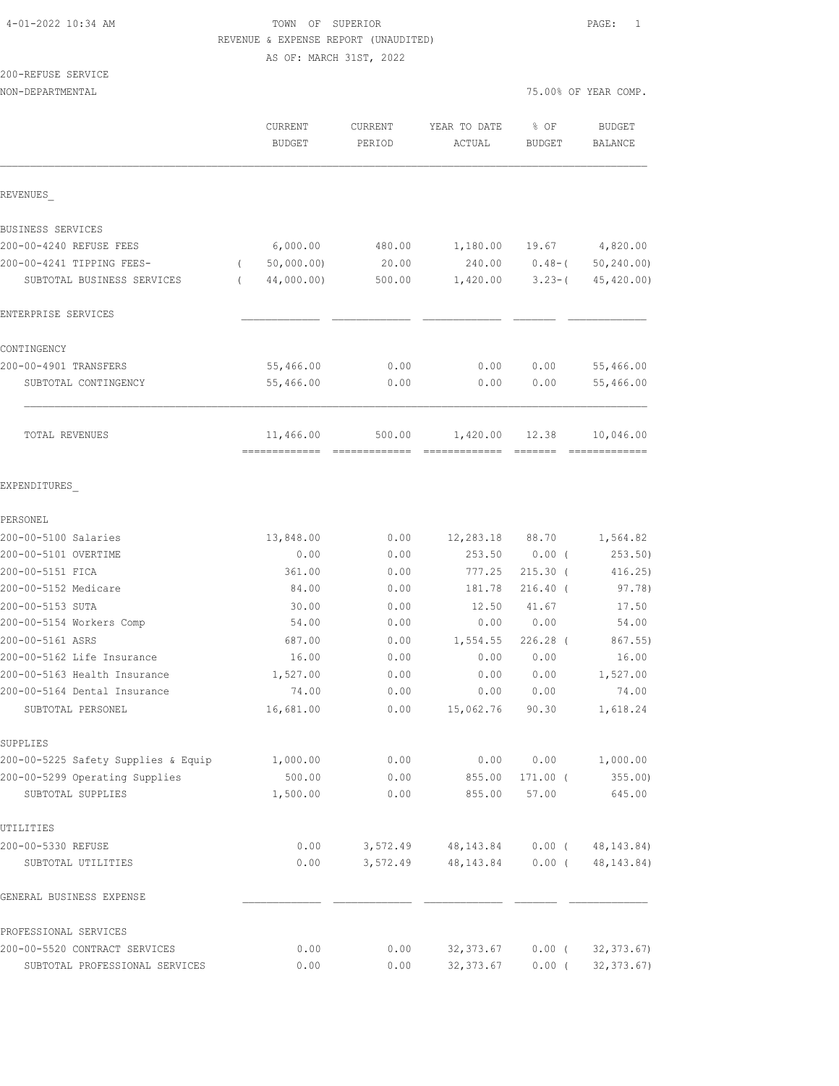## 4-01-2022 10:34 AM TOWN OF SUPERIOR PAGE: 1 REVENUE & EXPENSE REPORT (UNAUDITED)

AS OF: MARCH 31ST, 2022

### 200-REFUSE SERVICE

| NON-DEPARTMENTAL                                  |                          |                   |                        |                       | 75.00% OF YEAR COMP.     |
|---------------------------------------------------|--------------------------|-------------------|------------------------|-----------------------|--------------------------|
|                                                   | CURRENT<br><b>BUDGET</b> | CURRENT<br>PERIOD | YEAR TO DATE<br>ACTUAL | % OF<br><b>BUDGET</b> | <b>BUDGET</b><br>BALANCE |
| REVENUES                                          |                          |                   |                        |                       |                          |
| BUSINESS SERVICES                                 |                          |                   |                        |                       |                          |
| 200-00-4240 REFUSE FEES                           | 6,000.00                 | 480.00            | 1,180.00               | 19.67                 | 4,820.00                 |
| 200-00-4241 TIPPING FEES-                         | 50,000.00)<br>$\left($   | 20.00             | 240.00                 | $0.48 - ($            | 50, 240.00               |
| SUBTOTAL BUSINESS SERVICES                        | 44,000.00)<br>$\left($   | 500.00            | 1,420.00               | $3.23 - ($            | 45,420.00)               |
| ENTERPRISE SERVICES                               |                          |                   |                        |                       |                          |
| CONTINGENCY                                       |                          |                   |                        |                       |                          |
| 200-00-4901 TRANSFERS                             | 55,466.00                | 0.00              | 0.00                   | 0.00                  | 55,466.00                |
| SUBTOTAL CONTINGENCY                              | 55,466.00                | 0.00              | 0.00                   | 0.00                  | 55,466.00                |
| TOTAL REVENUES                                    | 11,466.00                | 500.00            | 1,420.00               | 12.38                 | 10,046.00                |
| EXPENDITURES                                      |                          |                   |                        |                       |                          |
| PERSONEL                                          |                          |                   |                        |                       |                          |
| 200-00-5100 Salaries                              | 13,848.00                | 0.00              | 12,283.18              | 88.70                 | 1,564.82                 |
| 200-00-5101 OVERTIME                              | 0.00                     | 0.00              | 253.50                 | $0.00$ (              | 253.50)                  |
| 200-00-5151 FICA                                  | 361.00                   | 0.00              | 777.25                 | $215.30$ (            | 416.25                   |
| 200-00-5152 Medicare                              | 84.00                    | 0.00              | 181.78                 | 216.40 (              | 97.78)                   |
| 200-00-5153 SUTA                                  | 30.00                    | 0.00              | 12.50                  | 41.67                 | 17.50                    |
| 200-00-5154 Workers Comp                          | 54.00                    | 0.00              | 0.00                   | 0.00                  | 54.00                    |
| 200-00-5161 ASRS                                  | 687.00                   | 0.00              | 1,554.55               | $226.28$ (            | 867.55)                  |
| 200-00-5162 Life Insurance                        | 16.00                    | 0.00              | 0.00                   | 0.00                  | 16.00                    |
| 200-00-5163 Health Insurance                      | 1,527.00                 | 0.00              | 0.00                   | 0.00                  | 1,527.00                 |
| 200-00-5164 Dental Insurance<br>SUBTOTAL PERSONEL | 74.00<br>16,681.00       | 0.00<br>0.00      | 0.00<br>15,062.76      | 0.00<br>90.30         | 74.00<br>1,618.24        |
| SUPPLIES                                          |                          |                   |                        |                       |                          |
| 200-00-5225 Safety Supplies & Equip               | 1,000.00                 | 0.00              | 0.00                   | 0.00                  | 1,000.00                 |
| 200-00-5299 Operating Supplies                    | 500.00                   | 0.00              | 855.00                 | $171.00$ (            | $355.00$ )               |
| SUBTOTAL SUPPLIES                                 | 1,500.00                 | 0.00              | 855.00                 | 57.00                 | 645.00                   |
| UTILITIES                                         |                          |                   |                        |                       |                          |
| 200-00-5330 REFUSE                                | 0.00                     | 3,572.49          | 48,143.84              | $0.00$ (              | 48, 143.84)              |
| SUBTOTAL UTILITIES                                | 0.00                     | 3,572.49          | 48, 143.84             | $0.00$ (              | 48, 143.84)              |
| GENERAL BUSINESS EXPENSE                          |                          |                   |                        |                       |                          |
| PROFESSIONAL SERVICES                             |                          |                   |                        |                       |                          |
| 200-00-5520 CONTRACT SERVICES                     | 0.00                     | 0.00              | 32, 373.67             | $0.00$ (              | 32, 373.67               |
| SUBTOTAL PROFESSIONAL SERVICES                    | 0.00                     | 0.00              | 32, 373.67             | $0.00$ (              | 32, 373.67               |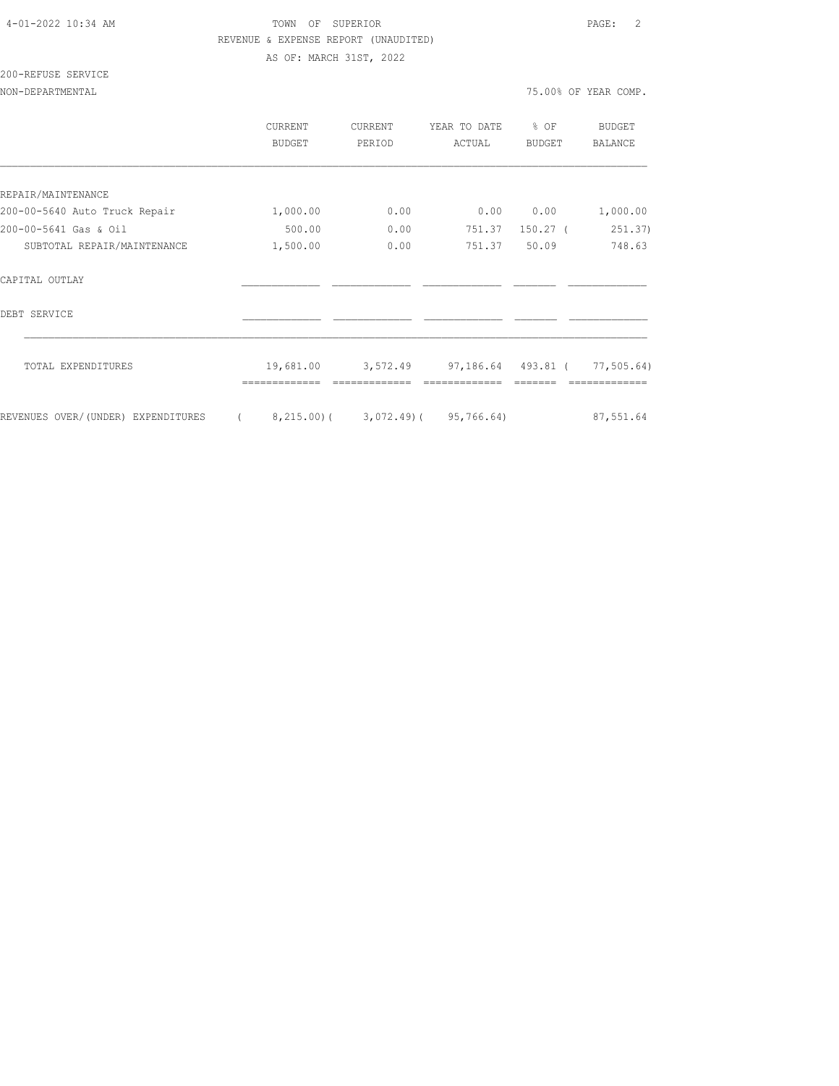# 4-01-2022 10:34 AM TOWN OF SUPERIOR PAGE: 2 REVENUE & EXPENSE REPORT (UNAUDITED)

AS OF: MARCH 31ST, 2022

# 200-REFUSE SERVICE

|                                    | CURRENT<br>BUDGET | CURRENT<br>PERIOD | YEAR TO DATE<br>ACTUAL      | % OF<br><b>BUDGET</b> | BUDGET<br><b>BALANCE</b> |
|------------------------------------|-------------------|-------------------|-----------------------------|-----------------------|--------------------------|
|                                    |                   |                   |                             |                       |                          |
| REPAIR/MAINTENANCE                 |                   |                   |                             |                       |                          |
| 200-00-5640 Auto Truck Repair      | 1,000.00          | 0.00              | 0.00                        | 0.00                  | 1,000.00                 |
| 200-00-5641 Gas & Oil              | 500.00            | 0.00              | 751.37                      | $150.27$ (            | 251.37)                  |
| SUBTOTAL REPAIR/MAINTENANCE        | 1,500.00          | 0.00              | 751.37                      | 50.09                 | 748.63                   |
| CAPITAL OUTLAY                     |                   |                   |                             |                       |                          |
| DEBT SERVICE                       |                   |                   |                             |                       |                          |
| TOTAL EXPENDITURES                 | 19,681.00         |                   | 3,572.49 97,186.64 493.81 ( |                       | 77, 505.64)              |
| REVENUES OVER/(UNDER) EXPENDITURES | 8,215.00(         |                   | $3,072.49$ (95,766.64)      |                       | 87,551.64                |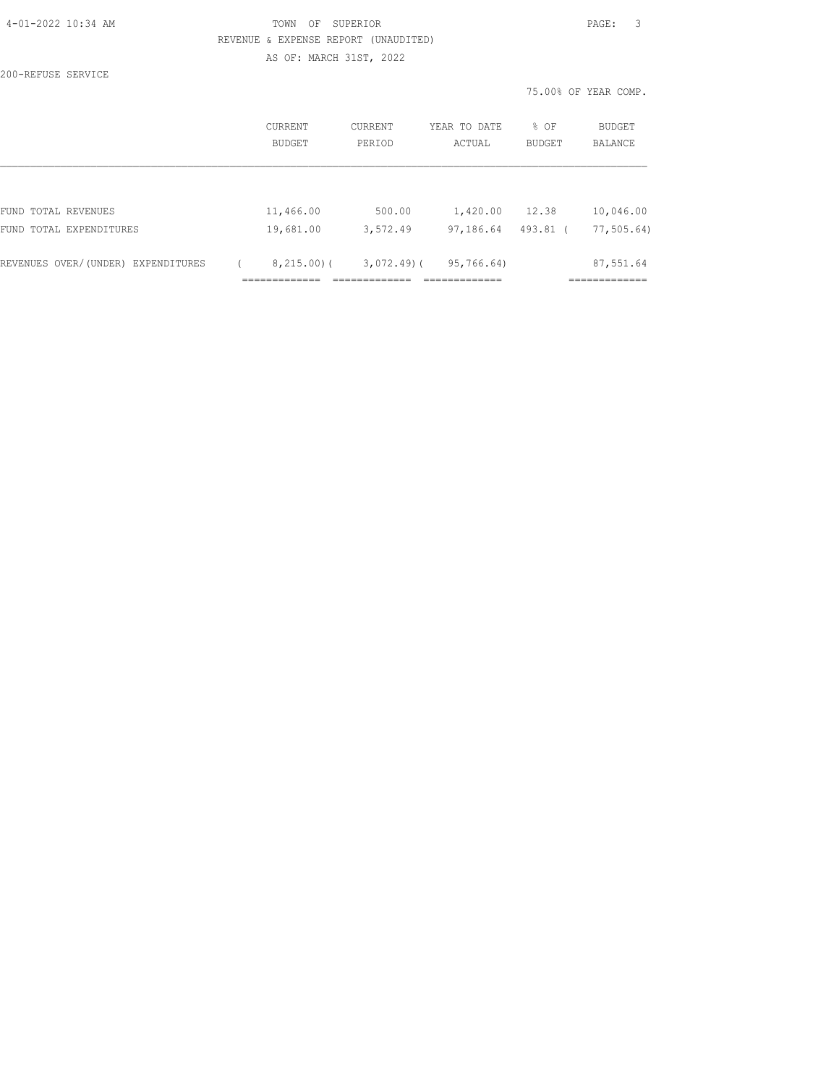|  |  |  | 4-01-2022 10:34 AM |  |
|--|--|--|--------------------|--|
|--|--|--|--------------------|--|

200-REFUSE SERVICE

### TOWN OF SUPERIOR **PAGE:** 3 REVENUE & EXPENSE REPORT (UNAUDITED) AS OF: MARCH 31ST, 2022

|                                    |                   |                   |                        |                | 75.00% OF YEAR COMP. |
|------------------------------------|-------------------|-------------------|------------------------|----------------|----------------------|
|                                    | CURRENT<br>BUDGET | CURRENT<br>PERIOD | YEAR TO DATE<br>ACTUAL | % OF<br>BUDGET | BUDGET<br>BALANCE    |
|                                    |                   |                   |                        |                |                      |
| FUND TOTAL REVENUES                | 11,466.00         | 500.00            | 1,420.00               | 12.38          | 10,046.00            |
| FUND TOTAL EXPENDITURES            | 19,681.00         | 3,572.49          | 97,186.64              | $493.81$ (     | 77, 505.64           |
| REVENUES OVER/(UNDER) EXPENDITURES | 8,215.00(         | $3,072,49$ (      | 95,766.64)             |                | 87,551.64            |
|                                    |                   |                   | _____________          |                | ------------         |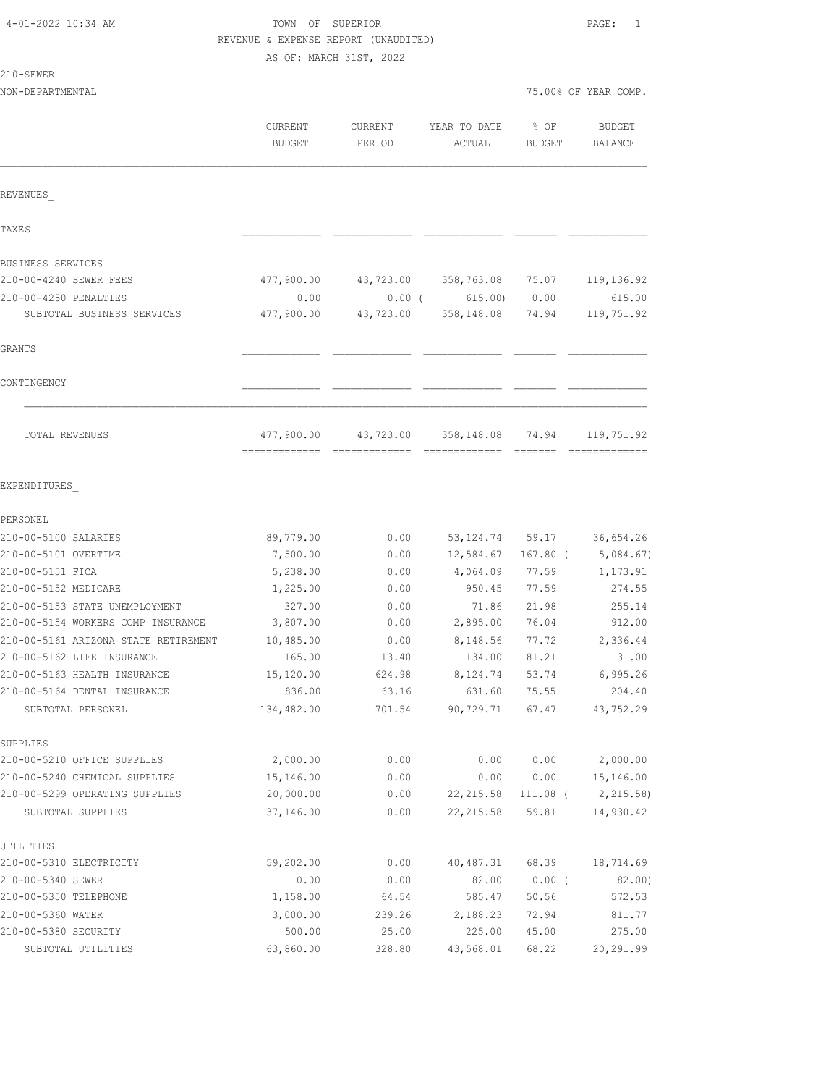| 4-01-2022 10:34 AM |  |  |
|--------------------|--|--|
|--------------------|--|--|

TOWN OF SUPERIOR **PAGE:** 1 REVENUE & EXPENSE REPORT (UNAUDITED)

AS OF: MARCH 31ST, 2022

### 210-SEWER

| ۱۳۳٬۰۰۰ تا ۲۰۰۰ تا<br>NON-DEPARTMENTAL            |                             |                            |                             | 75.00% OF YEAR COMP. |                             |
|---------------------------------------------------|-----------------------------|----------------------------|-----------------------------|----------------------|-----------------------------|
|                                                   | CURRENT<br>BUDGET           | CURRENT<br>PERIOD          | YEAR TO DATE<br>ACTUAL      | % OF<br>BUDGET       | BUDGET<br>BALANCE           |
| REVENUES                                          |                             |                            |                             |                      |                             |
| TAXE S                                            |                             |                            |                             |                      |                             |
| BUSINESS SERVICES                                 |                             |                            |                             |                      |                             |
| 210-00-4240 SEWER FEES                            | 477,900.00                  | 43,723.00                  | 358,763.08                  | 75.07                | 119, 136.92                 |
| 210-00-4250 PENALTIES                             | 0.00                        | 0.00(                      | 615.00)                     | 0.00                 | 615.00                      |
| SUBTOTAL BUSINESS SERVICES                        | 477,900.00                  | 43,723.00                  | 358,148.08                  | 74.94                | 119,751.92                  |
| GRANTS                                            |                             |                            |                             |                      |                             |
| CONTINGENCY                                       |                             |                            |                             |                      |                             |
| TOTAL REVENUES                                    | 477,900.00<br>============= | 43,723.00<br>============= | 358,148.08<br>============= | 74.94                | 119,751.92<br>============= |
| EXPENDITURES                                      |                             |                            |                             |                      |                             |
| PERSONEL                                          |                             |                            |                             |                      |                             |
| 210-00-5100 SALARIES                              | 89,779.00                   | 0.00                       | 53, 124.74                  | 59.17                | 36,654.26                   |
| 210-00-5101 OVERTIME                              | 7,500.00                    | 0.00                       | 12,584.67                   | $167.80$ (           | 5,084.67)                   |
| 210-00-5151 FICA                                  | 5,238.00                    | 0.00                       | 4,064.09                    | 77.59                | 1,173.91                    |
| 210-00-5152 MEDICARE                              | 1,225.00                    | 0.00                       | 950.45                      | 77.59                | 274.55                      |
| 210-00-5153 STATE UNEMPLOYMENT                    | 327.00                      | 0.00                       | 71.86                       | 21.98                | 255.14                      |
| 210-00-5154 WORKERS COMP INSURANCE                | 3,807.00                    | 0.00                       | 2,895.00                    | 76.04                | 912.00                      |
| 210-00-5161 ARIZONA STATE RETIREMENT              | 10,485.00                   | 0.00                       | 8,148.56                    | 77.72                | 2,336.44                    |
| 210-00-5162 LIFE INSURANCE                        | 165.00                      | 13.40                      | 134.00                      | 81.21                | 31.00                       |
| 210-00-5163 HEALTH INSURANCE                      | 15,120.00                   | 624.98                     | 8,124.74                    | 53.74                | 6,995.26                    |
| 210-00-5164 DENTAL INSURANCE<br>SUBTOTAL PERSONEL | 836.00<br>134,482.00        | 63.16<br>701.54            | 631.60<br>90,729.71         | 75.55<br>67.47       | 204.40<br>43,752.29         |
|                                                   |                             |                            |                             |                      |                             |
| SUPPLIES                                          |                             |                            |                             |                      |                             |
| 210-00-5210 OFFICE SUPPLIES                       | 2,000.00                    | 0.00                       | 0.00                        | 0.00                 | 2,000.00                    |
| 210-00-5240 CHEMICAL SUPPLIES                     | 15,146.00                   | 0.00                       | 0.00                        | 0.00                 | 15,146.00                   |
| 210-00-5299 OPERATING SUPPLIES                    | 20,000.00                   | 0.00                       | 22, 215.58                  |                      | 111.08 ( 2,215.58)          |
| SUBTOTAL SUPPLIES                                 | 37,146.00                   | 0.00                       | 22, 215.58                  | 59.81                | 14,930.42                   |
| UTILITIES                                         |                             |                            |                             |                      |                             |
| 210-00-5310 ELECTRICITY                           | 59,202.00                   | 0.00                       | 40,487.31                   | 68.39                | 18,714.69                   |
| 210-00-5340 SEWER                                 | 0.00                        | 0.00                       | 82.00                       | $0.00$ (             | 82.00)                      |
| 210-00-5350 TELEPHONE                             | 1,158.00                    | 64.54                      | 585.47                      | 50.56                | 572.53                      |
| 210-00-5360 WATER                                 | 3,000.00                    | 239.26                     | 2,188.23                    | 72.94                | 811.77                      |

210-00-5380 SECURITY 500.00 25.00 225.00 45.00 275.00 SUBTOTAL UTILITIES 63,860.00 328.80 43,568.01 68.22 20,291.99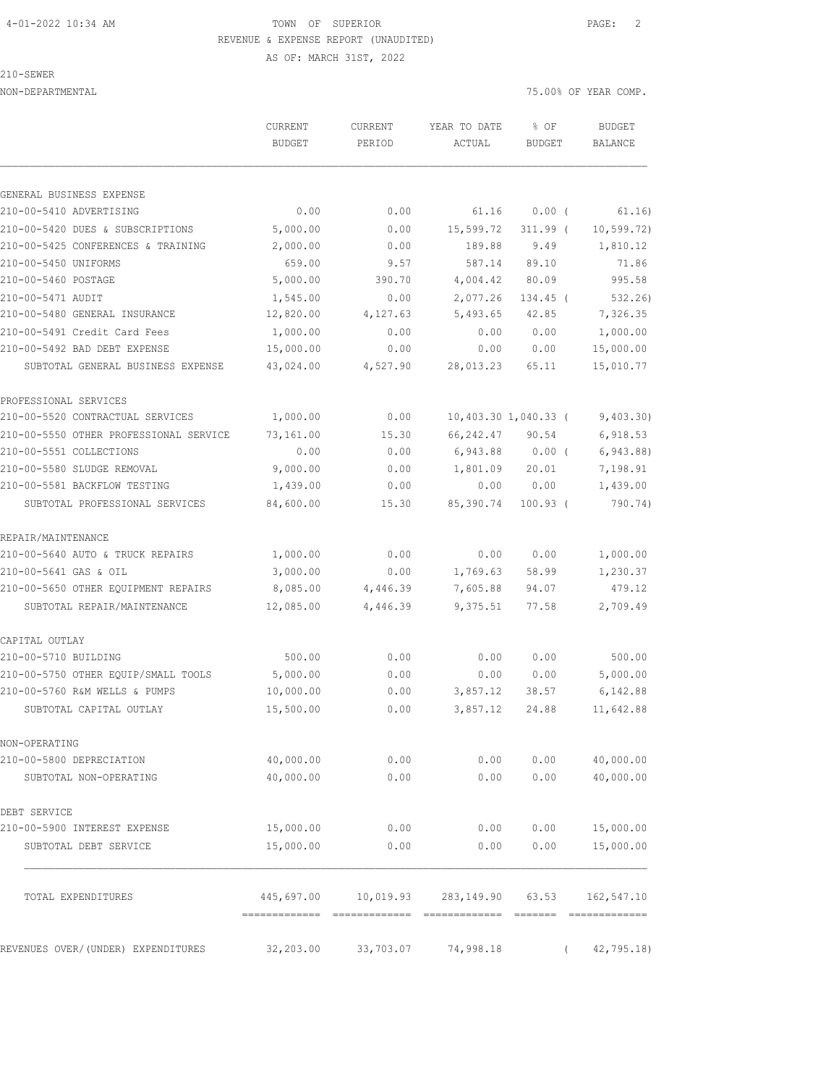210-SEWER

| NON-DEPARTMENTAL                       |               |           |              |                      | 75.00% OF YEAR COMP. |
|----------------------------------------|---------------|-----------|--------------|----------------------|----------------------|
|                                        | CURRENT       | CURRENT   | YEAR TO DATE | % OF                 | <b>BUDGET</b>        |
|                                        | <b>BUDGET</b> | PERIOD    | ACTUAL       | BUDGET               | BALANCE              |
| GENERAL BUSINESS EXPENSE               |               |           |              |                      |                      |
| 210-00-5410 ADVERTISING                | 0.00          | 0.00      | 61.16        | 0.00(                | 61.16)               |
| 210-00-5420 DUES & SUBSCRIPTIONS       | 5,000.00      | 0.00      | 15,599.72    | $311.99$ (           | 10, 599.72)          |
| 210-00-5425 CONFERENCES & TRAINING     | 2,000.00      | 0.00      | 189.88       | 9.49                 | 1,810.12             |
| 210-00-5450 UNIFORMS                   | 659.00        | 9.57      | 587.14       | 89.10                | 71.86                |
| 210-00-5460 POSTAGE                    | 5,000.00      | 390.70    | 4,004.42     | 80.09                | 995.58               |
| 210-00-5471 AUDIT                      | 1,545.00      | 0.00      | 2,077.26     | 134.45 (             | 532.26               |
| 210-00-5480 GENERAL INSURANCE          | 12,820.00     | 4,127.63  | 5,493.65     | 42.85                | 7,326.35             |
| 210-00-5491 Credit Card Fees           | 1,000.00      | 0.00      | 0.00         | 0.00                 | 1,000.00             |
| 210-00-5492 BAD DEBT EXPENSE           | 15,000.00     | 0.00      | 0.00         | 0.00                 | 15,000.00            |
| SUBTOTAL GENERAL BUSINESS EXPENSE      | 43,024.00     | 4,527.90  | 28,013.23    | 65.11                | 15,010.77            |
| PROFESSIONAL SERVICES                  |               |           |              |                      |                      |
| 210-00-5520 CONTRACTUAL SERVICES       | 1,000.00      | 0.00      |              | 10,403.30 1,040.33 ( | 9,403.30)            |
| 210-00-5550 OTHER PROFESSIONAL SERVICE | 73,161.00     | 15.30     | 66,242.47    | 90.54                | 6,918.53             |
| 210-00-5551 COLLECTIONS                | 0.00          | 0.00      | 6,943.88     | $0.00$ (             | 6,943.88)            |
| 210-00-5580 SLUDGE REMOVAL             | 9,000.00      | 0.00      | 1,801.09     | 20.01                | 7,198.91             |
| 210-00-5581 BACKFLOW TESTING           | 1,439.00      | 0.00      | 0.00         | 0.00                 | 1,439.00             |
| SUBTOTAL PROFESSIONAL SERVICES         | 84,600.00     | 15.30     | 85,390.74    | $100.93$ (           | 790.74)              |
| REPAIR/MAINTENANCE                     |               |           |              |                      |                      |
| 210-00-5640 AUTO & TRUCK REPAIRS       | 1,000.00      | 0.00      | 0.00         | 0.00                 | 1,000.00             |
| 210-00-5641 GAS & OIL                  | 3,000.00      | 0.00      | 1,769.63     | 58.99                | 1,230.37             |
| 210-00-5650 OTHER EQUIPMENT REPAIRS    | 8,085.00      | 4,446.39  | 7,605.88     | 94.07                | 479.12               |
| SUBTOTAL REPAIR/MAINTENANCE            | 12,085.00     | 4,446.39  | 9,375.51     | 77.58                | 2,709.49             |
| CAPITAL OUTLAY                         |               |           |              |                      |                      |
| 210-00-5710 BUILDING                   | 500.00        | 0.00      | 0.00         | 0.00                 | 500.00               |
| 210-00-5750 OTHER EQUIP/SMALL TOOLS    | 5,000.00      | 0.00      | 0.00         | 0.00                 | 5,000.00             |
| 210-00-5760 R&M WELLS & PUMPS          | 10,000.00     | 0.00      | 3,857.12     | 38.57                | 6,142.88             |
| SUBTOTAL CAPITAL OUTLAY                | 15,500.00     | 0.00      | 3,857.12     | 24.88                | 11,642.88            |
| NON-OPERATING                          |               |           |              |                      |                      |
| 210-00-5800 DEPRECIATION               | 40,000.00     | 0.00      | 0.00         | 0.00                 | 40,000.00            |
| SUBTOTAL NON-OPERATING                 | 40,000.00     | 0.00      | 0.00         | 0.00                 | 40,000.00            |
| DEBT SERVICE                           |               |           |              |                      |                      |
| 210-00-5900 INTEREST EXPENSE           | 15,000.00     | 0.00      | 0.00         | 0.00                 | 15,000.00            |
| SUBTOTAL DEBT SERVICE                  | 15,000.00     | 0.00      | 0.00         | 0.00                 | 15,000.00            |
|                                        |               |           |              |                      |                      |
| TOTAL EXPENDITURES                     | 445,697.00    | 10,019.93 | 283, 149.90  | 63.53                | 162,547.10           |

REVENUES OVER/(UNDER) EXPENDITURES 32,203.00 33,703.07 74,998.18 ( 42,795.18)

============= ============= ============= ======= =============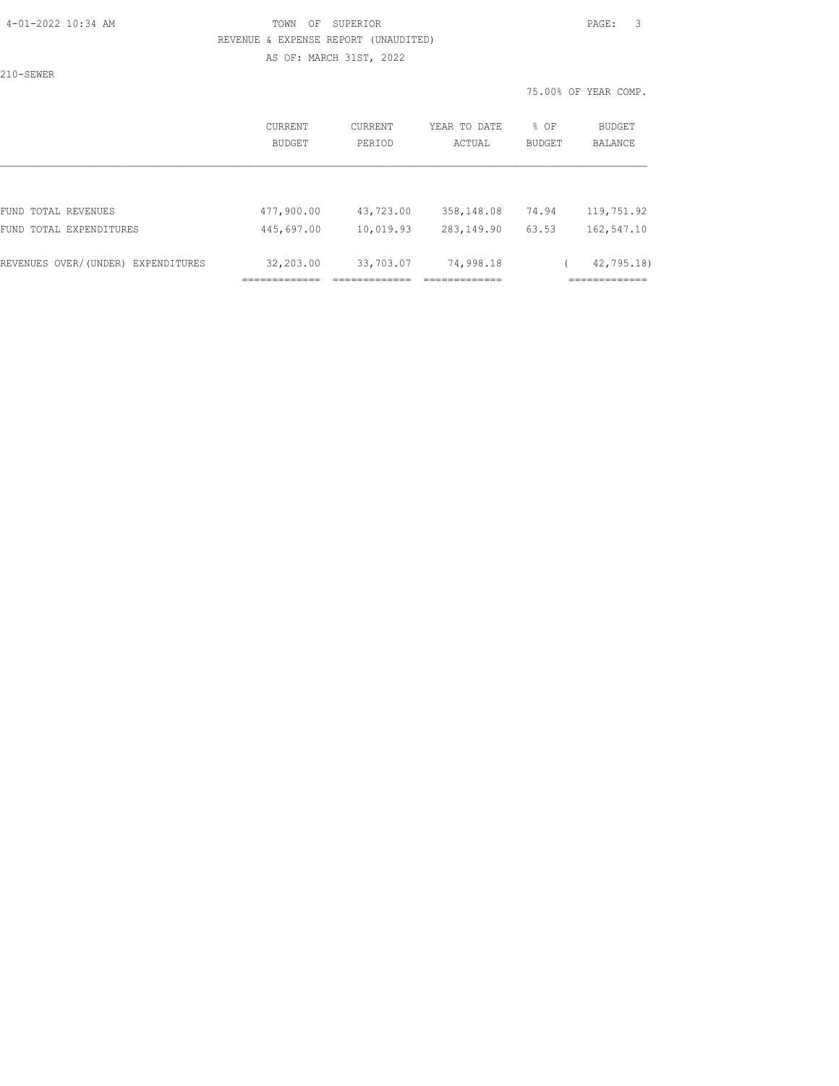210-SEWER

|                                       | CURRENT<br><b>BUDGET</b>                   | CURRENT<br>PERIOD      | YEAR TO DATE<br>ACTUAL  | % OF<br><b>BUDGET</b> | BUDGET<br>BALANCE                         |
|---------------------------------------|--------------------------------------------|------------------------|-------------------------|-----------------------|-------------------------------------------|
|                                       |                                            |                        |                         |                       |                                           |
| FUND TOTAL REVENUES                   | 477,900.00                                 | 43,723.00              | 358,148.08              | 74.94                 | 119,751.92                                |
| FUND TOTAL EXPENDITURES               | 445,697.00                                 | 10,019.93              | 283, 149.90             | 63.53                 | 162,547.10                                |
| REVENUES OVER/(UNDER)<br>EXPENDITURES | 32,203.00<br>-------------<br>------------ | 33,703.07<br>--------- | 74,998.18<br>__________ |                       | 42,795.18)<br>____________<br>----------- |
|                                       |                                            |                        |                         |                       |                                           |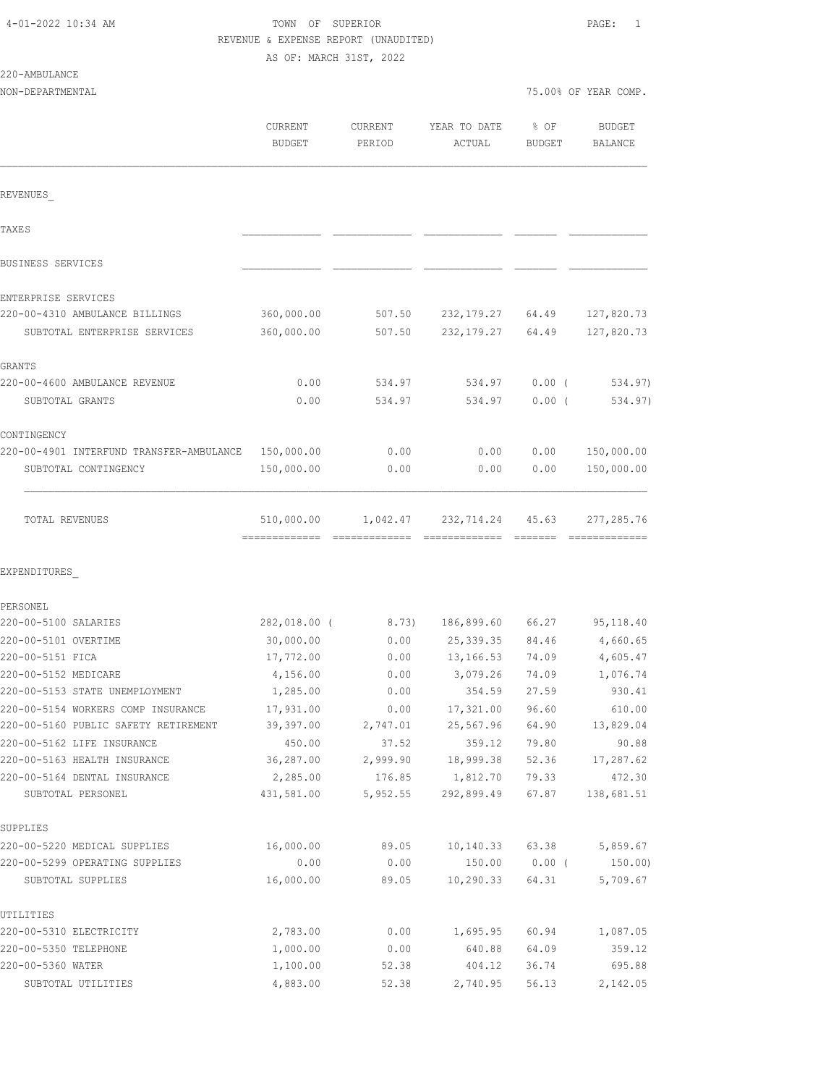| 4-01-2022 10:34 AM |  |  |
|--------------------|--|--|
|--------------------|--|--|

# TOWN OF SUPERIOR **PAGE:** 1 REVENUE & EXPENSE REPORT (UNAUDITED)

AS OF: MARCH 31ST, 2022

| 220-AMBULANCE |
|---------------|
|---------------|

| NON-DEPARTMENTAL                                                           |                                             |                   |                        |                       | 75.00% OF YEAR COMP.            |
|----------------------------------------------------------------------------|---------------------------------------------|-------------------|------------------------|-----------------------|---------------------------------|
|                                                                            | CURRENT<br><b>BUDGET</b>                    | CURRENT<br>PERIOD | YEAR TO DATE<br>ACTUAL | % OF<br><b>BUDGET</b> | <b>BUDGET</b><br><b>BALANCE</b> |
| REVENUES                                                                   |                                             |                   |                        |                       |                                 |
| <b>TAXES</b>                                                               |                                             |                   |                        |                       |                                 |
| BUSINESS SERVICES                                                          |                                             |                   |                        |                       |                                 |
| ENTERPRISE SERVICES                                                        |                                             |                   |                        |                       |                                 |
| 220-00-4310 AMBULANCE BILLINGS                                             | 360,000.00                                  | 507.50            | 232,179.27             | 64.49                 | 127,820.73                      |
| SUBTOTAL ENTERPRISE SERVICES                                               | 360,000.00                                  | 507.50            | 232, 179. 27           | 64.49                 | 127,820.73                      |
| GRANTS                                                                     |                                             |                   |                        |                       |                                 |
| 220-00-4600 AMBULANCE REVENUE                                              | 0.00                                        | 534.97            | 534.97                 | $0.00$ (              | 534.97)                         |
| SUBTOTAL GRANTS                                                            | 0.00                                        | 534.97            | 534.97                 | $0.00$ (              | 534.97)                         |
| CONTINGENCY                                                                |                                             |                   |                        |                       |                                 |
| 220-00-4901 INTERFUND TRANSFER-AMBULANCE                                   | 150,000.00                                  | 0.00              | 0.00                   | 0.00                  | 150,000.00                      |
| SUBTOTAL CONTINGENCY                                                       | 150,000.00                                  | 0.00              | 0.00                   | 0.00                  | 150,000.00                      |
| TOTAL REVENUES                                                             | 510,000.00<br>-------------- -------------- | 1,042.47          | 232,714.24             | 45.63                 | 277,285.76<br>-------------     |
| EXPENDITURES                                                               |                                             |                   |                        |                       |                                 |
| PERSONEL                                                                   |                                             |                   |                        |                       |                                 |
| 220-00-5100 SALARIES                                                       | 282,018.00 (                                | 8.73)             | 186,899.60             | 66.27                 | 95, 118.40                      |
| 220-00-5101 OVERTIME                                                       | 30,000.00                                   | 0.00              | 25,339.35              | 84.46                 | 4,660.65                        |
| 220-00-5151 FICA                                                           | 17,772.00                                   | 0.00              | 13,166.53              | 74.09                 | 4,605.47                        |
| 220-00-5152 MEDICARE                                                       | 4,156.00                                    | 0.00              | 3,079.26               | 74.09                 | 1,076.74                        |
| 220-00-5153 STATE UNEMPLOYMENT                                             | 1,285.00                                    | 0.00              | 354.59                 | 27.59                 | 930.41                          |
| 220-00-5154 WORKERS COMP INSURANCE<br>220-00-5160 PUBLIC SAFETY RETIREMENT | 17,931.00<br>39,397.00                      | 0.00<br>2,747.01  | 17,321.00<br>25,567.96 | 96.60<br>64.90        | 610.00<br>13,829.04             |
| 220-00-5162 LIFE INSURANCE                                                 | 450.00                                      | 37.52             | 359.12                 | 79.80                 | 90.88                           |
| 220-00-5163 HEALTH INSURANCE                                               | 36,287.00                                   | 2,999.90          | 18,999.38              | 52.36                 | 17,287.62                       |
| 220-00-5164 DENTAL INSURANCE                                               | 2,285.00                                    | 176.85            | 1,812.70               | 79.33                 | 472.30                          |
| SUBTOTAL PERSONEL                                                          | 431,581.00                                  | 5,952.55          | 292,899.49             | 67.87                 | 138,681.51                      |
| SUPPLIES                                                                   |                                             |                   |                        |                       |                                 |
| 220-00-5220 MEDICAL SUPPLIES                                               | 16,000.00                                   | 89.05             | 10, 140.33             | 63.38                 | 5,859.67                        |
| 220-00-5299 OPERATING SUPPLIES                                             | 0.00                                        | 0.00              | 150.00                 | $0.00$ (              | 150.00                          |
| SUBTOTAL SUPPLIES                                                          | 16,000.00                                   | 89.05             | 10, 290.33             | 64.31                 | 5,709.67                        |
| UTILITIES                                                                  |                                             |                   |                        |                       |                                 |
| 220-00-5310 ELECTRICITY                                                    | 2,783.00                                    | 0.00              | 1,695.95               | 60.94                 | 1,087.05                        |
| 220-00-5350 TELEPHONE                                                      | 1,000.00                                    | 0.00              | 640.88                 | 64.09                 | 359.12                          |
| 220-00-5360 WATER                                                          | 1,100.00                                    | 52.38             | 404.12                 | 36.74                 | 695.88                          |

SUBTOTAL UTILITIES 4,883.00 52.38 2,740.95 56.13 2,142.05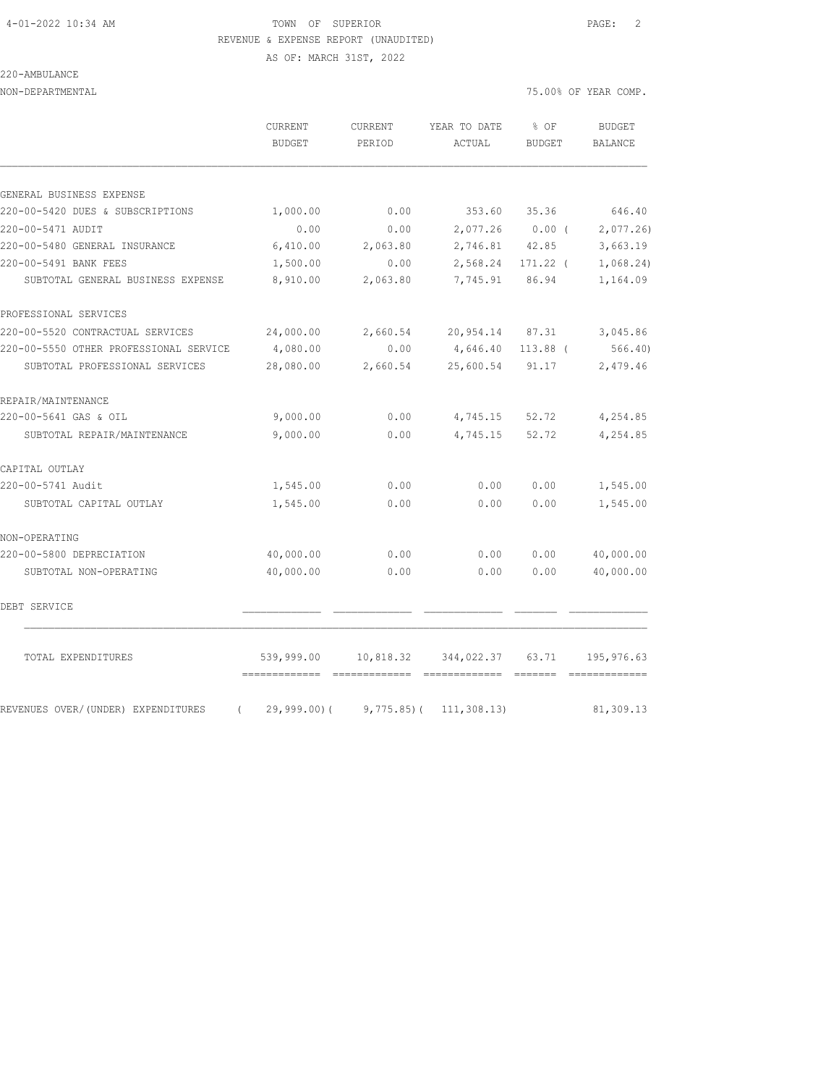#### 4-01-2022 10:34 AM TOWN OF SUPERIOR PAGE: 2 REVENUE & EXPENSE REPORT (UNAUDITED)

220-AMBULANCE

NON-DEPARTMENTAL 75.00% OF YEAR COMP.

|                                                | CURRENT<br><b>BUDGET</b> | <b>CURRENT</b><br>PERIOD | YEAR TO DATE<br>ACTUAL | % OF<br><b>BUDGET</b> | BUDGET<br><b>BALANCE</b> |
|------------------------------------------------|--------------------------|--------------------------|------------------------|-----------------------|--------------------------|
| GENERAL BUSINESS EXPENSE                       |                          |                          |                        |                       |                          |
| 220-00-5420 DUES & SUBSCRIPTIONS               | 1,000.00                 | 0.00                     | 353.60                 | 35.36                 | 646.40                   |
| 220-00-5471 AUDIT                              | 0.00                     | 0.00                     | 2,077.26               | $0.00$ (              | 2,077.26                 |
| 220-00-5480 GENERAL INSURANCE                  | 6,410.00                 | 2,063.80                 | 2,746.81               | 42.85                 | 3,663.19                 |
| 220-00-5491 BANK FEES                          | 1,500.00                 | 0.00                     | 2,568.24               | 171.22 (              | 1,068.24)                |
| SUBTOTAL GENERAL BUSINESS EXPENSE              | 8,910.00                 | 2,063.80                 | 7,745.91               | 86.94                 | 1,164.09                 |
| PROFESSIONAL SERVICES                          |                          |                          |                        |                       |                          |
| 220-00-5520 CONTRACTUAL SERVICES               | 24,000.00                | 2,660.54                 | 20,954.14 87.31        |                       | 3,045.86                 |
| 220-00-5550 OTHER PROFESSIONAL SERVICE         | 4,080.00                 | 0.00                     | 4,646.40               | $113.88$ (            | 566.40                   |
| SUBTOTAL PROFESSIONAL SERVICES                 | 28,080.00                | 2,660.54                 | 25,600.54              | 91.17                 | 2,479.46                 |
| REPAIR/MAINTENANCE                             |                          |                          |                        |                       |                          |
| 220-00-5641 GAS & OIL                          | 9,000.00                 | 0.00                     |                        | 4,745.15 52.72        | 4,254.85                 |
| SUBTOTAL REPAIR/MAINTENANCE                    | 9,000.00                 | 0.00                     | 4,745.15               | 52.72                 | 4,254.85                 |
| CAPITAL OUTLAY                                 |                          |                          |                        |                       |                          |
| 220-00-5741 Audit                              | 1,545.00                 | 0.00                     | 0.00                   | 0.00                  | 1,545.00                 |
| SUBTOTAL CAPITAL OUTLAY                        | 1,545.00                 | 0.00                     | 0.00                   | 0.00                  | 1,545.00                 |
| NON-OPERATING                                  |                          |                          |                        |                       |                          |
| 220-00-5800 DEPRECIATION                       | 40,000.00                | 0.00                     | 0.00                   | 0.00                  | 40,000.00                |
| SUBTOTAL NON-OPERATING                         | 40,000.00                | 0.00                     | 0.00                   | 0.00                  | 40,000.00                |
| DEBT SERVICE                                   |                          |                          |                        |                       |                          |
| TOTAL EXPENDITURES                             | 539,999.00               |                          | 10,818.32 344,022.37   | 63.71                 | 195,976.63               |
| REVENUES OVER/(UNDER) EXPENDITURES<br>$\left($ | $29,999.00$ (            | $9,775.85$ (             | 111, 308.13)           |                       | 81,309.13                |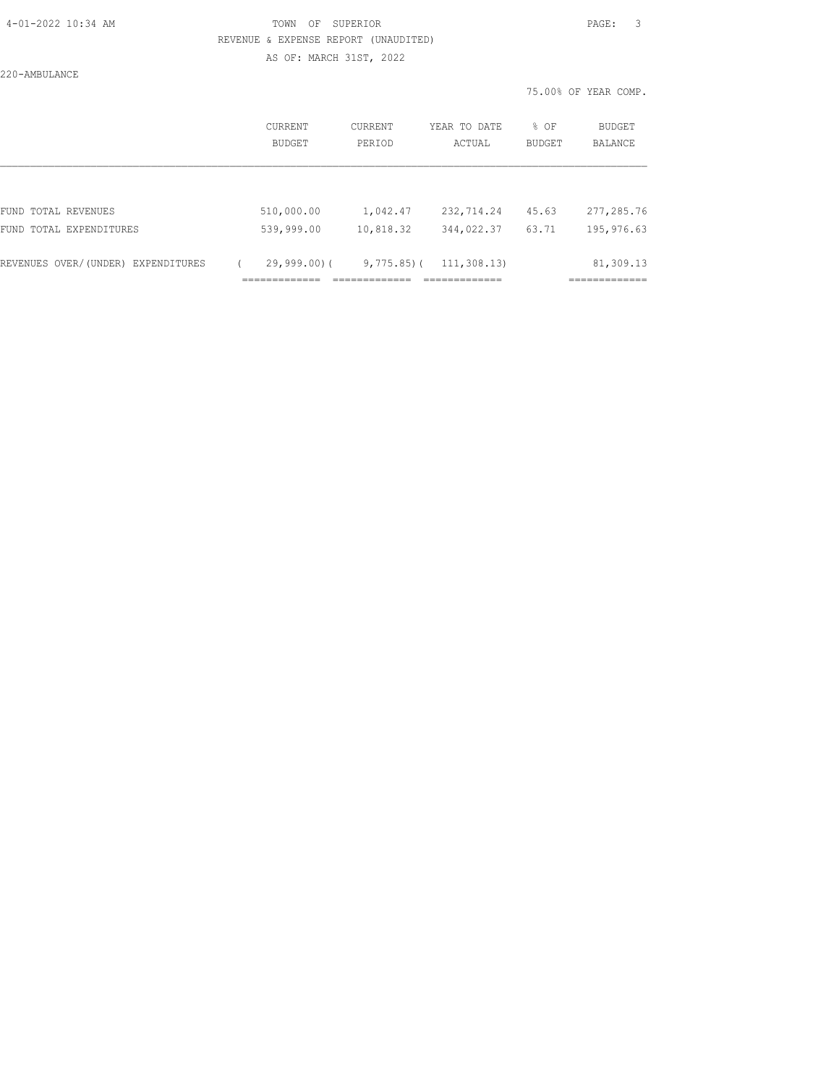220-AMBULANCE

|                          |                   |                        |                       | 75.00% OF YEAR COMP.     |
|--------------------------|-------------------|------------------------|-----------------------|--------------------------|
| <b>CURRENT</b><br>BUDGET | CURRENT<br>PERIOD | YEAR TO DATE<br>ACTUAL | % OF<br><b>BUDGET</b> | BUDGET<br><b>BALANCE</b> |
|                          |                   |                        |                       |                          |
| 510,000.00               | 1,042.47          | 232,714.24             | 45.63                 | 277,285.76               |
| 539,999.00               | 10,818.32         | 344,022.37             | 63.71                 | 195,976.63               |
| $29,999,00$ (            |                   | 111, 308, 13)          |                       | 81,309.13<br>=========== |
|                          |                   |                        | $9,775.85$ (          |                          |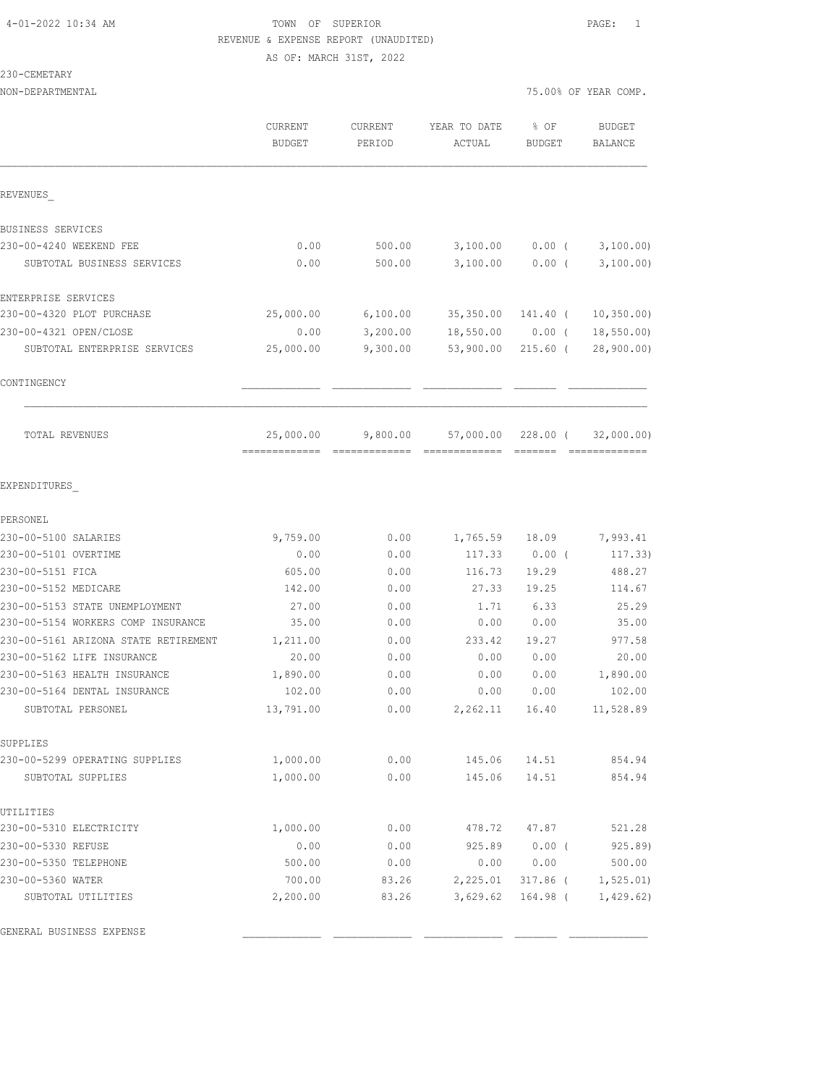#### 230-CEMETARY

NON-DEPARTMENTAL 75.00% OF YEAR COMP.

| REVENUES<br>BUSINESS SERVICES<br>230-00-4240 WEEKEND FEE<br>0.00<br>500.00<br>3,100.00<br>$0.00$ (<br>0.00<br>3,100.00<br>SUBTOTAL BUSINESS SERVICES<br>500.00<br>$0.00$ (<br>ENTERPRISE SERVICES<br>230-00-4320 PLOT PURCHASE<br>6,100.00<br>25,000.00<br>35,350.00<br>141.40 (<br>230-00-4321 OPEN/CLOSE<br>3,200.00<br>0.00<br>18,550.00<br>$0.00$ (<br>SUBTOTAL ENTERPRISE SERVICES<br>25,000.00<br>9,300.00<br>53,900.00<br>$215.60$ (<br>CONTINGENCY<br>TOTAL REVENUES<br>25,000.00<br>9,800.00<br>57,000.00<br>228.00 (<br>EXPENDITURES<br>PERSONEL<br>230-00-5100 SALARIES<br>9,759.00<br>0.00<br>1,765.59<br>18.09<br>230-00-5101 OVERTIME<br>0.00<br>0.00<br>117.33<br>0.00(<br>230-00-5151 FICA<br>605.00<br>0.00<br>116.73<br>19.29<br>230-00-5152 MEDICARE<br>142.00<br>27.33<br>19.25<br>0.00<br>230-00-5153 STATE UNEMPLOYMENT<br>27.00<br>0.00<br>1.71<br>6.33<br>230-00-5154 WORKERS COMP INSURANCE<br>35.00<br>0.00<br>0.00<br>0.00<br>230-00-5161 ARIZONA STATE RETIREMENT<br>1,211.00<br>0.00<br>233.42<br>19.27<br>230-00-5162 LIFE INSURANCE<br>20.00<br>0.00<br>0.00<br>0.00<br>230-00-5163 HEALTH INSURANCE<br>1,890.00<br>0.00<br>0.00<br>0.00<br>230-00-5164 DENTAL INSURANCE<br>102.00<br>0.00<br>0.00<br>0.00<br>SUBTOTAL PERSONEL<br>13,791.00<br>0.00<br>2,262.11<br>16.40<br>SUPPLIES<br>230-00-5299 OPERATING SUPPLIES<br>1,000.00<br>0.00<br>145.06<br>14.51<br>1,000.00<br>0.00<br>145.06<br>14.51<br>SUBTOTAL SUPPLIES | <b>CURRENT</b><br><b>BUDGET</b> | CURRENT<br>PERIOD | YEAR TO DATE<br>ACTUAL | % OF<br><b>BUDGET</b> | <b>BUDGET</b><br><b>BALANCE</b> |
|-----------------------------------------------------------------------------------------------------------------------------------------------------------------------------------------------------------------------------------------------------------------------------------------------------------------------------------------------------------------------------------------------------------------------------------------------------------------------------------------------------------------------------------------------------------------------------------------------------------------------------------------------------------------------------------------------------------------------------------------------------------------------------------------------------------------------------------------------------------------------------------------------------------------------------------------------------------------------------------------------------------------------------------------------------------------------------------------------------------------------------------------------------------------------------------------------------------------------------------------------------------------------------------------------------------------------------------------------------------------------------------------------------------------------------------------------------------|---------------------------------|-------------------|------------------------|-----------------------|---------------------------------|
|                                                                                                                                                                                                                                                                                                                                                                                                                                                                                                                                                                                                                                                                                                                                                                                                                                                                                                                                                                                                                                                                                                                                                                                                                                                                                                                                                                                                                                                           |                                 |                   |                        |                       |                                 |
|                                                                                                                                                                                                                                                                                                                                                                                                                                                                                                                                                                                                                                                                                                                                                                                                                                                                                                                                                                                                                                                                                                                                                                                                                                                                                                                                                                                                                                                           |                                 |                   |                        |                       |                                 |
|                                                                                                                                                                                                                                                                                                                                                                                                                                                                                                                                                                                                                                                                                                                                                                                                                                                                                                                                                                                                                                                                                                                                                                                                                                                                                                                                                                                                                                                           |                                 |                   |                        |                       | 3,100.00)                       |
|                                                                                                                                                                                                                                                                                                                                                                                                                                                                                                                                                                                                                                                                                                                                                                                                                                                                                                                                                                                                                                                                                                                                                                                                                                                                                                                                                                                                                                                           |                                 |                   |                        |                       | 3,100.00)                       |
|                                                                                                                                                                                                                                                                                                                                                                                                                                                                                                                                                                                                                                                                                                                                                                                                                                                                                                                                                                                                                                                                                                                                                                                                                                                                                                                                                                                                                                                           |                                 |                   |                        |                       |                                 |
|                                                                                                                                                                                                                                                                                                                                                                                                                                                                                                                                                                                                                                                                                                                                                                                                                                                                                                                                                                                                                                                                                                                                                                                                                                                                                                                                                                                                                                                           |                                 |                   |                        |                       | 10, 350.00                      |
|                                                                                                                                                                                                                                                                                                                                                                                                                                                                                                                                                                                                                                                                                                                                                                                                                                                                                                                                                                                                                                                                                                                                                                                                                                                                                                                                                                                                                                                           |                                 |                   |                        |                       | 18,550.00                       |
|                                                                                                                                                                                                                                                                                                                                                                                                                                                                                                                                                                                                                                                                                                                                                                                                                                                                                                                                                                                                                                                                                                                                                                                                                                                                                                                                                                                                                                                           |                                 |                   |                        |                       | 28,900.00)                      |
|                                                                                                                                                                                                                                                                                                                                                                                                                                                                                                                                                                                                                                                                                                                                                                                                                                                                                                                                                                                                                                                                                                                                                                                                                                                                                                                                                                                                                                                           |                                 |                   |                        |                       |                                 |
|                                                                                                                                                                                                                                                                                                                                                                                                                                                                                                                                                                                                                                                                                                                                                                                                                                                                                                                                                                                                                                                                                                                                                                                                                                                                                                                                                                                                                                                           |                                 |                   |                        |                       | 32,000.00)                      |
|                                                                                                                                                                                                                                                                                                                                                                                                                                                                                                                                                                                                                                                                                                                                                                                                                                                                                                                                                                                                                                                                                                                                                                                                                                                                                                                                                                                                                                                           |                                 |                   |                        |                       |                                 |
|                                                                                                                                                                                                                                                                                                                                                                                                                                                                                                                                                                                                                                                                                                                                                                                                                                                                                                                                                                                                                                                                                                                                                                                                                                                                                                                                                                                                                                                           |                                 |                   |                        |                       |                                 |
|                                                                                                                                                                                                                                                                                                                                                                                                                                                                                                                                                                                                                                                                                                                                                                                                                                                                                                                                                                                                                                                                                                                                                                                                                                                                                                                                                                                                                                                           |                                 |                   |                        |                       | 7,993.41                        |
|                                                                                                                                                                                                                                                                                                                                                                                                                                                                                                                                                                                                                                                                                                                                                                                                                                                                                                                                                                                                                                                                                                                                                                                                                                                                                                                                                                                                                                                           |                                 |                   |                        |                       | 117.33)                         |
|                                                                                                                                                                                                                                                                                                                                                                                                                                                                                                                                                                                                                                                                                                                                                                                                                                                                                                                                                                                                                                                                                                                                                                                                                                                                                                                                                                                                                                                           |                                 |                   |                        |                       | 488.27                          |
|                                                                                                                                                                                                                                                                                                                                                                                                                                                                                                                                                                                                                                                                                                                                                                                                                                                                                                                                                                                                                                                                                                                                                                                                                                                                                                                                                                                                                                                           |                                 |                   |                        |                       | 114.67                          |
|                                                                                                                                                                                                                                                                                                                                                                                                                                                                                                                                                                                                                                                                                                                                                                                                                                                                                                                                                                                                                                                                                                                                                                                                                                                                                                                                                                                                                                                           |                                 |                   |                        |                       | 25.29                           |
|                                                                                                                                                                                                                                                                                                                                                                                                                                                                                                                                                                                                                                                                                                                                                                                                                                                                                                                                                                                                                                                                                                                                                                                                                                                                                                                                                                                                                                                           |                                 |                   |                        |                       | 35.00                           |
|                                                                                                                                                                                                                                                                                                                                                                                                                                                                                                                                                                                                                                                                                                                                                                                                                                                                                                                                                                                                                                                                                                                                                                                                                                                                                                                                                                                                                                                           |                                 |                   |                        |                       | 977.58                          |
|                                                                                                                                                                                                                                                                                                                                                                                                                                                                                                                                                                                                                                                                                                                                                                                                                                                                                                                                                                                                                                                                                                                                                                                                                                                                                                                                                                                                                                                           |                                 |                   |                        |                       | 20.00                           |
|                                                                                                                                                                                                                                                                                                                                                                                                                                                                                                                                                                                                                                                                                                                                                                                                                                                                                                                                                                                                                                                                                                                                                                                                                                                                                                                                                                                                                                                           |                                 |                   |                        |                       | 1,890.00                        |
|                                                                                                                                                                                                                                                                                                                                                                                                                                                                                                                                                                                                                                                                                                                                                                                                                                                                                                                                                                                                                                                                                                                                                                                                                                                                                                                                                                                                                                                           |                                 |                   |                        |                       | 102.00                          |
|                                                                                                                                                                                                                                                                                                                                                                                                                                                                                                                                                                                                                                                                                                                                                                                                                                                                                                                                                                                                                                                                                                                                                                                                                                                                                                                                                                                                                                                           |                                 |                   |                        |                       | 11,528.89                       |
|                                                                                                                                                                                                                                                                                                                                                                                                                                                                                                                                                                                                                                                                                                                                                                                                                                                                                                                                                                                                                                                                                                                                                                                                                                                                                                                                                                                                                                                           |                                 |                   |                        |                       |                                 |
|                                                                                                                                                                                                                                                                                                                                                                                                                                                                                                                                                                                                                                                                                                                                                                                                                                                                                                                                                                                                                                                                                                                                                                                                                                                                                                                                                                                                                                                           |                                 |                   |                        |                       | 854.94                          |
|                                                                                                                                                                                                                                                                                                                                                                                                                                                                                                                                                                                                                                                                                                                                                                                                                                                                                                                                                                                                                                                                                                                                                                                                                                                                                                                                                                                                                                                           |                                 |                   |                        |                       | 854.94                          |
| UTILITIES                                                                                                                                                                                                                                                                                                                                                                                                                                                                                                                                                                                                                                                                                                                                                                                                                                                                                                                                                                                                                                                                                                                                                                                                                                                                                                                                                                                                                                                 |                                 |                   |                        |                       |                                 |
| 230-00-5310 ELECTRICITY<br>0.00<br>478.72<br>47.87<br>1,000.00                                                                                                                                                                                                                                                                                                                                                                                                                                                                                                                                                                                                                                                                                                                                                                                                                                                                                                                                                                                                                                                                                                                                                                                                                                                                                                                                                                                            |                                 |                   |                        |                       | 521.28                          |
| 0.00<br>0.00<br>925.89<br>$0.00$ (<br>230-00-5330 REFUSE                                                                                                                                                                                                                                                                                                                                                                                                                                                                                                                                                                                                                                                                                                                                                                                                                                                                                                                                                                                                                                                                                                                                                                                                                                                                                                                                                                                                  |                                 |                   |                        |                       | 925.89                          |
| 230-00-5350 TELEPHONE<br>500.00<br>0.00<br>0.00<br>0.00                                                                                                                                                                                                                                                                                                                                                                                                                                                                                                                                                                                                                                                                                                                                                                                                                                                                                                                                                                                                                                                                                                                                                                                                                                                                                                                                                                                                   |                                 |                   |                        |                       | 500.00                          |
| 230-00-5360 WATER<br>700.00<br>83.26<br>2,225.01<br>317.86 (                                                                                                                                                                                                                                                                                                                                                                                                                                                                                                                                                                                                                                                                                                                                                                                                                                                                                                                                                                                                                                                                                                                                                                                                                                                                                                                                                                                              |                                 |                   |                        |                       | 1, 525.01                       |
| 2,200.00<br>SUBTOTAL UTILITIES<br>83.26<br>3,629.62<br>164.98 (                                                                                                                                                                                                                                                                                                                                                                                                                                                                                                                                                                                                                                                                                                                                                                                                                                                                                                                                                                                                                                                                                                                                                                                                                                                                                                                                                                                           |                                 |                   |                        |                       | 1,429.62)                       |

GENERAL BUSINESS EXPENSE \_\_\_\_\_\_\_\_\_\_\_\_\_ \_\_\_\_\_\_\_\_\_\_\_\_\_ \_\_\_\_\_\_\_\_\_\_\_\_\_ \_\_\_\_\_\_\_ \_\_\_\_\_\_\_\_\_\_\_\_\_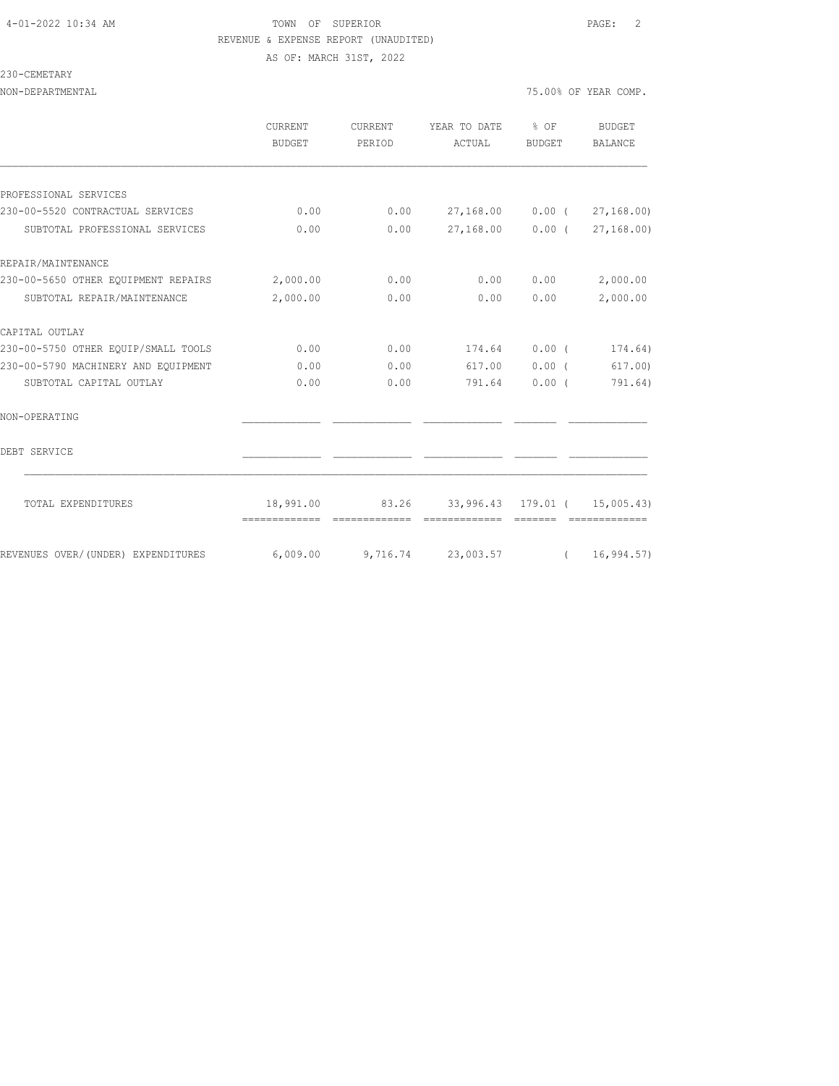## 4-01-2022 10:34 AM TOWN OF SUPERIOR PAGE: 2 REVENUE & EXPENSE REPORT (UNAUDITED)

AS OF: MARCH 31ST, 2022

| $-CEMETARY$<br>u |  |
|------------------|--|
|------------------|--|

NON-DEPARTMENTAL 75.000 OF YEAR COMP. THE YEAR COMP. THE YEAR COMP. THE YEAR COMP. THE YEAR COMP.

|  |  |  |  |  | 5.00% OF YEAR COMP. |
|--|--|--|--|--|---------------------|
|--|--|--|--|--|---------------------|

|                                     | <b>CURRENT</b><br><b>BUDGET</b> | <b>CURRENT</b><br>PERIOD | YEAR TO DATE<br>ACTUAL              | $8$ OF<br>BUDGET | <b>BUDGET</b><br><b>BALANCE</b> |
|-------------------------------------|---------------------------------|--------------------------|-------------------------------------|------------------|---------------------------------|
|                                     |                                 |                          |                                     |                  |                                 |
| PROFESSIONAL SERVICES               |                                 |                          |                                     |                  |                                 |
| 230-00-5520 CONTRACTUAL SERVICES    | 0.00                            | 0.00                     | 27,168.00   0.00   27,168.00)       |                  |                                 |
| SUBTOTAL PROFESSIONAL SERVICES      | 0.00                            | 0.00                     | 27,168.00  0.00  (27,168.00)        |                  |                                 |
| REPAIR/MAINTENANCE                  |                                 |                          |                                     |                  |                                 |
| 230-00-5650 OTHER EQUIPMENT REPAIRS | 2,000.00                        | 0.00                     | 0.00                                | 0.00             | 2,000.00                        |
| SUBTOTAL REPAIR/MAINTENANCE         | 2,000.00                        | 0.00                     | 0.00                                | 0.00             | 2,000.00                        |
| CAPITAL OUTLAY                      |                                 |                          |                                     |                  |                                 |
| 230-00-5750 OTHER EQUIP/SMALL TOOLS | 0.00                            | 0.00                     | 174.64                              | $0.00$ (         | 174.64)                         |
| 230-00-5790 MACHINERY AND EOUIPMENT | 0.00                            | 0.00                     | 617.00                              | $0.00$ (         | 617,00                          |
| SUBTOTAL CAPITAL OUTLAY             | 0.00                            | 0.00                     | 791.64                              | 0.00(            | 791.64)                         |
| NON-OPERATING                       |                                 |                          |                                     |                  |                                 |
| DEBT SERVICE                        |                                 |                          |                                     |                  |                                 |
| TOTAL EXPENDITURES                  | 18,991.00                       |                          | 83.26 33,996.43 179.01 ( 15,005.43) |                  |                                 |
|                                     | --------------                  | --------------           |                                     |                  |                                 |
| REVENUES OVER/(UNDER) EXPENDITURES  | 6,009.00                        |                          | $9,716.74$ 23,003.57 (16,994.57)    |                  |                                 |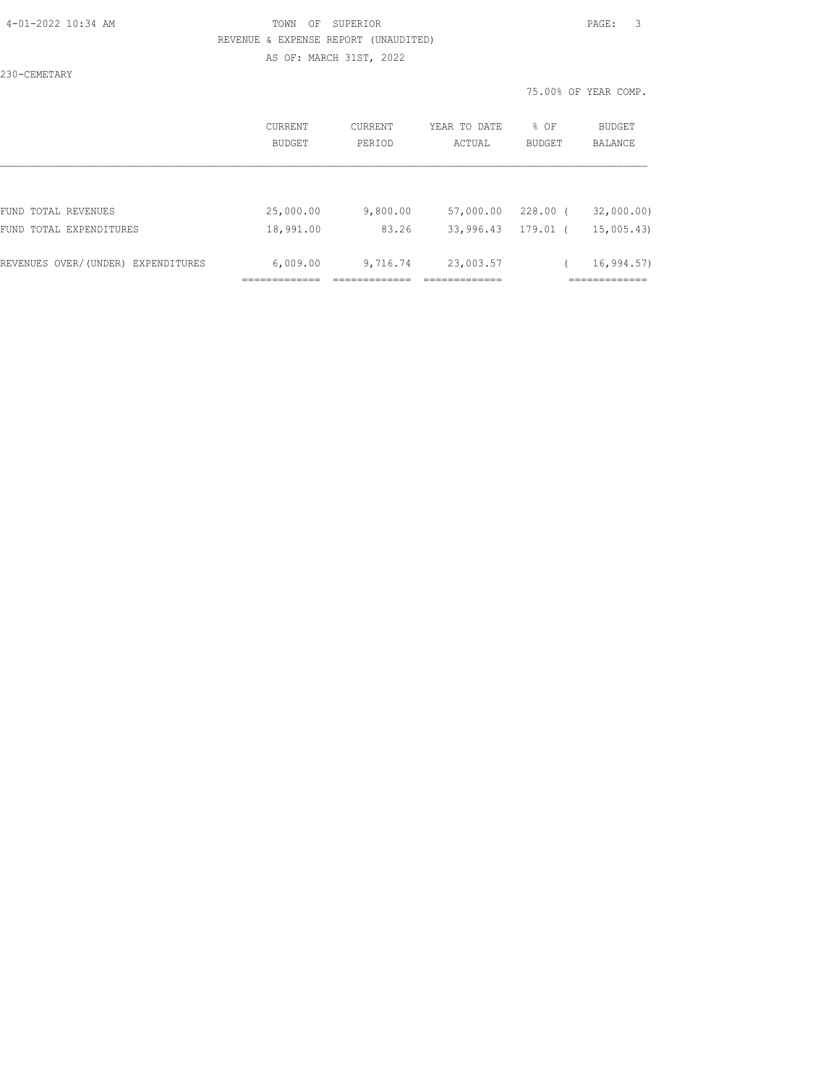230-CEMETARY

|                                                | CURRENT<br><b>BUDGET</b> | CURRENT<br>PERIOD | YEAR TO DATE<br>ACTUAL | % OF<br><b>BUDGET</b> | BUDGET<br><b>BALANCE</b> |
|------------------------------------------------|--------------------------|-------------------|------------------------|-----------------------|--------------------------|
|                                                | 25,000.00                |                   |                        | $228.00$ (            |                          |
| FUND TOTAL REVENUES<br>FUND TOTAL EXPENDITURES | 18,991.00                | 9,800.00<br>83.26 | 57,000.00<br>33,996.43 | 179.01 (              | 32,000.00)<br>15,005.43) |
| REVENUES OVER/(UNDER) EXPENDITURES             | 6,009.00                 | 9,716.74          | 23,003.57              |                       | 16, 994.57               |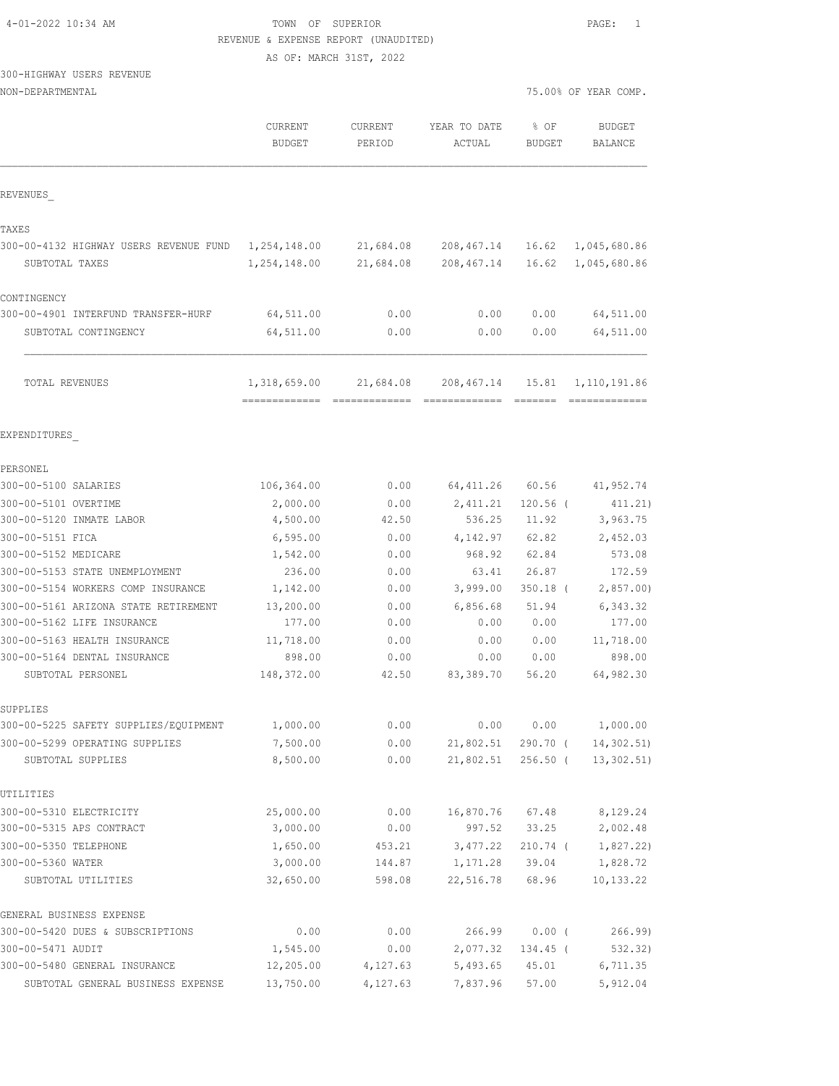| 4-01-2022 10:34 AM |  |  |
|--------------------|--|--|
|--------------------|--|--|

### TOWN OF SUPERIOR **PAGE:** 1 REVENUE & EXPENSE REPORT (UNAUDITED)

AS OF: MARCH 31ST, 2022

# 300-HIGHWAY USERS REVENUE

| NON-DEPARTMENTAL |
|------------------|
|------------------|

| NON-DEPARTMENTAL                                    |                          |                          |                        |                          | 75.00% OF YEAR COMP.      |
|-----------------------------------------------------|--------------------------|--------------------------|------------------------|--------------------------|---------------------------|
|                                                     | CURRENT<br><b>BUDGET</b> | <b>CURRENT</b><br>PERIOD | YEAR TO DATE<br>ACTUAL | % OF<br><b>BUDGET</b>    | <b>BUDGET</b><br>BALANCE  |
| REVENUES                                            |                          |                          |                        |                          |                           |
| TAXES                                               |                          |                          |                        |                          |                           |
| 300-00-4132 HIGHWAY USERS REVENUE FUND              | 1,254,148.00             | 21,684.08                | 208,467.14             | 16.62                    | 1,045,680.86              |
| SUBTOTAL TAXES                                      | 1,254,148.00             | 21,684.08                | 208, 467.14            | 16.62                    | 1,045,680.86              |
| CONTINGENCY                                         |                          |                          |                        |                          |                           |
| 300-00-4901 INTERFUND TRANSFER-HURF                 | 64,511.00                | 0.00                     | 0.00                   | 0.00                     | 64,511.00                 |
| SUBTOTAL CONTINGENCY                                | 64,511.00                | 0.00                     | 0.00                   | 0.00                     | 64,511.00                 |
| <b>TOTAL REVENUES</b>                               | 1,318,659.00             | 21,684.08                | 208,467.14             | 15.81                    | 1,110,191.86              |
| EXPENDITURES                                        |                          |                          |                        |                          |                           |
| PERSONEL                                            |                          |                          |                        |                          |                           |
| 300-00-5100 SALARIES                                | 106,364.00               | 0.00                     | 64, 411.26             | 60.56                    | 41,952.74                 |
| 300-00-5101 OVERTIME                                | 2,000.00                 | 0.00                     | 2,411.21               | $120.56$ (               | 411.21)                   |
| 300-00-5120 INMATE LABOR                            | 4,500.00                 | 42.50                    | 536.25                 | 11.92                    | 3,963.75                  |
| 300-00-5151 FICA                                    | 6, 595.00                | 0.00                     | 4,142.97               | 62.82                    | 2,452.03                  |
| 300-00-5152 MEDICARE                                | 1,542.00                 | 0.00                     | 968.92                 | 62.84                    | 573.08                    |
| 300-00-5153 STATE UNEMPLOYMENT                      | 236.00                   | 0.00                     | 63.41                  | 26.87                    | 172.59                    |
| 300-00-5154 WORKERS COMP INSURANCE                  | 1,142.00                 | 0.00                     | 3,999.00               | $350.18$ (               | 2,857.00                  |
| 300-00-5161 ARIZONA STATE RETIREMENT                | 13,200.00                | 0.00                     | 6,856.68               | 51.94                    | 6,343.32                  |
| 300-00-5162 LIFE INSURANCE                          | 177.00                   | 0.00                     | 0.00                   | 0.00                     | 177.00                    |
| 300-00-5163 HEALTH INSURANCE                        | 11,718.00                | 0.00                     | 0.00                   | 0.00                     | 11,718.00                 |
| 300-00-5164 DENTAL INSURANCE                        | 898.00                   | 0.00                     | 0.00                   | 0.00                     | 898.00                    |
| SUBTOTAL PERSONEL                                   | 148,372.00               | 42.50                    | 83,389.70              | 56.20                    | 64,982.30                 |
| SUPPLIES                                            |                          |                          |                        |                          |                           |
| 300-00-5225 SAFETY SUPPLIES/EQUIPMENT               | 1,000.00                 | 0.00                     | 0.00                   | 0.00                     | 1,000.00                  |
| 300-00-5299 OPERATING SUPPLIES<br>SUBTOTAL SUPPLIES | 7,500.00<br>8,500.00     | 0.00<br>0.00             | 21,802.51<br>21,802.51 | $290.70$ (<br>$256.50$ ( | 14,302.51)<br>13, 302.51) |
| UTILITIES                                           |                          |                          |                        |                          |                           |
| 300-00-5310 ELECTRICITY                             | 25,000.00                | 0.00                     | 16,870.76              | 67.48                    | 8,129.24                  |
| 300-00-5315 APS CONTRACT                            | 3,000.00                 | 0.00                     | 997.52                 | 33.25                    | 2,002.48                  |
| 300-00-5350 TELEPHONE                               | 1,650.00                 | 453.21                   | 3,477.22               | $210.74$ (               | 1,827.22)                 |
| 300-00-5360 WATER                                   | 3,000.00                 | 144.87                   | 1,171.28               | 39.04                    | 1,828.72                  |
| SUBTOTAL UTILITIES                                  | 32,650.00                | 598.08                   | 22,516.78              | 68.96                    | 10, 133.22                |
| GENERAL BUSINESS EXPENSE                            |                          |                          |                        |                          |                           |
| 300-00-5420 DUES & SUBSCRIPTIONS                    | 0.00                     | 0.00                     | 266.99                 | 0.00(                    | 266.99                    |
| 300-00-5471 AUDIT                                   | 1,545.00                 | 0.00                     | 2,077.32               | 134.45 (                 | 532.32)                   |
| 300-00-5480 GENERAL INSURANCE                       | 12,205.00                | 4,127.63                 | 5,493.65               | 45.01                    | 6,711.35                  |
| SUBTOTAL GENERAL BUSINESS EXPENSE                   | 13,750.00                | 4,127.63                 | 7,837.96               | 57.00                    | 5,912.04                  |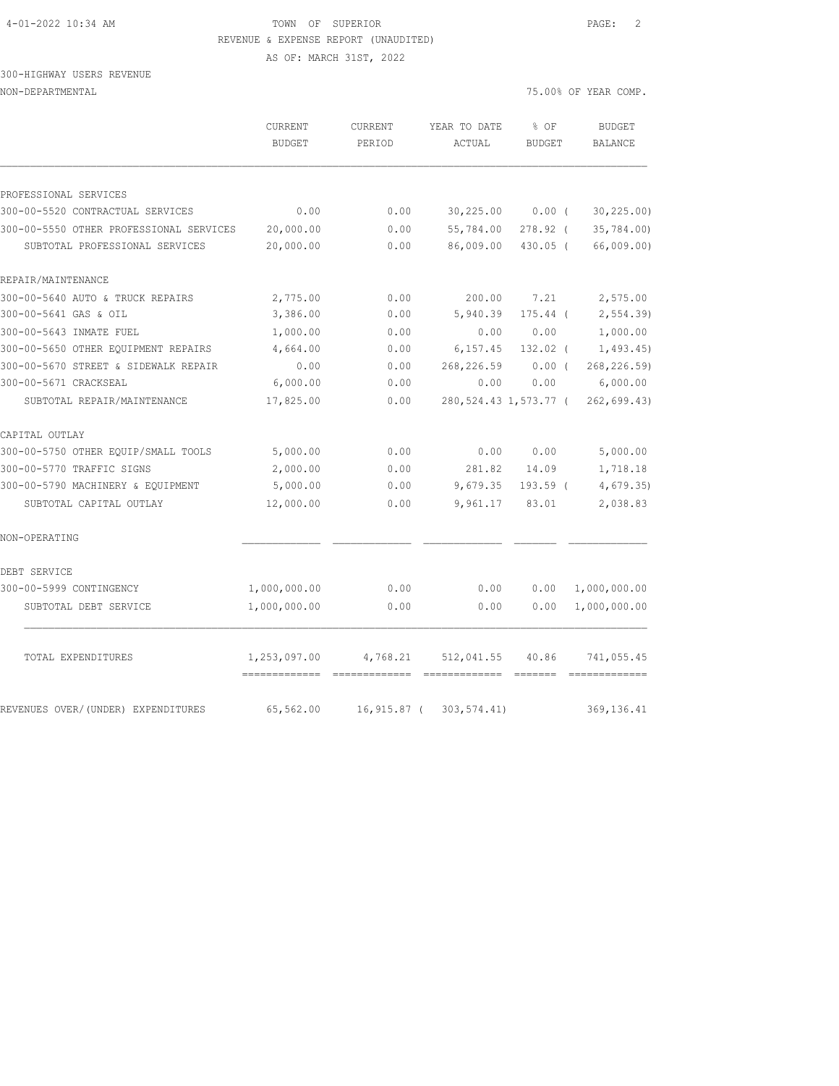300-HIGHWAY USERS REVENUE NON-DEPARTMENTAL 75.00% OF YEAR COMP.

|                                         | <b>CURRENT</b><br><b>BUDGET</b> | <b>CURRENT</b><br>PERIOD | YEAR TO DATE<br>ACTUAL  | % OF<br><b>BUDGET</b> | <b>BUDGET</b><br>BALANCE |
|-----------------------------------------|---------------------------------|--------------------------|-------------------------|-----------------------|--------------------------|
| PROFESSIONAL SERVICES                   |                                 |                          |                         |                       |                          |
| 300-00-5520 CONTRACTUAL SERVICES        | 0.00                            | 0.00                     | 30,225.00               | $0.00$ (              | 30, 225.00               |
| 300-00-5550 OTHER PROFESSIONAL SERVICES | 20,000.00                       | 0.00                     | 55,784.00               | 278.92 (              | 35,784.00)               |
| SUBTOTAL PROFESSIONAL SERVICES          | 20,000.00                       | 0.00                     | 86,009.00               | $430.05$ (            | 66,009.00)               |
| REPAIR/MAINTENANCE                      |                                 |                          |                         |                       |                          |
| 300-00-5640 AUTO & TRUCK REPAIRS        | 2,775.00                        | 0.00                     | 200.00                  | 7.21                  | 2,575.00                 |
| 300-00-5641 GAS & OIL                   | 3,386.00                        | 0.00                     | 5,940.39                | $175.44$ (            | 2, 554.39                |
| 300-00-5643 INMATE FUEL                 | 1,000.00                        | 0.00                     | 0.00                    | 0.00                  | 1,000.00                 |
| 300-00-5650 OTHER EQUIPMENT REPAIRS     | 4,664.00                        | 0.00                     | 6, 157.45               | 132.02 (              | 1,493.45                 |
| 300-00-5670 STREET & SIDEWALK REPAIR    | 0.00                            | 0.00                     | 268,226.59              | $0.00$ (              | 268, 226.59)             |
| 300-00-5671 CRACKSEAL                   | 6,000.00                        | 0.00                     | 0.00                    | 0.00                  | 6,000.00                 |
| SUBTOTAL REPAIR/MAINTENANCE             | 17,825.00                       | 0.00                     | 280, 524.43 1, 573.77 ( |                       | 262,699.43)              |
| CAPITAL OUTLAY                          |                                 |                          |                         |                       |                          |
| 300-00-5750 OTHER EQUIP/SMALL TOOLS     | 5,000.00                        | 0.00                     | 0.00                    | 0.00                  | 5,000.00                 |
| 300-00-5770 TRAFFIC SIGNS               | 2,000.00                        | 0.00                     | 281.82                  | 14.09                 | 1,718.18                 |
| 300-00-5790 MACHINERY & EQUIPMENT       | 5,000.00                        | 0.00                     | 9,679.35                | 193.59 (              | 4,679.35                 |
| SUBTOTAL CAPITAL OUTLAY                 | 12,000.00                       | 0.00                     | 9,961.17                | 83.01                 | 2,038.83                 |
| NON-OPERATING                           |                                 |                          |                         |                       |                          |
| DEBT SERVICE                            |                                 |                          |                         |                       |                          |
| 300-00-5999 CONTINGENCY                 | 1,000,000.00                    | 0.00                     | 0.00                    | 0.00                  | 1,000,000.00             |
| SUBTOTAL DEBT SERVICE                   | 1,000,000.00                    | 0.00                     | 0.00                    | 0.00                  | 1,000,000.00             |
| TOTAL EXPENDITURES                      | 1,253,097.00                    | 4,768.21                 | 512,041.55              | 40.86                 | 741,055.45               |
| REVENUES OVER/(UNDER) EXPENDITURES      | 65,562.00                       | $16,915.87$ (            | 303, 574.41)            |                       | 369, 136.41              |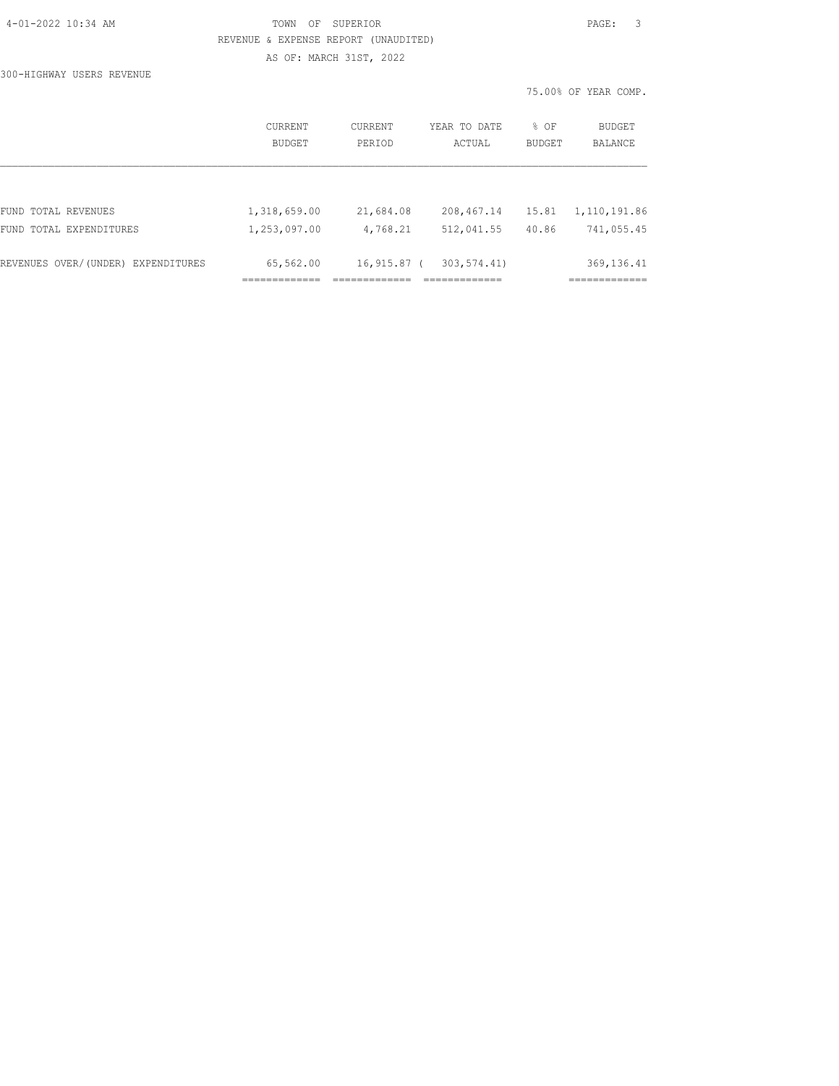# TOWN OF SUPERIOR **PAGE:** 3 REVENUE & EXPENSE REPORT (UNAUDITED)

AS OF: MARCH 31ST, 2022

300-HIGHWAY USERS REVENUE

|                                    | CURRENT<br>BUDGET | CURRENT<br>PERTOD | YEAR TO DATE<br>ACTUAL | % OF<br><b>BUDGET</b> | BUDGET<br><b>BALANCE</b> |
|------------------------------------|-------------------|-------------------|------------------------|-----------------------|--------------------------|
|                                    |                   |                   |                        |                       |                          |
| FUND TOTAL REVENUES                | 1,318,659.00      | 21,684.08         | 208,467.14             | 15.81                 | 1,110,191.86             |
| FUND TOTAL EXPENDITURES            | 1,253,097.00      | 4,768.21          | 512,041.55             | 40.86                 | 741,055.45               |
|                                    |                   |                   |                        |                       |                          |
| REVENUES OVER/(UNDER) EXPENDITURES | 65,562.00         | $16,915.87$ (     | 303, 574.41)           |                       | 369, 136.41              |
|                                    |                   |                   |                        |                       |                          |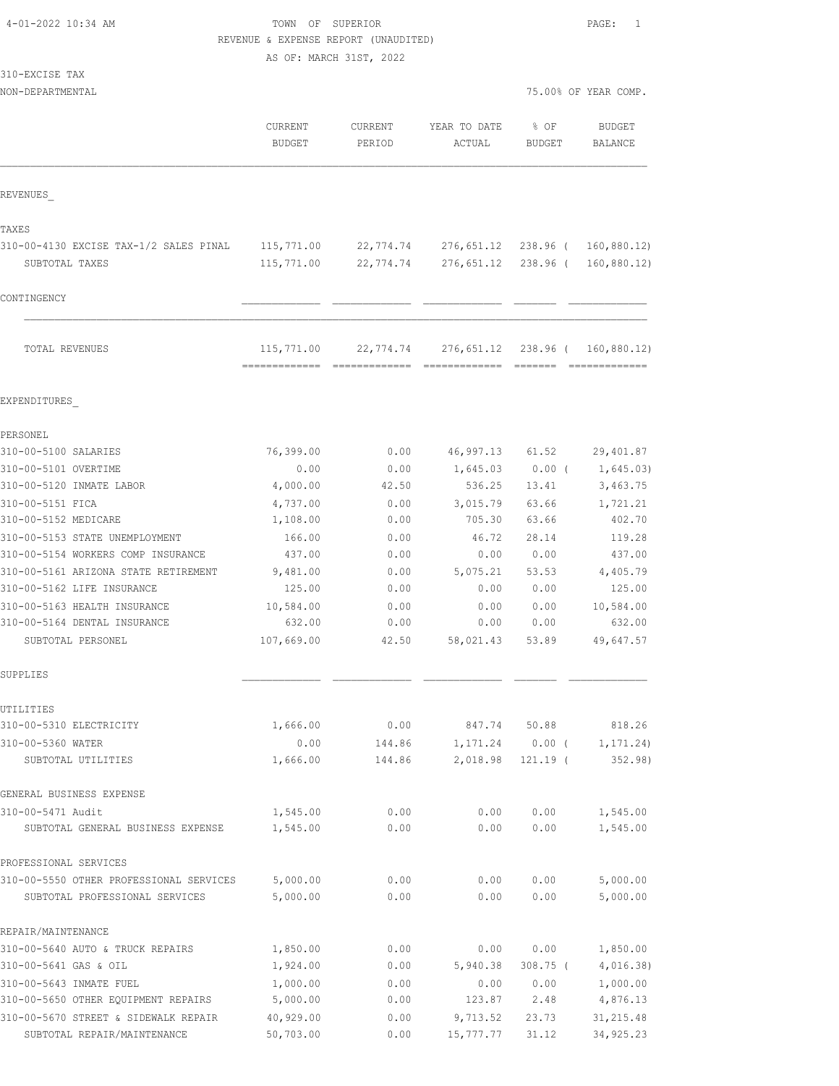### TOWN OF SUPERIOR **PAGE:** 1 REVENUE & EXPENSE REPORT (UNAUDITED)

AS OF: MARCH 31ST, 2022

| 310-EXCISE<br>TAX |  |
|-------------------|--|
|-------------------|--|

NON-DEPARTMENTAL 75.00% OF YEAR COMP.

|                                         | CURRENT<br>BUDGET                           | <b>CURRENT</b><br>PERIOD | YEAR TO DATE<br>ACTUAL | % OF<br><b>BUDGET</b> | <b>BUDGET</b><br>BALANCE      |
|-----------------------------------------|---------------------------------------------|--------------------------|------------------------|-----------------------|-------------------------------|
| REVENUES                                |                                             |                          |                        |                       |                               |
| TAXES                                   |                                             |                          |                        |                       |                               |
| 310-00-4130 EXCISE TAX-1/2 SALES PINAL  | 115,771.00                                  | 22,774.74                | 276,651.12             |                       | 238.96 ( 160,880.12)          |
| SUBTOTAL TAXES                          | 115,771.00                                  | 22,774.74                | 276,651.12             | 238.96 (              | 160,880.12)                   |
| CONTINGENCY                             |                                             |                          |                        |                       |                               |
|                                         |                                             |                          |                        |                       |                               |
| TOTAL REVENUES                          | 115,771.00<br>-------------- -------------- | 22,774.74                | 276,651.12             | 238.96 (              | 160,880.12)<br>-------------- |
| EXPENDITURES                            |                                             |                          |                        |                       |                               |
| PERSONEL                                |                                             |                          |                        |                       |                               |
| 310-00-5100 SALARIES                    | 76,399.00                                   | 0.00                     | 46,997.13              | 61.52                 | 29,401.87                     |
| 310-00-5101 OVERTIME                    | 0.00                                        | 0.00                     | 1,645.03               | $0.00$ (              | 1,645.03)                     |
| 310-00-5120 INMATE LABOR                | 4,000.00                                    | 42.50                    | 536.25                 | 13.41                 | 3,463.75                      |
| 310-00-5151 FICA                        | 4,737.00                                    | 0.00                     | 3,015.79               | 63.66                 | 1,721.21                      |
| 310-00-5152 MEDICARE                    | 1,108.00                                    | 0.00                     | 705.30                 | 63.66                 | 402.70                        |
| 310-00-5153 STATE UNEMPLOYMENT          | 166.00                                      | 0.00                     | 46.72                  | 28.14                 | 119.28                        |
| 310-00-5154 WORKERS COMP INSURANCE      | 437.00                                      | 0.00                     | 0.00                   | 0.00                  | 437.00                        |
| 310-00-5161 ARIZONA STATE RETIREMENT    | 9,481.00                                    | 0.00                     | 5,075.21               | 53.53                 | 4,405.79                      |
| 310-00-5162 LIFE INSURANCE              | 125.00                                      | 0.00                     | 0.00                   | 0.00                  | 125.00                        |
| 310-00-5163 HEALTH INSURANCE            | 10,584.00                                   | 0.00                     | 0.00                   | 0.00                  | 10,584.00                     |
| 310-00-5164 DENTAL INSURANCE            | 632.00                                      | 0.00                     | 0.00                   | 0.00                  | 632.00                        |
| SUBTOTAL PERSONEL                       | 107,669.00                                  | 42.50                    | 58,021.43              | 53.89                 | 49,647.57                     |
| SUPPLIES                                |                                             |                          |                        |                       |                               |
| UTILITIES                               |                                             |                          |                        |                       |                               |
| 310-00-5310 ELECTRICITY                 | 1,666.00                                    | 0.00                     | 847.74                 | 50.88                 | 818.26                        |
| 310-00-5360 WATER                       | 0.00                                        | 144.86                   | 1,171.24               | 0.00(                 | 1, 171.24)                    |
| SUBTOTAL UTILITIES                      | 1,666.00                                    | 144.86                   | 2,018.98               | $121.19$ (            | 352.98                        |
| GENERAL BUSINESS EXPENSE                |                                             |                          |                        |                       |                               |
| 310-00-5471 Audit                       | 1,545.00                                    | 0.00                     | 0.00                   | 0.00                  | 1,545.00                      |
| SUBTOTAL GENERAL BUSINESS EXPENSE       | 1,545.00                                    | 0.00                     | 0.00                   | 0.00                  | 1,545.00                      |
| PROFESSIONAL SERVICES                   |                                             |                          |                        |                       |                               |
| 310-00-5550 OTHER PROFESSIONAL SERVICES | 5,000.00                                    | 0.00                     | 0.00                   | 0.00                  | 5,000.00                      |
| SUBTOTAL PROFESSIONAL SERVICES          | 5,000.00                                    | 0.00                     | 0.00                   | 0.00                  | 5,000.00                      |
| REPAIR/MAINTENANCE                      |                                             |                          |                        |                       |                               |
| 310-00-5640 AUTO & TRUCK REPAIRS        | 1,850.00                                    | 0.00                     | 0.00                   | 0.00                  | 1,850.00                      |
| 310-00-5641 GAS & OIL                   | 1,924.00                                    | 0.00                     | 5,940.38               | $308.75$ (            | 4,016.38)                     |
| 310-00-5643 INMATE FUEL                 | 1,000.00                                    | 0.00                     | 0.00                   | 0.00                  | 1,000.00                      |
| 310-00-5650 OTHER EQUIPMENT REPAIRS     | 5,000.00                                    | 0.00                     | 123.87                 | 2.48                  | 4,876.13                      |
| 310-00-5670 STREET & SIDEWALK REPAIR    | 40,929.00                                   | 0.00                     | 9,713.52               | 23.73                 | 31, 215.48                    |

SUBTOTAL REPAIR/MAINTENANCE 50,703.00 0.00 15,777.77 31.12 34,925.23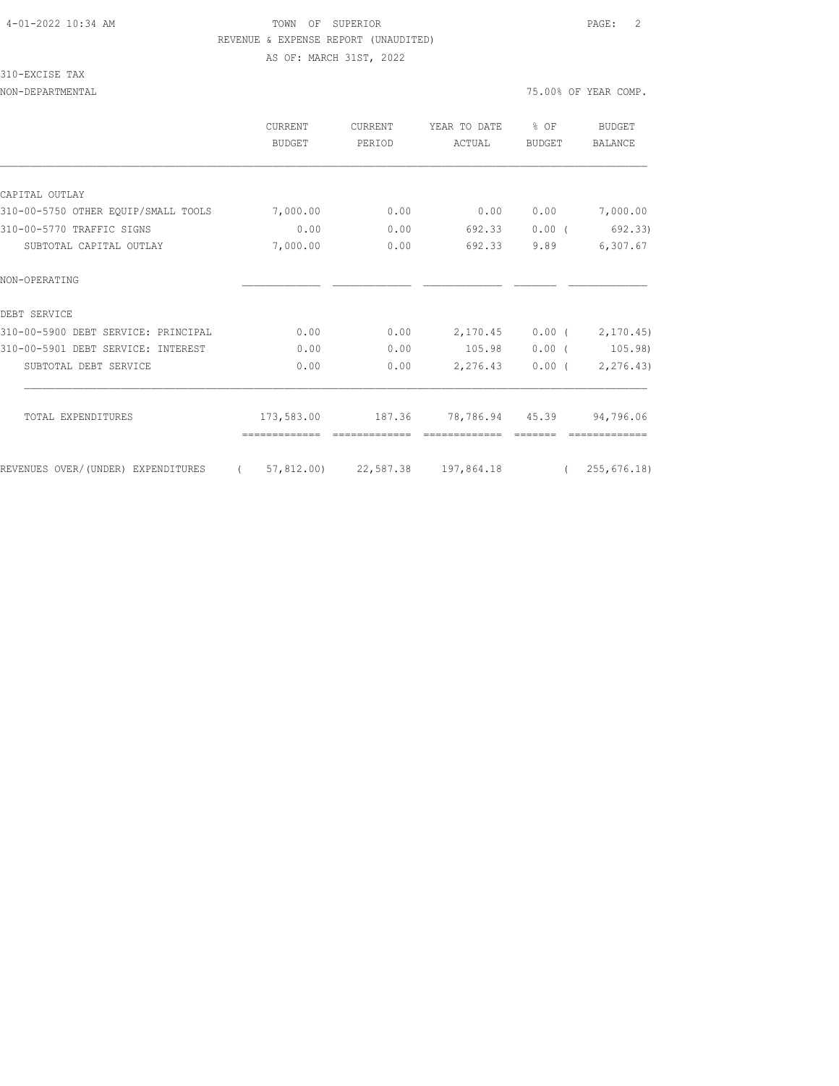### 310-EXCISE TAX

|                                     | CURRENT<br><b>BUDGET</b> | CURRENT<br>PERIOD | YEAR TO DATE<br>ACTUAL | % OF<br>BUDGET | <b>BUDGET</b><br>BALANCE |
|-------------------------------------|--------------------------|-------------------|------------------------|----------------|--------------------------|
|                                     |                          |                   |                        |                |                          |
| CAPITAL OUTLAY                      |                          |                   |                        |                |                          |
| 310-00-5750 OTHER EQUIP/SMALL TOOLS | 7,000.00                 | 0.00              | 0.00                   | 0.00           | 7,000.00                 |
| 310-00-5770 TRAFFIC SIGNS           | 0.00                     | 0.00              | 692.33                 | $0.00$ (       | 692.33)                  |
| SUBTOTAL CAPITAL OUTLAY             | 7,000.00                 | 0.00              | 692.33                 | 9.89           | 6,307.67                 |
| NON-OPERATING                       |                          |                   |                        |                |                          |
| DEBT SERVICE                        |                          |                   |                        |                |                          |
| 310-00-5900 DEBT SERVICE: PRINCIPAL | 0.00                     | 0.00              | 2,170.45               | $0.00$ (       | 2, 170.45                |
| 310-00-5901 DEBT SERVICE: INTEREST  | 0.00                     | 0.00              | 105.98                 | $0.00$ (       | 105.98)                  |
| SUBTOTAL DEBT SERVICE               | 0.00                     | 0.00              | 2,276.43               | $0.00$ (       | 2,276.43)                |
| TOTAL EXPENDITURES                  | 173,583.00               | 187.36            | 78,786.94 45.39        |                | 94,796.06                |
| REVENUES OVER/(UNDER) EXPENDITURES  | 57,812.00)<br>$\left($   | 22,587.38         | 197,864.18             | $\left($       | 255, 676.18              |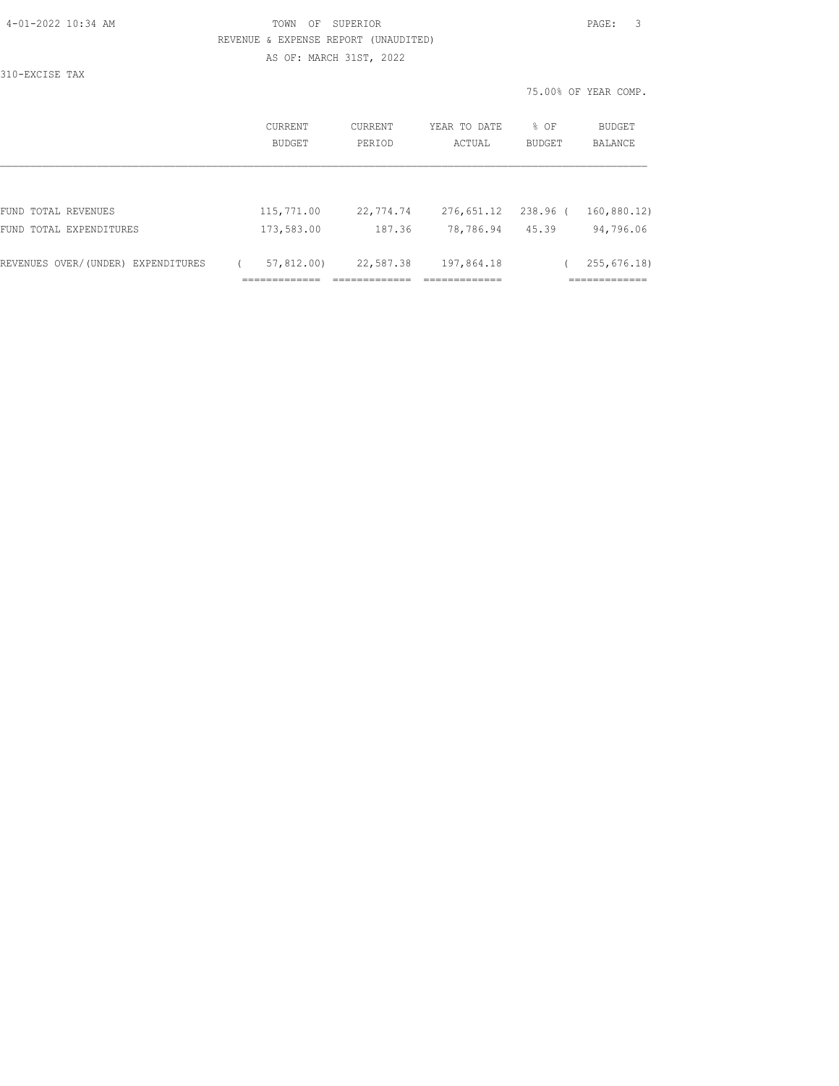| 4-01-2022 10:34 AM | OF<br>TOWN                           | SUPERIOR                |              |        | -3<br>PAGE:         |
|--------------------|--------------------------------------|-------------------------|--------------|--------|---------------------|
|                    | REVENUE & EXPENSE REPORT (UNAUDITED) |                         |              |        |                     |
|                    |                                      | AS OF: MARCH 31ST, 2022 |              |        |                     |
| 310-EXCISE TAX     |                                      |                         |              |        |                     |
|                    |                                      |                         |              |        | 75.00% OF YEAR COMP |
|                    |                                      |                         |              |        |                     |
|                    | CURRENT                              | CURRENT                 | YEAR TO DATE | % OF   | BUDGET              |
|                    | <b>BUDGET</b>                        | PERIOD                  | ACTUAL       | BUDGET | <b>BALANCE</b>      |
|                    |                                      |                         |              |        |                     |

|  |  | T.<br>٠<br>ı |
|--|--|--------------|
|  |  |              |

|                                    | CURRENT    | <b>CURRENT</b> |        | YEAR TO DATE | % OF          | <b>BUDGET</b> |
|------------------------------------|------------|----------------|--------|--------------|---------------|---------------|
|                                    | BUDGET     | PERIOD         |        | ACTUAL       | <b>BUDGET</b> | BALANCE       |
|                                    |            |                |        |              |               |               |
|                                    |            |                |        |              |               |               |
|                                    |            |                |        |              |               |               |
| FUND TOTAL REVENUES                | 115,771.00 | 22,774.74      |        | 276,651.12   | 238.96 (      | 160,880.12)   |
| FUND TOTAL EXPENDITURES            | 173,583.00 |                | 187.36 | 78,786.94    | 45.39         | 94,796.06     |
|                                    |            |                |        |              |               |               |
| REVENUES OVER/(UNDER) EXPENDITURES | 57,812.00) | 22,587.38      |        | 197,864.18   |               | 255,676.18)   |
|                                    |            |                |        |              |               |               |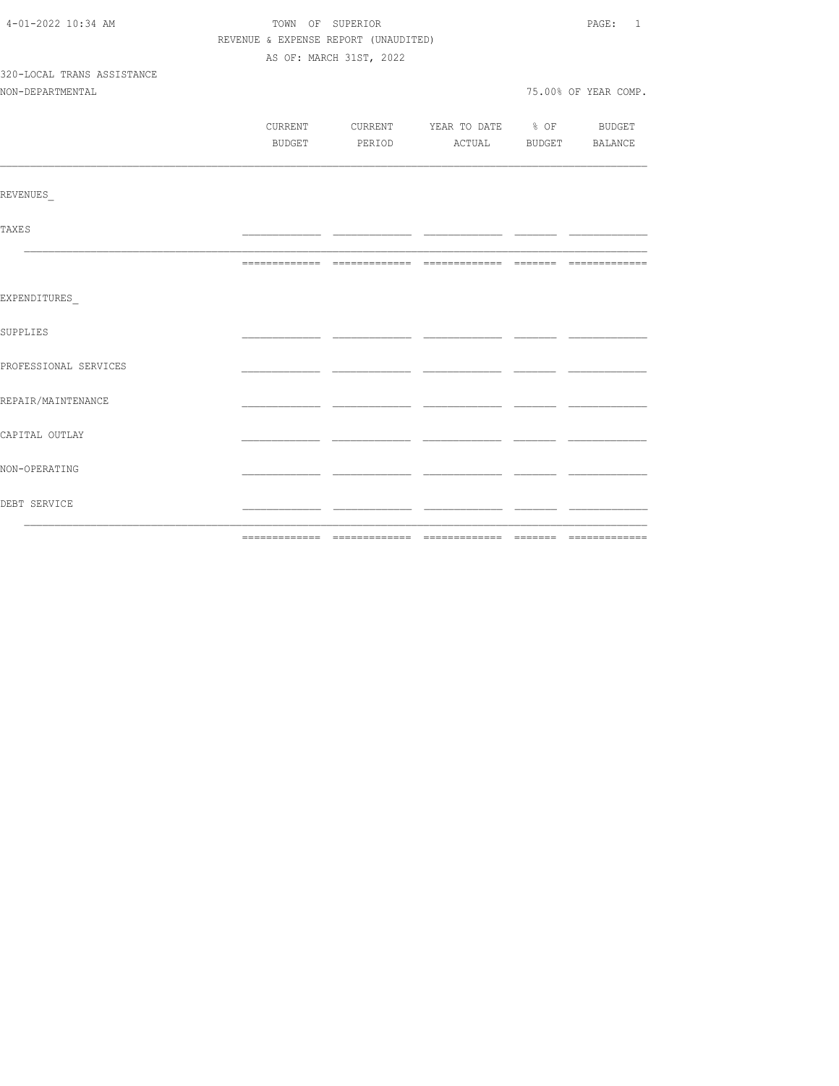| 4-01-2022 10:34 AM         | TOWN OF SUPERIOR                     | PAGE: 1                 |                                          |  |                      |
|----------------------------|--------------------------------------|-------------------------|------------------------------------------|--|----------------------|
|                            | REVENUE & EXPENSE REPORT (UNAUDITED) |                         |                                          |  |                      |
|                            |                                      | AS OF: MARCH 31ST, 2022 |                                          |  |                      |
| 320-LOCAL TRANS ASSISTANCE |                                      |                         |                                          |  |                      |
| NON-DEPARTMENTAL           |                                      |                         |                                          |  | 75.00% OF YEAR COMP. |
|                            |                                      |                         |                                          |  |                      |
|                            |                                      |                         | CURRENT CURRENT YEAR TO DATE % OF BUDGET |  |                      |
|                            |                                      |                         | BUDGET PERIOD ACTUAL BUDGET BALANCE      |  |                      |
|                            |                                      |                         |                                          |  |                      |
| REVENUES                   |                                      |                         |                                          |  |                      |
| TAXE S                     |                                      |                         |                                          |  |                      |
|                            |                                      |                         |                                          |  |                      |
| EXPENDITURES               |                                      |                         |                                          |  |                      |
| SUPPLIES                   |                                      |                         |                                          |  |                      |
| PROFESSIONAL SERVICES      |                                      |                         |                                          |  |                      |
| REPAIR/MAINTENANCE         |                                      |                         |                                          |  |                      |
| CAPITAL OUTLAY             |                                      |                         |                                          |  |                      |
| NON-OPERATING              |                                      |                         |                                          |  |                      |
| DEBT SERVICE               |                                      |                         |                                          |  |                      |
|                            |                                      |                         |                                          |  |                      |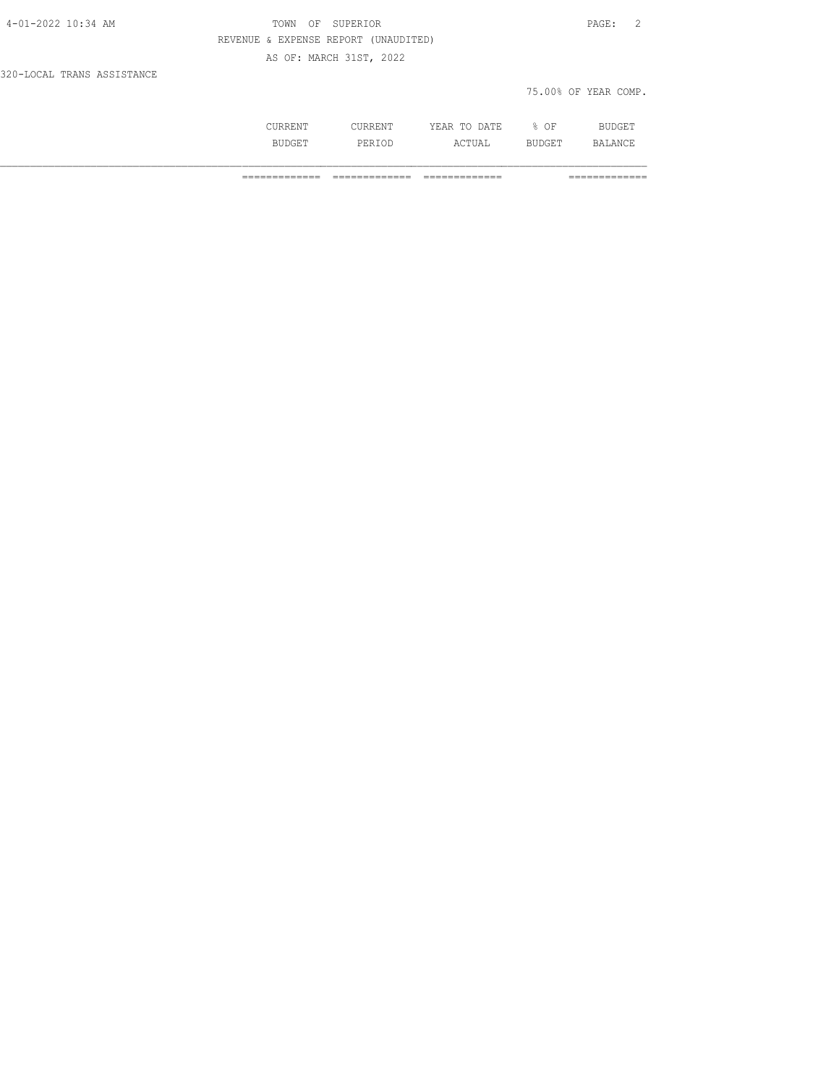| 4-01-2022 10:34 AM         | TOWN OF SUPERIOR                     | PAGE: 2              |
|----------------------------|--------------------------------------|----------------------|
|                            | REVENUE & EXPENSE REPORT (UNAUDITED) |                      |
|                            | AS OF: MARCH 31ST, 2022              |                      |
| 320-LOCAL TRANS ASSISTANCE |                                      |                      |
|                            |                                      | 75.00% OF YEAR COMP. |

| RREN'I | ______<br>' 1 \ 1 \ 1 __ 1 \ 1 | DATE.<br>$\cdots$<br>'H'A R<br>----<br>----- | ΟF<br>о.<br>⋇ | <b>BUDGET</b><br>RUDGET |
|--------|--------------------------------|----------------------------------------------|---------------|-------------------------|
|        |                                |                                              |               |                         |
| RIIP   | DF <sup>7</sup>                | l'UAL:                                       | B1            | .∆N∩F                   |
| ------ | PERIOD                         | 2 A W                                        | BUDGET        | ----                    |
|        |                                |                                              |               |                         |

============= ============= ============= =============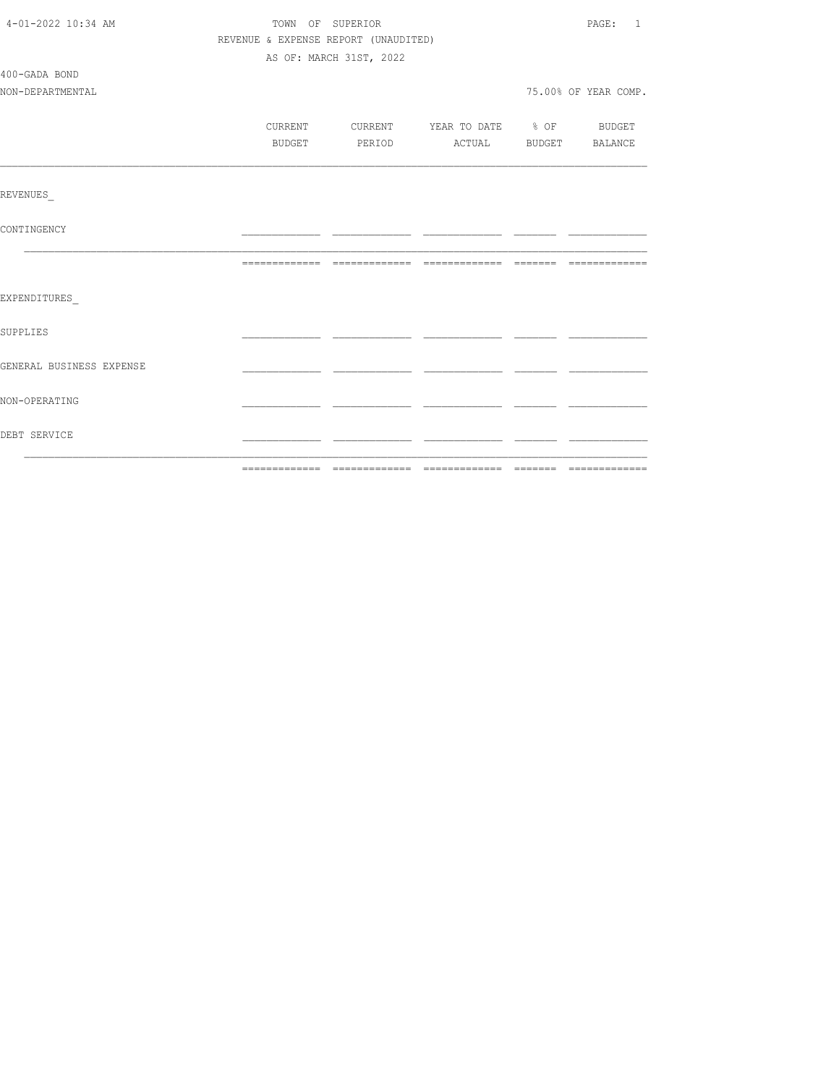| 4-01-2022 10:34 AM       | TOWN OF SUPERIOR                     |        |                         |                                  |  | PAGE: 1              |
|--------------------------|--------------------------------------|--------|-------------------------|----------------------------------|--|----------------------|
|                          | REVENUE & EXPENSE REPORT (UNAUDITED) |        |                         |                                  |  |                      |
|                          |                                      |        | AS OF: MARCH 31ST, 2022 |                                  |  |                      |
| 400-GADA BOND            |                                      |        |                         |                                  |  |                      |
| NON-DEPARTMENTAL         |                                      |        |                         |                                  |  | 75.00% OF YEAR COMP. |
|                          |                                      |        |                         |                                  |  |                      |
|                          | CURRENT                              |        |                         | CURRENT YEAR TO DATE % OF BUDGET |  |                      |
|                          |                                      | BUDGET | PERIOD                  | ACTUAL BUDGET BALANCE            |  |                      |
|                          |                                      |        |                         |                                  |  |                      |
| REVENUES                 |                                      |        |                         |                                  |  |                      |
| CONTINGENCY              |                                      |        |                         |                                  |  |                      |
|                          |                                      |        |                         |                                  |  |                      |
| EXPENDITURES             |                                      |        |                         |                                  |  |                      |
| SUPPLIES                 |                                      |        |                         |                                  |  |                      |
| GENERAL BUSINESS EXPENSE |                                      |        |                         |                                  |  |                      |
| NON-OPERATING            |                                      |        |                         |                                  |  |                      |
| DEBT SERVICE             |                                      |        |                         |                                  |  |                      |
|                          |                                      |        |                         |                                  |  |                      |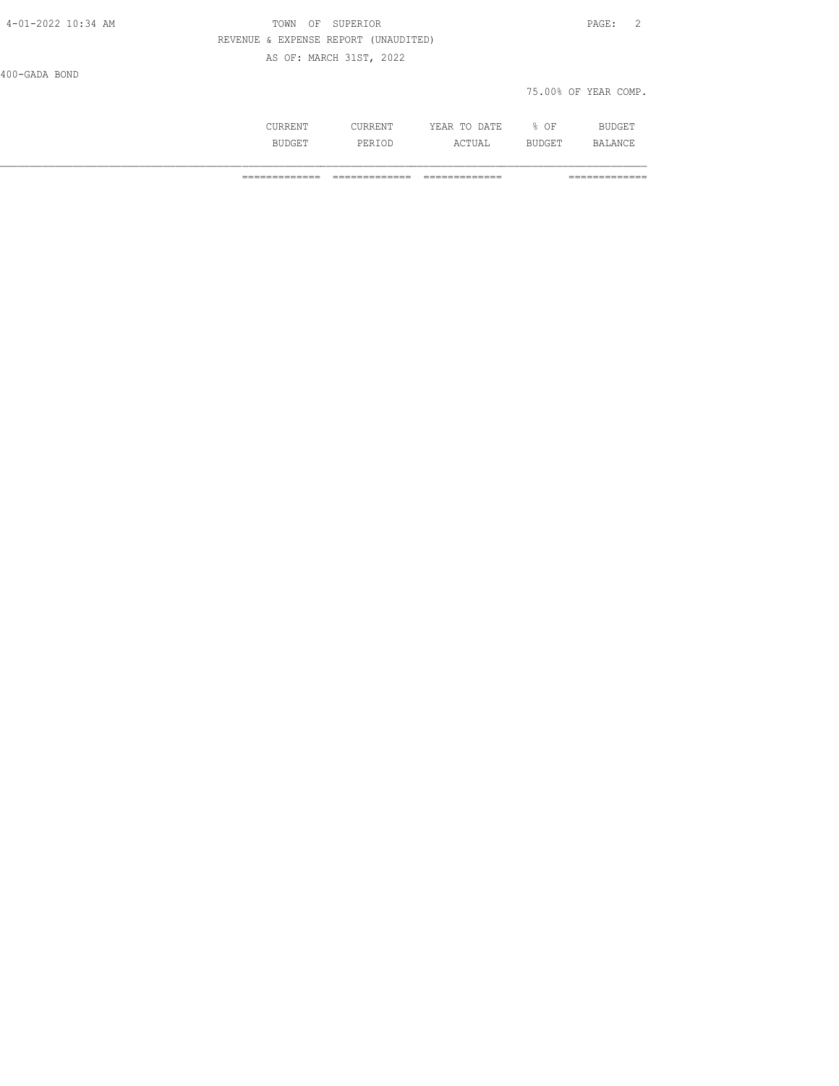| 4-01-2022 10:34 AM | OF SUPERIOR<br>TOWN                  | PAGE: 2              |
|--------------------|--------------------------------------|----------------------|
|                    | REVENUE & EXPENSE REPORT (UNAUDITED) |                      |
|                    | AS OF: MARCH 31ST, 2022              |                      |
| 400-GADA BOND      |                                      |                      |
|                    |                                      | 75.00% OF YEAR COMP. |
|                    |                                      |                      |

| ⊥∖⊥∖⊥⊥∖⊥       | .      | $- - -$<br>D A mm<br>$\cdot$ . A $\cdot$<br>. .<br>-----<br>----- | ΟF<br>∽.<br>-      | RL.<br>∸ ∟∪ |
|----------------|--------|-------------------------------------------------------------------|--------------------|-------------|
| ' דר<br>------ | PERIOD | ъ.<br>. .<br>سد سد<br>2 A W                                       | UYAK.<br>- BADAR T | ΔN          |

============= ============= ============= =============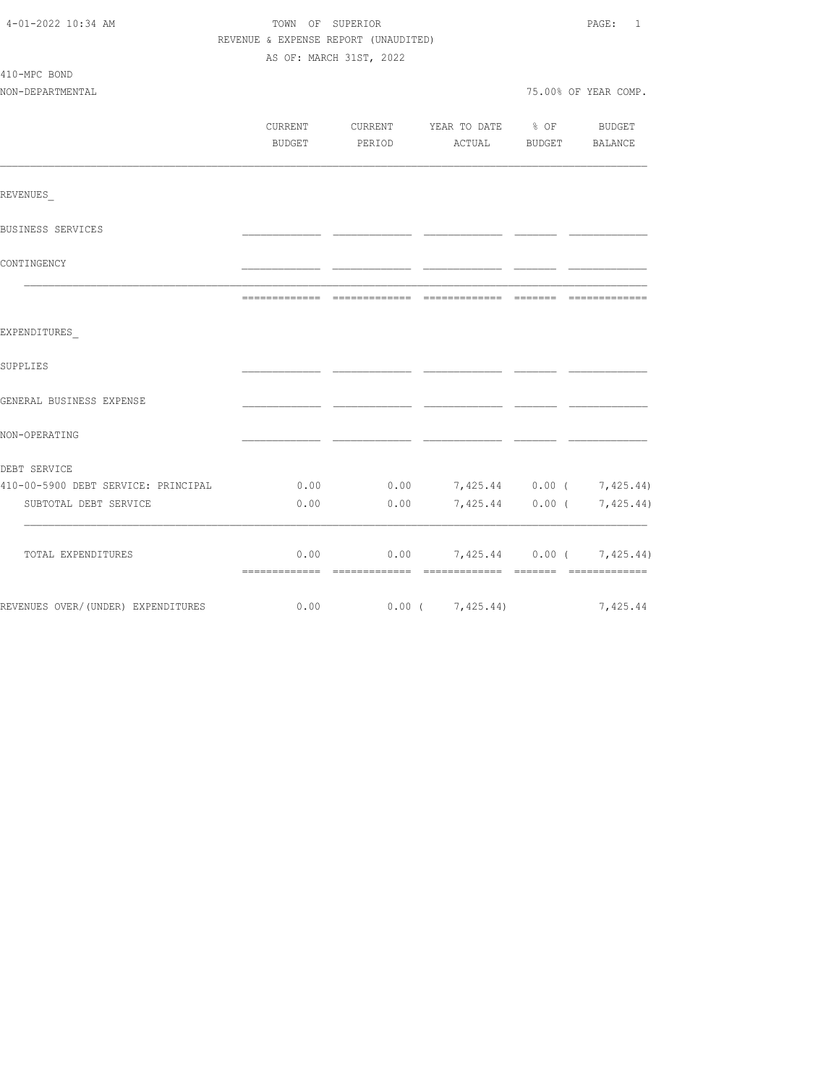| 4-01-2022 10:34 AM                  |         | TOWN OF SUPERIOR<br>REVENUE & EXPENSE REPORT (UNAUDITED)<br>AS OF: MARCH 31ST, 2022 |                                  |                 |                           |  |
|-------------------------------------|---------|-------------------------------------------------------------------------------------|----------------------------------|-----------------|---------------------------|--|
| 410-MPC BOND<br>NON-DEPARTMENTAL    |         |                                                                                     |                                  |                 | 75.00% OF YEAR COMP.      |  |
|                                     |         |                                                                                     |                                  |                 |                           |  |
|                                     | CURRENT | CURRENT                                                                             | YEAR TO DATE 8 OF                |                 | BUDGET                    |  |
|                                     | BUDGET  | PERIOD                                                                              | ACTUAL                           | BUDGET BALANCE  |                           |  |
| REVENUES                            |         |                                                                                     |                                  |                 |                           |  |
| BUSINESS SERVICES                   |         |                                                                                     |                                  |                 |                           |  |
| CONTINGENCY                         |         |                                                                                     |                                  |                 |                           |  |
|                                     |         |                                                                                     |                                  |                 |                           |  |
| EXPENDITURES                        |         |                                                                                     |                                  |                 |                           |  |
| SUPPLIES                            |         |                                                                                     |                                  |                 |                           |  |
| GENERAL BUSINESS EXPENSE            |         |                                                                                     |                                  |                 |                           |  |
| NON-OPERATING                       |         |                                                                                     |                                  |                 |                           |  |
| DEBT SERVICE                        |         |                                                                                     |                                  |                 |                           |  |
| 410-00-5900 DEBT SERVICE: PRINCIPAL | 0.00    |                                                                                     | $0.00$ 7,425.44 0.00 ( 7,425.44) |                 |                           |  |
| SUBTOTAL DEBT SERVICE               | 0.00    | 0.00                                                                                |                                  | 7,425.44 0.00 ( | 7,425.44)                 |  |
| TOTAL EXPENDITURES                  | 0.00    | 0.00                                                                                |                                  |                 | 7,425.44 0.00 ( 7,425.44) |  |
| REVENUES OVER/(UNDER) EXPENDITURES  | 0.00    | $0.00$ ( $7,425.44$ )                                                               |                                  |                 | 7,425.44                  |  |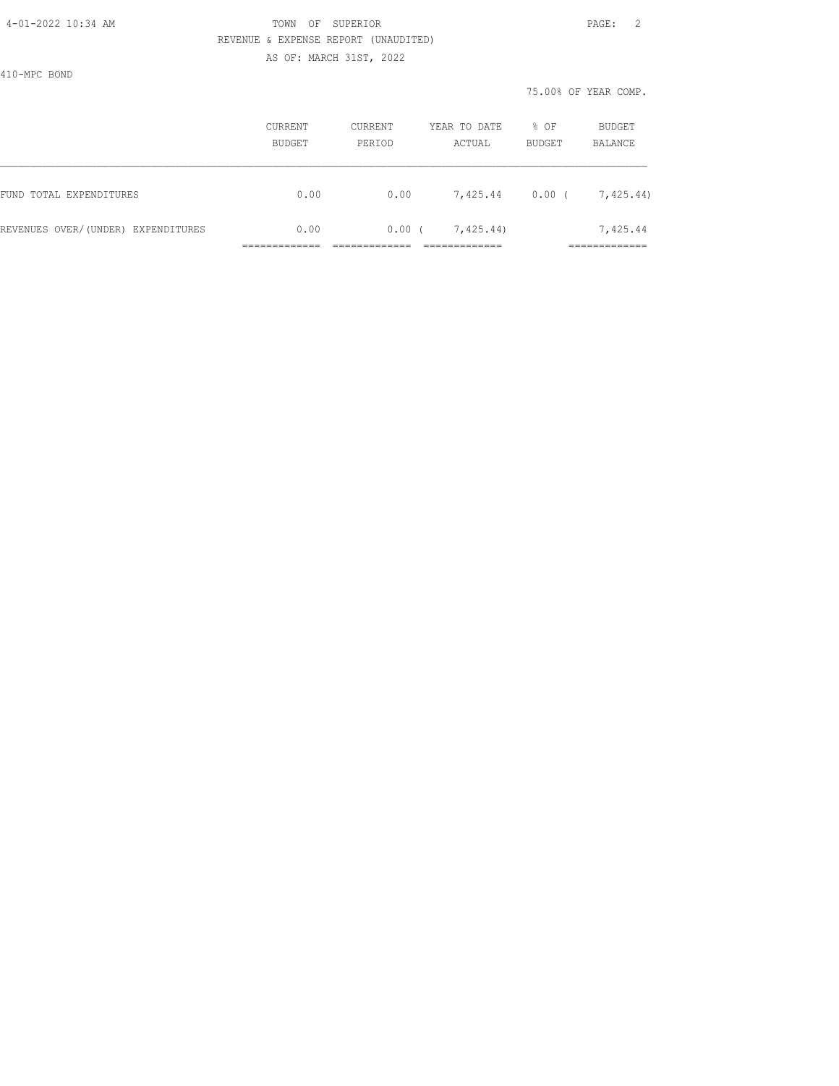410-MPC BOND

|                                    | CURRENT<br><b>BUDGET</b> | <b>CURRENT</b><br>PERIOD | YEAR TO DATE<br>ACTUAL | % OF<br>BUDGET | BUDGET<br>BALANCE        |
|------------------------------------|--------------------------|--------------------------|------------------------|----------------|--------------------------|
| FUND TOTAL EXPENDITURES            | 0.00                     | 0.00                     | 7,425.44               | 0.00(          | 7,425.44)                |
| REVENUES OVER/(UNDER) EXPENDITURES | 0.00                     | 0.00                     | 7,425.44)              |                | 7,425.44<br>____________ |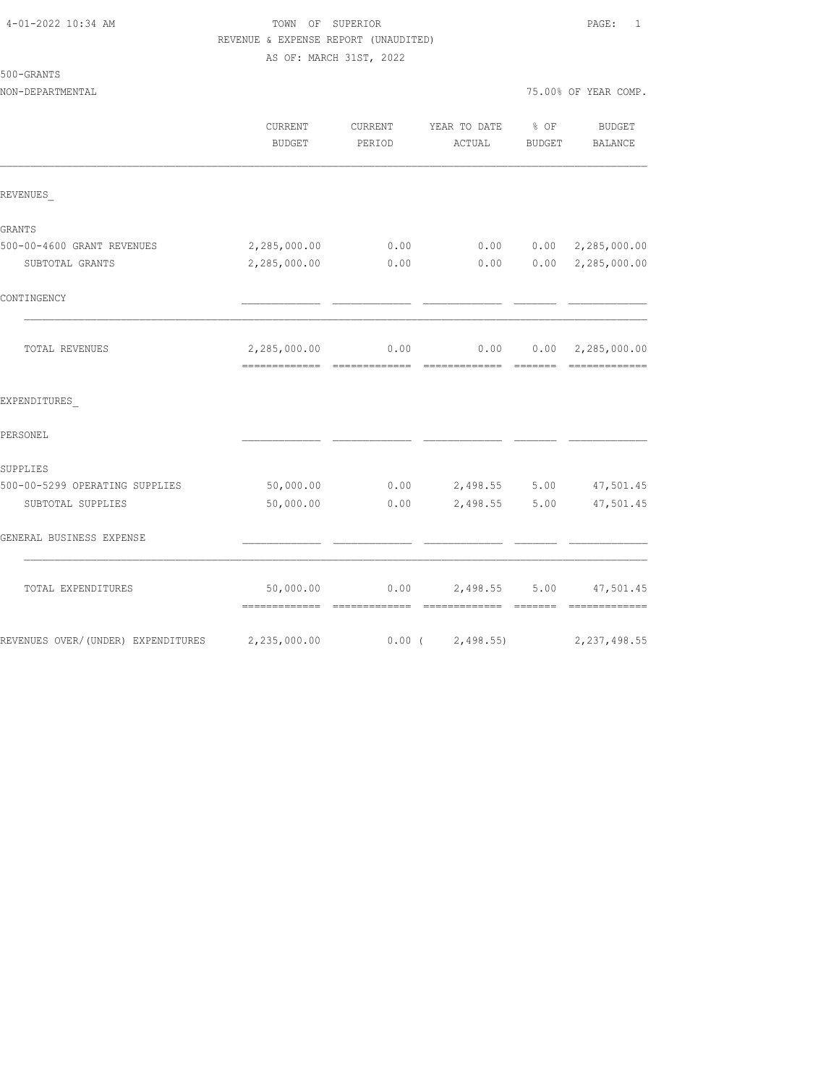### TOWN OF SUPERIOR **PAGE:** 1 REVENUE & EXPENSE REPORT (UNAUDITED) AS OF: MARCH 31ST, 2022

| 500-GRANTS |  |
|------------|--|
|            |  |

| NON-DEPARTMENTAL               |                   |        |                                            |        | 75.00% OF YEAR COMP.         |
|--------------------------------|-------------------|--------|--------------------------------------------|--------|------------------------------|
|                                | CURRENT<br>BUDGET | PERIOD | CURRENT YEAR TO DATE % OF<br>ACTUAL        | BUDGET | <b>BUDGET</b><br>BALANCE     |
| REVENUES                       |                   |        |                                            |        |                              |
| GRANTS                         |                   |        |                                            |        |                              |
| 500-00-4600 GRANT REVENUES     | 2,285,000.00      | 0.00   |                                            |        | $0.00$ $0.00$ $2,285,000.00$ |
| SUBTOTAL GRANTS                | 2,285,000.00      | 0.00   | 0.00                                       |        | $0.00 \quad 2,285,000.00$    |
| CONTINGENCY                    |                   |        |                                            |        |                              |
| TOTAL REVENUES                 | 2,285,000.00      |        | $0.00$ $0.00$ $0.00$ $0.00$ $2,285,000.00$ |        |                              |
| EXPENDITURES                   |                   |        |                                            |        |                              |
| PERSONEL                       |                   |        |                                            |        |                              |
| SUPPLIES                       |                   |        |                                            |        |                              |
| 500-00-5299 OPERATING SUPPLIES | 50,000.00         |        | $0.00$ 2,498.55 5.00                       |        | 47,501.45                    |
| SUBTOTAL SUPPLIES              | 50,000.00         | 0.00   | 2,498.55                                   | 5.00   | 47,501.45                    |
| GENERAL BUSINESS EXPENSE       |                   |        |                                            |        |                              |
| TOTAL EXPENDITURES             | 50,000.00         |        | $0.00$ 2,498.55                            |        | 5.00 47,501.45               |
|                                |                   |        |                                            |        |                              |

REVENUES OVER/(UNDER) EXPENDITURES 2,235,000.00 0.00 ( 2,498.55) 2,237,498.55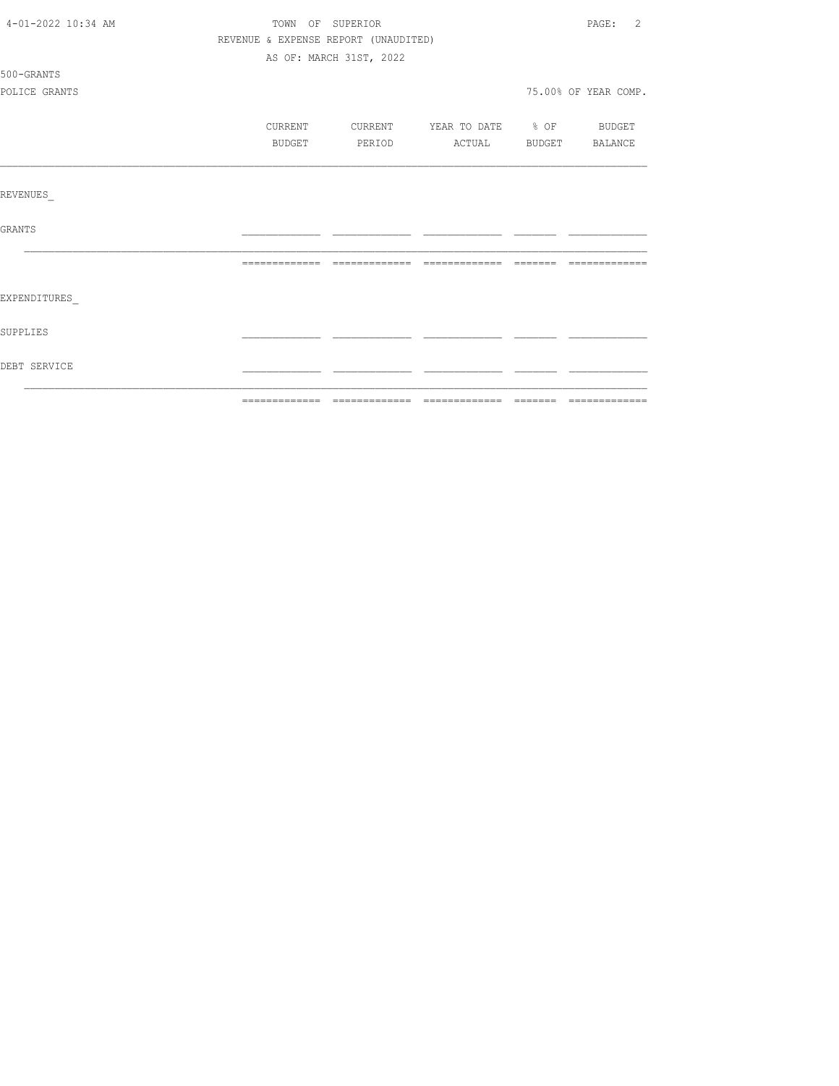| 4-01-2022 10:34 AM | TOWN OF SUPERIOR |                                      |                                  | $\overline{2}$<br>PAGE: |
|--------------------|------------------|--------------------------------------|----------------------------------|-------------------------|
|                    |                  | REVENUE & EXPENSE REPORT (UNAUDITED) |                                  |                         |
|                    |                  | AS OF: MARCH 31ST, 2022              |                                  |                         |
| 500-GRANTS         |                  |                                      |                                  |                         |
| POLICE GRANTS      |                  |                                      |                                  | 75.00% OF YEAR COMP.    |
|                    | CURRENT          |                                      | CURRENT YEAR TO DATE % OF BUDGET |                         |
|                    | BUDGET           | PERIOD                               | ACTUAL BUDGET BALANCE            |                         |
| REVENUES           |                  |                                      |                                  |                         |
| GRANTS             |                  |                                      |                                  |                         |
|                    |                  |                                      |                                  |                         |
| EXPENDITURES       |                  |                                      |                                  |                         |
| SUPPLIES           |                  |                                      |                                  |                         |
| DEBT SERVICE       |                  |                                      |                                  |                         |
|                    |                  |                                      |                                  |                         |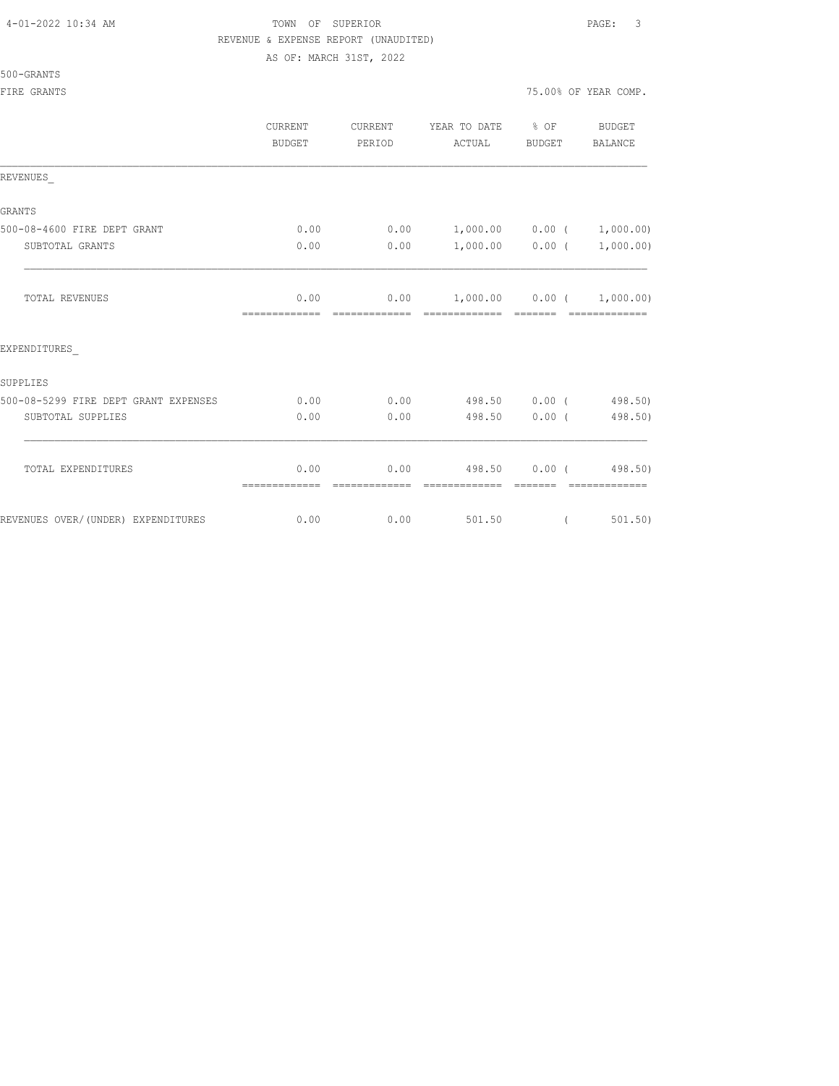### 500-GRANTS

|                                      | CURRENT<br><b>BUDGET</b> | CURRENT<br>PERIOD | YEAR TO DATE<br>ACTUAL                | $\frac{8}{3}$ OF<br><b>BUDGET</b> | BUDGET<br><b>BALANCE</b> |
|--------------------------------------|--------------------------|-------------------|---------------------------------------|-----------------------------------|--------------------------|
| REVENUES                             |                          |                   |                                       |                                   |                          |
| <b>GRANTS</b>                        |                          |                   |                                       |                                   |                          |
| 500-08-4600 FIRE DEPT GRANT          | 0.00                     | 0.00              | $1,000.00$ $0.00$ $(1,000.00)$        |                                   |                          |
| SUBTOTAL GRANTS                      | 0.00                     | 0.00              | $1,000.00$ $0.00$ $(1,000.00)$        |                                   |                          |
| <b>TOTAL REVENUES</b>                | 0.00                     |                   | $0.00$ $1,000.00$ $0.00$ $(1,000.00)$ |                                   |                          |
| EXPENDITURES                         |                          |                   |                                       |                                   |                          |
| SUPPLIES                             |                          |                   |                                       |                                   |                          |
| 500-08-5299 FIRE DEPT GRANT EXPENSES | 0.00                     | 0.00              | 498.50 0.00 (498.50)                  |                                   |                          |
| SUBTOTAL SUPPLIES                    | 0.00                     | 0.00              | 498.50                                |                                   | 0.00(498.50)             |
| TOTAL EXPENDITURES                   | 0.00                     | 0.00              | 498.50 0.00 (498.50)                  |                                   |                          |
| REVENUES OVER/(UNDER) EXPENDITURES   | 0.00                     | 0.00              | 501.50                                | $\left($                          | 501, 50)                 |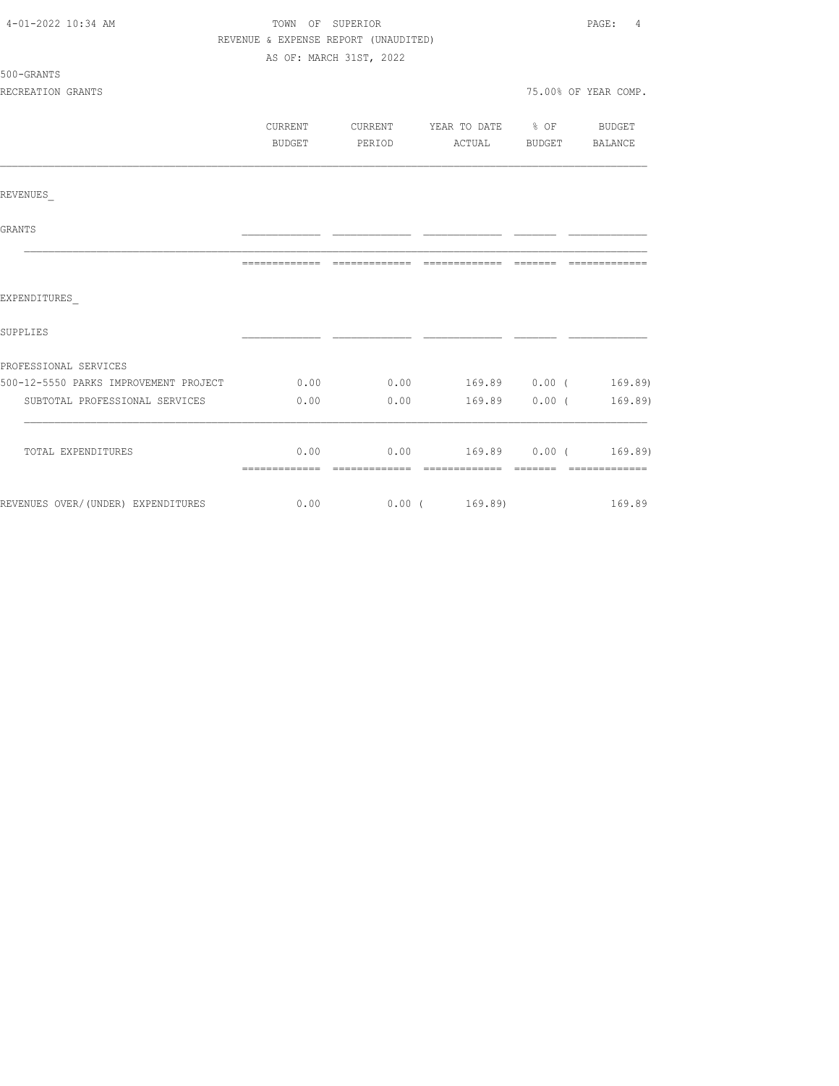| 4-01-2022 10:34 AM                         | TOWN OF SUPERIOR                     |                         |                                            | PAGE:<br>$\overline{4}$ |
|--------------------------------------------|--------------------------------------|-------------------------|--------------------------------------------|-------------------------|
|                                            | REVENUE & EXPENSE REPORT (UNAUDITED) |                         |                                            |                         |
|                                            |                                      | AS OF: MARCH 31ST, 2022 |                                            |                         |
| 500-GRANTS                                 |                                      |                         |                                            |                         |
| RECREATION GRANTS                          |                                      |                         |                                            | 75.00% OF YEAR COMP.    |
|                                            | CURRENT                              |                         | CURRENT YEAR TO DATE % OF BUDGET           |                         |
|                                            | BUDGET                               |                         | PERIOD ACTUAL BUDGET BALANCE               |                         |
|                                            |                                      |                         |                                            |                         |
|                                            |                                      |                         |                                            |                         |
| REVENUES                                   |                                      |                         |                                            |                         |
| GRANTS                                     |                                      |                         |                                            |                         |
|                                            |                                      |                         |                                            |                         |
|                                            |                                      |                         |                                            |                         |
| EXPENDITURES                               |                                      |                         |                                            |                         |
| SUPPLIES                                   |                                      |                         |                                            |                         |
| PROFESSIONAL SERVICES                      |                                      |                         |                                            |                         |
| 500-12-5550 PARKS IMPROVEMENT PROJECT 0.00 |                                      |                         | $0.00$ 169.89 $0.00$ ( 169.89)             |                         |
| SUBTOTAL PROFESSIONAL SERVICES             | 0.00                                 |                         | $0.00$ 169.89 0.00 (                       | 169.89)                 |
|                                            |                                      |                         |                                            |                         |
| TOTAL EXPENDITURES                         |                                      |                         | $0.00$ $0.00$ $169.89$ $0.00$ ( $169.89$ ) |                         |
|                                            |                                      |                         |                                            |                         |
| REVENUES OVER/(UNDER) EXPENDITURES         | 0.00                                 |                         | $0.00$ ( $169.89$ )                        | 169.89                  |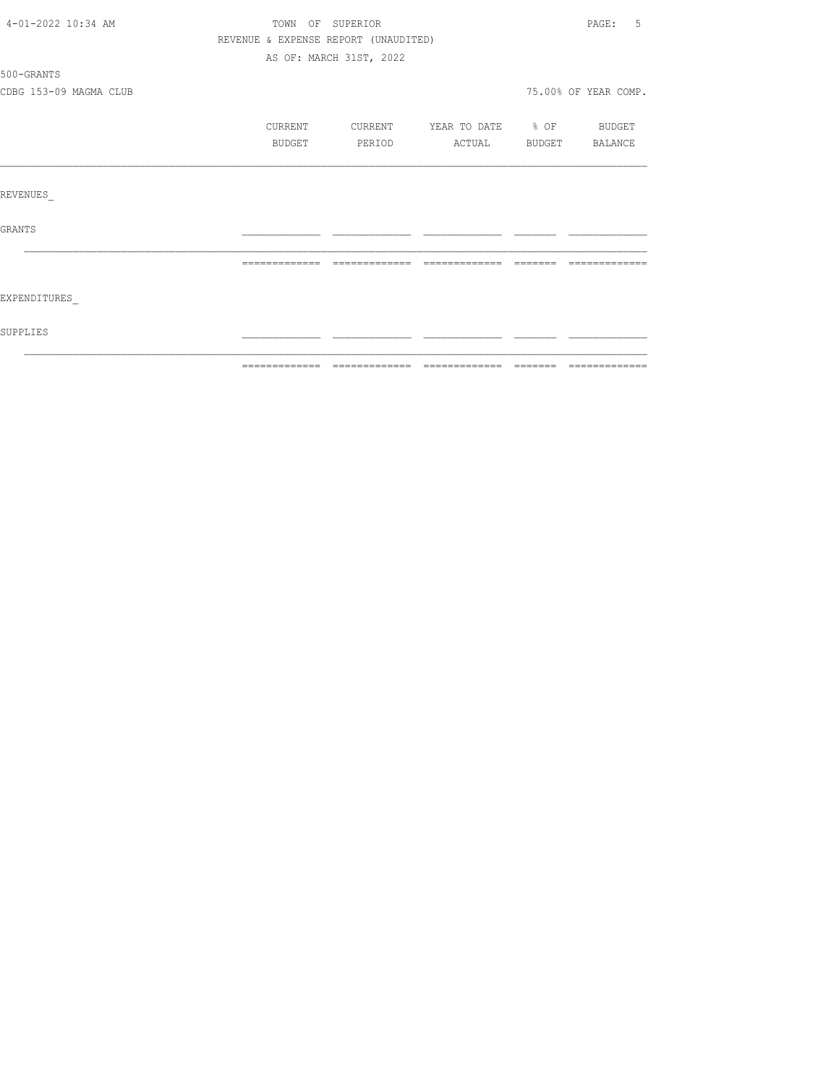| 4-01-2022 10:34 AM     | TOWN OF SUPERIOR                     |                         |                          |          | PAGE: 5              |
|------------------------|--------------------------------------|-------------------------|--------------------------|----------|----------------------|
|                        | REVENUE & EXPENSE REPORT (UNAUDITED) |                         |                          |          |                      |
|                        |                                      | AS OF: MARCH 31ST, 2022 |                          |          |                      |
| 500-GRANTS             |                                      |                         |                          |          |                      |
| CDBG 153-09 MAGMA CLUB |                                      |                         |                          |          | 75.00% OF YEAR COMP. |
|                        | CURRENT                              | CURRENT                 | YEAR TO DATE % OF BUDGET |          |                      |
|                        | BUDGET                               | PERIOD                  | ACTUAL BUDGET            |          | BALANCE              |
|                        |                                      |                         |                          |          |                      |
| REVENUES               |                                      |                         |                          |          |                      |
| <b>GRANTS</b>          |                                      |                         |                          |          |                      |
|                        | =============                        |                         |                          | -------- |                      |
| EXPENDITURES           |                                      |                         |                          |          |                      |
| SUPPLIES               |                                      |                         |                          |          |                      |
|                        |                                      |                         |                          |          |                      |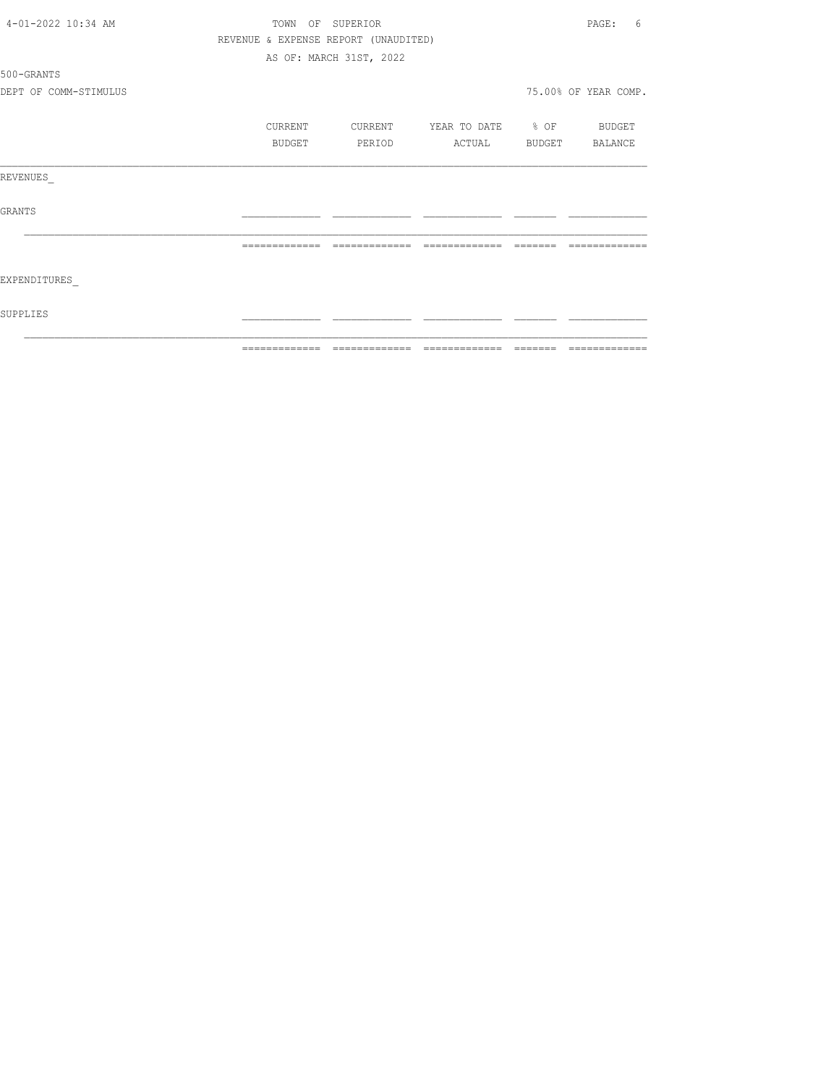|                       | ============= | --------------                       |                   | $\qquad \qquad \equiv \equiv \equiv \equiv \equiv \equiv \equiv$ | =============        |
|-----------------------|---------------|--------------------------------------|-------------------|------------------------------------------------------------------|----------------------|
| SUPPLIES              |               |                                      |                   |                                                                  |                      |
| EXPENDITURES          |               |                                      |                   |                                                                  |                      |
|                       | ============= | --------------                       | --------------    | --------                                                         | -------------        |
| GRANTS                |               |                                      |                   |                                                                  |                      |
| REVENUES              |               |                                      |                   |                                                                  |                      |
|                       | BUDGET        | PERIOD                               | ACTUAL            | BUDGET                                                           | BALANCE              |
|                       | CURRENT       | CURRENT                              | YEAR TO DATE % OF |                                                                  | BUDGET               |
| DEPT OF COMM-STIMULUS |               |                                      |                   |                                                                  | 75.00% OF YEAR COMP. |
| 500-GRANTS            |               |                                      |                   |                                                                  |                      |
|                       |               | AS OF: MARCH 31ST, 2022              |                   |                                                                  |                      |
|                       |               | REVENUE & EXPENSE REPORT (UNAUDITED) |                   |                                                                  |                      |
| 4-01-2022 10:34 AM    |               | TOWN OF SUPERIOR                     |                   |                                                                  | PAGE:<br>6           |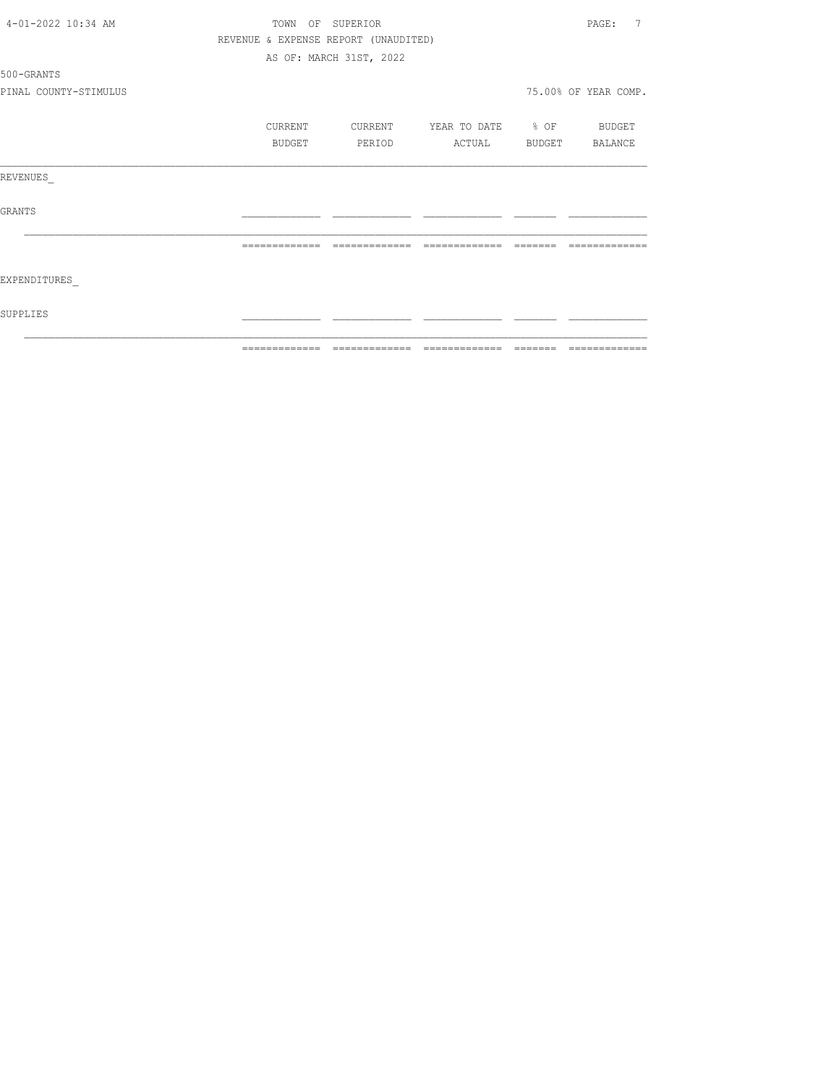|                       |               |                                      |                   |          | ---------------         |
|-----------------------|---------------|--------------------------------------|-------------------|----------|-------------------------|
| SUPPLIES              |               |                                      |                   |          |                         |
| EXPENDITURES          |               |                                      |                   |          |                         |
|                       | ============= | =============                        | =============     | -------- | =============           |
| GRANTS                |               |                                      |                   |          |                         |
| REVENUES              |               |                                      |                   |          |                         |
|                       | BUDGET        | PERIOD                               | ACTUAL            |          | BUDGET BALANCE          |
|                       | CURRENT       | CURRENT                              | YEAR TO DATE % OF |          | BUDGET                  |
| PINAL COUNTY-STIMULUS |               |                                      |                   |          | 75.00% OF YEAR COMP.    |
| 500-GRANTS            |               |                                      |                   |          |                         |
|                       |               | AS OF: MARCH 31ST, 2022              |                   |          |                         |
|                       |               | REVENUE & EXPENSE REPORT (UNAUDITED) |                   |          |                         |
| 4-01-2022 10:34 AM    |               | TOWN OF SUPERIOR                     |                   |          | $\overline{7}$<br>PAGE: |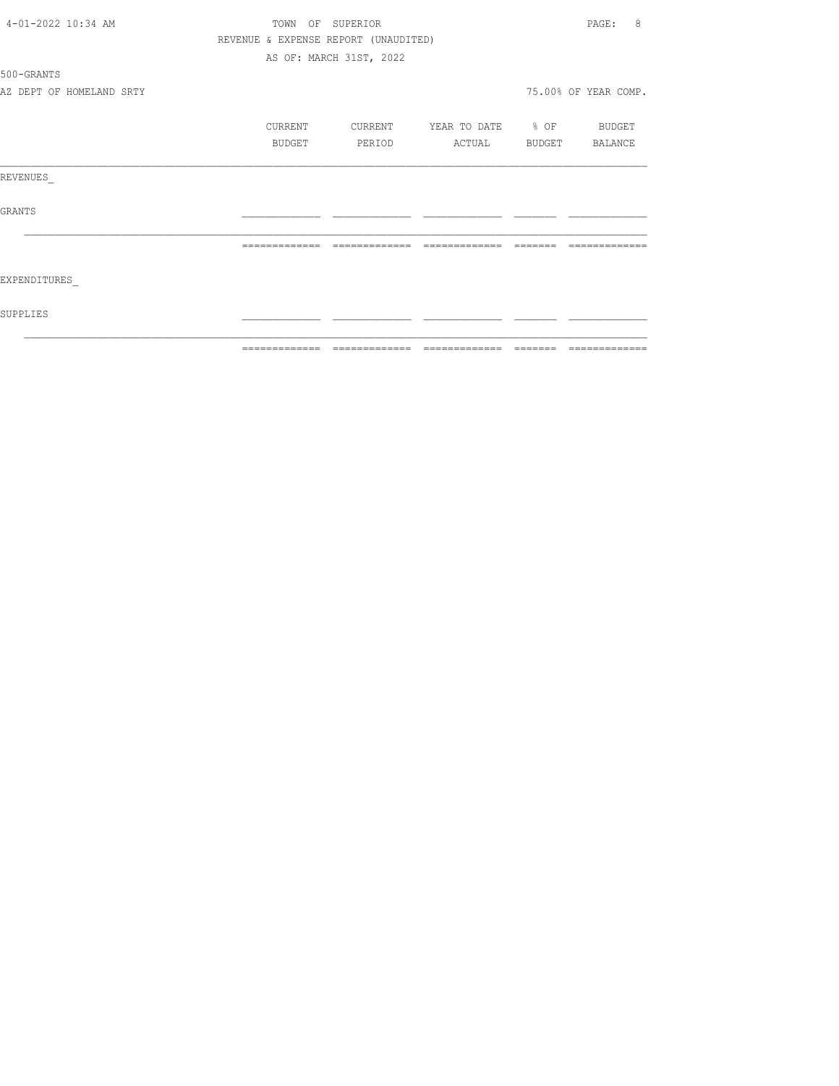|                    |                          | =============  | --------------                       | -------------         | -------- | --------------       |
|--------------------|--------------------------|----------------|--------------------------------------|-----------------------|----------|----------------------|
| SUPPLIES           |                          |                |                                      |                       |          |                      |
| EXPENDITURES       |                          |                |                                      |                       |          |                      |
|                    |                          | -------------- | --------------                       | --------------        |          |                      |
| GRANTS             |                          |                |                                      |                       |          |                      |
| REVENUES           |                          |                |                                      |                       |          |                      |
|                    |                          | BUDGET         | PERIOD                               | ACTUAL BUDGET BALANCE |          |                      |
|                    |                          | CURRENT        | CURRENT                              | YEAR TO DATE % OF     |          | BUDGET               |
|                    |                          |                |                                      |                       |          |                      |
|                    | AZ DEPT OF HOMELAND SRTY |                |                                      |                       |          | 75.00% OF YEAR COMP. |
| 500-GRANTS         |                          |                |                                      |                       |          |                      |
|                    |                          |                | AS OF: MARCH 31ST, 2022              |                       |          |                      |
|                    |                          |                | REVENUE & EXPENSE REPORT (UNAUDITED) |                       |          |                      |
| 4-01-2022 10:34 AM |                          |                | TOWN OF SUPERIOR                     |                       |          | PAGE:<br>8           |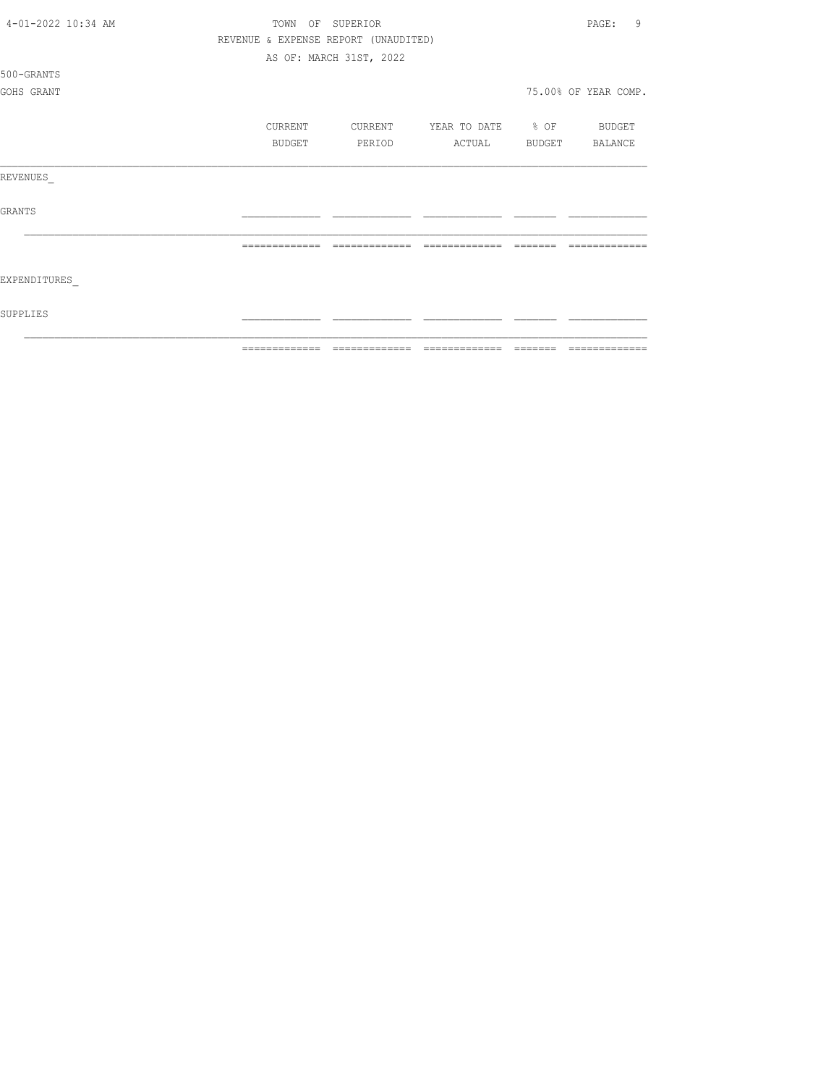| 4-01-2022 10:34 AM | TOWN           | OF<br>SUPERIOR                       |                    |          | 9<br>PAGE:           |
|--------------------|----------------|--------------------------------------|--------------------|----------|----------------------|
|                    |                | REVENUE & EXPENSE REPORT (UNAUDITED) |                    |          |                      |
|                    |                | AS OF: MARCH 31ST, 2022              |                    |          |                      |
| 500-GRANTS         |                |                                      |                    |          |                      |
| GOHS GRANT         |                |                                      |                    |          | 75.00% OF YEAR COMP. |
|                    |                |                                      |                    |          |                      |
|                    | CURRENT        | CURRENT                              | YEAR TO DATE % OF  |          | BUDGET               |
|                    | BUDGET         | PERIOD                               | ACTUAL             | BUDGET   | BALANCE              |
| REVENUES           |                |                                      |                    |          |                      |
| <b>GRANTS</b>      |                |                                      |                    |          |                      |
|                    | -------------- | -------------                        | --------<br>______ |          |                      |
| EXPENDITURES       |                |                                      |                    |          |                      |
| SUPPLIES           |                |                                      |                    |          |                      |
|                    | -------------- |                                      | -------------      | -------- | --------------       |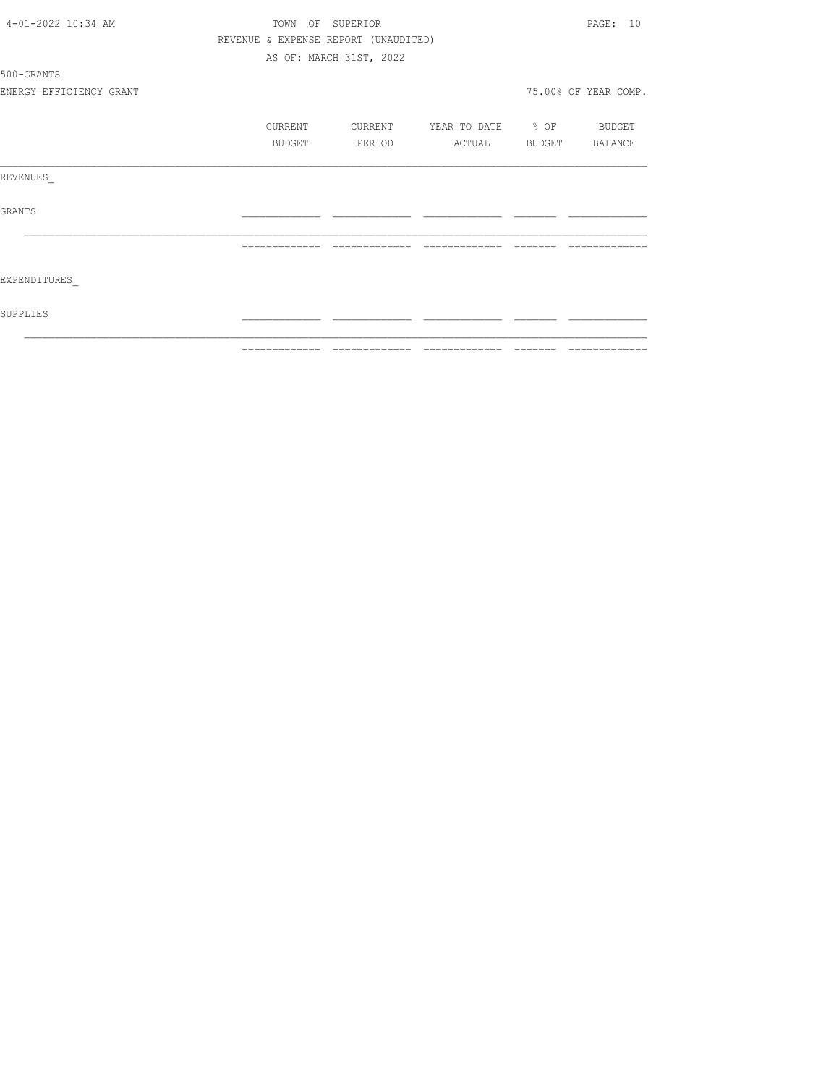|                         | ============= | -------------                        | =============            | -------- | --------------       |
|-------------------------|---------------|--------------------------------------|--------------------------|----------|----------------------|
| SUPPLIES                |               |                                      |                          |          |                      |
| EXPENDITURES            |               |                                      |                          |          |                      |
|                         | ============= | --------------                       | --------------           | -------- | -------------        |
| GRANTS                  |               |                                      |                          |          |                      |
| REVENUES                |               |                                      |                          |          |                      |
|                         | BUDGET        | PERIOD                               | ACTUAL BUDGET BALANCE    |          |                      |
|                         | CURRENT       | CURRENT                              | YEAR TO DATE % OF BUDGET |          |                      |
| ENERGY EFFICIENCY GRANT |               |                                      |                          |          | 75.00% OF YEAR COMP. |
| 500-GRANTS              |               |                                      |                          |          |                      |
|                         |               | AS OF: MARCH 31ST, 2022              |                          |          |                      |
|                         |               | REVENUE & EXPENSE REPORT (UNAUDITED) |                          |          |                      |
| 4-01-2022 10:34 AM      |               | TOWN OF SUPERIOR                     |                          |          | PAGE: 10             |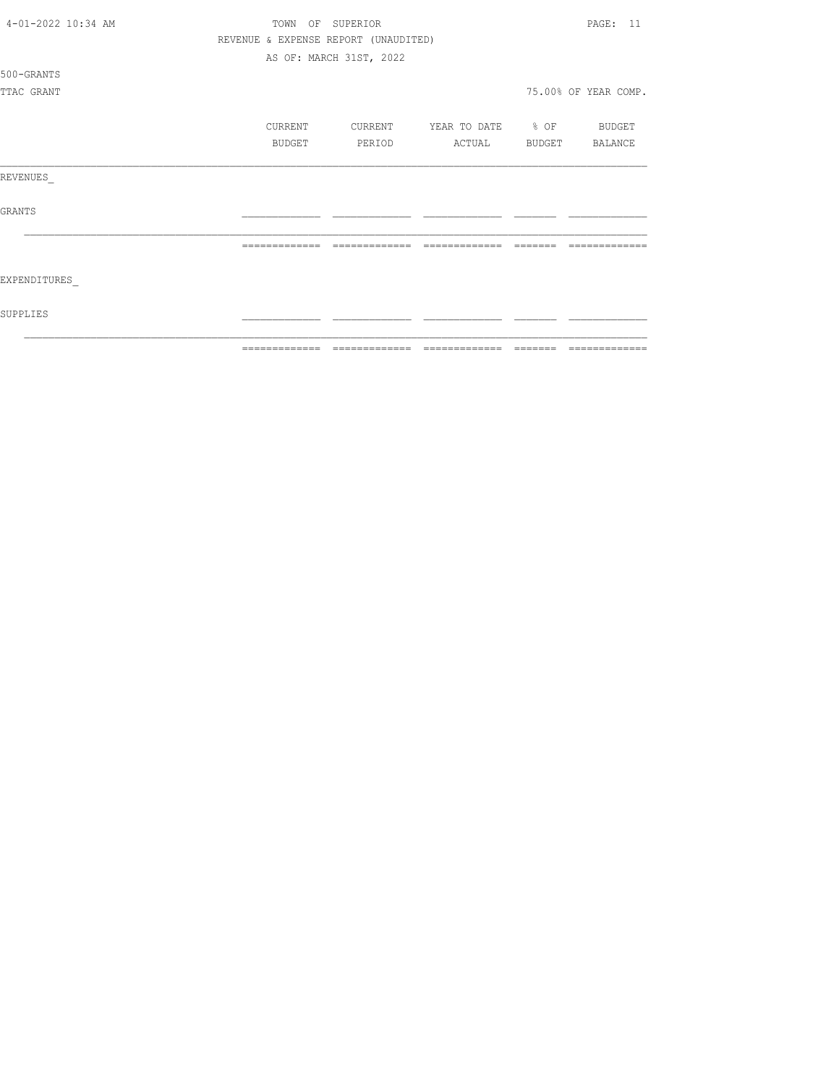| 4-01-2022 10:34 AM |               | PAGE: 11                             |                          |          |                      |
|--------------------|---------------|--------------------------------------|--------------------------|----------|----------------------|
|                    |               | REVENUE & EXPENSE REPORT (UNAUDITED) |                          |          |                      |
|                    |               | AS OF: MARCH 31ST, 2022              |                          |          |                      |
| 500-GRANTS         |               |                                      |                          |          |                      |
| TTAC GRANT         |               |                                      |                          |          | 75.00% OF YEAR COMP. |
|                    | CURRENT       | CURRENT                              | YEAR TO DATE % OF BUDGET |          |                      |
|                    | <b>BUDGET</b> | PERIOD                               | ACTUAL BUDGET BALANCE    |          |                      |
|                    |               |                                      |                          |          |                      |
| REVENUES           |               |                                      |                          |          |                      |
| GRANTS             |               |                                      |                          |          |                      |
|                    | ============= | =============                        | =============            |          | ----                 |
| EXPENDITURES       |               |                                      |                          |          |                      |
| SUPPLIES           |               |                                      |                          |          |                      |
|                    | ------------- | -------------                        | --------------           | -------- | --------------       |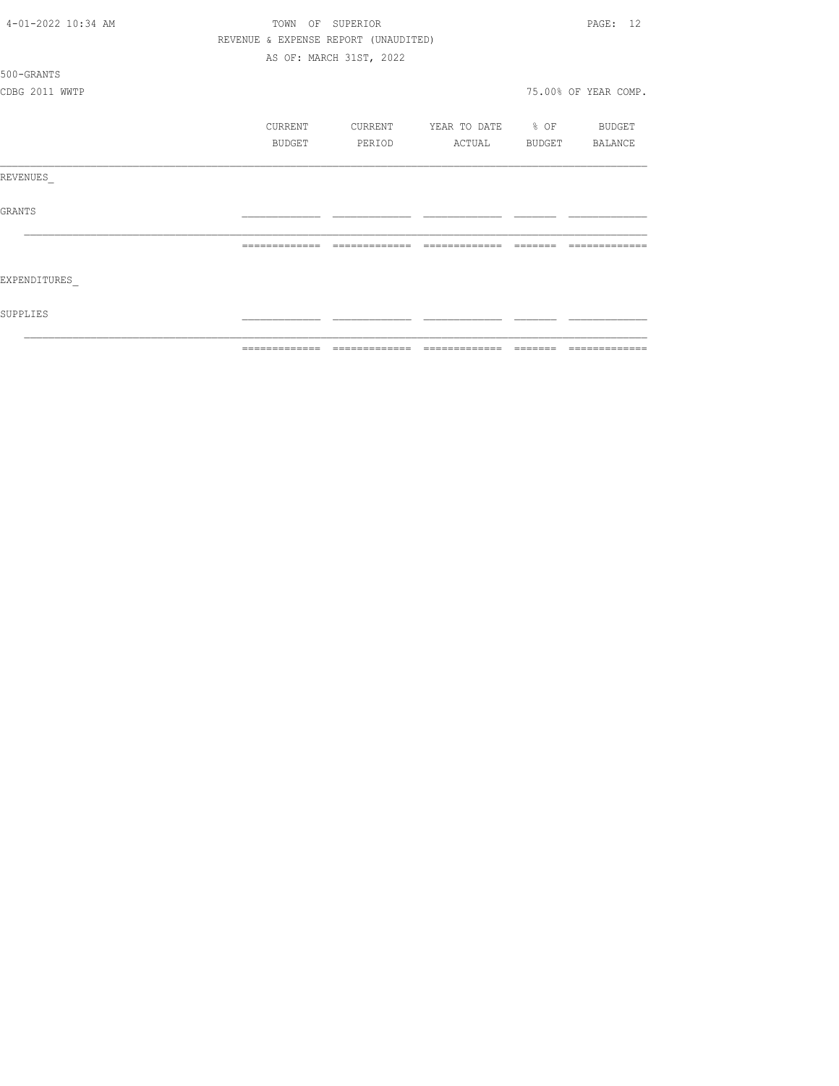| 4-01-2022 10:34 AM | TOWN          | OF SUPERIOR                          |                              |         | PAGE: 12             |
|--------------------|---------------|--------------------------------------|------------------------------|---------|----------------------|
|                    |               | REVENUE & EXPENSE REPORT (UNAUDITED) |                              |         |                      |
|                    |               | AS OF: MARCH 31ST, 2022              |                              |         |                      |
| 500-GRANTS         |               |                                      |                              |         |                      |
| CDBG 2011 WWTP     |               |                                      |                              |         | 75.00% OF YEAR COMP. |
|                    | CURRENT       | CURRENT                              | YEAR TO DATE % OF            |         | BUDGET               |
|                    | BUDGET        | PERIOD                               | ACTUAL                       | BUDGET  | BALANCE              |
| REVENUES           |               |                                      |                              |         |                      |
| <b>GRANTS</b>      |               |                                      |                              |         |                      |
|                    |               |                                      |                              |         |                      |
| EXPENDITURES       |               |                                      |                              |         |                      |
| SUPPLIES           |               |                                      |                              |         |                      |
|                    | ------------- |                                      | ============================ | ======= | -------------        |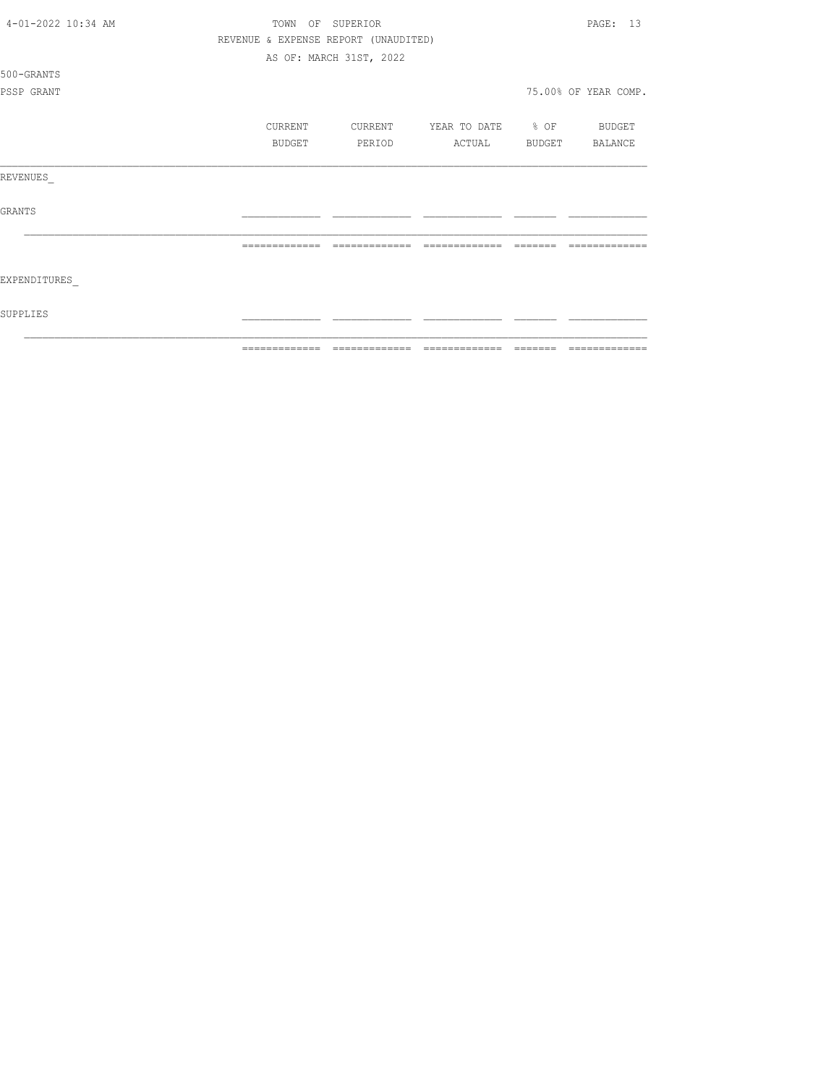| 4-01-2022 10:34 AM |                | PAGE: 13                             |                   |          |                      |
|--------------------|----------------|--------------------------------------|-------------------|----------|----------------------|
|                    |                | REVENUE & EXPENSE REPORT (UNAUDITED) |                   |          |                      |
|                    |                | AS OF: MARCH 31ST, 2022              |                   |          |                      |
| 500-GRANTS         |                |                                      |                   |          |                      |
| PSSP GRANT         |                |                                      |                   |          | 75.00% OF YEAR COMP. |
|                    |                |                                      |                   |          |                      |
|                    | CURRENT        | CURRENT                              | YEAR TO DATE % OF |          | BUDGET               |
|                    | BUDGET         | PERIOD                               | ACTUAL            |          | BUDGET BALANCE       |
| REVENUES           |                |                                      |                   |          |                      |
| <b>GRANTS</b>      |                |                                      |                   |          |                      |
|                    | -------------- | -------------                        | =============     |          |                      |
| EXPENDITURES       |                |                                      |                   |          |                      |
| SUPPLIES           |                |                                      |                   |          |                      |
|                    | -------------- |                                      | -------------     | -------- | --------------       |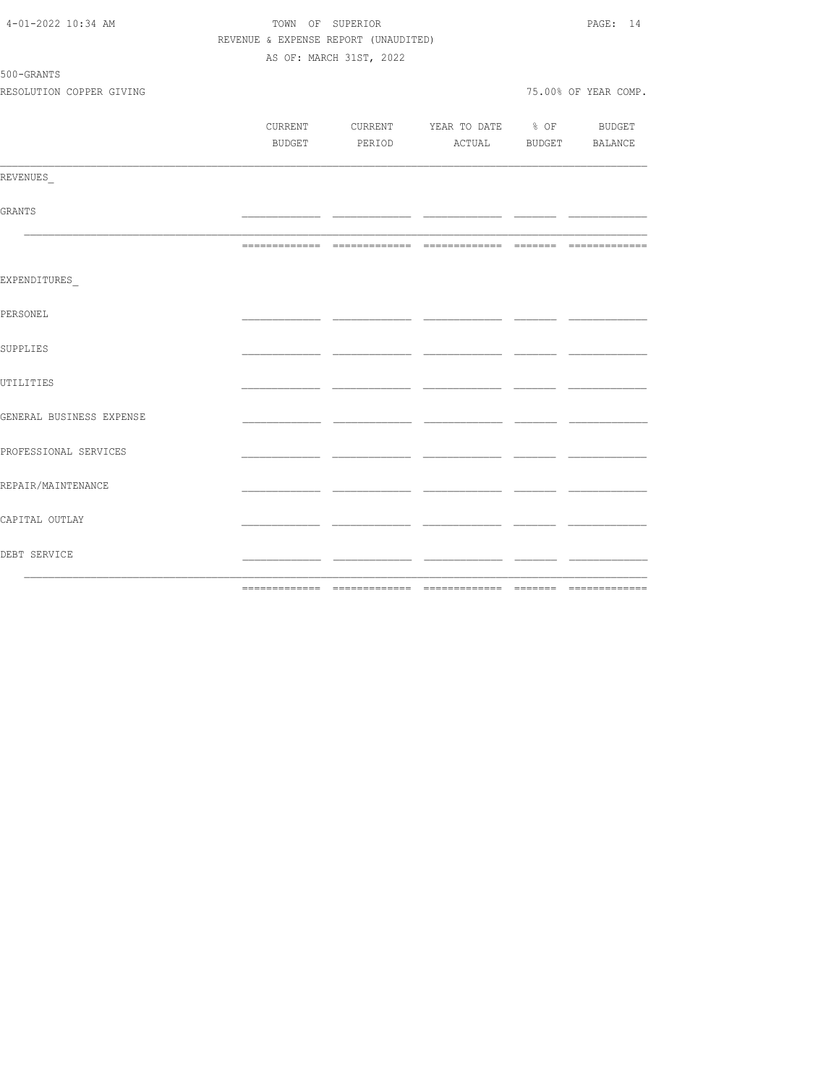| DEBT SERVICE             |                                      |                         | <u> Alexandro de la componenta</u>  |     |                      |
|--------------------------|--------------------------------------|-------------------------|-------------------------------------|-----|----------------------|
| CAPITAL OUTLAY           |                                      |                         | - -                                 |     |                      |
| REPAIR/MAINTENANCE       |                                      |                         |                                     |     |                      |
| PROFESSIONAL SERVICES    |                                      |                         |                                     |     |                      |
| GENERAL BUSINESS EXPENSE |                                      |                         |                                     | _ _ |                      |
| UTILITIES                |                                      |                         |                                     | - - |                      |
| SUPPLIES                 |                                      |                         |                                     |     |                      |
| PERSONEL                 |                                      |                         |                                     |     |                      |
| EXPENDITURES             |                                      |                         |                                     |     |                      |
|                          |                                      |                         |                                     |     |                      |
| GRANTS                   |                                      |                         |                                     |     |                      |
| REVENUES                 |                                      |                         |                                     |     |                      |
|                          |                                      |                         | BUDGET PERIOD ACTUAL BUDGET BALANCE |     |                      |
|                          | CURRENT                              |                         | CURRENT YEAR TO DATE % OF BUDGET    |     |                      |
| RESOLUTION COPPER GIVING |                                      |                         |                                     |     | 75.00% OF YEAR COMP. |
| 500-GRANTS               |                                      | AS OF: MARCH 31ST, 2022 |                                     |     |                      |
|                          | REVENUE & EXPENSE REPORT (UNAUDITED) |                         |                                     |     |                      |
| 4-01-2022 10:34 AM       | TOWN OF SUPERIOR                     |                         |                                     |     |                      |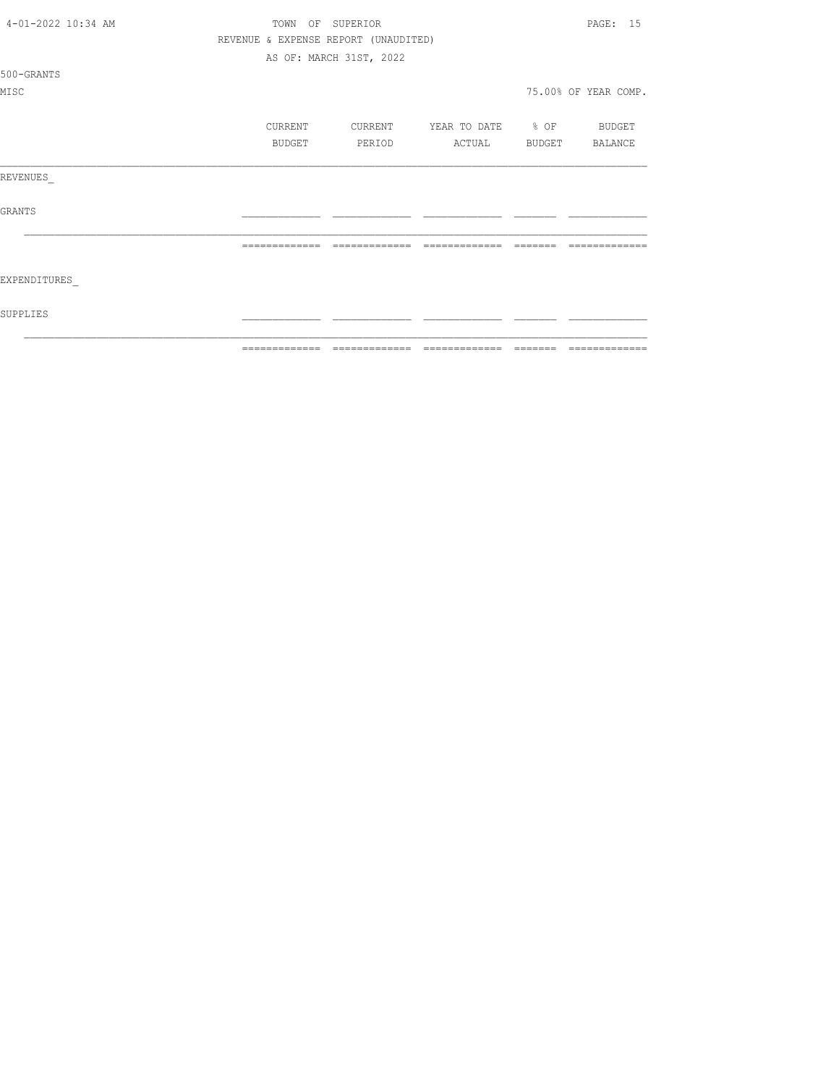| 4-01-2022 10:34 AM | TOWN           | OF SUPERIOR                          |                                  |          | PAGE: 15             |
|--------------------|----------------|--------------------------------------|----------------------------------|----------|----------------------|
|                    |                | REVENUE & EXPENSE REPORT (UNAUDITED) |                                  |          |                      |
|                    |                | AS OF: MARCH 31ST, 2022              |                                  |          |                      |
| 500-GRANTS         |                |                                      |                                  |          |                      |
| MISC               |                |                                      |                                  |          | 75.00% OF YEAR COMP. |
|                    |                |                                      |                                  |          |                      |
|                    | CURRENT        |                                      | CURRENT YEAR TO DATE % OF BUDGET |          |                      |
|                    | BUDGET         | PERIOD                               | ACTUAL BUDGET BALANCE            |          |                      |
|                    |                |                                      |                                  |          |                      |
| REVENUES           |                |                                      |                                  |          |                      |
|                    |                |                                      |                                  |          |                      |
| <b>GRANTS</b>      |                |                                      |                                  |          |                      |
|                    |                |                                      |                                  |          |                      |
|                    |                |                                      | -------------                    |          |                      |
|                    |                |                                      |                                  |          |                      |
| EXPENDITURES       |                |                                      |                                  |          |                      |
|                    |                |                                      |                                  |          |                      |
| SUPPLIES           |                |                                      |                                  |          |                      |
|                    |                |                                      |                                  |          |                      |
|                    | -------------- |                                      |                                  | -------- | -------------        |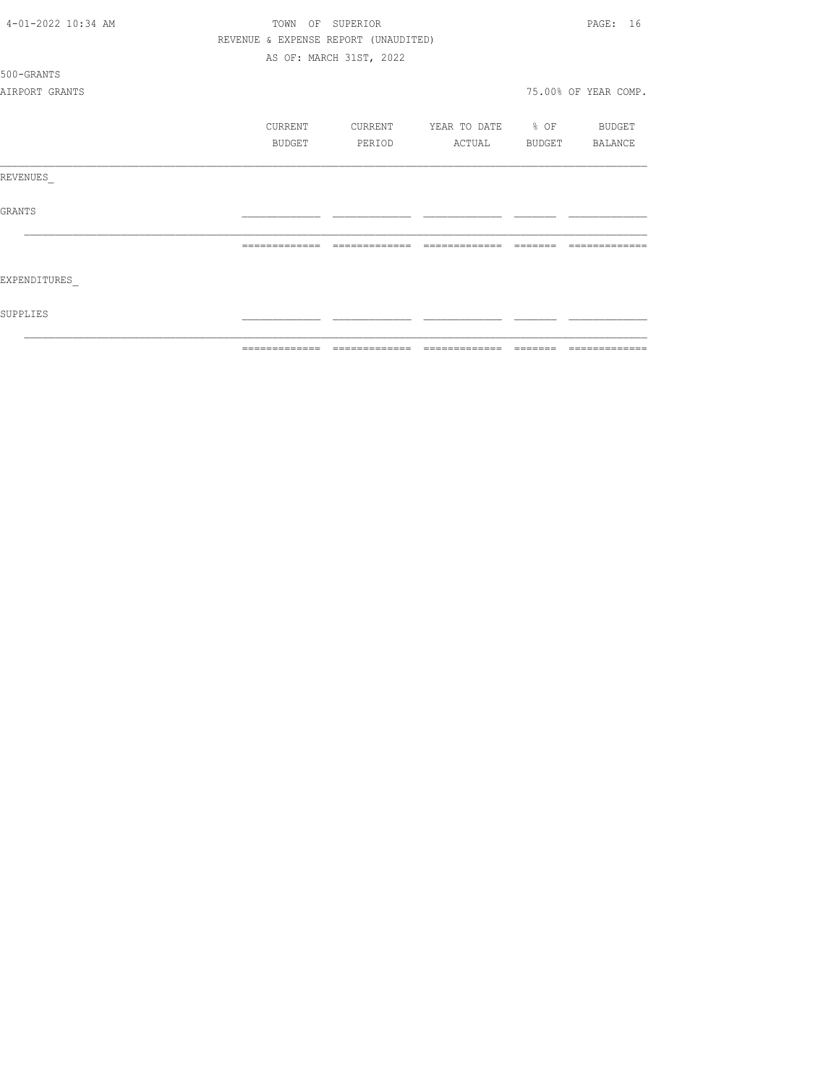| 4-01-2022 10:34 AM | SUPERIOR<br>TOWN<br>OF |         |                                      |                   |         | PAGE: 16             |  |  |
|--------------------|------------------------|---------|--------------------------------------|-------------------|---------|----------------------|--|--|
|                    |                        |         | REVENUE & EXPENSE REPORT (UNAUDITED) |                   |         |                      |  |  |
|                    |                        |         | AS OF: MARCH 31ST, 2022              |                   |         |                      |  |  |
| 500-GRANTS         |                        |         |                                      |                   |         |                      |  |  |
| AIRPORT GRANTS     |                        |         |                                      |                   |         | 75.00% OF YEAR COMP. |  |  |
|                    |                        | CURRENT | CURRENT                              | YEAR TO DATE % OF |         | BUDGET               |  |  |
|                    |                        | BUDGET  | PERIOD                               | ACTUAL            | BUDGET  | BALANCE              |  |  |
| REVENUES           |                        |         |                                      |                   |         |                      |  |  |
| <b>GRANTS</b>      |                        |         |                                      |                   |         |                      |  |  |
|                    |                        |         | -------------                        |                   |         |                      |  |  |
| EXPENDITURES       |                        |         |                                      |                   |         |                      |  |  |
| SUPPLIES           |                        |         |                                      |                   |         |                      |  |  |
|                    |                        |         |                                      |                   | ======= | =============        |  |  |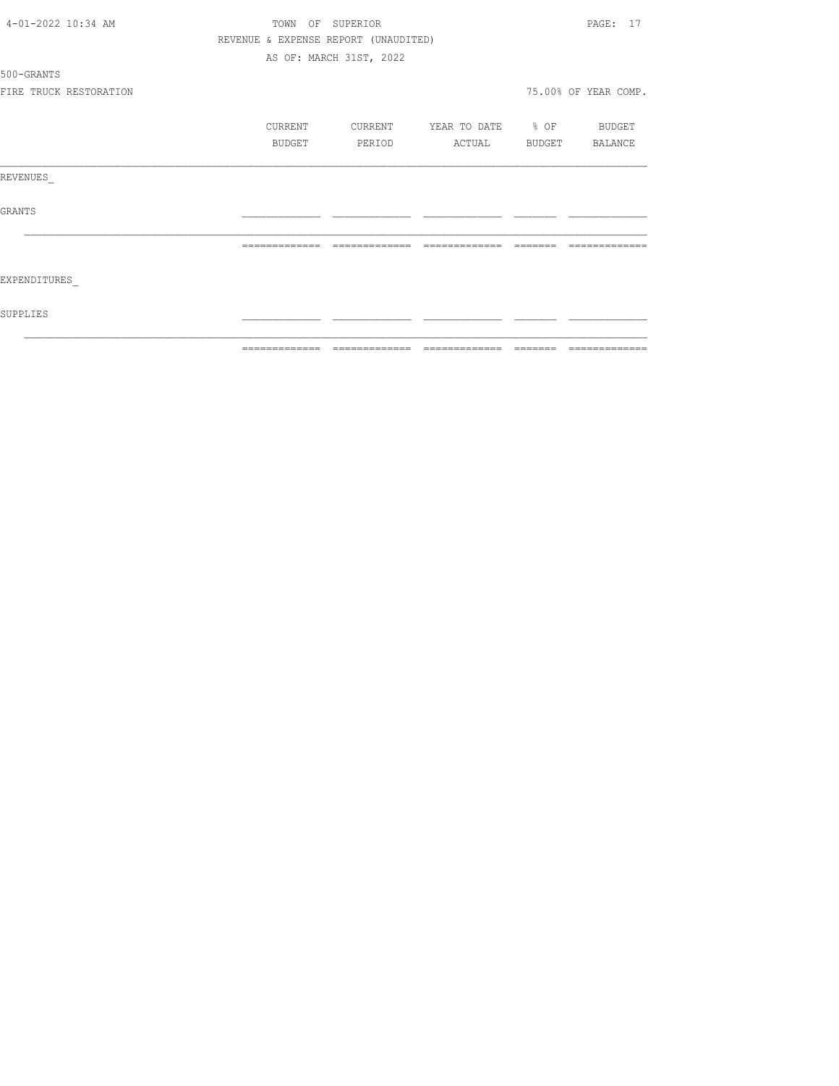| SUPPLIES           |                        |                  |                                      |                          |          |                      |
|--------------------|------------------------|------------------|--------------------------------------|--------------------------|----------|----------------------|
| EXPENDITURES       |                        |                  |                                      |                          |          |                      |
|                    |                        |                  |                                      |                          | -------- | -------------        |
| GRANTS             |                        |                  |                                      |                          |          |                      |
| REVENUES           |                        |                  |                                      |                          |          |                      |
|                    |                        | BUDGET           | PERIOD                               | ACTUAL                   |          | BUDGET BALANCE       |
|                    |                        | CURRENT          | CURRENT                              | YEAR TO DATE % OF BUDGET |          |                      |
|                    |                        |                  |                                      |                          |          |                      |
|                    | FIRE TRUCK RESTORATION |                  |                                      |                          |          | 75.00% OF YEAR COMP. |
| 500-GRANTS         |                        |                  |                                      |                          |          |                      |
|                    |                        |                  | AS OF: MARCH 31ST, 2022              |                          |          |                      |
|                    |                        |                  | REVENUE & EXPENSE REPORT (UNAUDITED) |                          |          |                      |
| 4-01-2022 10:34 AM |                        | TOWN OF SUPERIOR |                                      |                          |          | PAGE: 17             |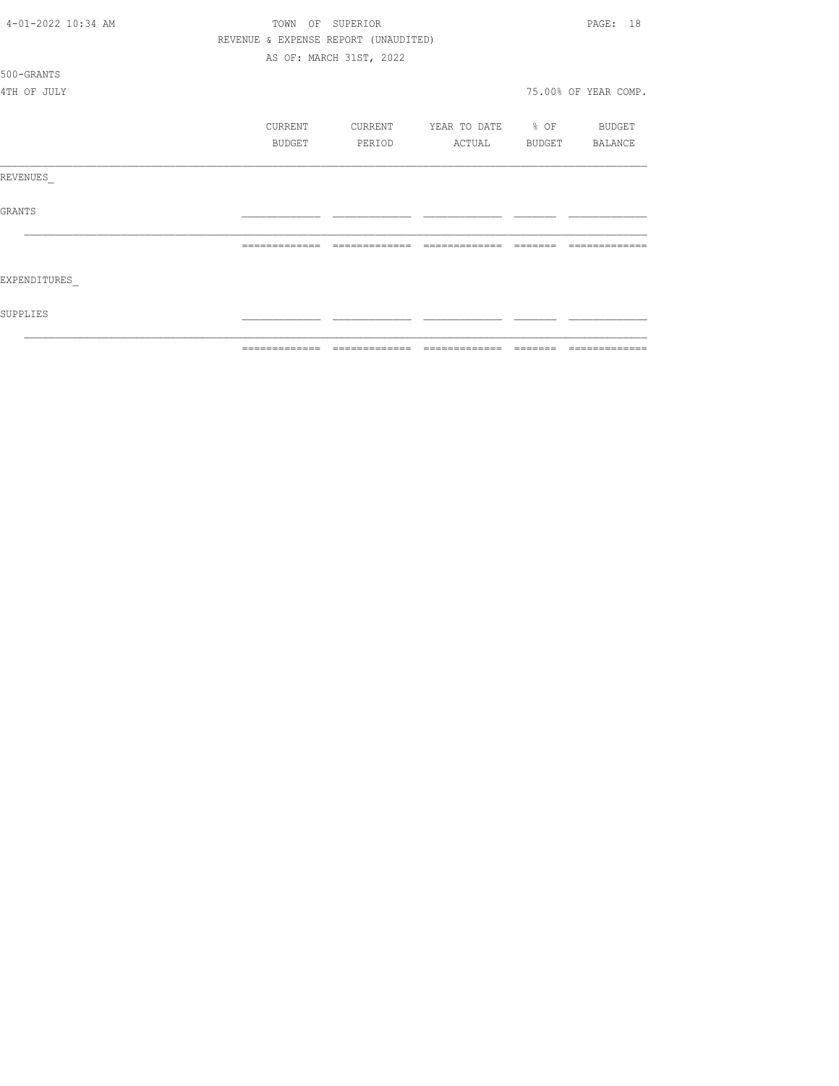| 4-01-2022 10:34 AM | TOWN          | OF SUPERIOR                          |                   |                 | PAGE: 18             |
|--------------------|---------------|--------------------------------------|-------------------|-----------------|----------------------|
|                    |               | REVENUE & EXPENSE REPORT (UNAUDITED) |                   |                 |                      |
|                    |               | AS OF: MARCH 31ST, 2022              |                   |                 |                      |
| 500-GRANTS         |               |                                      |                   |                 |                      |
| 4TH OF JULY        |               |                                      |                   |                 | 75.00% OF YEAR COMP. |
|                    | CURRENT       | CURRENT                              | YEAR TO DATE % OF |                 | BUDGET               |
|                    | BUDGET        | PERIOD                               | ACTUAL            |                 | BUDGET BALANCE       |
| REVENUES           |               |                                      |                   |                 |                      |
| GRANTS             |               |                                      |                   |                 |                      |
|                    |               | =======                              |                   |                 |                      |
| EXPENDITURES       |               |                                      |                   |                 |                      |
| SUPPLIES           |               |                                      |                   |                 |                      |
|                    | ------------- | -------------                        | --------------    | $- - - - - - -$ | -------------        |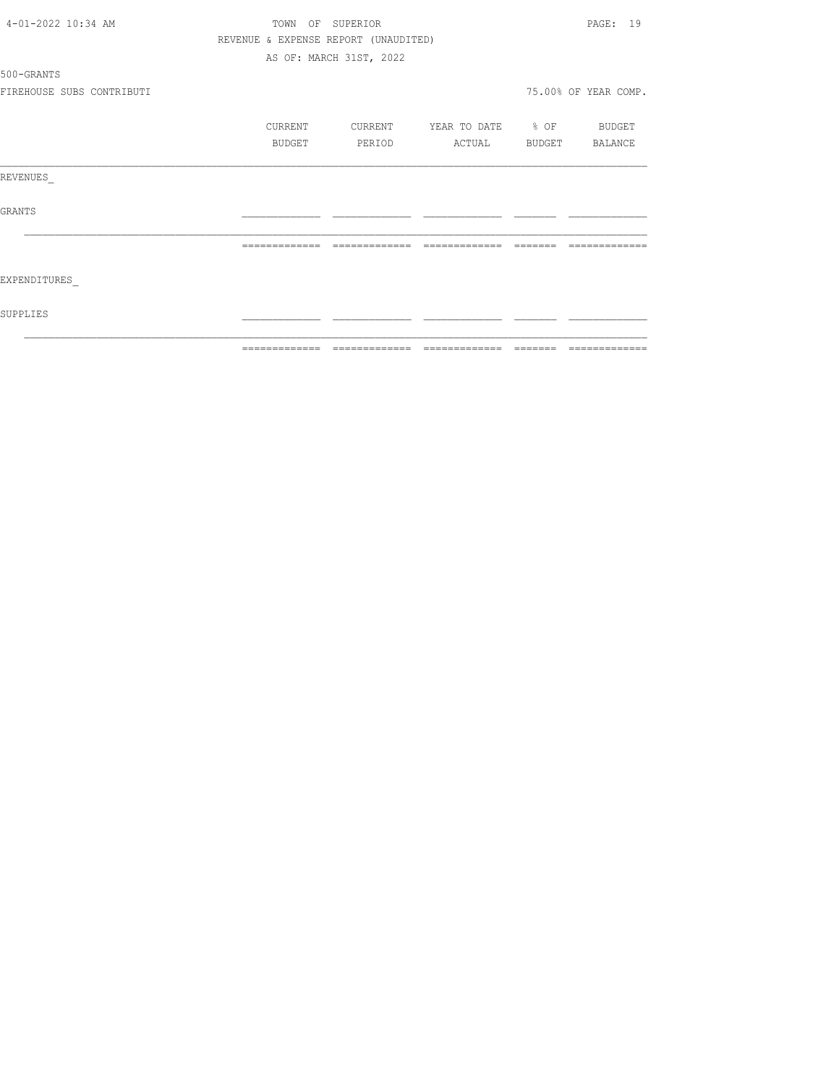|                           | =============  | --------------                       |                          | --------------       |
|---------------------------|----------------|--------------------------------------|--------------------------|----------------------|
| SUPPLIES                  |                |                                      |                          |                      |
| EXPENDITURES              |                |                                      |                          |                      |
|                           | -------------- | --------------                       | =============            |                      |
| GRANTS                    |                |                                      |                          |                      |
| REVENUES                  |                |                                      |                          |                      |
|                           | BUDGET         | PERIOD                               | ACTUAL                   | BUDGET BALANCE       |
|                           | CURRENT        | CURRENT                              | YEAR TO DATE % OF BUDGET |                      |
| FIREHOUSE SUBS CONTRIBUTI |                |                                      |                          | 75.00% OF YEAR COMP. |
| 500-GRANTS                |                |                                      |                          |                      |
|                           |                | AS OF: MARCH 31ST, 2022              |                          |                      |
|                           |                | REVENUE & EXPENSE REPORT (UNAUDITED) |                          |                      |
| 4-01-2022 10:34 AM        |                | TOWN OF SUPERIOR                     |                          | PAGE: 19             |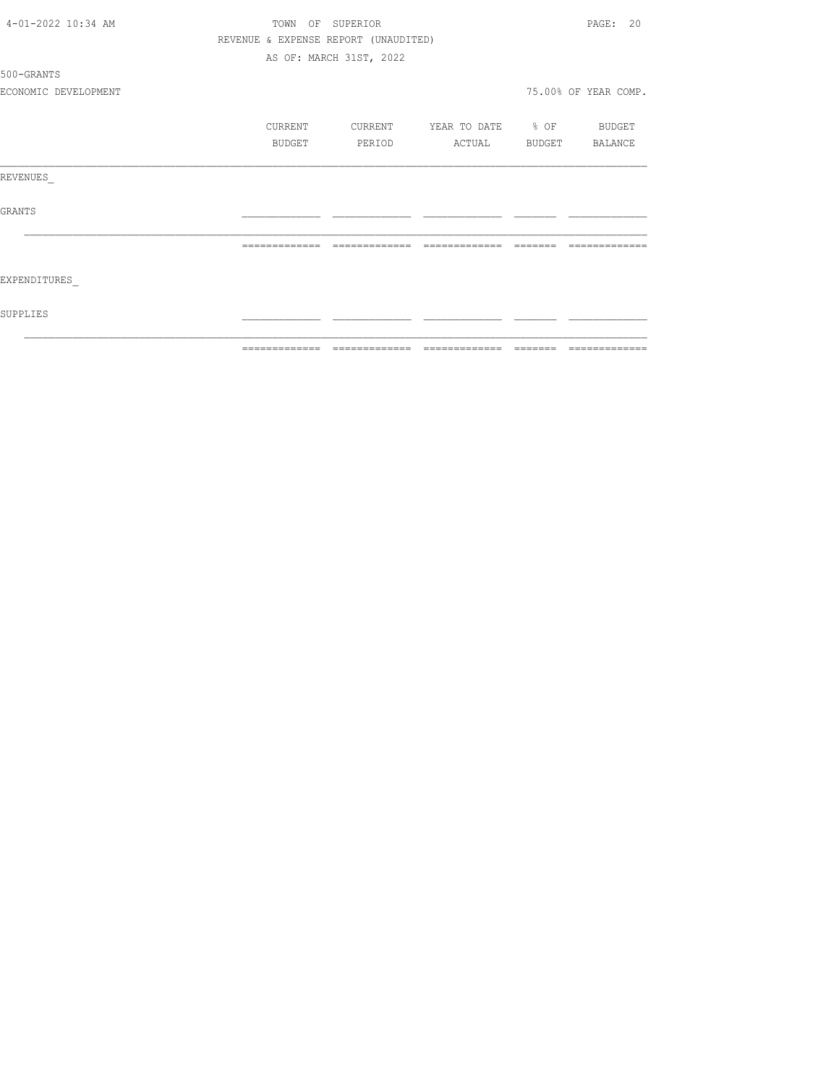|                      |               | =============================        |                          |                 | --------------       |
|----------------------|---------------|--------------------------------------|--------------------------|-----------------|----------------------|
| SUPPLIES             |               |                                      |                          |                 |                      |
| EXPENDITURES         |               |                                      |                          |                 |                      |
|                      | ============= | --------------                       | =============            | $- - - - - - -$ |                      |
| GRANTS               |               |                                      |                          |                 |                      |
| REVENUES             |               |                                      |                          |                 |                      |
|                      | BUDGET        | PERIOD                               | ACTUAL BUDGET BALANCE    |                 |                      |
|                      | CURRENT       | CURRENT                              | YEAR TO DATE % OF BUDGET |                 |                      |
| ECONOMIC DEVELOPMENT |               |                                      |                          |                 | 75.00% OF YEAR COMP. |
| 500-GRANTS           |               |                                      |                          |                 |                      |
|                      |               | AS OF: MARCH 31ST, 2022              |                          |                 |                      |
|                      |               | REVENUE & EXPENSE REPORT (UNAUDITED) |                          |                 |                      |
| 4-01-2022 10:34 AM   |               | TOWN OF SUPERIOR                     |                          |                 | PAGE: 20             |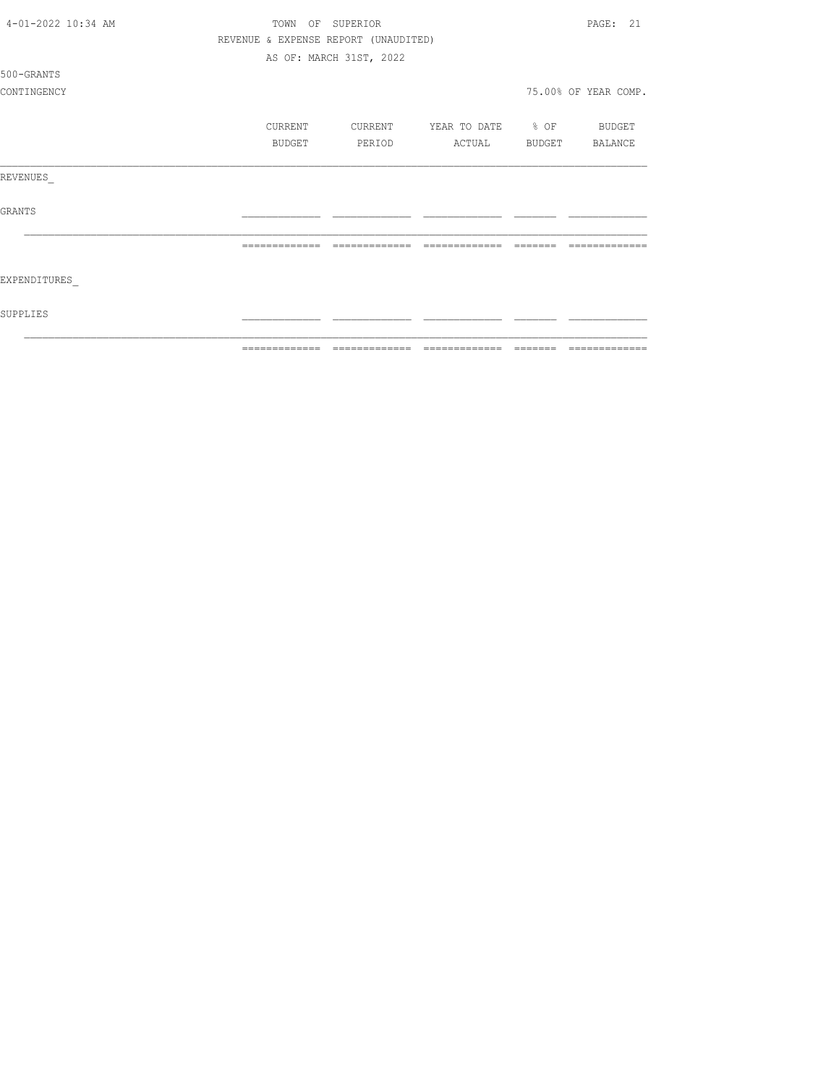| 4-01-2022 10:34 AM | TOWN<br>OF | SUPERIOR                             |                   |        | PAGE: 21             |
|--------------------|------------|--------------------------------------|-------------------|--------|----------------------|
|                    |            | REVENUE & EXPENSE REPORT (UNAUDITED) |                   |        |                      |
|                    |            | AS OF: MARCH 31ST, 2022              |                   |        |                      |
| 500-GRANTS         |            |                                      |                   |        |                      |
| CONTINGENCY        |            |                                      |                   |        | 75.00% OF YEAR COMP. |
|                    | CURRENT    | CURRENT                              | YEAR TO DATE % OF |        | BUDGET               |
|                    | BUDGET     | PERIOD                               | ACTUAL            | BUDGET | BALANCE              |
| REVENUES           |            |                                      |                   |        |                      |
| <b>GRANTS</b>      |            |                                      |                   |        |                      |
|                    |            |                                      |                   |        |                      |
| EXPENDITURES       |            |                                      |                   |        |                      |
| SUPPLIES           |            |                                      |                   |        |                      |
|                    |            |                                      |                   |        | =============        |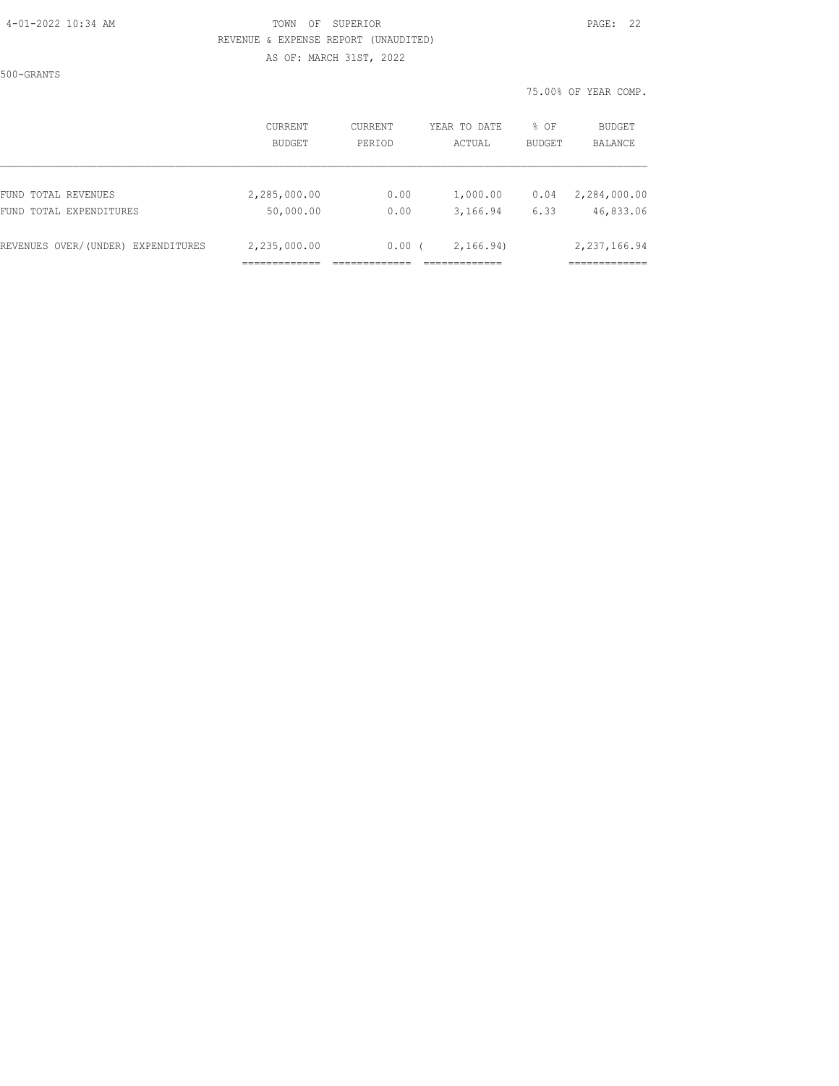#### 4-01-2022 10:34 AM TOWN OF SUPERIOR PAGE: 22 REVENUE & EXPENSE REPORT (UNAUDITED) AS OF: MARCH 31ST, 2022

500-GRANTS

75.00% OF YEAR COMP.

|                                    | <b>CURRENT</b><br><b>BUDGET</b> | CURRENT<br>PERIOD | YEAR TO DATE<br>ACTUAL | % OF<br><b>BUDGET</b> | BUDGET<br>BALANCE |
|------------------------------------|---------------------------------|-------------------|------------------------|-----------------------|-------------------|
| FUND TOTAL REVENUES                | 2,285,000.00                    | 0.00              | 1,000.00               | 0.04                  | 2,284,000.00      |
| FUND TOTAL EXPENDITURES            | 50,000.00                       | 0.00              | 3,166.94               | 6.33                  | 46,833.06         |
| REVENUES OVER/(UNDER) EXPENDITURES | 2,235,000.00                    | 0.00(             | 2, 166.94)             |                       | 2,237,166.94      |
|                                    |                                 |                   |                        |                       |                   |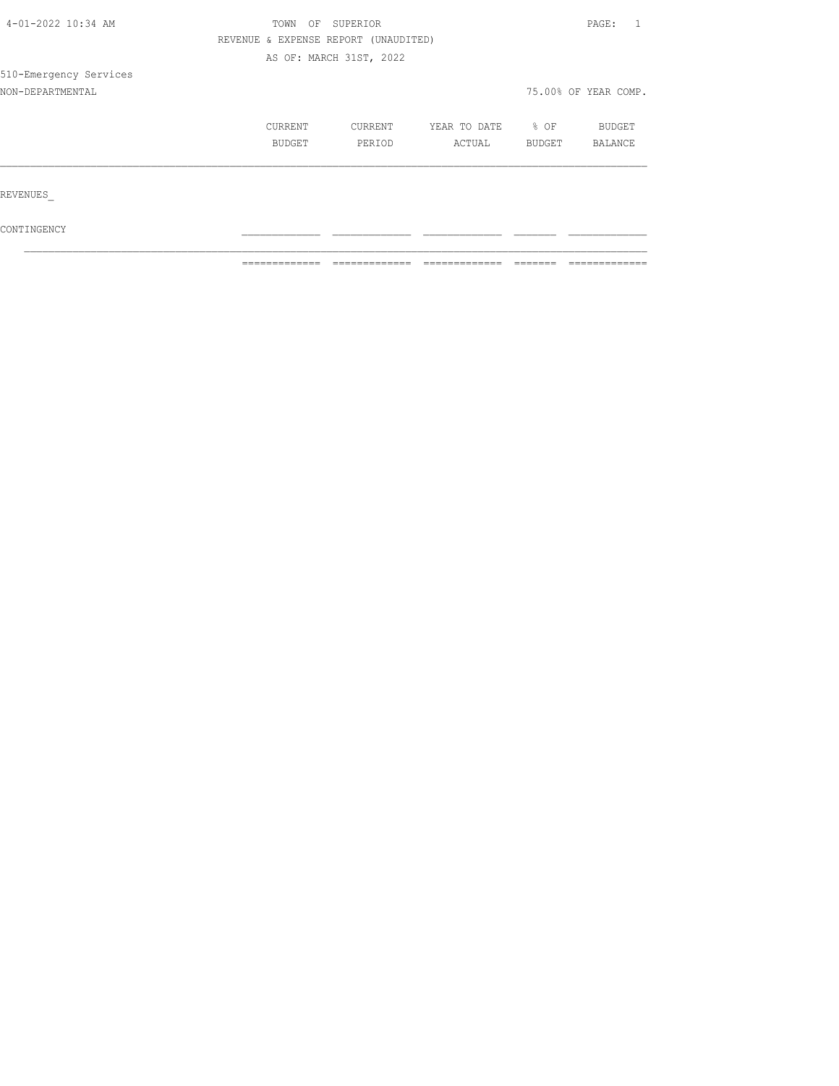| 4-01-2022 10:34 AM     | TOWN<br>OF | SUPERIOR                             |              |        | PAGE:                |
|------------------------|------------|--------------------------------------|--------------|--------|----------------------|
|                        |            | REVENUE & EXPENSE REPORT (UNAUDITED) |              |        |                      |
|                        |            | AS OF: MARCH 31ST, 2022              |              |        |                      |
| 510-Emergency Services |            |                                      |              |        |                      |
| NON-DEPARTMENTAL       |            |                                      |              |        | 75.00% OF YEAR COMP. |
|                        | CURRENT    | CURRENT                              | YEAR TO DATE | % OF   | <b>BUDGET</b>        |
|                        | BUDGET     | PERIOD                               | ACTUAL       | BUDGET | BALANCE              |
|                        |            |                                      |              |        |                      |
| REVENUES               |            |                                      |              |        |                      |
| CONTINGENCY            |            |                                      |              |        |                      |

 $\mathcal{L}_\text{max}$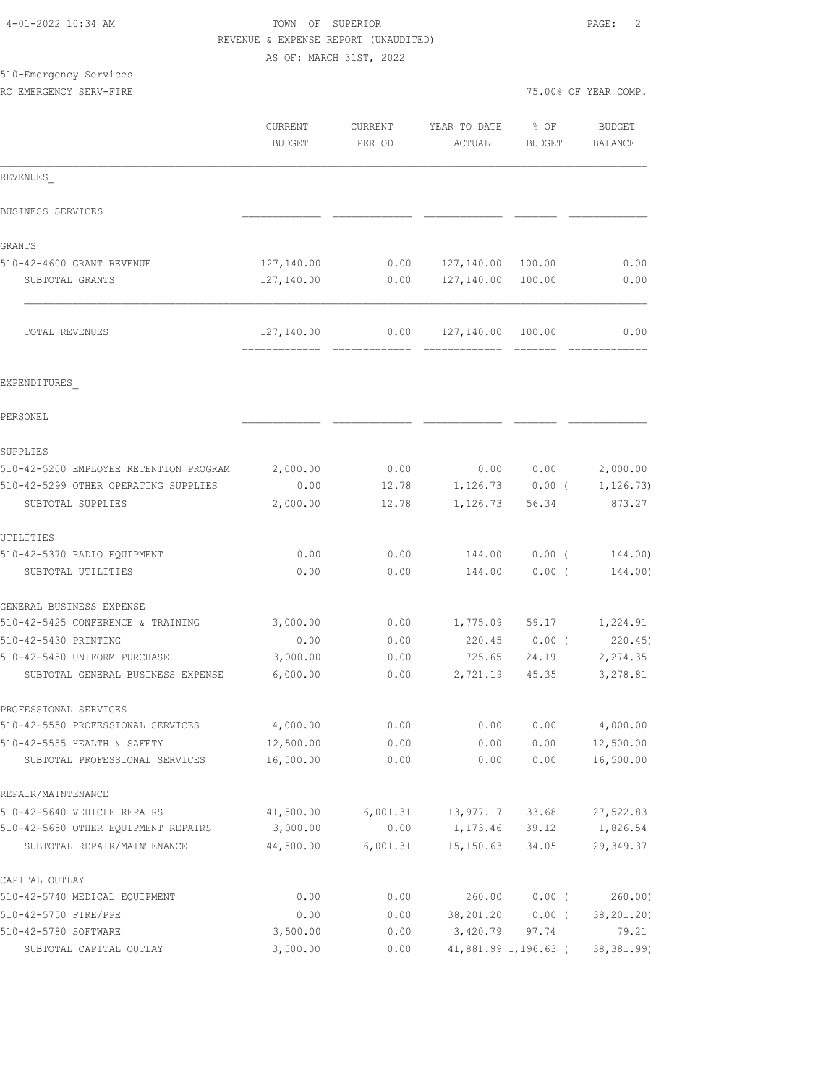|                                        | REVENUE & EXPENSE REPORT (UNAUDITED) |                         |                   |                   |                      |
|----------------------------------------|--------------------------------------|-------------------------|-------------------|-------------------|----------------------|
|                                        |                                      | AS OF: MARCH 31ST, 2022 |                   |                   |                      |
| 510-Emergency Services                 |                                      |                         |                   |                   |                      |
| RC EMERGENCY SERV-FIRE                 |                                      |                         |                   |                   | 75.00% OF YEAR COMP. |
|                                        | CURRENT                              | CURRENT                 | YEAR TO DATE      | % OF              | <b>BUDGET</b>        |
|                                        | <b>BUDGET</b>                        | PERIOD                  | ACTUAL            | <b>BUDGET</b>     | <b>BALANCE</b>       |
|                                        |                                      |                         |                   |                   |                      |
| REVENUES                               |                                      |                         |                   |                   |                      |
| BUSINESS SERVICES                      |                                      |                         |                   |                   |                      |
| GRANTS                                 |                                      |                         |                   |                   |                      |
| 510-42-4600 GRANT REVENUE              | 127,140.00                           | 0.00                    | 127,140.00 100.00 |                   | 0.00                 |
| SUBTOTAL GRANTS                        | 127,140.00                           | 0.00                    | 127,140.00 100.00 |                   | 0.00                 |
| TOTAL REVENUES                         | 127,140.00                           | 0.00                    | 127,140.00        | 100.00            | 0.00                 |
|                                        |                                      |                         |                   |                   |                      |
| EXPENDITURES                           |                                      |                         |                   |                   |                      |
| PERSONEL                               |                                      |                         |                   |                   |                      |
| SUPPLIES                               |                                      |                         |                   |                   |                      |
| 510-42-5200 EMPLOYEE RETENTION PROGRAM | 2,000.00                             | 0.00                    |                   | 0.00 0.00         | 2,000.00             |
| 510-42-5299 OTHER OPERATING SUPPLIES   | 0.00                                 | 12.78                   |                   | $1,126.73$ 0.00 ( | 1,126.73)            |
| SUBTOTAL SUPPLIES                      | 2,000.00                             | 12.78                   | 1,126.73          | 56.34             | 873.27               |
| UTILITIES                              |                                      |                         |                   |                   |                      |
| 510-42-5370 RADIO EQUIPMENT            | 0.00                                 | 0.00                    | 144.00            | $0.00$ (          | 144.00)              |
| SUBTOTAL UTILITIES                     | 0.00                                 | 0.00                    | 144.00            | $0.00$ (          | 144.00)              |
| GENERAL BUSINESS EXPENSE               |                                      |                         |                   |                   |                      |
| 510-42-5425 CONFERENCE & TRAINING      | 3,000.00                             | 0.00                    | 1,775.09          | 59.17             | 1,224.91             |
| 510-42-5430 PRINTING                   | 0.00                                 | 0.00                    | 220.45            | $0.00$ (          | 220.45               |
| 510-42-5450 UNIFORM PURCHASE           | 3,000.00                             | 0.00                    | 725.65            | 24.19             | 2,274.35             |
| SUBTOTAL GENERAL BUSINESS EXPENSE      | 6,000.00                             | 0.00                    | 2,721.19          | 45.35             | 3,278.81             |
| PROFESSIONAL SERVICES                  |                                      |                         |                   |                   |                      |
| 510-42-5550 PROFESSIONAL SERVICES      | 4,000.00                             | 0.00                    | 0.00              | 0.00              | 4,000.00             |
| 510-42-5555 HEALTH & SAFETY            | 12,500.00                            | 0.00                    | 0.00              | 0.00              | 12,500.00            |
| SUBTOTAL PROFESSIONAL SERVICES         | 16,500.00                            | 0.00                    | 0.00              | 0.00              | 16,500.00            |
| REPAIR/MAINTENANCE                     |                                      |                         |                   |                   |                      |
| 510-42-5640 VEHICLE REPAIRS            | 41,500.00                            | 6,001.31                | 13,977.17         | 33.68             | 27,522.83            |
| 510-42-5650 OTHER EQUIPMENT REPAIRS    | 3,000.00                             | 0.00                    | 1,173.46          | 39.12             | 1,826.54             |
| SUBTOTAL REPAIR/MAINTENANCE            | 44,500.00                            | 6,001.31                | 15, 150.63        | 34.05             | 29,349.37            |
| CAPITAL OUTLAY                         |                                      |                         |                   |                   |                      |
| 510-42-5740 MEDICAL EQUIPMENT          | 0.00                                 | 0.00                    | 260.00            | $0.00$ (          | 260.00               |
| 510-42-5750 FIRE/PPE                   | 0.00                                 | 0.00                    | 38,201.20         | $0.00$ (          | 38,201.20)           |

510-42-5780 SOFTWARE 3,500.00 0.00 3,420.79 97.74 79.21 SUBTOTAL CAPITAL OUTLAY 3,500.00 0.00 41,881.99 1,196.63 ( 38,381.99)

4-01-2022 10:34 AM TOWN OF SUPERIOR PAGE: 2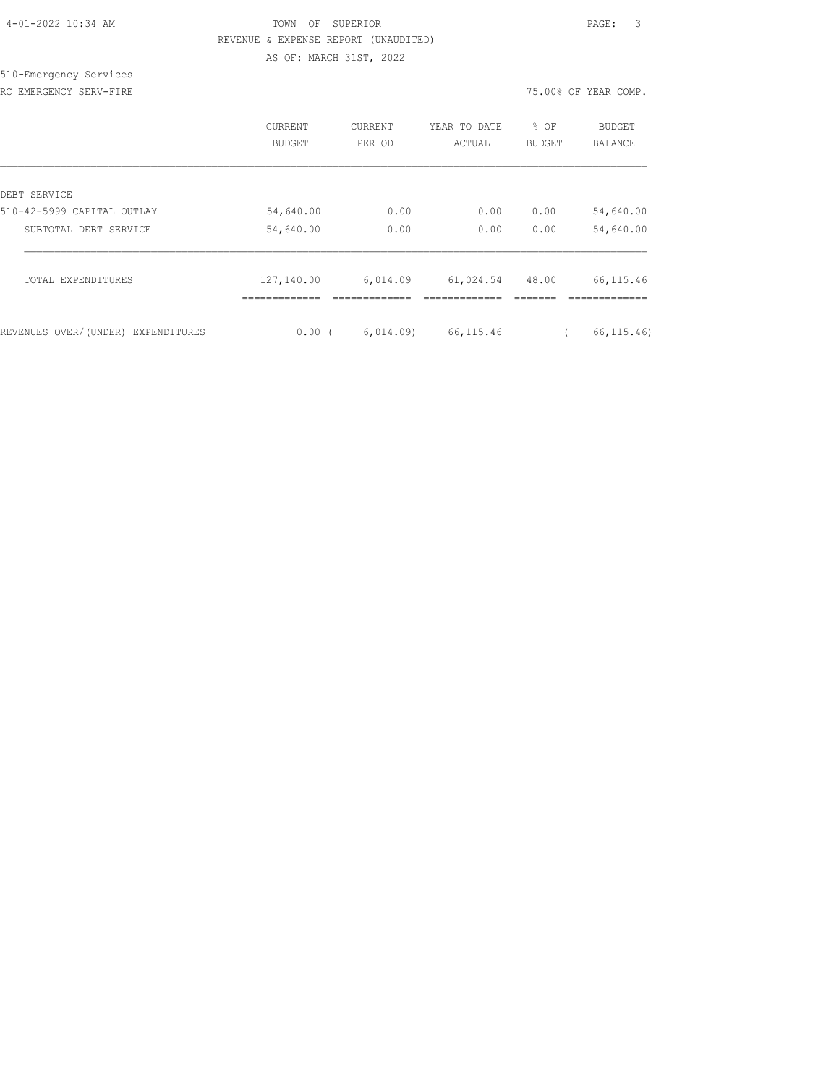| 4-01-2022 10:34 AM |  |
|--------------------|--|
|                    |  |

# TOWN OF SUPERIOR **Example 20:24 AM TOWN OF SUPERIOR**  REVENUE & EXPENSE REPORT (UNAUDITED) AS OF: MARCH 31ST, 2022

510-Emergency Services

RC EMERGENCY SERV-FIRE THE REAL PROPERTY OF THE SERVICE OF THE SERVICE OF THE SERVICE OF THE SERVICE OF THE SERVICE OF THE SERVICE OF THE SERVICE OF THE SERVICE OF THE SERVICE OF THE SERVICE OF THE SERVICE OF THE SERVICE O

|                                    | CURRENT<br>BUDGET | CURRENT<br>PERIOD | YEAR TO DATE<br>ACTUAL | % OF<br><b>BUDGET</b> | <b>BUDGET</b><br><b>BALANCE</b> |
|------------------------------------|-------------------|-------------------|------------------------|-----------------------|---------------------------------|
| DEBT SERVICE                       |                   |                   |                        |                       |                                 |
| 510-42-5999 CAPITAL OUTLAY         | 54,640.00         | 0.00              | 0.00                   | 0.00                  | 54,640.00                       |
| SUBTOTAL DEBT SERVICE              | 54,640.00         | 0.00              | 0.00                   | 0.00                  | 54,640.00                       |
| TOTAL EXPENDITURES                 | 127,140.00        | 6,014.09          | 61,024.54              | 48.00                 | 66, 115.46                      |
|                                    |                   |                   |                        |                       |                                 |
| REVENUES OVER/(UNDER) EXPENDITURES | 0.00(             | 6,014.09          | 66, 115.46             |                       | 66, 115, 46)                    |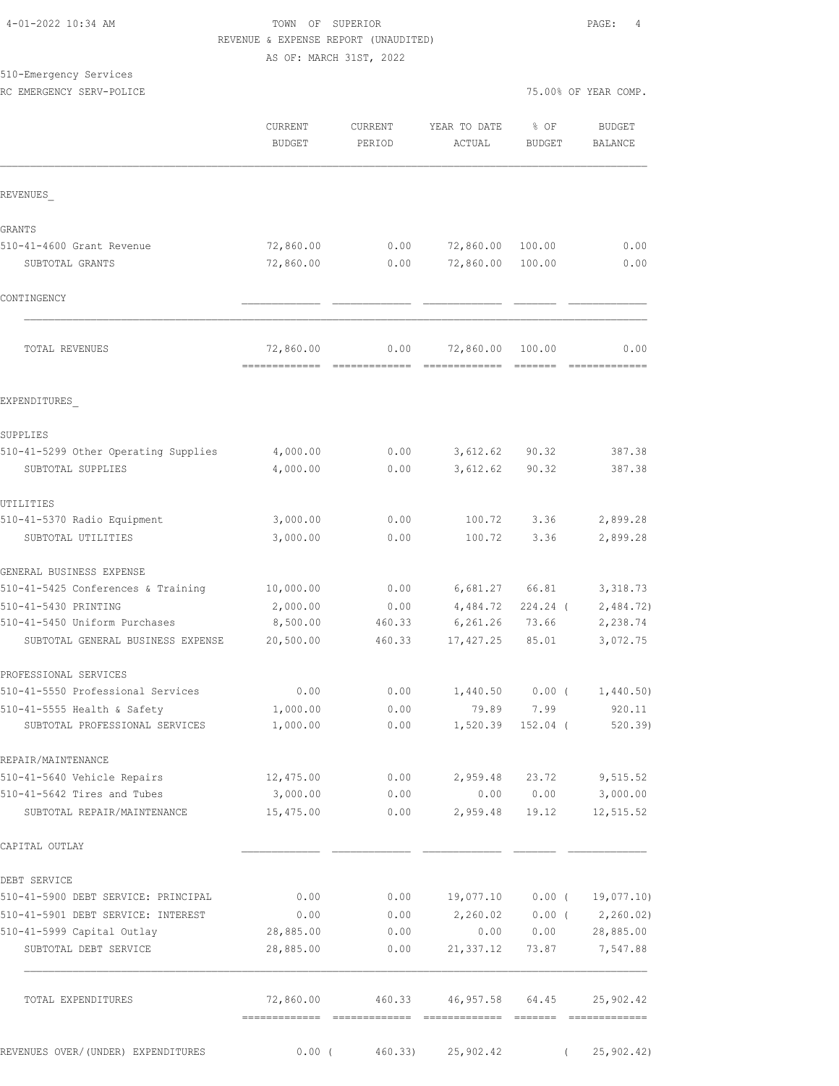# 4-01-2022 10:34 AM TOWN OF SUPERIOR PAGE: 4 REVENUE & EXPENSE REPORT (UNAUDITED) AS OF: MARCH 31ST, 2022

| 510-Emergency Services |                          |                      |  |  |
|------------------------|--------------------------|----------------------|--|--|
|                        | RC EMERGENCY SERV-POLICE | 75.00% OF YEAR COMP. |  |  |

|  |  | 5.00% OF YEAR COMP. |
|--|--|---------------------|
|  |  |                     |
|  |  |                     |
|  |  |                     |
|  |  |                     |
|  |  |                     |
|  |  |                     |
|  |  |                     |
|  |  |                     |
|  |  |                     |
|  |  |                     |
|  |  |                     |
|  |  |                     |
|  |  |                     |
|  |  |                     |

|                                      | CURRENT<br><b>BUDGET</b>  | <b>CURRENT</b><br>PERIOD | YEAR TO DATE<br>ACTUAL | % OF<br><b>BUDGET</b> | <b>BUDGET</b><br>BALANCE    |
|--------------------------------------|---------------------------|--------------------------|------------------------|-----------------------|-----------------------------|
| REVENUES                             |                           |                          |                        |                       |                             |
| <b>GRANTS</b>                        |                           |                          |                        |                       |                             |
| 510-41-4600 Grant Revenue            | 72,860.00                 | 0.00                     | 72,860.00              | 100.00                | 0.00                        |
| SUBTOTAL GRANTS                      | 72,860.00                 | 0.00                     | 72,860.00              | 100.00                | 0.00                        |
| CONTINGENCY                          |                           |                          |                        |                       |                             |
| TOTAL REVENUES                       | 72,860.00                 | 0.00                     | 72,860.00              | 100.00                | 0.00                        |
| EXPENDITURES                         |                           |                          |                        |                       |                             |
| SUPPLIES                             |                           |                          |                        |                       |                             |
| 510-41-5299 Other Operating Supplies | 4,000.00                  | 0.00                     | 3,612.62               | 90.32                 | 387.38                      |
| SUBTOTAL SUPPLIES                    | 4,000.00                  | 0.00                     | 3,612.62               | 90.32                 | 387.38                      |
| UTILITIES                            |                           |                          |                        |                       |                             |
| 510-41-5370 Radio Equipment          | 3,000.00                  | 0.00                     | 100.72                 | 3.36                  | 2,899.28                    |
| SUBTOTAL UTILITIES                   | 3,000.00                  | 0.00                     | 100.72                 | 3.36                  | 2,899.28                    |
| GENERAL BUSINESS EXPENSE             |                           |                          |                        |                       |                             |
| 510-41-5425 Conferences & Training   | 10,000.00                 | 0.00                     | 6,681.27               | 66.81                 | 3,318.73                    |
| 510-41-5430 PRINTING                 | 2,000.00                  | 0.00                     | 4,484.72               | 224.24 (              | 2,484.72)                   |
| 510-41-5450 Uniform Purchases        | 8,500.00                  | 460.33                   | 6, 261.26              | 73.66                 | 2,238.74                    |
| SUBTOTAL GENERAL BUSINESS EXPENSE    | 20,500.00                 | 460.33                   | 17, 427.25             | 85.01                 | 3,072.75                    |
| PROFESSIONAL SERVICES                |                           |                          |                        |                       |                             |
| 510-41-5550 Professional Services    | 0.00                      | 0.00                     | 1,440.50               | 0.00(                 | 1,440.50)                   |
| 510-41-5555 Health & Safety          | 1,000.00                  | 0.00                     | 79.89                  | 7.99                  | 920.11                      |
| SUBTOTAL PROFESSIONAL SERVICES       | 1,000.00                  | 0.00                     | 1,520.39               | 152.04 (              | 520.39                      |
| REPAIR/MAINTENANCE                   |                           |                          |                        |                       |                             |
| 510-41-5640 Vehicle Repairs          | 12,475.00                 | 0.00                     | 2,959.48               | 23.72                 | 9,515.52                    |
| 510-41-5642 Tires and Tubes          | 3,000.00                  | 0.00                     | 0.00                   | 0.00                  | 3,000.00                    |
| SUBTOTAL REPAIR/MAINTENANCE          | 15,475.00                 | 0.00                     | 2,959.48               | 19.12                 | 12,515.52                   |
| CAPITAL OUTLAY                       |                           |                          |                        |                       |                             |
| DEBT SERVICE                         |                           |                          |                        |                       |                             |
| 510-41-5900 DEBT SERVICE: PRINCIPAL  | 0.00                      | 0.00                     | 19,077.10              | $0.00$ (              | 19,077.10)                  |
| 510-41-5901 DEBT SERVICE: INTEREST   | 0.00                      | 0.00                     | 2,260.02               | $0.00$ (              | 2,260.02)                   |
| 510-41-5999 Capital Outlay           | 28,885.00                 | 0.00                     | 0.00                   | 0.00                  | 28,885.00                   |
| SUBTOTAL DEBT SERVICE                | 28,885.00                 | 0.00                     | 21,337.12              | 73.87                 | 7,547.88                    |
| TOTAL EXPENDITURES                   | 72,860.00                 | 460.33                   | 46,957.58 64.45        |                       | 25,902.42                   |
| REVENUES OVER/(UNDER) EXPENDITURES   | -------------<br>$0.00$ ( | 460.33)                  | 25,902.42              | $\left($              | =============<br>25,902.42) |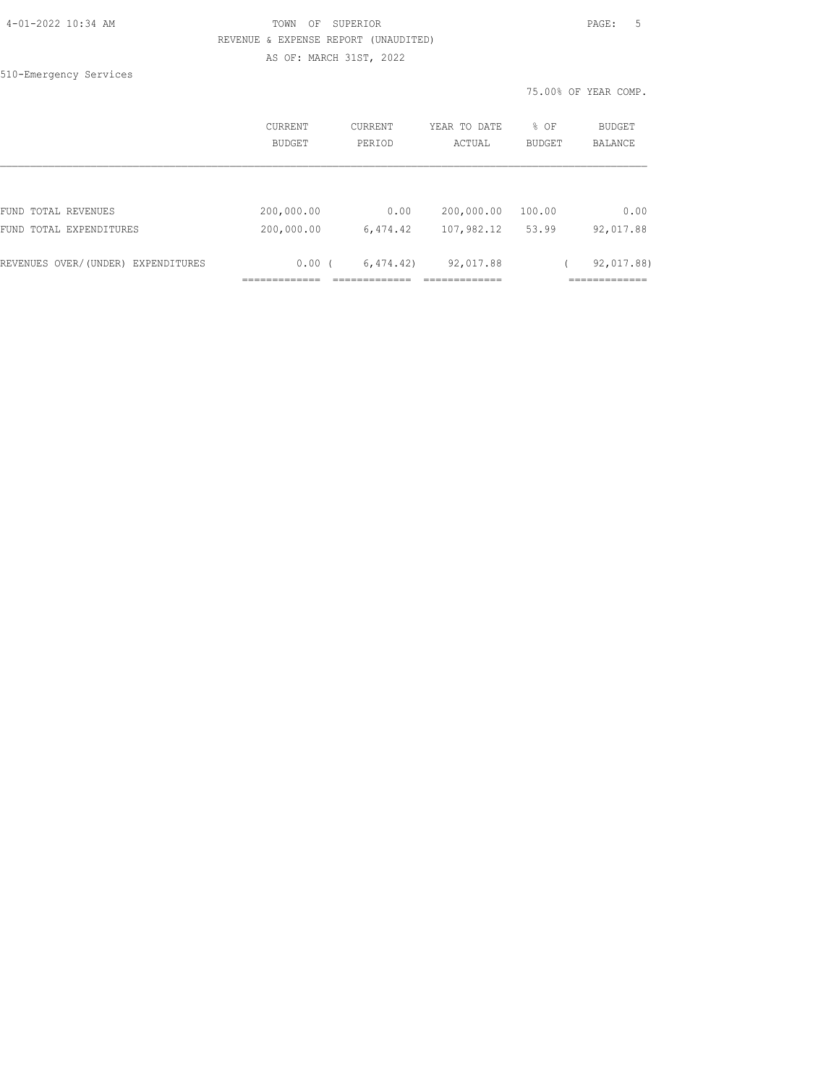# TOWN OF SUPERIOR **Example 20:34 AM TOWN OF SUPERIOR**  REVENUE & EXPENSE REPORT (UNAUDITED) AS OF: MARCH 31ST, 2022

510-Emergency Services

75.00% OF YEAR COMP.

|                                    | CURRENT<br>BUDGET | <b>CURRENT</b><br>PERIOD | YEAR TO DATE<br>ACTUAL | % OF<br><b>BUDGET</b> | BUDGET<br><b>BALANCE</b> |
|------------------------------------|-------------------|--------------------------|------------------------|-----------------------|--------------------------|
|                                    |                   |                          |                        |                       |                          |
| FUND TOTAL REVENUES                | 200,000.00        | 0.00                     | 200,000.00             | 100.00                | 0.00                     |
| FUND TOTAL EXPENDITURES            | 200,000.00        | 6,474.42                 | 107,982.12             | 53.99                 | 92,017.88                |
| REVENUES OVER/(UNDER) EXPENDITURES | 0.00(             | 6, 474, 42)              | 92,017.88              |                       | 92,017.88)               |
|                                    |                   |                          |                        |                       |                          |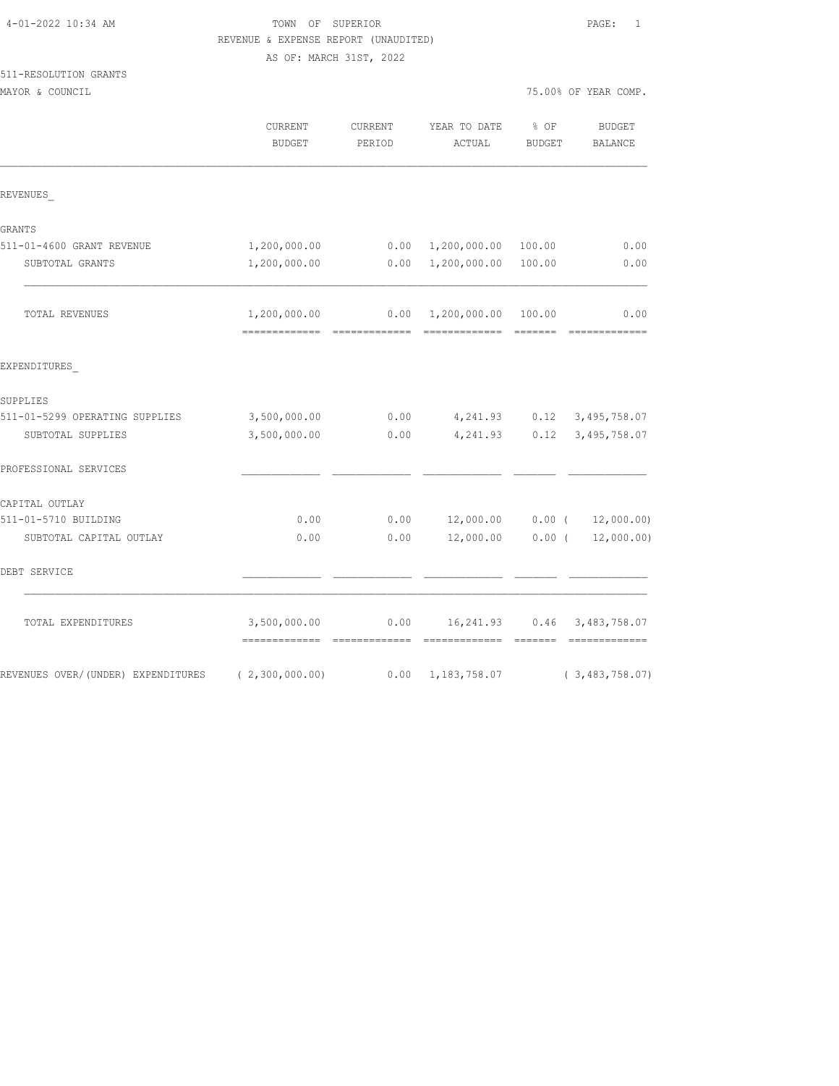# TOWN OF SUPERIOR **PAGE:** 1 REVENUE & EXPENSE REPORT (UNAUDITED)

AS OF: MARCH 31ST, 2022

# 511-RESOLUTION GRANTS

MAYOR & COUNCIL COUNCIL COMP.

|                                    | CURRENT<br><b>BUDGET</b>                        | CURRENT<br>PERIOD               | YEAR TO DATE<br>ACTUAL    | % OF<br><b>BUDGET</b> | <b>BUDGET</b><br><b>BALANCE</b> |
|------------------------------------|-------------------------------------------------|---------------------------------|---------------------------|-----------------------|---------------------------------|
| REVENUES                           |                                                 |                                 |                           |                       |                                 |
| GRANTS                             |                                                 |                                 |                           |                       |                                 |
| 511-01-4600 GRANT REVENUE          | 1,200,000.00                                    |                                 | 0.00 1,200,000.00         | 100.00                | 0.00                            |
| SUBTOTAL GRANTS                    | 1,200,000.00                                    | 0.00                            | 1,200,000.00              | 100.00                | 0.00                            |
| TOTAL REVENUES                     | 1,200,000.00<br>=============                   | 0.00                            | 1,200,000.00              | 100.00<br>=======     | 0.00                            |
| EXPENDITURES                       |                                                 |                                 |                           |                       |                                 |
| SUPPLIES                           |                                                 |                                 |                           |                       |                                 |
| 511-01-5299 OPERATING SUPPLIES     | 3,500,000.00                                    | 0.00                            | 4,241.93                  | 0.12                  | 3, 495, 758.07                  |
| SUBTOTAL SUPPLIES                  | 3,500,000.00                                    | ${\bf 0}$ . ${\bf 0}$ ${\bf 0}$ | 4,241.93                  | 0.12                  | 3,495,758.07                    |
| PROFESSIONAL SERVICES              |                                                 |                                 |                           |                       |                                 |
| CAPITAL OUTLAY                     |                                                 |                                 |                           |                       |                                 |
| 511-01-5710 BUILDING               | 0.00                                            | 0.00                            | 12,000.00                 | $0.00$ (              | 12,000.00)                      |
| SUBTOTAL CAPITAL OUTLAY            | 0.00                                            | 0.00                            | 12,000.00                 | $0.00$ (              | 12,000.00)                      |
| DEBT SERVICE                       |                                                 |                                 |                           |                       |                                 |
| TOTAL EXPENDITURES                 | 3,500,000.00<br>=============================== | 0.00                            | 16,241.93                 | 0.46<br>$---------$   | 3,483,758.07                    |
| REVENUES OVER/(UNDER) EXPENDITURES | (2,300,000.00)                                  |                                 | $0.00 \quad 1,183,758.07$ |                       | (3, 483, 758, 07)               |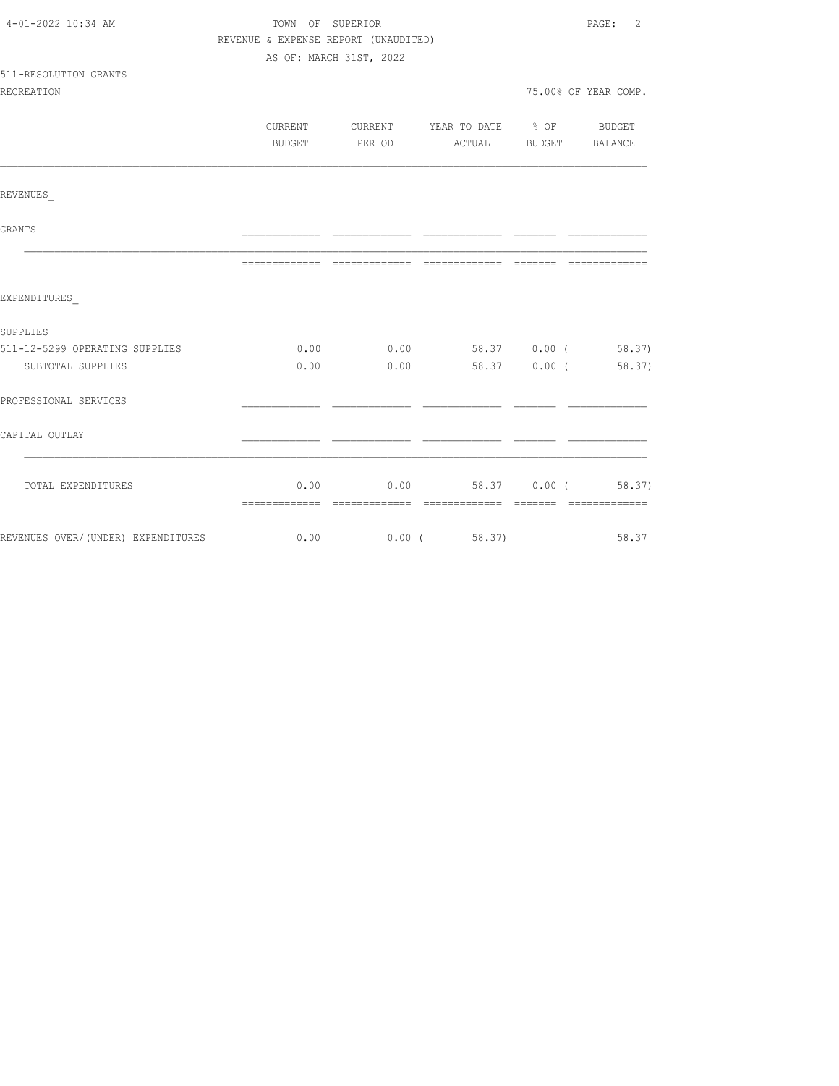| 4-01-2022 10:34 AM                                   | TOWN OF SUPERIOR                     | PAGE: 2       |                                          |                       |                      |  |
|------------------------------------------------------|--------------------------------------|---------------|------------------------------------------|-----------------------|----------------------|--|
|                                                      | REVENUE & EXPENSE REPORT (UNAUDITED) |               |                                          |                       |                      |  |
|                                                      | AS OF: MARCH 31ST, 2022              |               |                                          |                       |                      |  |
| 511-RESOLUTION GRANTS                                |                                      |               |                                          |                       |                      |  |
| <b>RECREATION</b>                                    |                                      |               |                                          |                       | 75.00% OF YEAR COMP. |  |
|                                                      |                                      |               |                                          |                       |                      |  |
|                                                      |                                      |               | CURRENT CURRENT YEAR TO DATE % OF BUDGET |                       |                      |  |
|                                                      |                                      | BUDGET PERIOD |                                          | ACTUAL BUDGET BALANCE |                      |  |
| REVENUES                                             |                                      |               |                                          |                       |                      |  |
|                                                      |                                      |               |                                          |                       |                      |  |
| GRANTS                                               |                                      |               |                                          |                       |                      |  |
|                                                      |                                      |               |                                          |                       |                      |  |
| EXPENDITURES                                         |                                      |               |                                          |                       |                      |  |
|                                                      |                                      |               |                                          |                       |                      |  |
| SUPPLIES                                             |                                      |               |                                          |                       |                      |  |
| 511-12-5299 OPERATING SUPPLIES                       |                                      |               | $0.00$ $0.00$ $58.37$ $0.00$ ( $58.37$ ) |                       |                      |  |
| SUBTOTAL SUPPLIES                                    |                                      | $0.00$ $0.00$ |                                          |                       | 58.37 0.00 (58.37)   |  |
| PROFESSIONAL SERVICES                                |                                      |               |                                          |                       |                      |  |
| CAPITAL OUTLAY                                       |                                      |               |                                          |                       |                      |  |
|                                                      |                                      |               |                                          |                       |                      |  |
| TOTAL EXPENDITURES                                   |                                      |               | $0.00$ $0.00$ $58.37$ $0.00$ ( $58.37$ ) |                       |                      |  |
|                                                      |                                      |               |                                          |                       |                      |  |
| REVENUES OVER/(UNDER) EXPENDITURES 6.00 0.00 (58.37) |                                      |               |                                          |                       | 58.37                |  |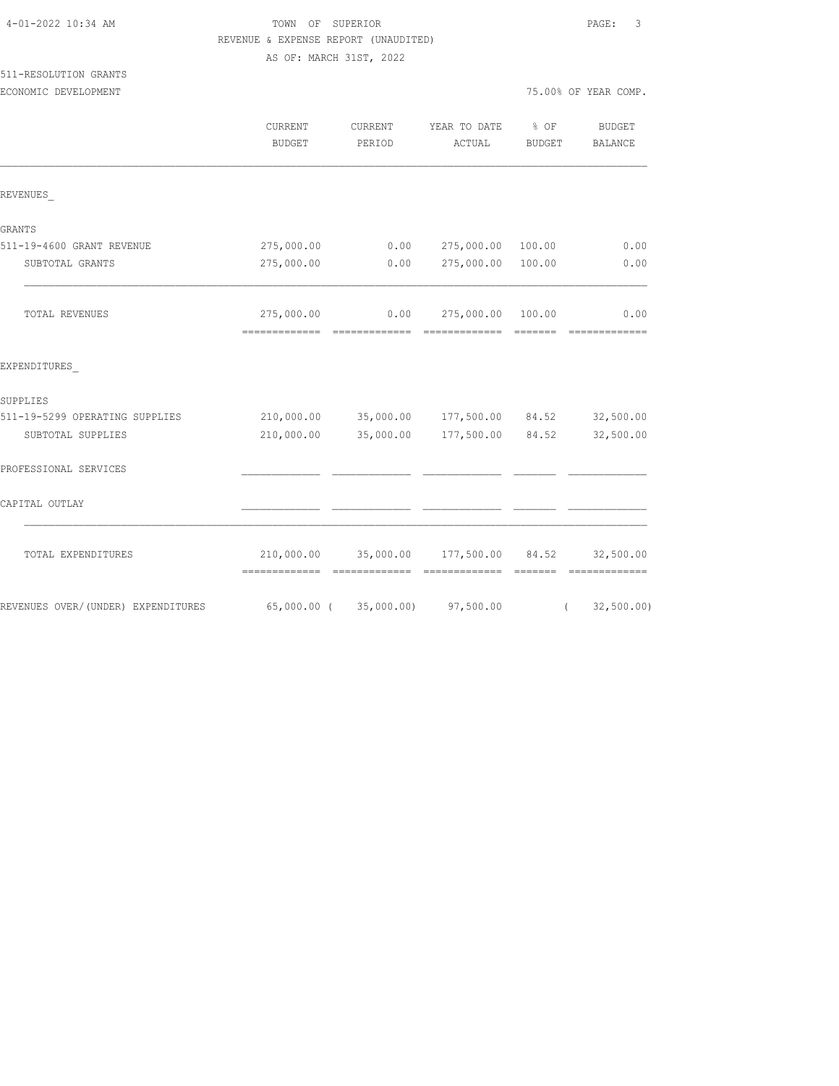|                                    | REVENUE & EXPENSE REPORT (UNAUDITED)            |            |                                 |               |                                                                                                                                                                                                                                                                                                                                                                                                                                                                                                     |
|------------------------------------|-------------------------------------------------|------------|---------------------------------|---------------|-----------------------------------------------------------------------------------------------------------------------------------------------------------------------------------------------------------------------------------------------------------------------------------------------------------------------------------------------------------------------------------------------------------------------------------------------------------------------------------------------------|
|                                    | AS OF: MARCH 31ST, 2022                         |            |                                 |               |                                                                                                                                                                                                                                                                                                                                                                                                                                                                                                     |
| 511-RESOLUTION GRANTS              |                                                 |            |                                 |               |                                                                                                                                                                                                                                                                                                                                                                                                                                                                                                     |
| ECONOMIC DEVELOPMENT               |                                                 |            |                                 |               | 75.00% OF YEAR COMP.                                                                                                                                                                                                                                                                                                                                                                                                                                                                                |
|                                    | CURRENT                                         | CURRENT    | YEAR TO DATE                    | % OF          | BUDGET                                                                                                                                                                                                                                                                                                                                                                                                                                                                                              |
|                                    | <b>BUDGET</b>                                   | PERIOD     | ACTUAL                          | <b>BUDGET</b> | BALANCE                                                                                                                                                                                                                                                                                                                                                                                                                                                                                             |
| REVENUES                           |                                                 |            |                                 |               |                                                                                                                                                                                                                                                                                                                                                                                                                                                                                                     |
| GRANTS                             |                                                 |            |                                 |               |                                                                                                                                                                                                                                                                                                                                                                                                                                                                                                     |
| 511-19-4600 GRANT REVENUE          | 275,000.00                                      | 0.00       | 275,000.00 100.00               |               | 0.00                                                                                                                                                                                                                                                                                                                                                                                                                                                                                                |
| SUBTOTAL GRANTS                    | 275,000.00                                      | 0.00       | 275,000.00 100.00               |               | 0.00                                                                                                                                                                                                                                                                                                                                                                                                                                                                                                |
| TOTAL REVENUES                     | 275,000.00                                      |            | $0.00$ 275,000.00 100.00        |               | 0.00<br>--------------                                                                                                                                                                                                                                                                                                                                                                                                                                                                              |
| EXPENDITURES                       |                                                 |            |                                 |               |                                                                                                                                                                                                                                                                                                                                                                                                                                                                                                     |
| SUPPLIES                           |                                                 |            |                                 |               |                                                                                                                                                                                                                                                                                                                                                                                                                                                                                                     |
| 511-19-5299 OPERATING SUPPLIES     | 210,000.00 35,000.00 177,500.00 84.52 32,500.00 |            |                                 |               |                                                                                                                                                                                                                                                                                                                                                                                                                                                                                                     |
| SUBTOTAL SUPPLIES                  | 210,000.00                                      | 35,000.00  | 177,500.00                      | 84.52         | 32,500.00                                                                                                                                                                                                                                                                                                                                                                                                                                                                                           |
| PROFESSIONAL SERVICES              |                                                 |            |                                 |               |                                                                                                                                                                                                                                                                                                                                                                                                                                                                                                     |
| CAPITAL OUTLAY                     |                                                 |            |                                 |               |                                                                                                                                                                                                                                                                                                                                                                                                                                                                                                     |
| TOTAL EXPENDITURES                 |                                                 |            | 210,000.00 35,000.00 177,500.00 | 84.52         | 32,500.00<br>$\begin{array}{cccccccccccccc} \multicolumn{2}{c}{} & \multicolumn{2}{c}{} & \multicolumn{2}{c}{} & \multicolumn{2}{c}{} & \multicolumn{2}{c}{} & \multicolumn{2}{c}{} & \multicolumn{2}{c}{} & \multicolumn{2}{c}{} & \multicolumn{2}{c}{} & \multicolumn{2}{c}{} & \multicolumn{2}{c}{} & \multicolumn{2}{c}{} & \multicolumn{2}{c}{} & \multicolumn{2}{c}{} & \multicolumn{2}{c}{} & \multicolumn{2}{c}{} & \multicolumn{2}{c}{} & \multicolumn{2}{c}{} & \multicolumn{2}{c}{} & \$ |
| REVENUES OVER/(UNDER) EXPENDITURES | 65,000.00 (                                     | 35,000.00) | 97,500.00                       | $\left($      | 32, 500.00)                                                                                                                                                                                                                                                                                                                                                                                                                                                                                         |

4-01-2022 10:34 AM TOWN OF SUPERIOR PAGE: 3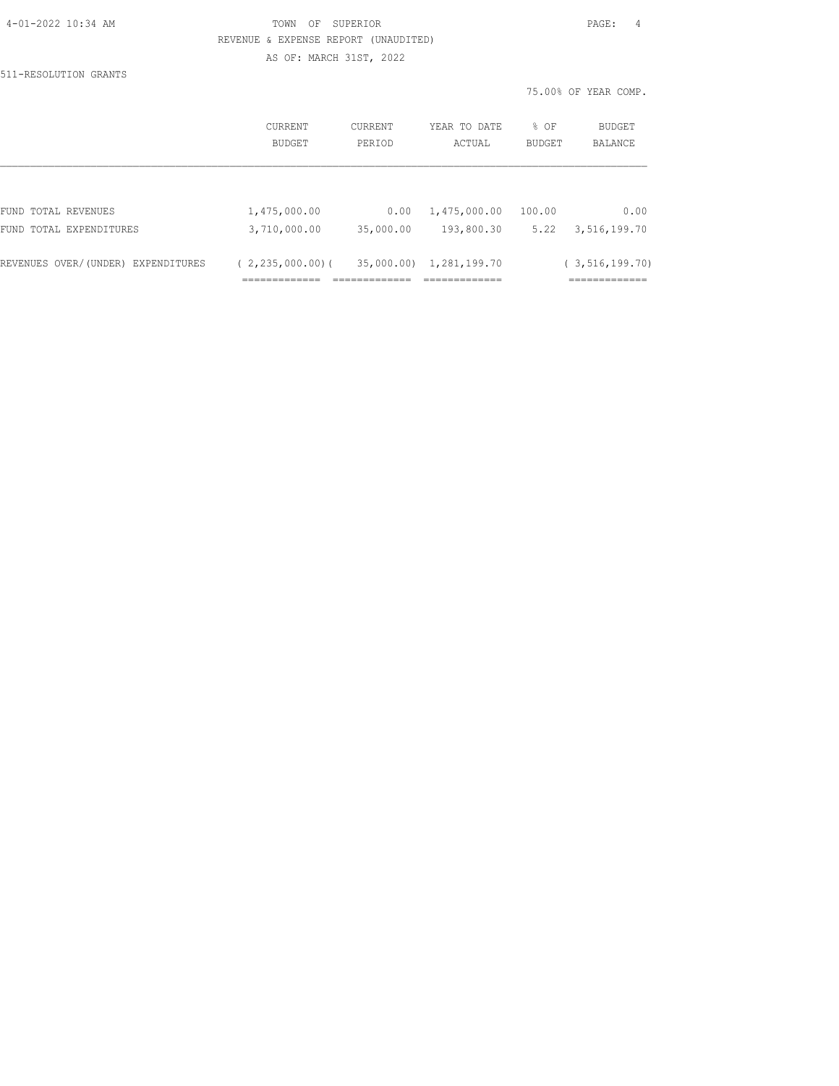|                                    | REVENUE & EXPENSE REPORT (UNAUDITED)                  |           |              |        |                      |
|------------------------------------|-------------------------------------------------------|-----------|--------------|--------|----------------------|
|                                    | AS OF: MARCH 31ST, 2022                               |           |              |        |                      |
| 511-RESOLUTION GRANTS              |                                                       |           |              |        |                      |
|                                    |                                                       |           |              |        | 75.00% OF YEAR COMP. |
|                                    | CURRENT                                               | CURRENT   | YEAR TO DATE | % OF   | BUDGET               |
|                                    | BUDGET                                                | PERIOD    | ACTUAL       | BUDGET | BALANCE              |
|                                    |                                                       |           |              |        |                      |
| FUND TOTAL REVENUES                | 1,475,000.00                                          | 0.00      | 1,475,000.00 | 100.00 | 0.00                 |
| FUND TOTAL EXPENDITURES            | 3,710,000.00                                          | 35,000.00 | 193,800.30   | 5.22   | 3,516,199.70         |
| REVENUES OVER/(UNDER) EXPENDITURES | $(2, 235, 000, 00)$ $(35, 000, 00)$ $1, 281, 199, 70$ |           |              |        | (3, 516, 199.70)     |
|                                    | ===========                                           |           | ----------   |        | -------------        |

4-01-2022 10:34 AM TOWN OF SUPERIOR PAGE: 4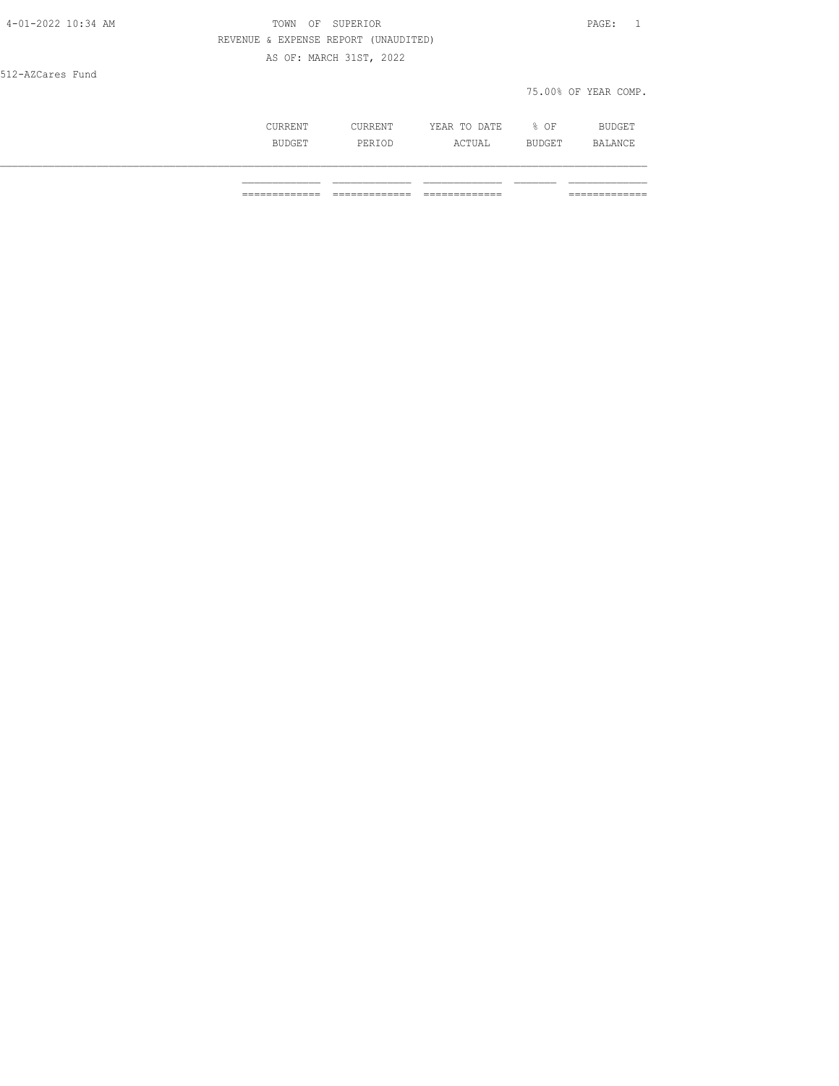| 4-01-2022 10:34 AM | TOWN<br>OF                           | SUPERIOR                |              |        | PAGE:<br>$\mathbf{1}$ |  |
|--------------------|--------------------------------------|-------------------------|--------------|--------|-----------------------|--|
|                    | REVENUE & EXPENSE REPORT (UNAUDITED) |                         |              |        |                       |  |
|                    |                                      | AS OF: MARCH 31ST, 2022 |              |        |                       |  |
| 512-AZCares Fund   |                                      |                         |              |        |                       |  |
|                    |                                      |                         |              |        | 75.00% OF YEAR COMP.  |  |
|                    | CURRENT                              | CURRENT                 | YEAR TO DATE | % OF   | BUDGET                |  |
|                    | BUDGET                               | PERIOD                  | ACTUAL       | BUDGET | BALANCE               |  |

\_\_\_\_\_\_\_\_\_\_\_\_\_\_\_\_\_\_\_\_\_\_\_\_\_\_\_\_\_\_\_\_\_\_\_\_\_\_\_\_\_\_\_\_\_\_\_\_\_\_\_\_\_\_\_\_\_\_\_\_\_\_\_\_\_\_\_\_\_\_\_\_\_\_\_\_\_\_\_\_\_\_\_\_\_\_\_\_\_\_\_\_\_\_\_\_\_\_\_\_\_\_\_\_\_\_\_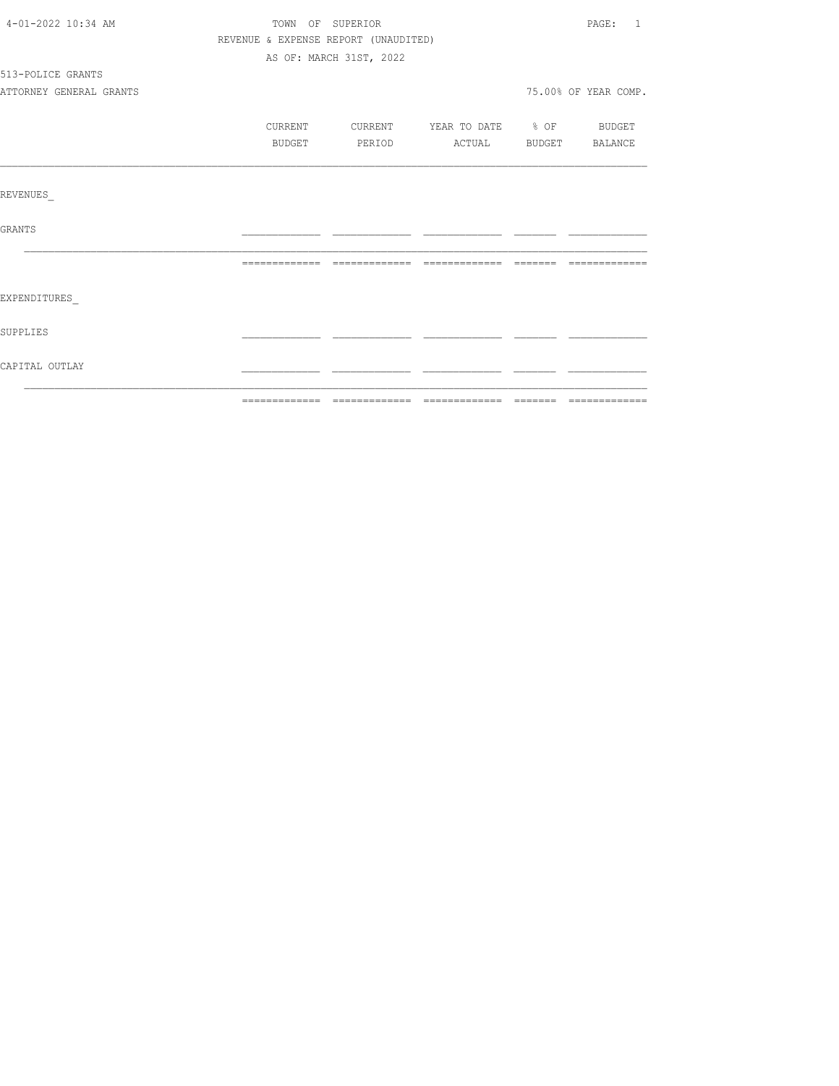| 4-01-2022 10:34 AM      | TOWN OF SUPERIOR |                                      |                                  | PAGE: 1              |
|-------------------------|------------------|--------------------------------------|----------------------------------|----------------------|
|                         |                  | REVENUE & EXPENSE REPORT (UNAUDITED) |                                  |                      |
|                         |                  | AS OF: MARCH 31ST, 2022              |                                  |                      |
| 513-POLICE GRANTS       |                  |                                      |                                  |                      |
| ATTORNEY GENERAL GRANTS |                  |                                      |                                  | 75.00% OF YEAR COMP. |
|                         | CURRENT          |                                      | CURRENT YEAR TO DATE % OF BUDGET |                      |
|                         | BUDGET           | PERIOD                               | ACTUAL BUDGET BALANCE            |                      |
|                         |                  |                                      |                                  |                      |
| REVENUES                |                  |                                      |                                  |                      |
| GRANTS                  |                  |                                      |                                  |                      |
|                         |                  |                                      |                                  |                      |
| EXPENDITURES            |                  |                                      |                                  |                      |
| SUPPLIES                |                  |                                      |                                  |                      |
| CAPITAL OUTLAY          |                  |                                      |                                  |                      |
|                         |                  |                                      |                                  |                      |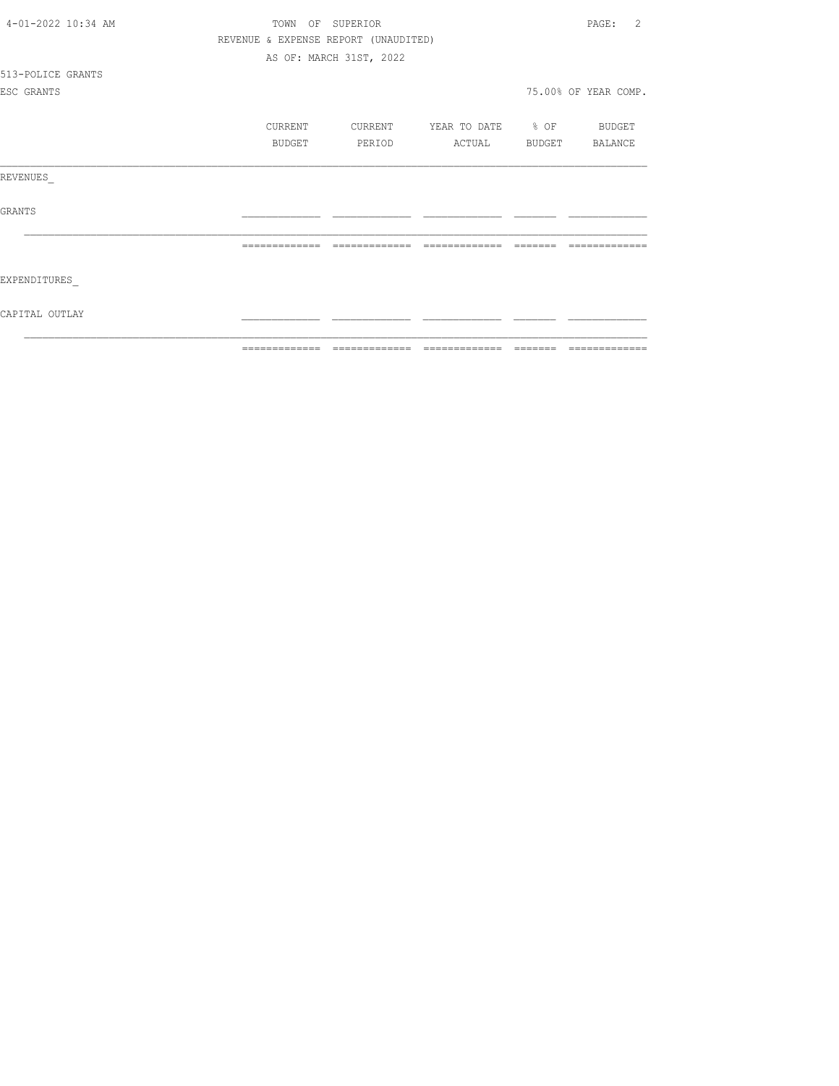| 4-01-2022 10:34 AM | TOWN<br>OF                           | SUPERIOR                |                   | $\mathcal{L}$<br>PAGE: |
|--------------------|--------------------------------------|-------------------------|-------------------|------------------------|
|                    | REVENUE & EXPENSE REPORT (UNAUDITED) |                         |                   |                        |
|                    |                                      | AS OF: MARCH 31ST, 2022 |                   |                        |
| 513-POLICE GRANTS  |                                      |                         |                   |                        |
| ESC GRANTS         |                                      |                         |                   | 75.00% OF YEAR COMP.   |
|                    |                                      |                         |                   |                        |
|                    | CURRENT                              | CURRENT                 | YEAR TO DATE % OF | BUDGET                 |
|                    | BUDGET                               | PERIOD                  | ACTUAL            | BUDGET BALANCE         |
|                    |                                      |                         |                   |                        |
| REVENUES           |                                      |                         |                   |                        |
|                    |                                      |                         |                   |                        |
| <b>GRANTS</b>      |                                      |                         |                   |                        |
|                    |                                      |                         |                   |                        |
|                    |                                      |                         |                   |                        |
|                    |                                      |                         |                   |                        |
| EXPENDITURES       |                                      |                         |                   |                        |
|                    |                                      |                         |                   |                        |
| CAPITAL OUTLAY     |                                      |                         |                   |                        |
|                    |                                      |                         |                   |                        |
|                    | =============                        | =============           | =============     | ======= =============  |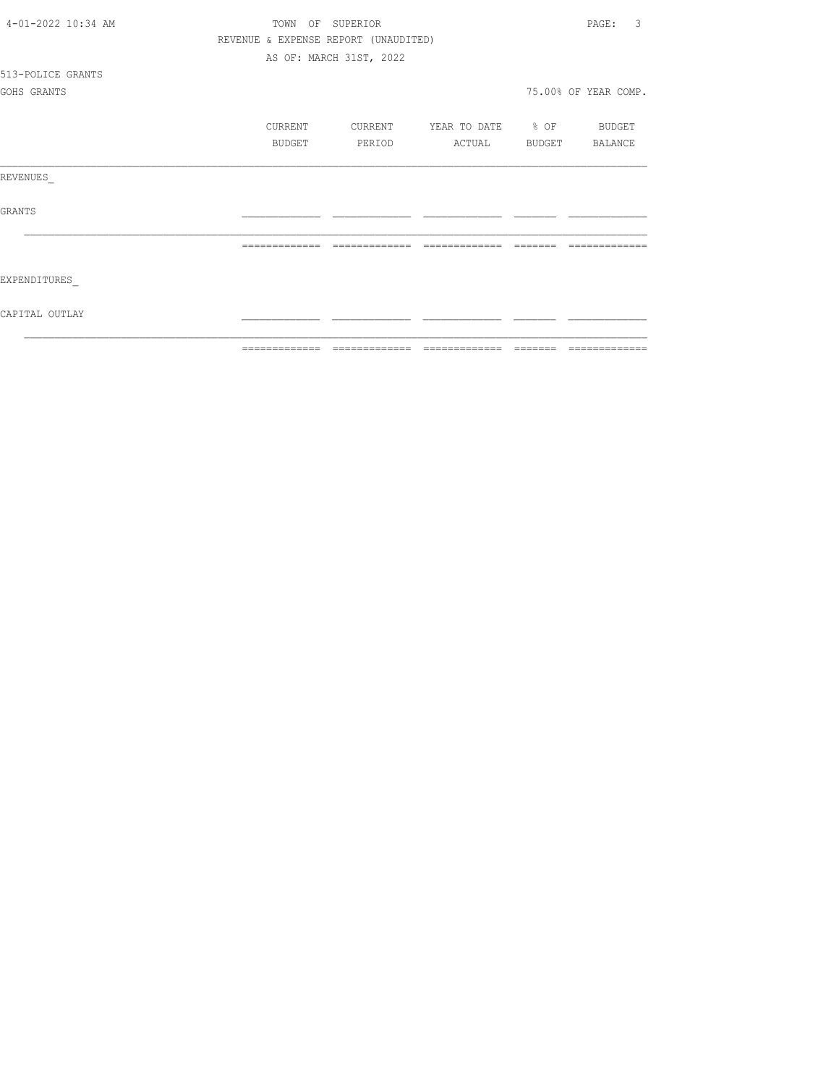| 4-01-2022 10:34 AM | TOWN          | OF SUPERIOR                          |                                                                                                                                                                                                                                                                                                                                                                                  |         | 3<br>PAGE:           |
|--------------------|---------------|--------------------------------------|----------------------------------------------------------------------------------------------------------------------------------------------------------------------------------------------------------------------------------------------------------------------------------------------------------------------------------------------------------------------------------|---------|----------------------|
|                    |               | REVENUE & EXPENSE REPORT (UNAUDITED) |                                                                                                                                                                                                                                                                                                                                                                                  |         |                      |
|                    |               | AS OF: MARCH 31ST, 2022              |                                                                                                                                                                                                                                                                                                                                                                                  |         |                      |
| 513-POLICE GRANTS  |               |                                      |                                                                                                                                                                                                                                                                                                                                                                                  |         |                      |
| GOHS GRANTS        |               |                                      |                                                                                                                                                                                                                                                                                                                                                                                  |         | 75.00% OF YEAR COMP. |
|                    | CURRENT       | CURRENT                              | YEAR TO DATE % OF                                                                                                                                                                                                                                                                                                                                                                |         | BUDGET               |
|                    | BUDGET        | PERIOD                               | ACTUAL                                                                                                                                                                                                                                                                                                                                                                           |         | BUDGET BALANCE       |
| REVENUES           |               |                                      |                                                                                                                                                                                                                                                                                                                                                                                  |         |                      |
| <b>GRANTS</b>      |               |                                      |                                                                                                                                                                                                                                                                                                                                                                                  |         |                      |
|                    |               |                                      |                                                                                                                                                                                                                                                                                                                                                                                  |         |                      |
| EXPENDITURES       |               |                                      |                                                                                                                                                                                                                                                                                                                                                                                  |         |                      |
| CAPITAL OUTLAY     |               |                                      |                                                                                                                                                                                                                                                                                                                                                                                  |         |                      |
|                    | ============= | =============                        | $\begin{array}{c} \rule{0pt}{2.2pt} \rule{0pt}{2.2pt} \rule{0pt}{2.2pt} \rule{0pt}{2.2pt} \rule{0pt}{2.2pt} \rule{0pt}{2.2pt} \rule{0pt}{2.2pt} \rule{0pt}{2.2pt} \rule{0pt}{2.2pt} \rule{0pt}{2.2pt} \rule{0pt}{2.2pt} \rule{0pt}{2.2pt} \rule{0pt}{2.2pt} \rule{0pt}{2.2pt} \rule{0pt}{2.2pt} \rule{0pt}{2.2pt} \rule{0pt}{2.2pt} \rule{0pt}{2.2pt} \rule{0pt}{2.2pt} \rule{0$ | ======= | -------------        |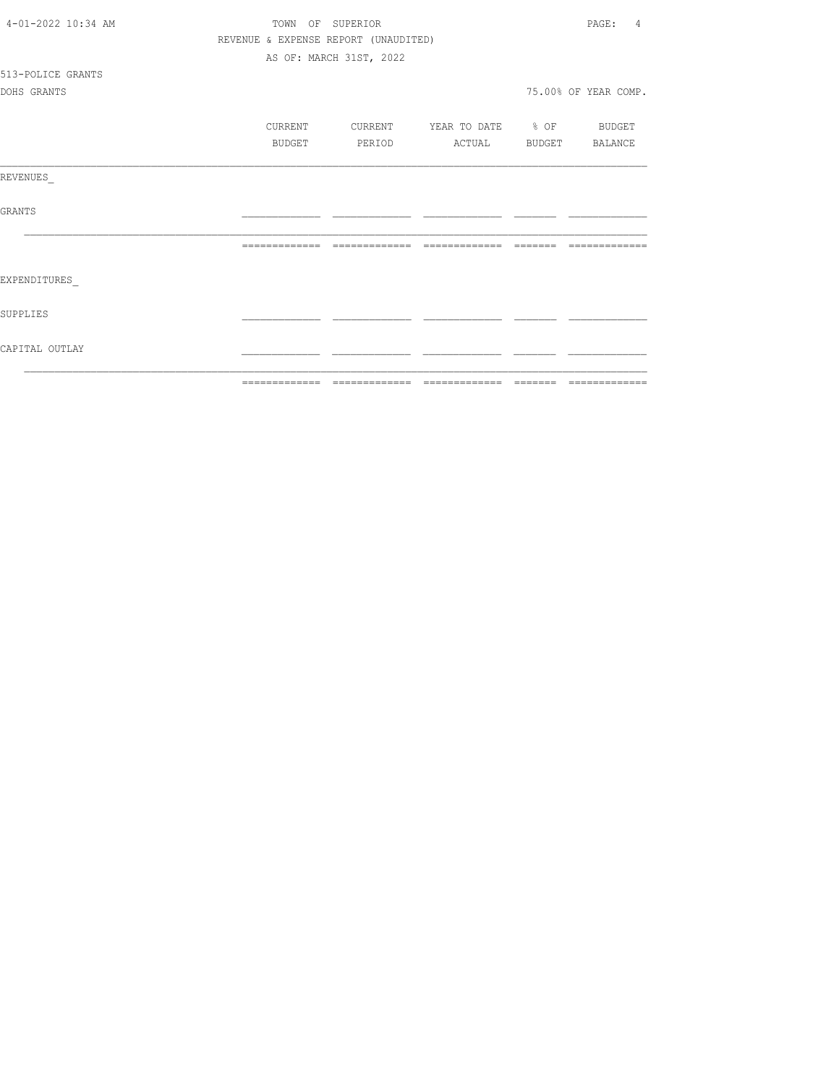| CAPITAL OUTLAY     |                                      |                         |                          |                         |
|--------------------|--------------------------------------|-------------------------|--------------------------|-------------------------|
| SUPPLIES           |                                      |                         |                          |                         |
| EXPENDITURES       |                                      |                         |                          |                         |
|                    |                                      |                         |                          | --------------          |
| GRANTS             |                                      |                         |                          |                         |
| REVENUES           |                                      |                         |                          |                         |
|                    | <b>BUDGET</b>                        | PERIOD                  | ACTUAL                   | BUDGET BALANCE          |
|                    | CURRENT                              | CURRENT                 | YEAR TO DATE % OF BUDGET |                         |
| DOHS GRANTS        |                                      |                         |                          | 75.00% OF YEAR COMP.    |
| 513-POLICE GRANTS  |                                      |                         |                          |                         |
|                    |                                      | AS OF: MARCH 31ST, 2022 |                          |                         |
|                    | REVENUE & EXPENSE REPORT (UNAUDITED) |                         |                          |                         |
| 4-01-2022 10:34 AM |                                      | TOWN OF SUPERIOR        |                          | PAGE:<br>$\overline{4}$ |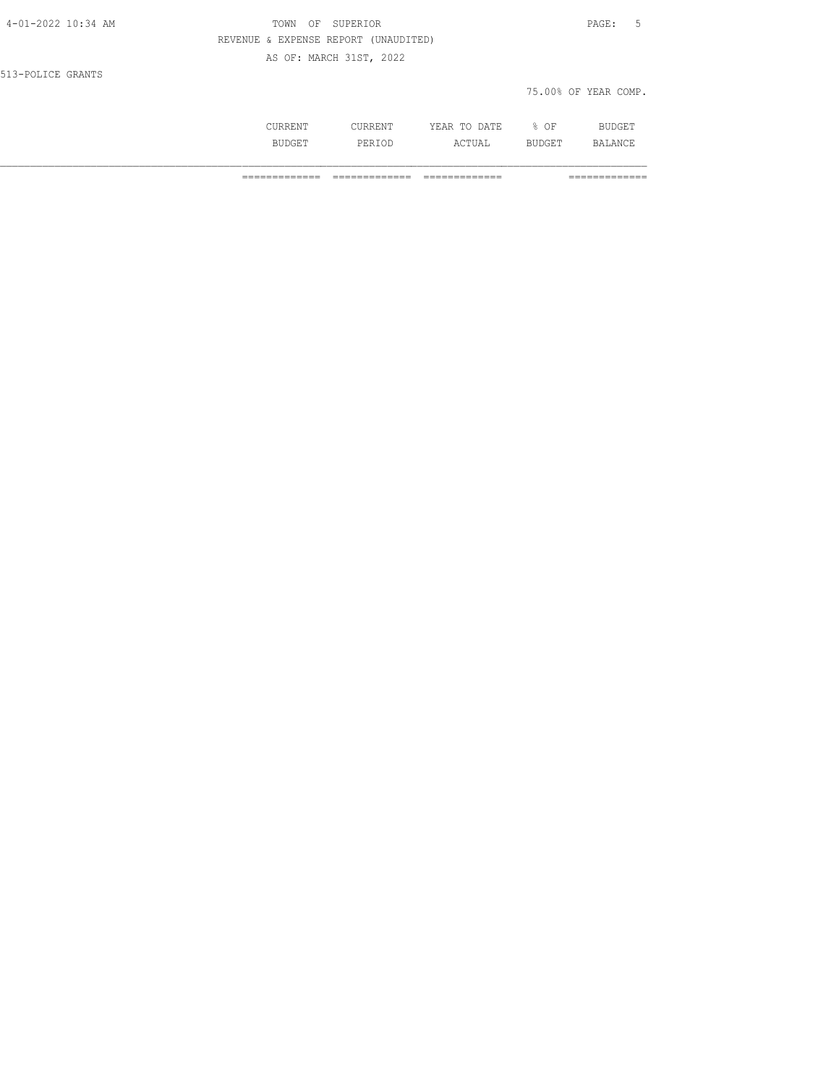| 4-01-2022 10:34 AM | TOWN<br>ΟF | SUPERIOR                             | PAGE:<br>-5  |        |                      |  |
|--------------------|------------|--------------------------------------|--------------|--------|----------------------|--|
|                    |            | REVENUE & EXPENSE REPORT (UNAUDITED) |              |        |                      |  |
|                    |            | AS OF: MARCH 31ST, 2022              |              |        |                      |  |
| 513-POLICE GRANTS  |            |                                      |              |        |                      |  |
|                    |            |                                      |              |        | 75.00% OF YEAR COMP. |  |
|                    |            |                                      |              |        |                      |  |
|                    | CURRENT    | CURRENT                              | YEAR TO DATE | $8$ OF | <b>BUDGET</b>        |  |

============= ============= ============= =============

BUDGET PERIOD ACTUAL BUDGET BALANCE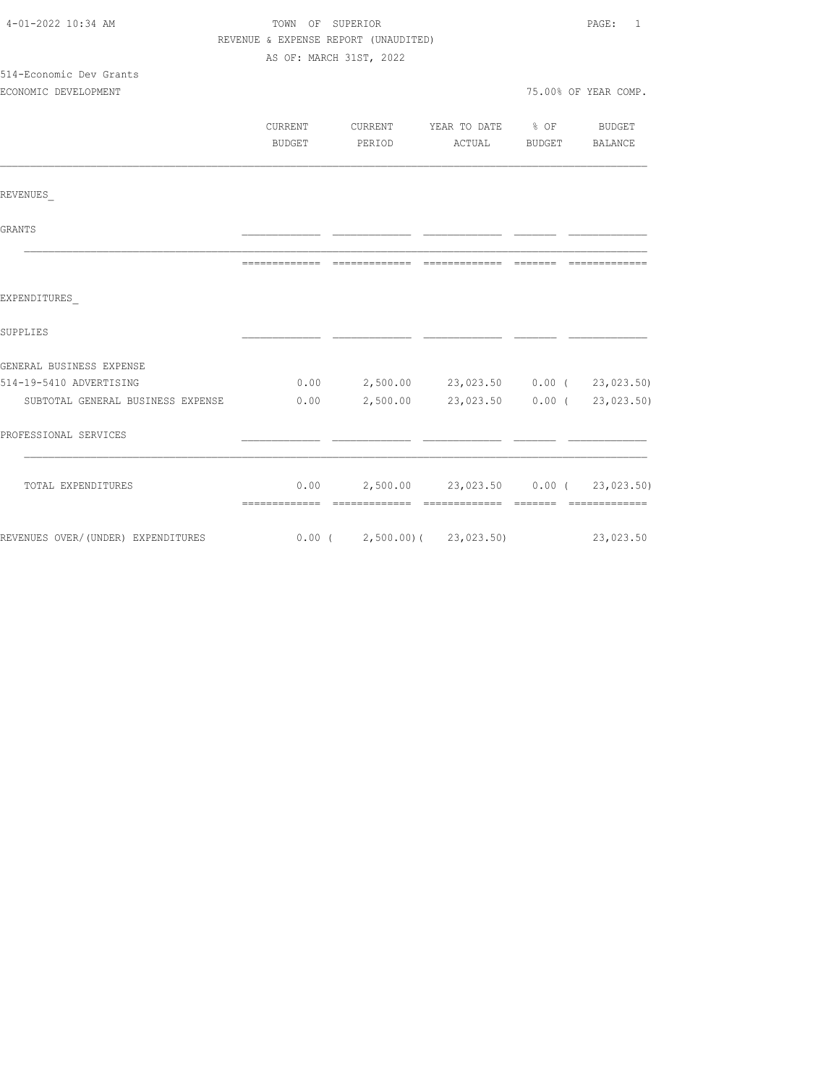| TOWN OF SUPERIOR |  |                                   |                                      |                                                                                                                                                                                                                                                                                                                                      |
|------------------|--|-----------------------------------|--------------------------------------|--------------------------------------------------------------------------------------------------------------------------------------------------------------------------------------------------------------------------------------------------------------------------------------------------------------------------------------|
|                  |  |                                   |                                      |                                                                                                                                                                                                                                                                                                                                      |
|                  |  |                                   |                                      |                                                                                                                                                                                                                                                                                                                                      |
|                  |  |                                   |                                      |                                                                                                                                                                                                                                                                                                                                      |
|                  |  |                                   |                                      | 75.00% OF YEAR COMP.                                                                                                                                                                                                                                                                                                                 |
|                  |  |                                   |                                      |                                                                                                                                                                                                                                                                                                                                      |
| CURRENT          |  |                                   |                                      |                                                                                                                                                                                                                                                                                                                                      |
| BUDGET           |  |                                   |                                      |                                                                                                                                                                                                                                                                                                                                      |
|                  |  |                                   |                                      |                                                                                                                                                                                                                                                                                                                                      |
|                  |  |                                   |                                      |                                                                                                                                                                                                                                                                                                                                      |
|                  |  |                                   |                                      |                                                                                                                                                                                                                                                                                                                                      |
| =============    |  |                                   |                                      |                                                                                                                                                                                                                                                                                                                                      |
|                  |  |                                   |                                      |                                                                                                                                                                                                                                                                                                                                      |
|                  |  |                                   |                                      |                                                                                                                                                                                                                                                                                                                                      |
|                  |  |                                   |                                      |                                                                                                                                                                                                                                                                                                                                      |
|                  |  |                                   |                                      |                                                                                                                                                                                                                                                                                                                                      |
|                  |  |                                   |                                      |                                                                                                                                                                                                                                                                                                                                      |
|                  |  |                                   |                                      |                                                                                                                                                                                                                                                                                                                                      |
|                  |  |                                   |                                      |                                                                                                                                                                                                                                                                                                                                      |
|                  |  |                                   |                                      |                                                                                                                                                                                                                                                                                                                                      |
|                  |  |                                   |                                      |                                                                                                                                                                                                                                                                                                                                      |
|                  |  | AS OF: MARCH 31ST, 2022<br>PERIOD | REVENUE & EXPENSE REPORT (UNAUDITED) | CURRENT YEAR TO DATE % OF BUDGET<br>ACTUAL BUDGET BALANCE<br>$0.00$ $2,500.00$ $23,023.50$ $0.00$ ( $23,023.50$ )<br>SUBTOTAL GENERAL BUSINESS EXPENSE $0.00$ $2,500.00$ $23,023.50$ $0.00$ $(23,023.50)$<br>$0.00$ 2,500.00 23,023.50 0.00 ( 23,023.50)<br>REVENUES OVER/(UNDER) EXPENDITURES 6.00 (2,500.00) (23,023.50) 23,023.50 |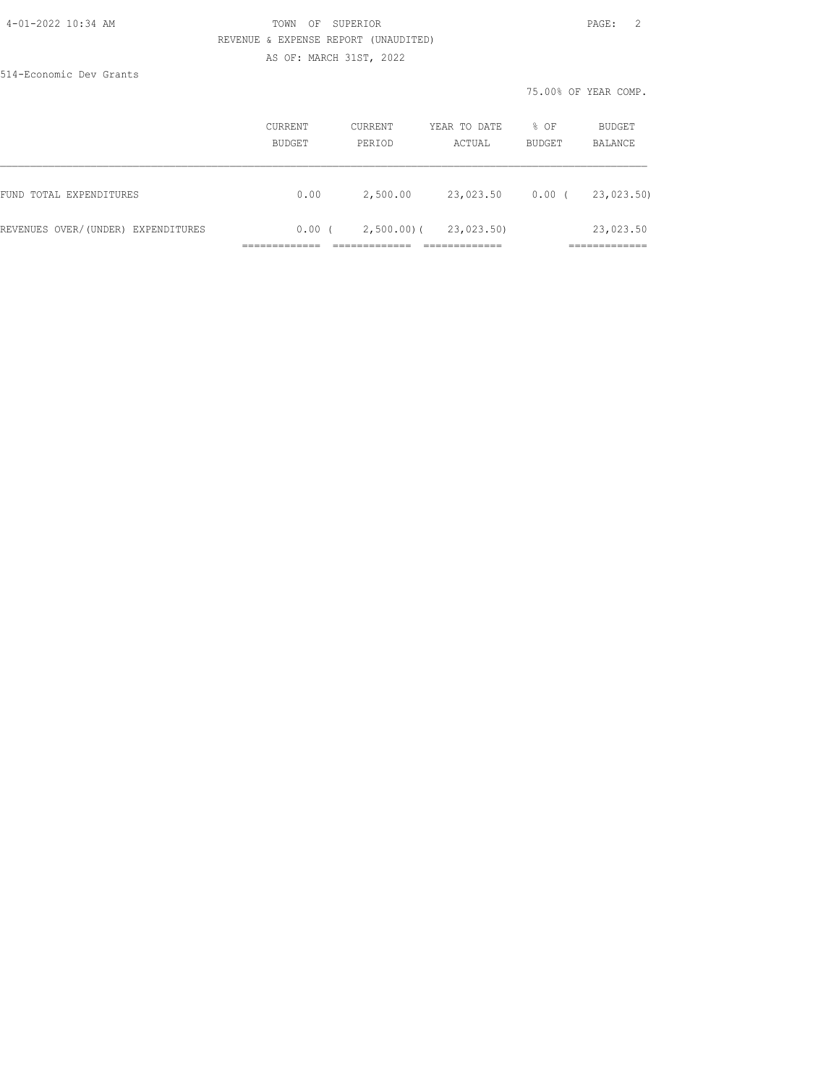### 4-01-2022 10:34 AM TOWN OF SUPERIOR PAGE: 2 REVENUE & EXPENSE REPORT (UNAUDITED) AS OF: MARCH 31ST, 2022

514-Economic Dev Grants

75.00% OF YEAR COMP.

|                                    | CURRENT<br>BUDGET | CURRENT<br>PERIOD | YEAR TO DATE<br>ACTUAL | % OF<br>BUDGET | BUDGET<br>BALANCE         |
|------------------------------------|-------------------|-------------------|------------------------|----------------|---------------------------|
| FUND TOTAL EXPENDITURES            | 0.00              | 2,500.00          | 23,023.50              | $0.00$ (       | 23,023.50)                |
| REVENUES OVER/(UNDER) EXPENDITURES | $0.00$ (          | $2,500.00$ ) (    | 23,023.50)             |                | 23,023.50<br>____________ |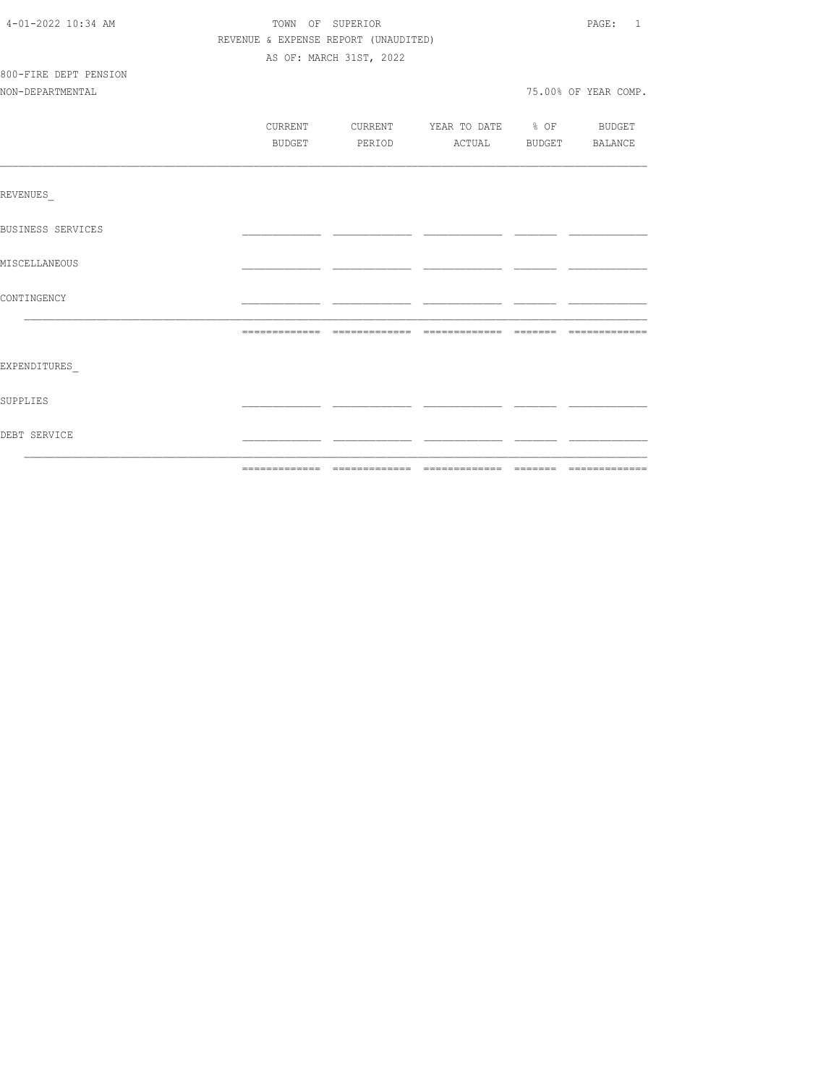| 4-01-2022 10:34 AM       | TOWN OF SUPERIOR |                                      |                                  |  |                      |
|--------------------------|------------------|--------------------------------------|----------------------------------|--|----------------------|
|                          |                  | REVENUE & EXPENSE REPORT (UNAUDITED) |                                  |  |                      |
|                          |                  | AS OF: MARCH 31ST, 2022              |                                  |  |                      |
| 800-FIRE DEPT PENSION    |                  |                                      |                                  |  |                      |
| NON-DEPARTMENTAL         |                  |                                      |                                  |  | 75.00% OF YEAR COMP. |
|                          |                  |                                      |                                  |  |                      |
|                          | CURRENT          |                                      | CURRENT YEAR TO DATE % OF BUDGET |  |                      |
|                          | BUDGET           |                                      | PERIOD ACTUAL BUDGET BALANCE     |  |                      |
|                          |                  |                                      |                                  |  |                      |
| <b>REVENUES</b>          |                  |                                      |                                  |  |                      |
| <b>BUSINESS SERVICES</b> |                  |                                      |                                  |  |                      |
| MISCELLANEOUS            |                  |                                      |                                  |  |                      |
| CONTINGENCY              |                  |                                      |                                  |  |                      |
|                          |                  |                                      |                                  |  |                      |
| EXPENDITURES             |                  |                                      |                                  |  |                      |
| SUPPLIES                 |                  |                                      |                                  |  |                      |
| DEBT SERVICE             |                  |                                      |                                  |  |                      |
|                          |                  |                                      |                                  |  |                      |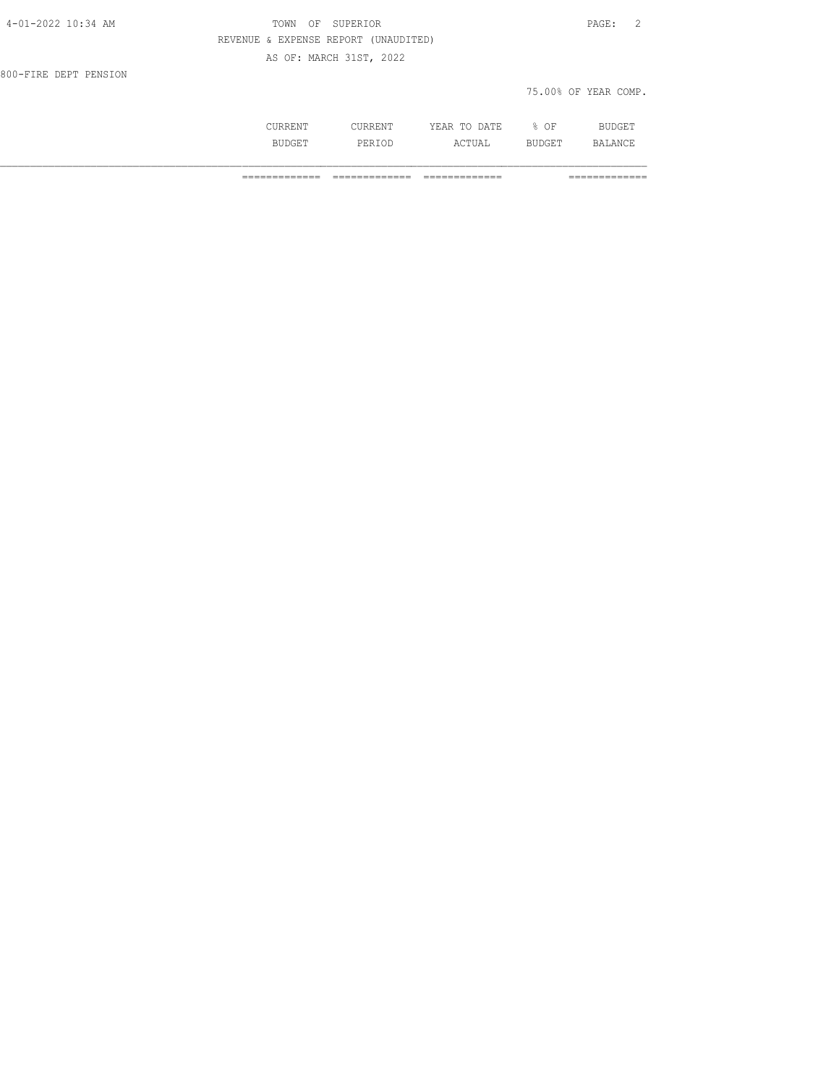| 4-01-2022 10:34 AM    | SUPERIOR<br>TOWN<br>OF               | $\overline{2}$<br>PAGE: |
|-----------------------|--------------------------------------|-------------------------|
|                       | REVENUE & EXPENSE REPORT (UNAUDITED) |                         |
|                       | AS OF: MARCH 31ST, 2022              |                         |
| 800-FIRE DEPT PENSION |                                      |                         |
|                       |                                      | 75.00% OF YEAR COMP.    |
|                       |                                      |                         |

 CURRENT CURRENT YEAR TO DATE % OF BUDGET BUDGET PERIOD ACTUAL BUDGET BALANCE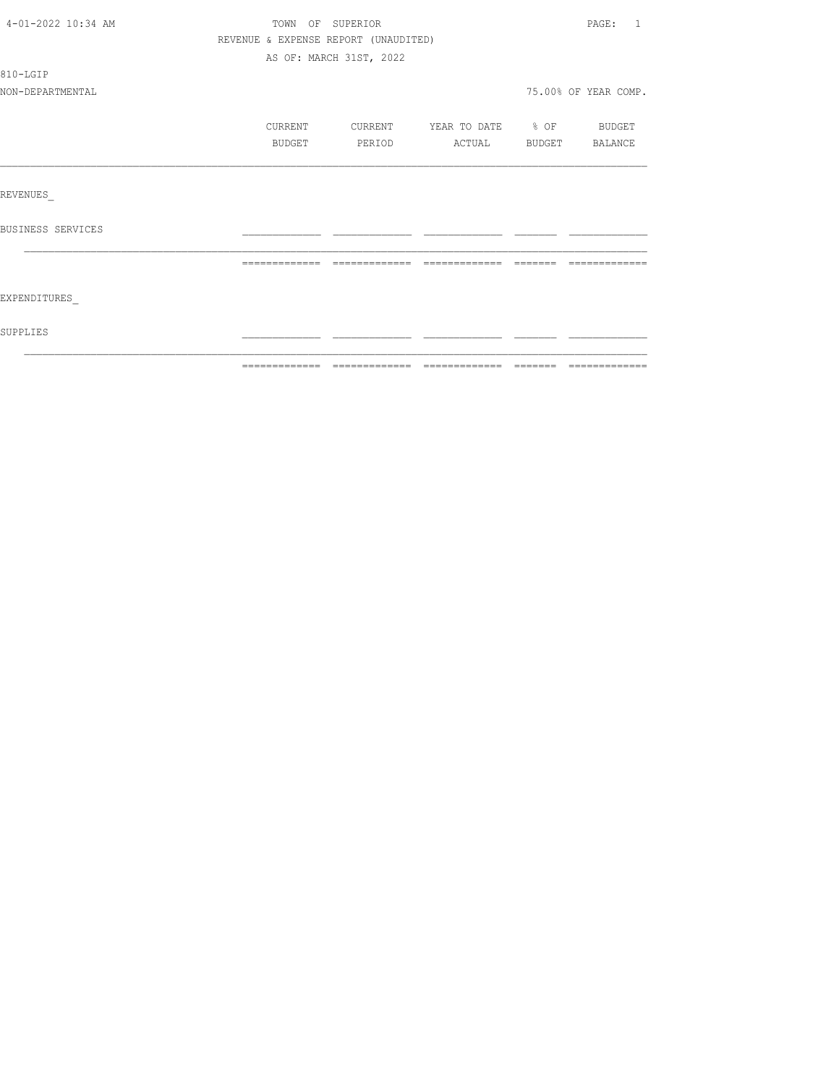| SUPPLIES           |                                      |                         |                          |          |                      |
|--------------------|--------------------------------------|-------------------------|--------------------------|----------|----------------------|
| EXPENDITURES       |                                      |                         |                          |          |                      |
|                    | --------------                       | =============           |                          | -------- |                      |
| BUSINESS SERVICES  |                                      |                         |                          |          |                      |
| REVENUES           |                                      |                         |                          |          |                      |
|                    |                                      |                         |                          |          |                      |
|                    | BUDGET                               | PERIOD                  | ACTUAL                   |          | BUDGET BALANCE       |
|                    | CURRENT                              | CURRENT                 | YEAR TO DATE % OF BUDGET |          |                      |
| NON-DEPARTMENTAL   |                                      |                         |                          |          | 75.00% OF YEAR COMP. |
| 810-LGIP           |                                      |                         |                          |          |                      |
|                    |                                      | AS OF: MARCH 31ST, 2022 |                          |          |                      |
|                    | REVENUE & EXPENSE REPORT (UNAUDITED) |                         |                          |          |                      |
| 4-01-2022 10:34 AM | TOWN OF SUPERIOR                     |                         |                          |          | PAGE: 1              |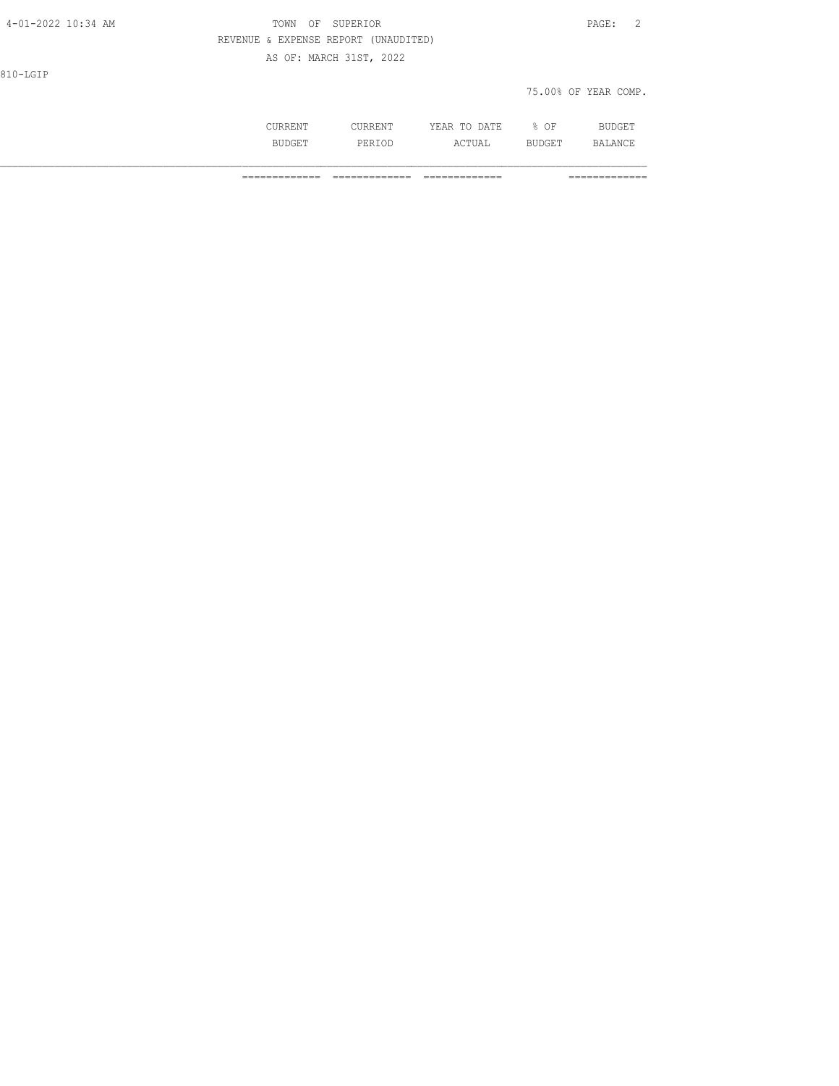| 4-01-2022 10:34 AM | TOWN<br>ΟF                           | SUPERIOR                |              |        | PAGE: 2              |
|--------------------|--------------------------------------|-------------------------|--------------|--------|----------------------|
|                    | REVENUE & EXPENSE REPORT (UNAUDITED) |                         |              |        |                      |
|                    |                                      | AS OF: MARCH 31ST, 2022 |              |        |                      |
| 810-LGIP           |                                      |                         |              |        |                      |
|                    |                                      |                         |              |        | 75.00% OF YEAR COMP. |
|                    |                                      |                         |              |        |                      |
|                    | CURRENT                              | CURRENT                 | YEAR TO DATE | $8$ OF | BUDGET               |

BUDGET PERIOD ACTUAL BUDGET BALANCE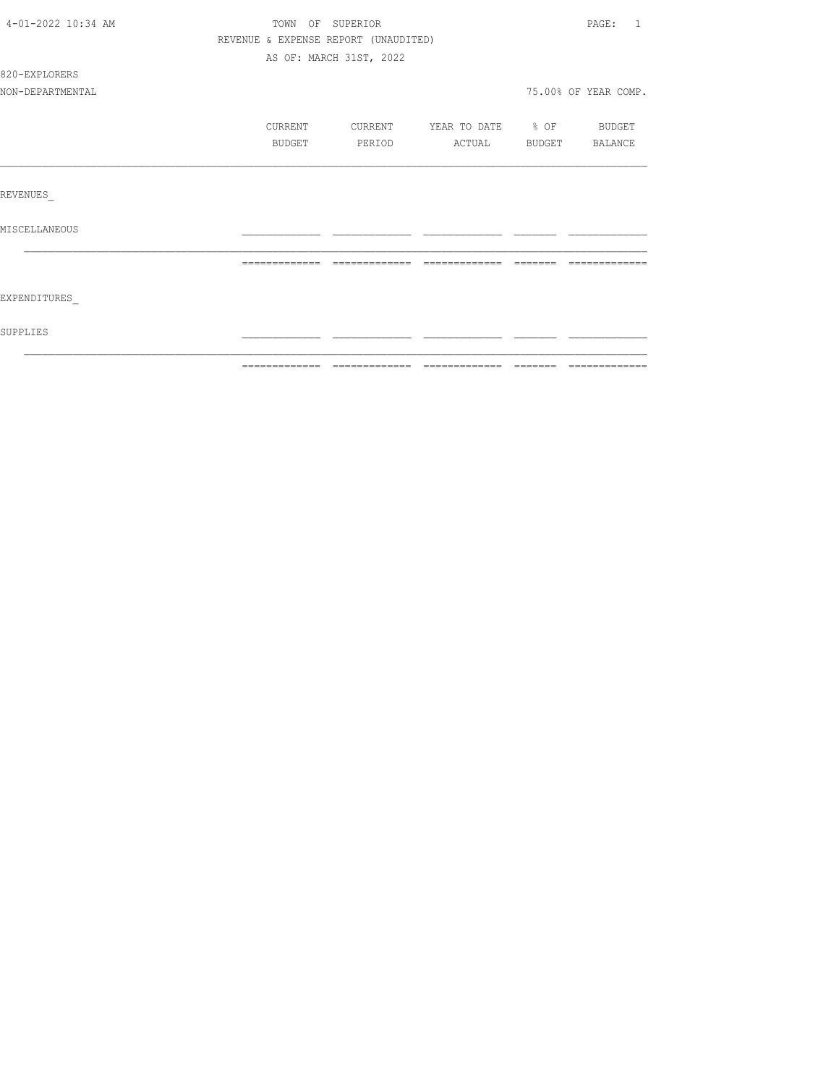| SUPPLIES           |                                      |                         |                          |          |                         |
|--------------------|--------------------------------------|-------------------------|--------------------------|----------|-------------------------|
| EXPENDITURES       |                                      |                         |                          |          |                         |
|                    | =============                        | =============           | $22222222222222$         | -------- |                         |
| MISCELLANEOUS      |                                      |                         |                          |          |                         |
| REVENUES           |                                      |                         |                          |          |                         |
|                    |                                      |                         |                          |          |                         |
|                    | <b>BUDGET</b>                        | PERIOD                  | ACTUAL BUDGET BALANCE    |          |                         |
|                    | CURRENT                              | CURRENT                 | YEAR TO DATE % OF BUDGET |          |                         |
| NON-DEPARTMENTAL   |                                      |                         |                          |          | 75.00% OF YEAR COMP.    |
| 820-EXPLORERS      |                                      |                         |                          |          |                         |
|                    |                                      | AS OF: MARCH 31ST, 2022 |                          |          |                         |
|                    | REVENUE & EXPENSE REPORT (UNAUDITED) |                         |                          |          |                         |
| 4-01-2022 10:34 AM | TOWN OF SUPERIOR                     |                         |                          |          | PAGE:<br>$\overline{1}$ |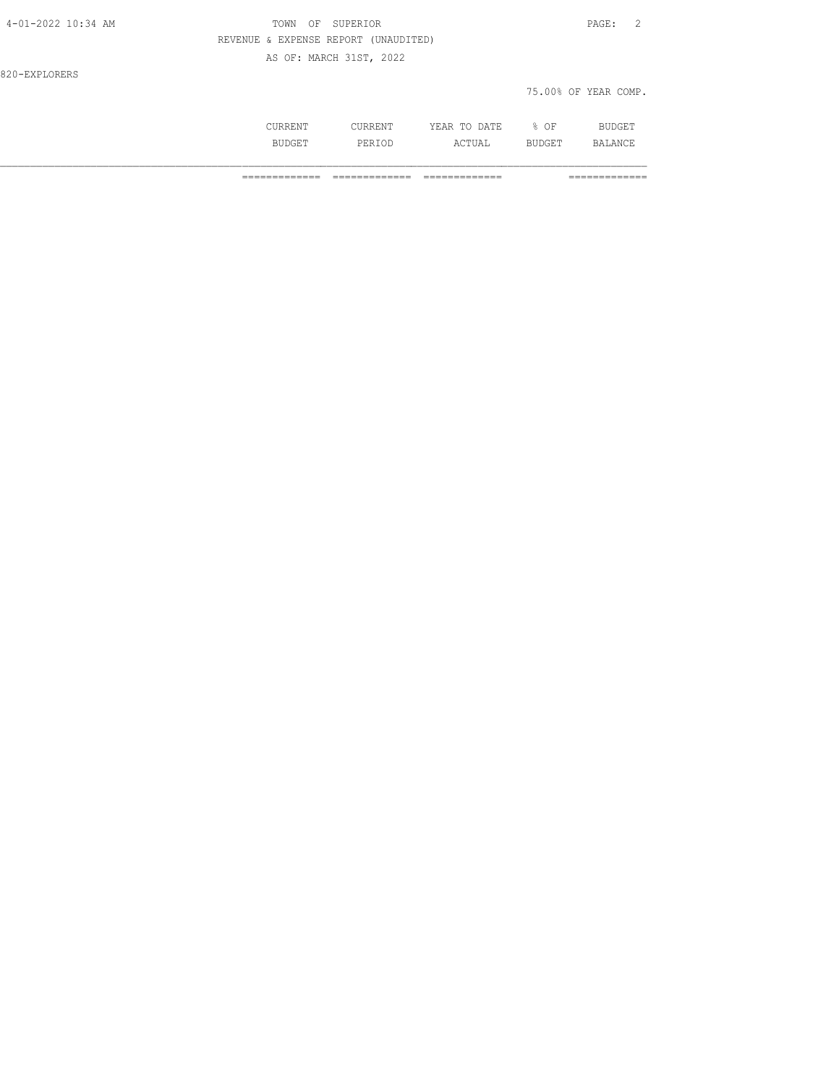| 4-01-2022 10:34 AM | SUPERIOR<br>OF<br>TOWN               | PAGE: 2              |
|--------------------|--------------------------------------|----------------------|
|                    | REVENUE & EXPENSE REPORT (UNAUDITED) |                      |
|                    | AS OF: MARCH 31ST, 2022              |                      |
| 820-EXPLORERS      |                                      |                      |
|                    |                                      | 75.00% OF YEAR COMP. |
|                    |                                      |                      |

 CURRENT CURRENT YEAR TO DATE % OF BUDGET BUDGET PERIOD ACTUAL BUDGET BALANCE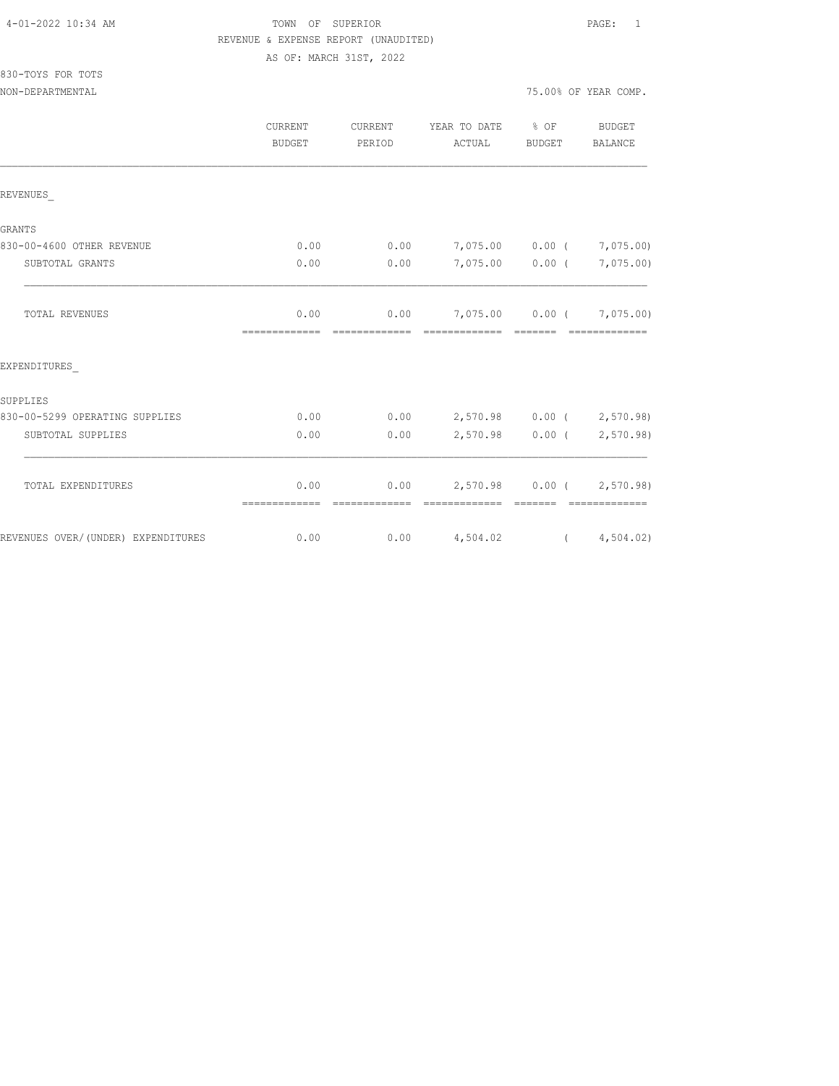# TOWN OF SUPERIOR **PAGE:** 1 REVENUE & EXPENSE REPORT (UNAUDITED) AS OF: MARCH 31ST, 2022

830-TOYS FOR TOTS

NON-DEPARTMENTAL 75.00% OF YEAR COMP.

|                                    | CURRENT<br><b>BUDGET</b> | CURRENT<br>PERIOD      | YEAR TO DATE<br>ACTUAL                      | $8$ OF<br><b>BUDGET</b>                                                                                                                                                                                                                                                                                                                                                                                                                                                                                     | <b>BUDGET</b><br>BALANCE    |
|------------------------------------|--------------------------|------------------------|---------------------------------------------|-------------------------------------------------------------------------------------------------------------------------------------------------------------------------------------------------------------------------------------------------------------------------------------------------------------------------------------------------------------------------------------------------------------------------------------------------------------------------------------------------------------|-----------------------------|
| REVENUES                           |                          |                        |                                             |                                                                                                                                                                                                                                                                                                                                                                                                                                                                                                             |                             |
| <b>GRANTS</b>                      |                          |                        |                                             |                                                                                                                                                                                                                                                                                                                                                                                                                                                                                                             |                             |
| 830-00-4600 OTHER REVENUE          | 0.00                     | 0.00                   | 7,075.00 0.00 (                             |                                                                                                                                                                                                                                                                                                                                                                                                                                                                                                             | 7,075.00)                   |
| SUBTOTAL GRANTS                    | 0.00                     | 0.00                   |                                             | 7,075.00 0.00 (                                                                                                                                                                                                                                                                                                                                                                                                                                                                                             | 7,075.00)                   |
| TOTAL REVENUES                     | 0.00<br>=============    | 0.00<br>-------------- | 7,075.00 0.00 ( 7,075.00)<br>-------------- | --------                                                                                                                                                                                                                                                                                                                                                                                                                                                                                                    | --------------              |
| EXPENDITURES                       |                          |                        |                                             |                                                                                                                                                                                                                                                                                                                                                                                                                                                                                                             |                             |
| SUPPLIES                           |                          |                        |                                             |                                                                                                                                                                                                                                                                                                                                                                                                                                                                                                             |                             |
| 830-00-5299 OPERATING SUPPLIES     | 0.00                     | 0.00                   |                                             |                                                                                                                                                                                                                                                                                                                                                                                                                                                                                                             | 2,570.98 0.00 ( 2,570.98)   |
| SUBTOTAL SUPPLIES                  | 0.00                     | 0.00                   | 2,570.98                                    | $0.00$ (                                                                                                                                                                                                                                                                                                                                                                                                                                                                                                    | 2,570.98)                   |
| TOTAL EXPENDITURES                 | 0.00<br>=============    | 0.00<br>=============  | =============                               | $2,570.98$ 0.00 (<br>$\begin{array}{cccccccccc} \multicolumn{2}{c}{} & \multicolumn{2}{c}{} & \multicolumn{2}{c}{} & \multicolumn{2}{c}{} & \multicolumn{2}{c}{} & \multicolumn{2}{c}{} & \multicolumn{2}{c}{} & \multicolumn{2}{c}{} & \multicolumn{2}{c}{} & \multicolumn{2}{c}{} & \multicolumn{2}{c}{} & \multicolumn{2}{c}{} & \multicolumn{2}{c}{} & \multicolumn{2}{c}{} & \multicolumn{2}{c}{} & \multicolumn{2}{c}{} & \multicolumn{2}{c}{} & \multicolumn{2}{c}{} & \multicolumn{2}{c}{} & \mult$ | 2,570.98)<br>-------------- |
| REVENUES OVER/(UNDER) EXPENDITURES | 0.00                     | 0.00                   | 4,504.02                                    |                                                                                                                                                                                                                                                                                                                                                                                                                                                                                                             | (4, 504.02)                 |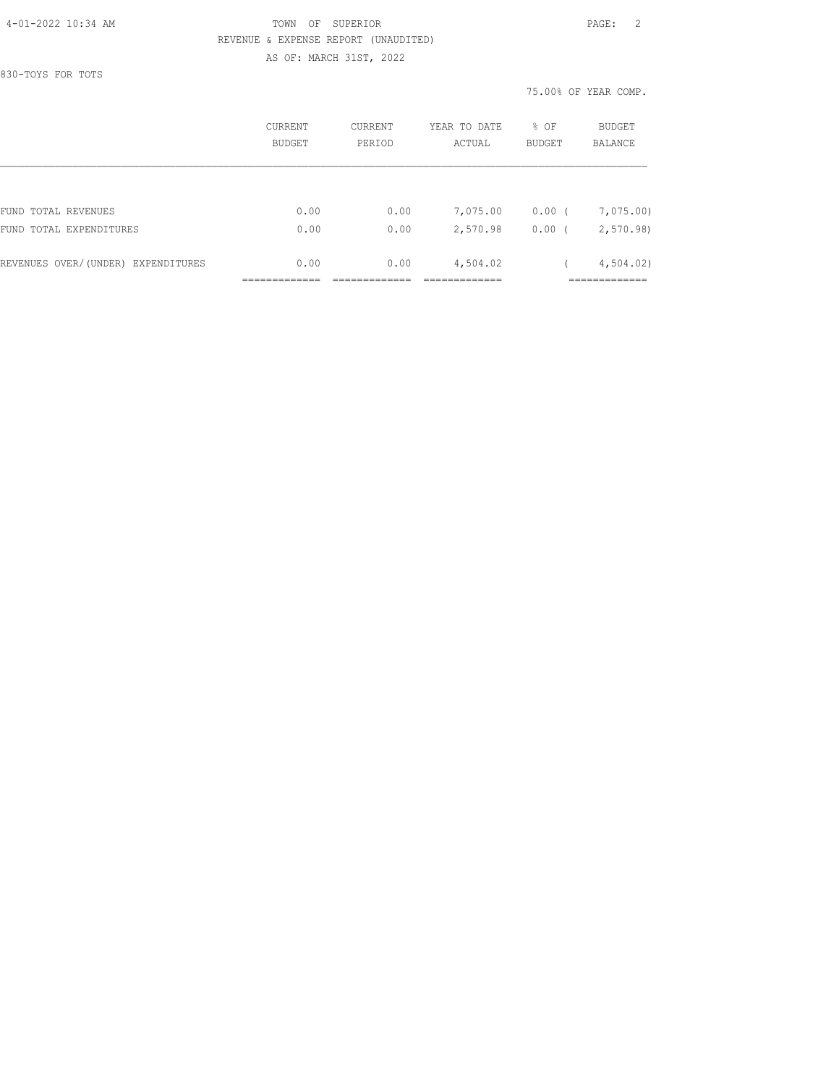### 4-01-2022 10:34 AM TOWN OF SUPERIOR PAGE: 2 REVENUE & EXPENSE REPORT (UNAUDITED) AS OF: MARCH 31ST, 2022

830-TOYS FOR TOTS

75.00% OF YEAR COMP.

|                                    | CURRENT<br>BUDGET | CURRENT<br>PERIOD | YEAR TO DATE<br>ACTUAL | % OF<br>BUDGET     | <b>BUDGET</b><br><b>BALANCE</b> |
|------------------------------------|-------------------|-------------------|------------------------|--------------------|---------------------------------|
|                                    |                   |                   |                        |                    |                                 |
| FUND TOTAL REVENUES                | 0.00              | 0.00              | 7,075.00               | $0.00$ (           | 7,075.00)                       |
| FUND TOTAL EXPENDITURES            | 0.00              | 0.00              | 2,570.98               | 0.00<br>$\sqrt{2}$ | 2,570.98                        |
| REVENUES OVER/(UNDER) EXPENDITURES | 0.00              | 0.00              | 4,504.02               |                    | 4,504.02                        |
|                                    |                   |                   |                        |                    |                                 |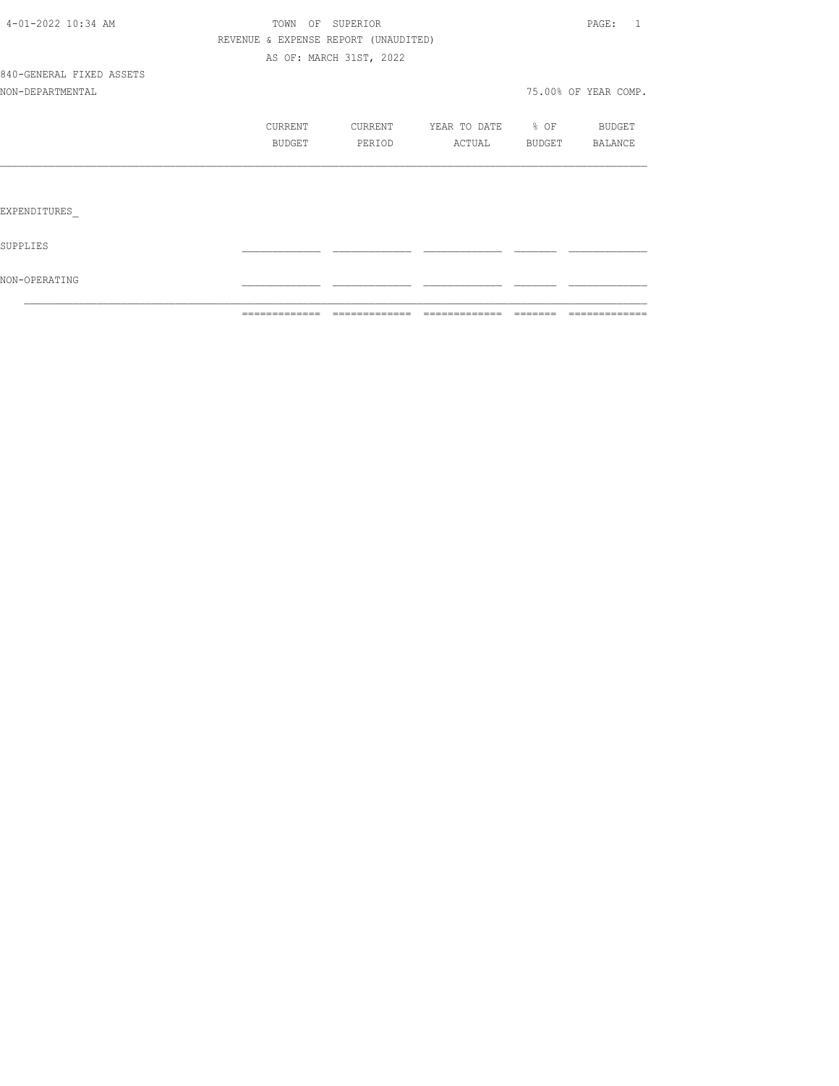|                          | =============                        |                         | ============================== | -------- | =============        |
|--------------------------|--------------------------------------|-------------------------|--------------------------------|----------|----------------------|
| NON-OPERATING            |                                      |                         |                                |          |                      |
| SUPPLIES                 |                                      |                         |                                |          |                      |
| EXPENDITURES             |                                      |                         |                                |          |                      |
|                          |                                      |                         |                                |          |                      |
|                          | BUDGET                               | PERIOD                  | ACTUAL BUDGET                  |          | BALANCE              |
|                          | CURRENT                              | CURRENT                 | YEAR TO DATE % OF              |          | <b>BUDGET</b>        |
| NON-DEPARTMENTAL         |                                      |                         |                                |          | 75.00% OF YEAR COMP. |
| 840-GENERAL FIXED ASSETS |                                      |                         |                                |          |                      |
|                          |                                      | AS OF: MARCH 31ST, 2022 |                                |          |                      |
|                          | REVENUE & EXPENSE REPORT (UNAUDITED) |                         |                                |          |                      |
| 4-01-2022 10:34 AM       |                                      | TOWN OF SUPERIOR        |                                |          | PAGE: 1              |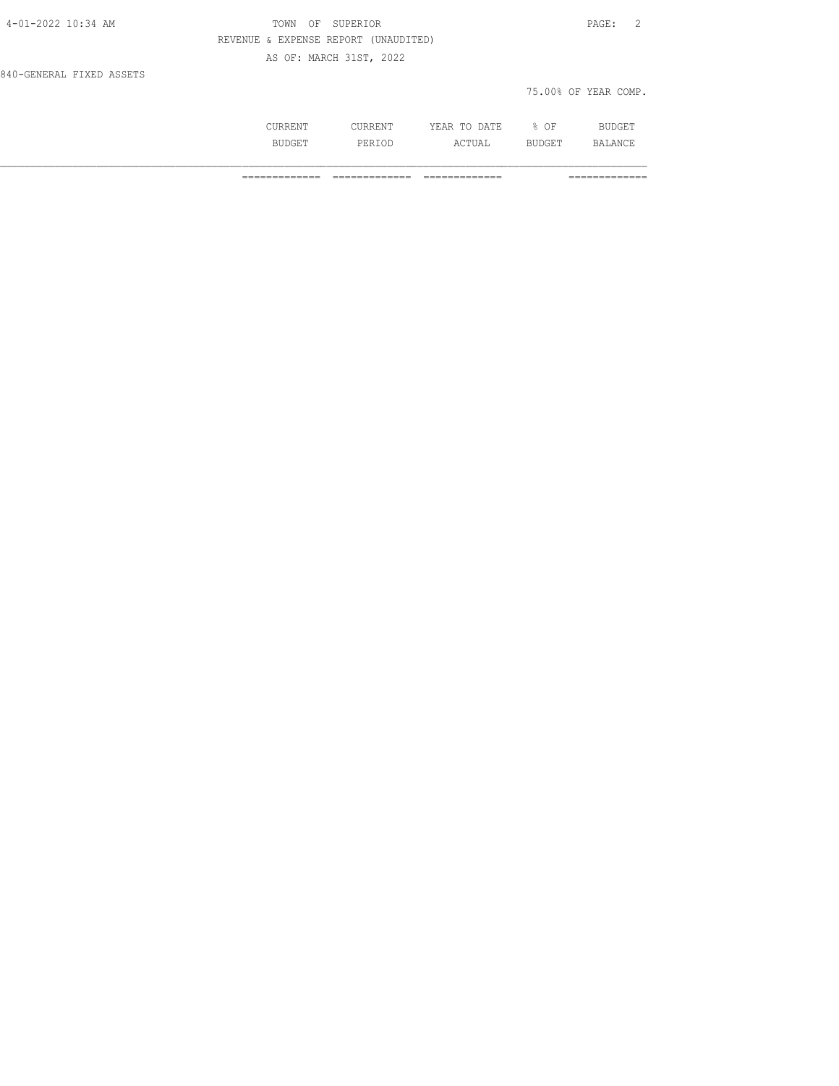| 4-01-2022 10:34 AM       | OF SUPERIOR<br>TOWN                  | PAGE: 2              |
|--------------------------|--------------------------------------|----------------------|
|                          | REVENUE & EXPENSE REPORT (UNAUDITED) |                      |
|                          | AS OF: MARCH 31ST, 2022              |                      |
| 840-GENERAL FIXED ASSETS |                                      |                      |
|                          |                                      | 75.00% OF YEAR COMP. |
|                          |                                      |                      |

 CURRENT CURRENT YEAR TO DATE % OF BUDGET BUDGET PERIOD ACTUAL BUDGET BALANCE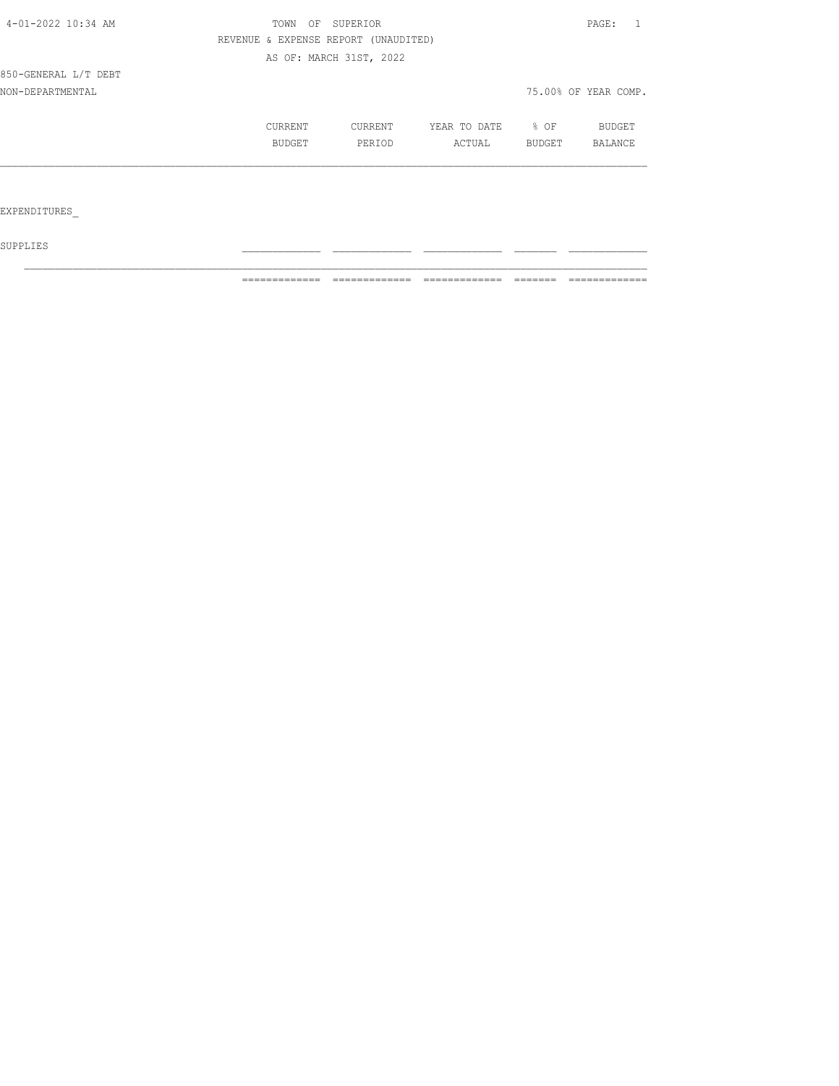| 4-01-2022 10:34 AM   | TOWN<br>OF | SUPERIOR                             |              |        | PAGE:<br>1           |
|----------------------|------------|--------------------------------------|--------------|--------|----------------------|
|                      |            | REVENUE & EXPENSE REPORT (UNAUDITED) |              |        |                      |
|                      |            | AS OF: MARCH 31ST, 2022              |              |        |                      |
| 850-GENERAL L/T DEBT |            |                                      |              |        |                      |
| NON-DEPARTMENTAL     |            |                                      |              |        | 75.00% OF YEAR COMP. |
|                      | CURRENT    | CURRENT                              | YEAR TO DATE | % OF   | BUDGET               |
|                      | BUDGET     | PERIOD                               | ACTUAL       | BUDGET | BALANCE              |
|                      |            |                                      |              |        |                      |
|                      |            |                                      |              |        |                      |
| EXPENDITURES         |            |                                      |              |        |                      |

 ${\tt SUPPLIES}$